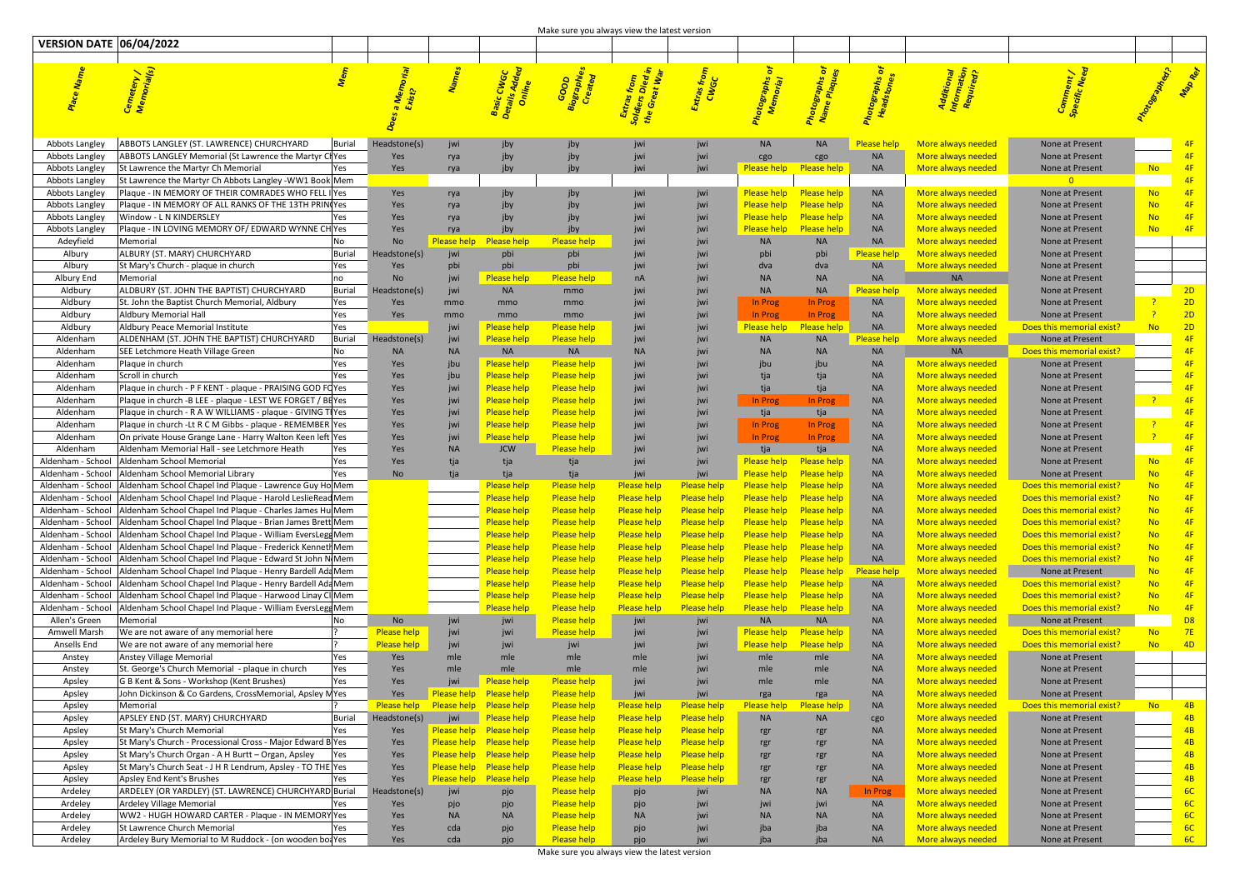| <b>VERSION DATE 06/04/2022</b>         |                                                                                                                        |                    |            |                                                                     |                                          |                                                  |                                          |                                   |                                                                          |                              |                                                        |                                                        |                                  |  |
|----------------------------------------|------------------------------------------------------------------------------------------------------------------------|--------------------|------------|---------------------------------------------------------------------|------------------------------------------|--------------------------------------------------|------------------------------------------|-----------------------------------|--------------------------------------------------------------------------|------------------------------|--------------------------------------------------------|--------------------------------------------------------|----------------------------------|--|
|                                        |                                                                                                                        |                    |            |                                                                     |                                          |                                                  |                                          |                                   |                                                                          |                              |                                                        |                                                        |                                  |  |
|                                        |                                                                                                                        |                    |            | i <sup>ic</sup> CWGC<br><sup>ilis Adde</sup> a<br><sup>Online</sup> | GOOD<br><sup>OSTAMIE</sup><br>Created    | tras from<br>iers Died ir<br><sup>cest War</sup> |                                          |                                   |                                                                          |                              |                                                        |                                                        |                                  |  |
| Abbots Langley                         | ABBOTS LANGLEY (ST. LAWRENCE) CHURCHYARD<br>Burial                                                                     |                    |            |                                                                     |                                          |                                                  |                                          |                                   |                                                                          | lease help '                 | More always needed                                     | None at Present                                        |                                  |  |
| Abbots Langley                         | ABBOTS LANGLEY Memorial (St Lawrence the Martyr Cl Yes                                                                 |                    |            |                                                                     |                                          |                                                  |                                          | cgo                               |                                                                          | <b>NA</b>                    | More always needed                                     | None at Present                                        |                                  |  |
| Abbots Langley                         | t Lawrence the Martyr Ch Memorial                                                                                      | Yes                |            |                                                                     |                                          |                                                  | jwi                                      |                                   | <b>Please help Please help</b> NA                                        |                              | More always needed                                     | None at Present                                        | <b>No</b>                        |  |
| Abbots Langley                         | St Lawrence the Martyr Ch Abbots Langley -WW1 Book Mem                                                                 |                    |            |                                                                     |                                          |                                                  |                                          |                                   |                                                                          |                              |                                                        |                                                        |                                  |  |
| Abbots Langley                         | Plaque - IN MEMORY OF THEIR COMRADES WHO FELL I Yes<br>Plaque - IN MEMORY OF ALL RANKS OF THE 13TH PRIN(Yes            |                    |            |                                                                     |                                          |                                                  |                                          | <b>Please help</b>                | <b>Please help</b>                                                       | <b>NA</b><br><b>NA</b>       | More always needer                                     | None at Present                                        | N <sub>O</sub><br>N <sub>0</sub> |  |
| Abbots Langley<br>Abbots Langley       | Window - L N KINDERSLEY                                                                                                |                    |            |                                                                     |                                          |                                                  |                                          | Please help<br><b>Please help</b> |                                                                          | <b>NA</b>                    | More always needed<br>More always needed               | None at Present<br>None at Present                     | N <sub>0</sub>                   |  |
| Abbots Langley                         | Plaque - IN LOVING MEMORY OF/EDWARD WYNNE CH Yes                                                                       |                    |            |                                                                     |                                          |                                                  |                                          | <b>Please help</b>                | <b>Please heir</b>                                                       | <b>NA</b>                    | More always needed                                     | None at Present                                        | N <sub>O</sub>                   |  |
| Adeyfield                              | Memorial                                                                                                               | <b>No</b>          |            | Please help Delease help                                            | <b>Please help</b>                       |                                                  |                                          |                                   |                                                                          | <b>NA</b>                    | <u>More always needec</u>                              | None at Present                                        |                                  |  |
| Albury                                 | ALBURY (ST. MARY) CHURCHYARD<br><b>Burial</b>                                                                          | adstone(s:         |            |                                                                     |                                          |                                                  |                                          |                                   |                                                                          | Please help                  | More always needed                                     | None at Present                                        |                                  |  |
| Albury                                 | Yes<br>St Mary's Church - plaque in church                                                                             | Yes                |            | pbi                                                                 | pbi                                      |                                                  |                                          | dva                               | dva                                                                      | <b>NA</b>                    | More always needed                                     | None at Present                                        |                                  |  |
| Albury End                             | Memorial<br>no                                                                                                         | <b>No</b>          |            | <b>Please help</b>                                                  | <b>Please help</b>                       |                                                  |                                          |                                   |                                                                          |                              | <b>NA</b>                                              | None at Present                                        |                                  |  |
| Aldbury                                | ALDBURY (ST. JOHN THE BAPTIST) CHURCHYARD<br><b>Burial</b><br>St. John the Baptist Church Memorial, Aldbury            | dstone(:           |            |                                                                     | mmo                                      |                                                  |                                          |                                   |                                                                          | <u>Please l</u><br><b>NA</b> | More always needed                                     | None at Present                                        |                                  |  |
| Aldbury<br>Aldbury                     | Yes<br>Aldbury Memorial Hall<br>Yes                                                                                    | Yes<br>Yes         | mmo        | mmo<br>mmo                                                          | mmo<br>mmo                               |                                                  |                                          | In Prog<br>In Prog                | In Prog                                                                  | - NA                         | <u>More always needed</u><br>More always needed        | None at Present<br>None at Present                     |                                  |  |
| Aldbury                                | Aldbury Peace Memorial Institute<br>Yes                                                                                |                    | iwi        | lease help                                                          | <b>Please help</b>                       |                                                  |                                          | <b>Please help</b>                |                                                                          | <b>NA</b>                    | More always needed                                     | Does this memorial exist?                              |                                  |  |
| Aldenham                               | ALDENHAM (ST. JOHN THE BAPTIST) CHURCHYARD<br><b>Burial</b>                                                            | adstone (s'        |            | Please help                                                         | <b>Please help</b>                       |                                                  |                                          | <b>NA</b>                         |                                                                          | lease help                   | More always needed                                     | None at Present                                        |                                  |  |
| Aldenham                               | SEE Letchmore Heath Village Green                                                                                      |                    |            | <b>NA</b>                                                           | <b>NA</b>                                |                                                  |                                          |                                   |                                                                          |                              | <b>NA</b>                                              | Does this memorial exist?                              |                                  |  |
| Aldenham                               | Plaque in church                                                                                                       |                    |            | Please help                                                         | <b>Please hel</b>                        |                                                  |                                          |                                   |                                                                          |                              | <b>More always needed</b>                              | None at Present                                        |                                  |  |
| Aldenham                               | Scroll in church                                                                                                       |                    |            | <u>lease help</u>                                                   | <b>Please hel</b>                        |                                                  |                                          |                                   |                                                                          |                              | More always needed                                     | None at Present                                        |                                  |  |
| Aldenham                               | Plaque in church - P F KENT - plaque - PRAISING GOD FC Yes                                                             |                    |            | Please help                                                         | <b>Please hel</b>                        |                                                  |                                          |                                   |                                                                          |                              | <u>More always needer</u>                              | None at Present                                        |                                  |  |
| Aldenham                               | Plaque in church -B LEE - plaque - LEST WE FORGET / BEYes                                                              |                    |            | Please help                                                         | <u>Please hel</u>                        |                                                  |                                          | In Prog                           | In Prog                                                                  | N <sub>f</sub>               | <u> Aore always needec</u>                             | None at Present                                        |                                  |  |
| Aldenham                               | Plaque in church - R A W WILLIAMS - plaque - GIVING TI Yes                                                             |                    |            | <u>Please help</u>                                                  | <b>Please help</b>                       |                                                  |                                          | tja                               |                                                                          |                              | <u>More always needec</u>                              | None at Present                                        |                                  |  |
| Aldenham<br>Aldenham                   | Plaque in church -Lt R C M Gibbs - plaque - REMEMBER Yes                                                               |                    |            | Please help<br>Please help                                          | <b>Please help</b>                       |                                                  |                                          | In Prog<br>In Prog                | In Prog<br><b>In Pros</b>                                                | <b>NA</b><br><b>NA</b>       | More always needed                                     | None at Present<br>None at Present                     |                                  |  |
| Aldenham                               | On private House Grange Lane - Harry Walton Keen left Yes<br>Aldenham Memorial Hall - see Letchmore Heath              |                    |            | <b>JCW</b>                                                          | <u>Please help</u><br><b>Please help</b> |                                                  |                                          | tia                               | <b>tia</b>                                                               |                              | <u>More always needec</u><br><u>More always needed</u> | None at Present                                        |                                  |  |
| Aldenham - School                      | Aldenham School Memorial<br>Yes                                                                                        |                    |            |                                                                     |                                          |                                                  |                                          | <b>Please help</b>                | <b>Please help</b>                                                       | <b>NA</b>                    | <u>More always needed</u>                              | None at Present                                        | No.                              |  |
| Aldenham - School                      | Aldenham School Memorial Library                                                                                       |                    |            |                                                                     |                                          |                                                  |                                          | Please help                       | <b>Please help</b>                                                       | NA                           | <u>More always needed-</u>                             | None at Present                                        | N <sub>0</sub>                   |  |
| Aldenham - School                      | Aldenham School Chapel Ind Plaque - Lawrence Guy Ho Mem                                                                |                    |            | <b>Please help</b>                                                  | Please he                                | <b>Please held</b>                               | Please helt                              | <b>Please help</b>                |                                                                          | - NA                         | <u>More always needed</u>                              | Does this memorial exist :                             |                                  |  |
|                                        | Aldenham - School   Aldenham School Chapel Ind Plaque - Harold LeslieRead Mem                                          |                    |            | <b>Please help</b>                                                  | <b>Please help</b>                       | <b>Please help</b>                               | <u>Please help</u>                       | <b>Please help</b>                | Please help                                                              | <b>NA</b>                    | More always needed                                     | Does this memorial exist?                              |                                  |  |
|                                        | Aldenham - School   Aldenham School Chapel Ind Plaque - Charles James Hu Mem                                           |                    |            | <b>Please help</b>                                                  | <b>Please help</b>                       | <b>Please help</b>                               | <b>Please he</b>                         | <b>Please help</b>                | <b>Please help</b>                                                       | NA                           | More always needed                                     | Does this memorial exist?                              | No l                             |  |
|                                        | Aldenham - School   Aldenham School Chapel Ind Plaque - Brian James Brett  Mem                                         |                    |            | <b>Please help</b>                                                  | Please help                              | <b>Please help</b>                               |                                          |                                   | <b>Please help Please help</b> NA                                        |                              | More always needed                                     | Does this memorial exist?                              | No.                              |  |
|                                        | Aldenham - School   Aldenham School Chapel Ind Plaque - William EversLeggMem                                           |                    |            | <b>Please help</b>                                                  | <b>Please help</b>                       | <b>Please help</b>                               | <b>Please help</b>                       |                                   | <b>Please help Please help</b> NA                                        |                              | More always needed                                     | Does this memorial exist?                              | <b>No</b><br>$\overline{4}$      |  |
|                                        | Aldenham - School Aldenham School Chapel Ind Plague - Frederick KennethMem                                             |                    |            | <b>Please help</b>                                                  | <b>Please help</b>                       | <b>Please help</b>                               | <b>Please help</b>                       |                                   | <b>Please help Please help</b> NA                                        |                              | More always needed                                     | Does this memorial exist?                              | No                               |  |
|                                        | Aldenham - School Aldenham School Chapel Ind Plague - Edward St John N Mem                                             |                    |            | <b>Please help</b>                                                  | <b>Please help</b>                       | <b>Please help</b>                               | <b>Please help</b>                       |                                   | Please help Please help NA                                               |                              | More always needed                                     | Does this memorial exist?                              | No                               |  |
| Aldenham - School<br>Aldenham - School | Aldenham School Chapel Ind Plaque - Henry Bardell Ada Mem<br>Aldenham School Chapel Ind Plaque - Henry Bardell Ada Mem |                    |            | <b>Please help</b>                                                  | <b>Please help</b>                       | <b>Please help</b>                               | <b>Please help</b>                       |                                   | Please help Please help Please help<br><b>Please help Please help</b> NA |                              | More always needed<br>More always needed               | None at Present                                        | <b>No</b><br>No No               |  |
| Aldenham - School                      | Aldenham School Chapel Ind Plaque - Harwood Linay Cl Mem                                                               |                    |            | <b>Please help</b><br><b>Please help</b>                            | <b>Please help</b><br>Please help        | <b>Please help</b><br><b>Please help</b>         | <b>Please he</b><br><b>Please help</b>   |                                   | Please help Please help NA                                               |                              | More always needed                                     | Does this memorial exist?<br>Does this memorial exist? | <b>No</b>                        |  |
| Aldenham - School                      | Aldenham School Chapel Ind Plaque - William EversLegg Mem                                                              |                    |            | <b>Please help</b>                                                  | Please help                              | <b>Please help</b>                               | <b>Please help</b>                       |                                   | Please help Please help                                                  | <b>NA</b>                    | More always needed                                     | Does this memorial exist?                              | No<br>$-41$                      |  |
| Allen's Green                          | Memorial                                                                                                               | <b>No</b>          |            | jwi                                                                 | <b>Please help</b>                       | jwi                                              |                                          | <b>NA</b>                         | <b>NA</b>                                                                | <b>NA</b>                    | More always needed                                     | None at Present                                        | $\overline{\text{D8}}$           |  |
| Amwell Marsh                           | We are not aware of any memorial here                                                                                  | <b>Please help</b> | jwi        | iwi                                                                 | Please help                              |                                                  |                                          | <b>Please help</b>                | <b>Please help</b>                                                       | <b>NA</b>                    | More always needed                                     | Does this memorial exist?                              | No No                            |  |
| Ansells End                            | We are not aware of any memorial here                                                                                  | <b>Please help</b> | iwi        |                                                                     |                                          |                                                  |                                          | Please help                       | <b>Please help</b>                                                       | <b>NA</b>                    | More always needed                                     | Does this memorial exist?                              | No<br>$-4D$                      |  |
| Anstey                                 | Anstey Village Memorial<br>Yes                                                                                         | Yes                | m          | mle                                                                 | mle                                      |                                                  |                                          | mle                               | mle                                                                      | <b>NA</b>                    | More always needed                                     | None at Present                                        |                                  |  |
| Anstey                                 | St. George's Church Memorial - plaque in church<br>Yes                                                                 | Yes                | m          | mle                                                                 | mle                                      |                                                  |                                          | mle                               | mle                                                                      | <b>NA</b>                    | More always needed                                     | None at Present                                        |                                  |  |
| Apsley                                 | G B Kent & Sons - Workshop (Kent Brushes)                                                                              | Yes                | iwi        | <b>Please help</b>                                                  | <b>Please help</b>                       |                                                  |                                          | mle                               | mle                                                                      | <b>NA</b>                    | More always needed                                     | None at Present                                        |                                  |  |
| Apsley                                 | John Dickinson & Co Gardens, CrossMemorial, Apsley MYes                                                                |                    |            | Yes Please help Please help                                         | <b>Please help</b>                       | iwi                                              | iwi                                      | rga                               | rga                                                                      | <b>NA</b>                    | More always needed                                     | None at Present                                        |                                  |  |
| Apsley<br>Apsley                       | Memorial<br>APSLEY END (ST. MARY) CHURCHYARD<br>Burial                                                                 | eadstone(s)        |            | Please help Please help Please help<br>jwi <mark>Please help</mark> | <b>Please help</b><br><b>Please help</b> | <b>Please help</b><br><b>Please help</b>         | <b>Please help</b><br><b>Please help</b> | <b>Please help</b><br><b>NA</b>   | <b>Please help</b><br><b>NA</b>                                          | <b>NA</b>                    | More always needed<br>More always needed               | Does this memorial exist?<br>None at Present           | <b>No. No. 1</b><br>$-4B$        |  |
| Apsley                                 | St Mary's Church Memorial<br>Yes                                                                                       | Yes                |            | Please help Please help                                             | <b>Please help</b>                       | <b>Please help</b>                               | <b>Please help</b>                       |                                   |                                                                          | cgo<br><b>NA</b>             | More always needed                                     | None at Present                                        |                                  |  |
| Apsley                                 | St Mary's Church - Processional Cross - Major Edward B Yes                                                             | Yes                |            | Please help Please help                                             | <b>Please help</b>                       | <b>Please help</b>                               | <b>Please help</b>                       |                                   |                                                                          | <b>NA</b>                    | More always needed                                     | None at Present                                        |                                  |  |
| Apsley                                 | St Mary's Church Organ - A H Burtt - Organ, Apsley<br>l Yes                                                            | Yes                |            | Please help Please help                                             | <b>Please help</b>                       | <b>Please help</b>                               | <b>Please help</b>                       |                                   |                                                                          | <b>NA</b>                    | More always needed                                     | None at Present                                        |                                  |  |
| Apsley                                 | St Mary's Church Seat - J H R Lendrum, Apsley - TO THE Yes                                                             | Yes                |            | Please help Please help                                             | <b>Please help</b>                       | <b>Please help</b>                               | <b>Please help</b>                       |                                   |                                                                          | <b>NA</b>                    | More always needed                                     | None at Present                                        |                                  |  |
| Apsley                                 | Apsley End Kent's Brushes                                                                                              | Yes                |            | Please help Please help                                             | <b>Please help</b>                       | <b>Please help</b>                               | <b>Please help</b>                       | rg                                |                                                                          | <b>NA</b>                    | More always needed                                     | None at Present                                        |                                  |  |
| Ardeley                                | ARDELEY (OR YARDLEY) (ST. LAWRENCE) CHURCHYARD Burial                                                                  | adstone(s)         | iwi        | pjo                                                                 | <u>Please help</u>                       | pjo                                              |                                          | $N_A$                             | <b>NA</b>                                                                | In Pro                       | More always needed                                     | None at Present                                        |                                  |  |
| Ardeley                                | Ardeley Village Memorial                                                                                               | Yes                | pjo        | pjo                                                                 | <b>Please help</b>                       |                                                  |                                          |                                   |                                                                          | <b>NA</b>                    | More always needed                                     | None at Present                                        |                                  |  |
| Ardeley                                | WW2 - HUGH HOWARD CARTER - Plaque - IN MEMORY Yes                                                                      | Yes                | <b>NA</b>  | <b>NA</b>                                                           | <b>Please help</b>                       |                                                  |                                          | <b>NA</b>                         |                                                                          | $N_A$                        | More always needed                                     | None at Present                                        |                                  |  |
| Ardeley<br>Ardelev                     | St Lawrence Church Memorial<br>Yes<br>Ardeley Bury Memorial to M Ruddock - (on wooden boaYes                           | Yes<br>Yes         | cda<br>cda | pjo<br>pio                                                          | <b>Please help</b><br>Please help        | pio                                              |                                          | iha                               |                                                                          | $N_A$<br><b>NA</b>           | More always needed<br>More always needed               | None at Present<br>None at Present                     |                                  |  |
|                                        |                                                                                                                        |                    |            |                                                                     |                                          |                                                  |                                          |                                   |                                                                          |                              |                                                        |                                                        |                                  |  |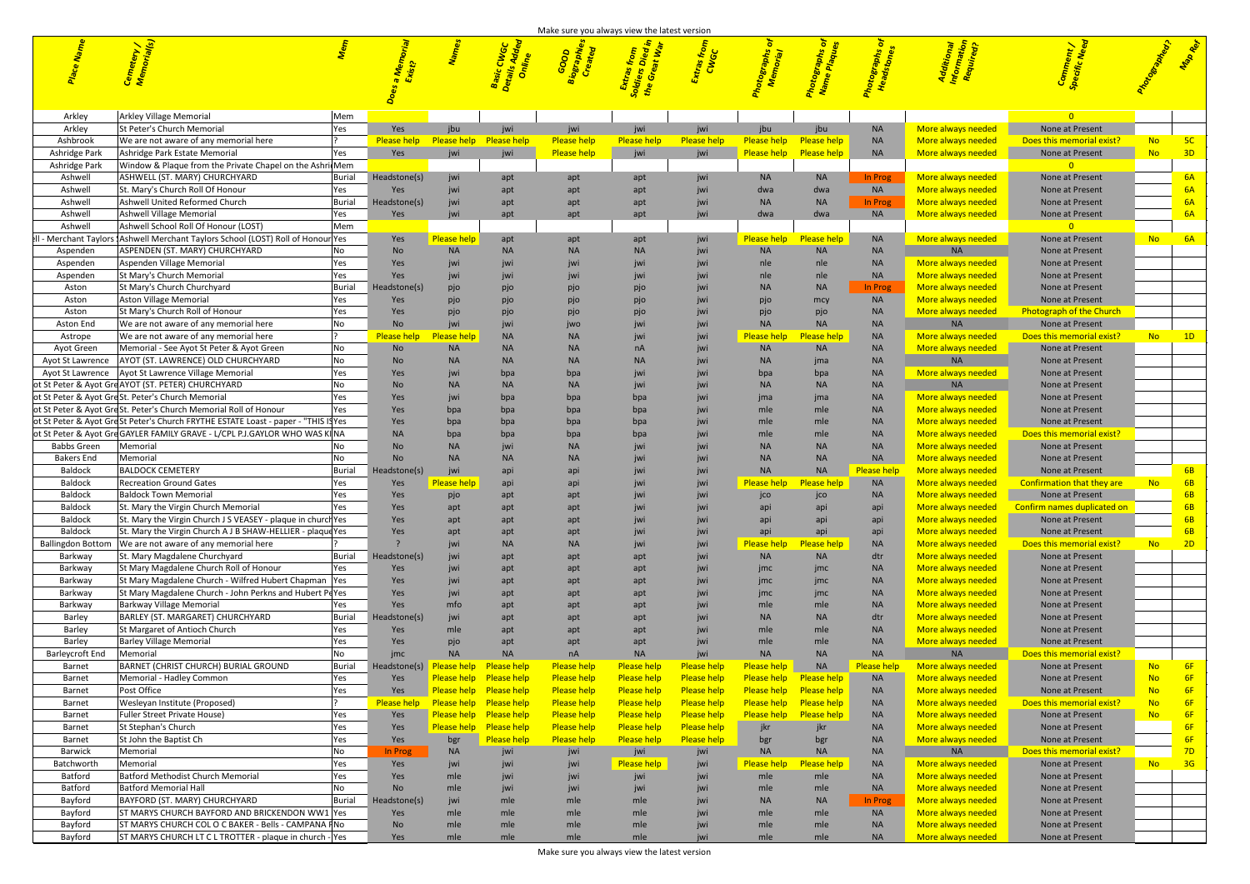|                                                                                                  |               |                    |                    |                         | <b>TVIDING SUITE YOU GIVING YOU VIC WE LITE INTERFERIOR</b> |                                           |                    |                                |                             |                     |                                                 |                                                |                              |  |
|--------------------------------------------------------------------------------------------------|---------------|--------------------|--------------------|-------------------------|-------------------------------------------------------------|-------------------------------------------|--------------------|--------------------------------|-----------------------------|---------------------|-------------------------------------------------|------------------------------------------------|------------------------------|--|
|                                                                                                  |               |                    |                    |                         |                                                             | י <sup>מי טוי</sup><br>פון סופי<br>פון אי |                    |                                |                             |                     |                                                 |                                                |                              |  |
|                                                                                                  |               |                    |                    |                         |                                                             |                                           |                    |                                |                             |                     |                                                 |                                                |                              |  |
|                                                                                                  |               |                    |                    |                         |                                                             |                                           |                    |                                |                             |                     |                                                 |                                                |                              |  |
|                                                                                                  |               |                    |                    |                         |                                                             |                                           |                    |                                |                             |                     |                                                 |                                                |                              |  |
| Arkley Village Memorial<br>Arkley                                                                | Mem           |                    |                    |                         |                                                             |                                           |                    |                                |                             |                     |                                                 |                                                |                              |  |
| St Peter's Church Memorial<br>Arkley                                                             | Yes           | Yes                |                    |                         | <b>iwi</b>                                                  | iwi                                       |                    |                                |                             |                     | More always needed                              | None at Present                                |                              |  |
| We are not aware of any memorial here<br>Ashbrook                                                |               | <b>Please help</b> | <b>Please help</b> | <u>Please help</u>      | Please help                                                 | <b>Please help</b>                        | <b>Please help</b> | <b>Please help</b> Please help |                             | <b>NA</b>           | More always needed                              | Does this memorial exist?                      | $-5C$<br>No.                 |  |
| Ashridge Park<br>Ashridge Park Estate Memorial                                                   | Yes           | Yes                |                    | jwi                     | <b>Please help</b>                                          | jwi                                       | jwi                |                                | Please help Please help     | <b>NA</b>           | More always needed                              | None at Present                                | 3D                           |  |
| Window & Plaque from the Private Chapel on the Ashrid Mem<br>Ashridge Park                       |               |                    |                    |                         |                                                             |                                           |                    |                                |                             |                     |                                                 | _റ_                                            |                              |  |
| ASHWELL (ST. MARY) CHURCHYARD<br>Ashwell                                                         | Burial        | adstone(s):        |                    |                         |                                                             |                                           |                    |                                |                             |                     | More always needed                              | None at Present                                | <b>6A</b>                    |  |
| St. Mary's Church Roll Of Honour<br>Ashwell                                                      | Yes           | Yes                |                    |                         |                                                             |                                           |                    |                                | dwa                         | <b>NA</b>           | More always needed                              | None at Present                                | 6A                           |  |
| Ashwell<br>Ashwell United Reformed Church                                                        | Burial        | adstone(s:         |                    |                         |                                                             |                                           |                    |                                |                             | <b>In Prog</b>      | More always needed                              | None at Present                                |                              |  |
| Ashwell<br>Ashwell Village Memorial<br>Ashwell<br>Ashwell School Roll Of Honour (LOST)           | Yes<br>Mem    | Yes                |                    |                         |                                                             |                                           |                    | dwa                            | dwa                         | <b>NA</b>           | More always needed                              | None at Present<br>$\overline{\phantom{a}}$ 0  |                              |  |
| - Merchant Taylors (Ashwell Merchant Taylors School (LOST) Roll of Honour Yes                    |               | Yes                | Please help        | apt                     |                                                             | apt                                       | iwi                | Please help Please help        |                             | <b>NA</b>           | More always needed                              | None at Present                                | $-6A$                        |  |
| ASPENDEN (ST. MARY) CHURCHYARD<br>Aspenden                                                       | No.           | <b>No</b>          |                    |                         |                                                             |                                           |                    |                                |                             |                     | <b>NA</b>                                       | None at Present                                |                              |  |
| Aspenden Village Memorial<br>Aspenden                                                            | Yes           | Yes                |                    |                         |                                                             |                                           |                    |                                |                             |                     | More always needed                              | None at Present                                |                              |  |
| St Mary's Church Memorial<br>Aspenden                                                            | Yes           | Yes                |                    |                         |                                                             |                                           |                    |                                |                             | <b>NA</b>           | More always needed                              | None at Present                                |                              |  |
| St Mary's Church Churchyard<br>Aston                                                             | <b>Burial</b> | adstone(s:         |                    |                         |                                                             |                                           |                    |                                |                             | <b>In Prog</b>      | More always needed                              | None at Present                                |                              |  |
| Aston Village Memorial<br>Aston                                                                  | Yes           | Yes                |                    |                         |                                                             |                                           |                    |                                | mcy                         | <b>NA</b>           | More always needed                              | None at Present                                |                              |  |
| St Mary's Church Roll of Honour<br>Aston                                                         |               |                    |                    |                         |                                                             |                                           |                    |                                |                             |                     | More always needed                              | <b>Photograph of the Church</b>                |                              |  |
| Aston End<br>We are not aware of any memorial here                                               |               | <b>No</b>          |                    |                         |                                                             |                                           |                    | <b>NA</b>                      | <b>NA</b>                   |                     | <b>NA</b>                                       | None at Present                                |                              |  |
| Astrope<br>We are not aware of any memorial here                                                 |               | <b>Please help</b> | <b>Please help</b> |                         |                                                             |                                           |                    | <b>Please help</b>             | <u>. Please helt</u>        |                     | More always needed                              | Does this memorial exist?                      | $\overline{10}$<br><b>No</b> |  |
| Memorial - See Ayot St Peter & Ayot Green<br>Ayot Green                                          |               |                    |                    |                         |                                                             |                                           |                    |                                |                             |                     | More always needed                              | None at Present                                |                              |  |
| Ayot St Lawrence   AYOT (ST. LAWRENCE) OLD CHURCHYARD                                            |               |                    |                    |                         |                                                             |                                           |                    |                                |                             |                     | <b>NA</b>                                       | None at Present                                |                              |  |
| Ayot St Lawrence   Ayot St Lawrence Village Memorial                                             |               |                    |                    |                         |                                                             |                                           |                    |                                |                             |                     | More always needed                              | None at Present                                |                              |  |
| ot St Peter & Ayot GreAYOT (ST. PETER) CHURCHYARD                                                |               |                    |                    |                         |                                                             |                                           |                    |                                |                             |                     | <b>NA</b>                                       | None at Present                                |                              |  |
| ot St Peter & Ayot GreSt. Peter's Church Memorial                                                |               |                    |                    |                         |                                                             |                                           |                    | <b>Ima</b>                     | <sub>I</sub> ma             |                     | More always needed                              | None at Present                                |                              |  |
| ot St Peter & Ayot GreSt. Peter's Church Memorial Roll of Honour                                 |               |                    |                    |                         |                                                             |                                           |                    |                                | mle                         |                     | More always needed                              | None at Present                                |                              |  |
| ot St Peter & Ayot Grest Peter's Church FRYTHE ESTATE Loast - paper - "THIS IS Yes               |               |                    |                    |                         |                                                             |                                           |                    |                                | mle                         |                     | More always needed                              | None at Present                                |                              |  |
| ot St Peter & Ayot GreGAYLER FAMILY GRAVE - L/CPL P.J.GAYLOR WHO WAS Kl NA                       |               |                    |                    |                         |                                                             |                                           |                    |                                | mle                         |                     | More always needed                              | Does this memorial exist?                      |                              |  |
| Babbs Green<br>Memorial                                                                          |               |                    |                    |                         |                                                             |                                           |                    |                                |                             |                     | More always needed                              | None at Present                                |                              |  |
| Bakers End<br>Memorial                                                                           | No.           | <b>No</b>          |                    |                         |                                                             |                                           |                    |                                |                             | <b>NA</b>           | <u>More always needed</u>                       | None at Present                                |                              |  |
| <b>BALDOCK CEMETERY</b><br>Baldock                                                               | Burial        | adstone(s)         | jwi                |                         |                                                             |                                           |                    |                                | NA.                         | <b>Please help</b>  | More always needed                              | None at Present                                |                              |  |
| Baldock<br><b>Recreation Ground Gates</b>                                                        | Yes           | Yes                | <u>lease help-</u> |                         |                                                             |                                           |                    |                                | Please help - Please help - | <b>NA</b>           | <u>More always needed</u>                       | onfirmation that they are                      | $-6B$<br><b>6B</b>           |  |
| <b>Baldock Town Memorial</b><br>Baldock<br><b>Baldock</b><br>St. Mary the Virgin Church Memorial | Yes           | Yes                |                    |                         |                                                             |                                           |                    |                                |                             |                     | More always needed<br><b>Aore always needed</b> | None at Present<br>Confirm names duplicated or |                              |  |
| St. Mary the Virgin Church J S VEASEY - plaque in church Yes<br>Baldock                          |               | Yes                |                    |                         |                                                             |                                           |                    |                                |                             |                     | More always needed                              | None at Present                                | 6B<br>6B                     |  |
| Baldock<br>St. Mary the Virgin Church A J B SHAW-HELLIER - plaque Yes                            |               | Yes                |                    |                         |                                                             |                                           |                    | api                            |                             |                     | More always needed                              | None at Present                                | 6B                           |  |
| We are not aware of any memorial here<br><b>Ballingdon Bottom</b>                                |               | $\overline{z}$     |                    |                         |                                                             |                                           |                    | <b>Please help</b>             | e Please help               |                     | More always needed                              | Does this memorial exist?                      | $-2D$<br>No No               |  |
| St. Mary Magdalene Churchyard<br>Barkway                                                         | <b>Burial</b> | eadstone(s         |                    |                         |                                                             | apt                                       |                    | <b>NA</b>                      |                             |                     | More always needed                              | None at Present                                |                              |  |
| St Mary Magdalene Church Roll of Honour<br>Barkway                                               |               | Yes                |                    |                         |                                                             | apt                                       |                    |                                |                             |                     | More always needed                              | None at Present                                |                              |  |
| St Mary Magdalene Church - Wilfred Hubert Chapman   Yes<br>Barkway                               |               | Yes                |                    |                         |                                                             |                                           |                    | imc                            |                             |                     | More always needed                              | None at Present                                |                              |  |
| St Mary Magdalene Church - John Perkns and Hubert PeYes<br>Barkway                               |               | Yes                |                    |                         |                                                             |                                           |                    | jmc                            | <b>imc</b>                  |                     | More always needed                              | None at Present                                |                              |  |
| Barkway Village Memorial<br>Barkway                                                              | lYes l        | Yes                |                    |                         |                                                             |                                           |                    | mle                            |                             |                     | More always needed                              | None at Present                                |                              |  |
| BARLEY (ST. MARGARET) CHURCHYARD<br>Barley                                                       | <b>Burial</b> | eadstone(s         |                    |                         |                                                             |                                           |                    |                                |                             |                     | More always needed                              | None at Present                                |                              |  |
| Barley<br>St Margaret of Antioch Church                                                          | Yes           | Yes                |                    |                         |                                                             | apt                                       |                    |                                | mle                         |                     | More always needed                              | None at Present                                |                              |  |
| <b>Barley Village Memorial</b><br>Barley                                                         | Yes           | Yes                |                    | ap                      | ap                                                          | apt                                       |                    | mle                            | mle                         |                     | More always needed                              | None at Present                                |                              |  |
| Barleycroft End   Memorial                                                                       | No.           | jmc                | N/                 | N <sub>f</sub>          | nA                                                          | <b>NA</b>                                 |                    | <b>NA</b>                      |                             | <b>NA</b>           | <b>NA</b>                                       | Does this memorial exist?                      |                              |  |
| BARNET (CHRIST CHURCH) BURIAL GROUND<br>Barnet                                                   | <b>Burial</b> | adstone(s)         | ease help          | <b>Please help</b>      | <b>Please help</b>                                          | <b>Please help</b>                        | <b>Please help</b> | lease help-                    | <b>NA</b>                   | <u>Please help-</u> | More always needed                              | None at Present                                | $-6F$<br><b>No</b>           |  |
| Memorial - Hadley Common<br>Barnet                                                               | Yes           | Yes                |                    | Please help Please help | Please help                                                 | Please help                               | <b>Please help</b> |                                | Please help Please help     | <b>NA</b>           | More always needed                              | None at Present                                | $-6F$<br><b>No</b>           |  |
| Post Office<br>Barnet                                                                            | Yes           | Yes                |                    | Please help Please help | <b>Please help</b>                                          | <b>Please help</b>                        | <b>Please help</b> | Please help Please help        |                             | <b>NA</b>           | More always needed                              | None at Present                                | $-6F$<br><b>No</b>           |  |
| Wesleyan Institute (Proposed)<br>Barnet                                                          |               | Please help        |                    | Please help Please help | <b>Please help</b>                                          | <b>Please help</b>                        | <b>Please help</b> | Please help Please help        |                             | N/                  | More always needed                              | Does this memorial exist?                      | $-6F$<br><b>No</b>           |  |
| Fuller Street Private House)<br>Barnet                                                           | lYes l        | Yes                |                    | Please help Please help | <b>Please help</b>                                          | <b>Please help</b>                        | <b>Please help</b> | Please help Please help        |                             | N/                  | More always needed                              | None at Present                                | $-6F$<br><b>No</b>           |  |
| St Stephan's Church<br>Barnet                                                                    | Yes           | Yes                |                    | Please help Please help | <b>Please help</b>                                          | <b>Please help</b>                        | <b>Please help</b> |                                |                             | N <sub>f</sub>      | More always needed                              | None at Present                                | 6F                           |  |
| St John the Baptist Ch<br>Barnet                                                                 | Yes           | Yes                | bgr                | Please help             | Please help                                                 | <b>Please help</b>                        | <b>Please help</b> | bgr                            |                             |                     | More always needed                              | None at Present                                | 6F                           |  |
| Memorial<br>Barwick                                                                              | No.           | In Prog            | N                  |                         | <b>jw</b>                                                   | jwi                                       |                    | <b>NA</b>                      | <b>NA</b>                   |                     | <b>NA</b>                                       | Does this memorial exist?                      | 7D                           |  |
| Memorial<br>Batchworth                                                                           | Yes           | Yes                |                    |                         | iw                                                          | <b>Please help</b>                        | iwi                | <b>Please help</b>             | <b>Please help</b>          | N <sub>f</sub>      | More always needed                              | None at Present                                | 3G<br>No.                    |  |
| Batford<br>Batford Methodist Church Memorial                                                     | Yes           | Yes                |                    |                         |                                                             | jwi                                       |                    | mle                            | mle                         | N <sub>f</sub>      | More always needed                              | None at Present                                |                              |  |
| Batford<br><b>Batford Memorial Hall</b>                                                          | No.           | <b>No</b>          |                    |                         | iw                                                          |                                           |                    |                                | mle                         | <b>NA</b>           | More always needed                              | None at Present                                |                              |  |
| BAYFORD (ST. MARY) CHURCHYARD<br>Bayford                                                         | <b>Burial</b> | eadstone(s)        |                    |                         | ml                                                          | m                                         |                    |                                |                             | In Prog             | More always needed                              | None at Present                                |                              |  |
| Bayford<br>ST MARYS CHURCH BAYFORD AND BRICKENDON WW1 Yes                                        |               | Yes                |                    |                         | ml                                                          | m                                         |                    | mle                            | mle                         | <b>NA</b>           | More always needed                              | None at Present                                |                              |  |
| Bayford<br>ST MARYS CHURCH COL O C BAKER - Bells - CAMPANA FNo                                   |               | <b>No</b>          |                    |                         | ml                                                          | $m$ le                                    |                    |                                | mle                         | N <sub>f</sub>      | More always needed                              | None at Present                                |                              |  |
| Bayford<br>ST MARYS CHURCH LT C L TROTTER - plaque in church - Yes                               |               | Yes                | mle                |                         | $m$ le                                                      | mle                                       |                    |                                | mle                         |                     | More always needed                              | None at Present                                |                              |  |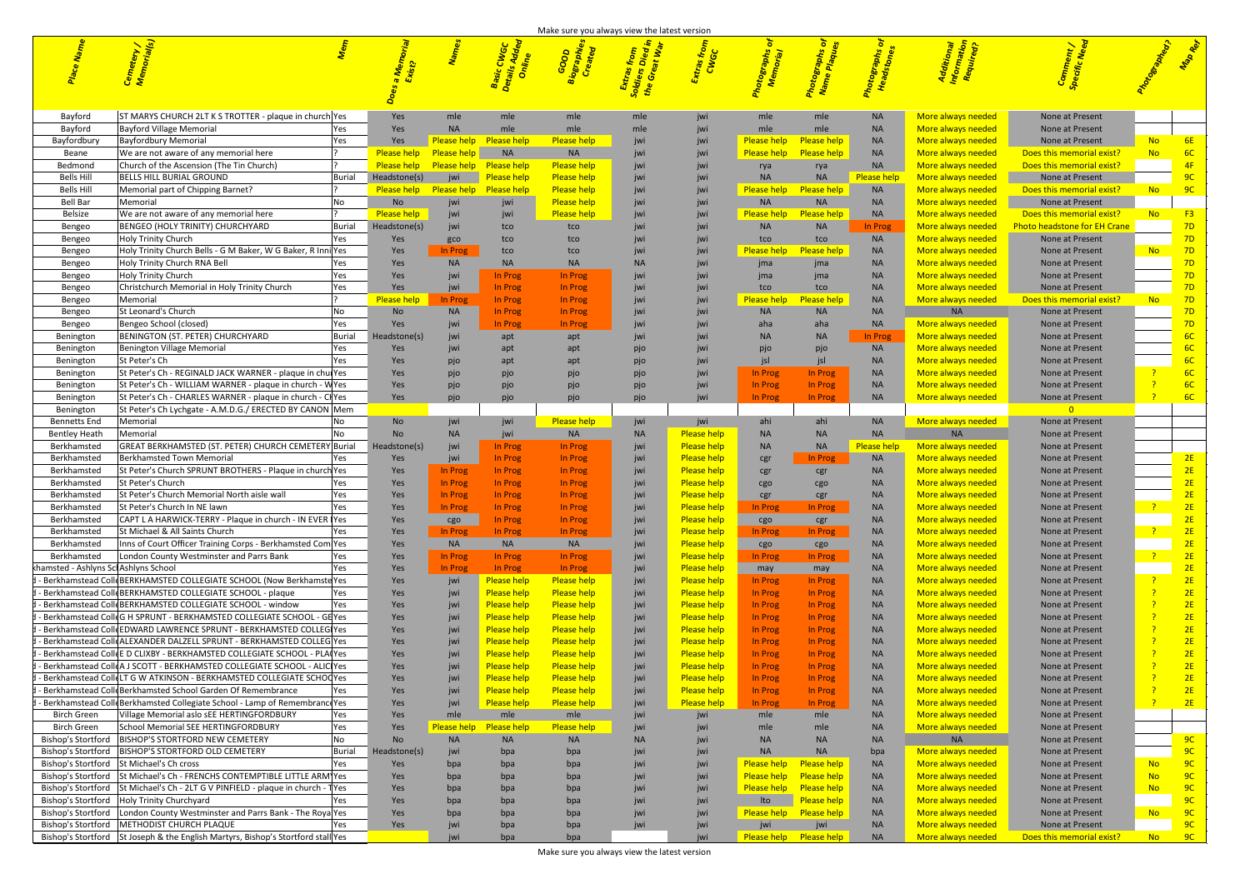| Holy Trinity Church Bells - G M Baker, W G Baker, R In                                                                                                                                                                                                                                                                                                                                                                                                                                                                          |  |
|---------------------------------------------------------------------------------------------------------------------------------------------------------------------------------------------------------------------------------------------------------------------------------------------------------------------------------------------------------------------------------------------------------------------------------------------------------------------------------------------------------------------------------|--|
|                                                                                                                                                                                                                                                                                                                                                                                                                                                                                                                                 |  |
|                                                                                                                                                                                                                                                                                                                                                                                                                                                                                                                                 |  |
|                                                                                                                                                                                                                                                                                                                                                                                                                                                                                                                                 |  |
|                                                                                                                                                                                                                                                                                                                                                                                                                                                                                                                                 |  |
|                                                                                                                                                                                                                                                                                                                                                                                                                                                                                                                                 |  |
|                                                                                                                                                                                                                                                                                                                                                                                                                                                                                                                                 |  |
|                                                                                                                                                                                                                                                                                                                                                                                                                                                                                                                                 |  |
|                                                                                                                                                                                                                                                                                                                                                                                                                                                                                                                                 |  |
| nington BENINGTON (ST. PETER) CH<br>nington Benington Village Memoria                                                                                                                                                                                                                                                                                                                                                                                                                                                           |  |
|                                                                                                                                                                                                                                                                                                                                                                                                                                                                                                                                 |  |
|                                                                                                                                                                                                                                                                                                                                                                                                                                                                                                                                 |  |
|                                                                                                                                                                                                                                                                                                                                                                                                                                                                                                                                 |  |
|                                                                                                                                                                                                                                                                                                                                                                                                                                                                                                                                 |  |
|                                                                                                                                                                                                                                                                                                                                                                                                                                                                                                                                 |  |
|                                                                                                                                                                                                                                                                                                                                                                                                                                                                                                                                 |  |
|                                                                                                                                                                                                                                                                                                                                                                                                                                                                                                                                 |  |
|                                                                                                                                                                                                                                                                                                                                                                                                                                                                                                                                 |  |
|                                                                                                                                                                                                                                                                                                                                                                                                                                                                                                                                 |  |
|                                                                                                                                                                                                                                                                                                                                                                                                                                                                                                                                 |  |
|                                                                                                                                                                                                                                                                                                                                                                                                                                                                                                                                 |  |
| iwi<br>iwi<br>iwi<br>iwi<br>iwi                                                                                                                                                                                                                                                                                                                                                                                                                                                                                                 |  |
|                                                                                                                                                                                                                                                                                                                                                                                                                                                                                                                                 |  |
| msted St Peter's Church SPRUNT BROTHERS - Plaque in church Ye                                                                                                                                                                                                                                                                                                                                                                                                                                                                   |  |
|                                                                                                                                                                                                                                                                                                                                                                                                                                                                                                                                 |  |
|                                                                                                                                                                                                                                                                                                                                                                                                                                                                                                                                 |  |
|                                                                                                                                                                                                                                                                                                                                                                                                                                                                                                                                 |  |
| Berkhamsted St Peter's Church In NE lawn<br>Berkhamsted CAPT L A HARWICK-TERRY - Plaque in church - IN EVER IYes<br>Berkhamsted St Michael & All Saints Church<br>Berkhamsted Inns of Court Officer Training Corps - Berkhamsted Com Ye                                                                                                                                                                                                                                                                                         |  |
|                                                                                                                                                                                                                                                                                                                                                                                                                                                                                                                                 |  |
|                                                                                                                                                                                                                                                                                                                                                                                                                                                                                                                                 |  |
|                                                                                                                                                                                                                                                                                                                                                                                                                                                                                                                                 |  |
|                                                                                                                                                                                                                                                                                                                                                                                                                                                                                                                                 |  |
|                                                                                                                                                                                                                                                                                                                                                                                                                                                                                                                                 |  |
|                                                                                                                                                                                                                                                                                                                                                                                                                                                                                                                                 |  |
|                                                                                                                                                                                                                                                                                                                                                                                                                                                                                                                                 |  |
|                                                                                                                                                                                                                                                                                                                                                                                                                                                                                                                                 |  |
|                                                                                                                                                                                                                                                                                                                                                                                                                                                                                                                                 |  |
|                                                                                                                                                                                                                                                                                                                                                                                                                                                                                                                                 |  |
|                                                                                                                                                                                                                                                                                                                                                                                                                                                                                                                                 |  |
|                                                                                                                                                                                                                                                                                                                                                                                                                                                                                                                                 |  |
|                                                                                                                                                                                                                                                                                                                                                                                                                                                                                                                                 |  |
|                                                                                                                                                                                                                                                                                                                                                                                                                                                                                                                                 |  |
| <u>Vice</u> , Vice and the principal principal principal principal principal principal principal principal principal principal principal principal principal principal principal principal principal principal principal principal p<br>Present None at Present<br>Present None at Present<br>Present None at Present<br>Present None at Present<br>Present<br>Present<br>Present<br>Present<br>Present<br>Present<br>Present<br>Present<br>Present<br>Present<br>Present<br>Present<br>Present<br>Present<br>Present<br>Presen |  |
|                                                                                                                                                                                                                                                                                                                                                                                                                                                                                                                                 |  |
|                                                                                                                                                                                                                                                                                                                                                                                                                                                                                                                                 |  |
|                                                                                                                                                                                                                                                                                                                                                                                                                                                                                                                                 |  |
|                                                                                                                                                                                                                                                                                                                                                                                                                                                                                                                                 |  |
|                                                                                                                                                                                                                                                                                                                                                                                                                                                                                                                                 |  |
|                                                                                                                                                                                                                                                                                                                                                                                                                                                                                                                                 |  |
|                                                                                                                                                                                                                                                                                                                                                                                                                                                                                                                                 |  |
|                                                                                                                                                                                                                                                                                                                                                                                                                                                                                                                                 |  |
| None at Present<br>None at Present<br>None at Present<br><b>d</b><br>None at Present<br>None at Present<br><b>d</b><br>None at Present<br><b>ed</b><br>None at Present<br><b>led</b><br>None at Present<br><b>led</b><br>None at Present<br><b>led</b><br><b>lone at Present</b><br><b>led</b><br><b>lone </b>                                                                                                                                                                                                                  |  |
|                                                                                                                                                                                                                                                                                                                                                                                                                                                                                                                                 |  |
|                                                                                                                                                                                                                                                                                                                                                                                                                                                                                                                                 |  |
|                                                                                                                                                                                                                                                                                                                                                                                                                                                                                                                                 |  |
|                                                                                                                                                                                                                                                                                                                                                                                                                                                                                                                                 |  |
| Berkhamsted ColleGate School (Now School (Now Berkhamsted Ashlyns Schashives School (Now Berkhamsted School (Now Berkhamsted School (Now Berkhamsted ColleGate SCHOOL COLLEGIATE SCHOOL - plaque<br>1 - Berkhamsted ColleGERKHAM                                                                                                                                                                                                                                                                                                |  |
|                                                                                                                                                                                                                                                                                                                                                                                                                                                                                                                                 |  |
|                                                                                                                                                                                                                                                                                                                                                                                                                                                                                                                                 |  |
|                                                                                                                                                                                                                                                                                                                                                                                                                                                                                                                                 |  |
|                                                                                                                                                                                                                                                                                                                                                                                                                                                                                                                                 |  |
|                                                                                                                                                                                                                                                                                                                                                                                                                                                                                                                                 |  |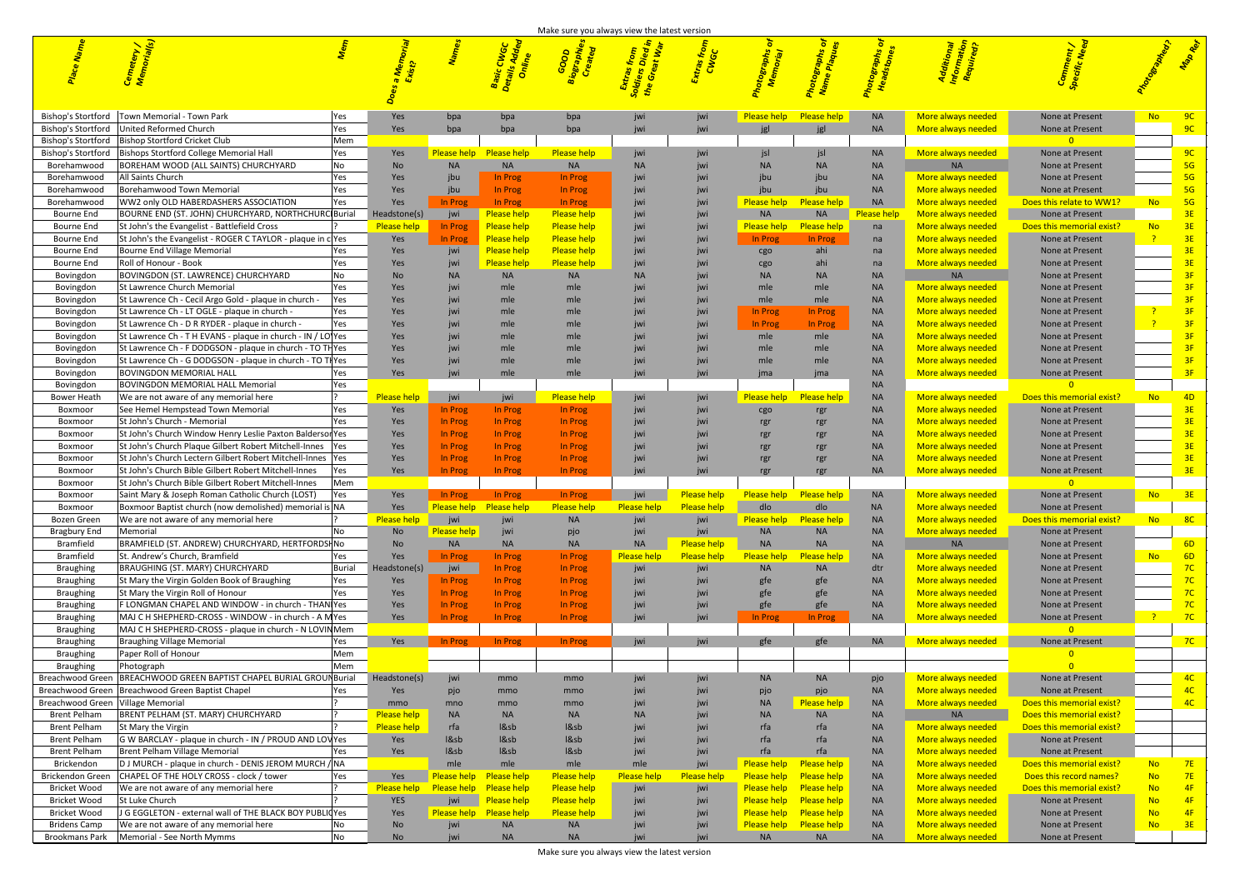| Bishop's Stortford   Town Memorial - Town Park                                                                                                           |                                                                                                                |                                                                                                                                                                                                                                        |                                                                                                                                                                                                                                     |                                       |                                                                                                                                                                                                                                |                   | <b>Example 20 September 20 September 20 September 20 September 20 September 20 September 20 September 20 September</b>                                                                                                                 | <b>None at Present</b>                                                                                                                                                                                                                           |                                                                                                                             |
|----------------------------------------------------------------------------------------------------------------------------------------------------------|----------------------------------------------------------------------------------------------------------------|----------------------------------------------------------------------------------------------------------------------------------------------------------------------------------------------------------------------------------------|-------------------------------------------------------------------------------------------------------------------------------------------------------------------------------------------------------------------------------------|---------------------------------------|--------------------------------------------------------------------------------------------------------------------------------------------------------------------------------------------------------------------------------|-------------------|----------------------------------------------------------------------------------------------------------------------------------------------------------------------------------------------------------------------------------------|--------------------------------------------------------------------------------------------------------------------------------------------------------------------------------------------------------------------------------------------------|-----------------------------------------------------------------------------------------------------------------------------|
| Bishop's Stortford United Reformed Church                                                                                                                | a a Yes a bpa                                                                                                  | n bpa bpa                                                                                                                                                                                                                              |                                                                                                                                                                                                                                     | <b>Signal</b> Service Service Service |                                                                                                                                                                                                                                |                   |                                                                                                                                                                                                                                        | igl in the same of the same of the same of the same of the same of the same of the same of the same of the sam                                                                                                                                   |                                                                                                                             |
| Bishop's Stortford   Bishop Stortford Cricket Club                                                                                                       |                                                                                                                |                                                                                                                                                                                                                                        |                                                                                                                                                                                                                                     |                                       |                                                                                                                                                                                                                                |                   |                                                                                                                                                                                                                                        |                                                                                                                                                                                                                                                  |                                                                                                                             |
| Bishop's Stortford   Bishops Stortford College Memorial Hall<br>Borehamwood   BOREHAM WOOD (ALL SAINTS) CHURCHYARD                                       | <b>No.</b>                                                                                                     | <b>Example 19 September 19 September 2018</b> September 2019 September 2019 September 2019 September 2019 September 20<br>September 2019 September 2019 September 2019 September 2019 September 2019 September 2019 September 2019 Sep |                                                                                                                                                                                                                                     |                                       |                                                                                                                                                                                                                                |                   | More always needed                                                                                                                                                                                                                     | None at Present<br>None at Present                                                                                                                                                                                                               |                                                                                                                             |
| Borehamwood   All Saints Church                                                                                                                          | Yes                                                                                                            |                                                                                                                                                                                                                                        |                                                                                                                                                                                                                                     |                                       |                                                                                                                                                                                                                                |                   | More always needed                                                                                                                                                                                                                     | None at Present                                                                                                                                                                                                                                  |                                                                                                                             |
| Borehamwood   Borehamwood Town Memorial                                                                                                                  | Yes                                                                                                            |                                                                                                                                                                                                                                        |                                                                                                                                                                                                                                     |                                       |                                                                                                                                                                                                                                |                   | More always needed and the More always                                                                                                                                                                                                 | None at Present                                                                                                                                                                                                                                  |                                                                                                                             |
| Borehamwood   WW2 only OLD HABERDASHERS ASSOCIATION<br>Bourne End   BOURNE END (ST. JOHN) CHURCHYARD, NORTHCHURC Burial                                  | <b>Particle Struck</b>                                                                                         |                                                                                                                                                                                                                                        |                                                                                                                                                                                                                                     |                                       |                                                                                                                                                                                                                                |                   | <u>More always needed as </u>                                                                                                                                                                                                          | Does this relate to WW1?                                                                                                                                                                                                                         |                                                                                                                             |
| Bourne End St John's the Evangelist - Battlefield Cross                                                                                                  | Headstone(s) jwi<br>Please help lin Progling                                                                   | lease help l<br><b>Please help</b>                                                                                                                                                                                                     | <b>Please help</b>                                                                                                                                                                                                                  |                                       |                                                                                                                                                                                                                                |                   | More always needed and the More always<br><u>More always needed - </u>                                                                                                                                                                 | None at Present<br><b>Does this memorial exist?</b>                                                                                                                                                                                              |                                                                                                                             |
| Bourne End   St John's the Evangelist - ROGER C TAYLOR - plaque in clyes                                                                                 | <b>Example 1</b>                                                                                               | Please help                                                                                                                                                                                                                            | <b>Please help</b>                                                                                                                                                                                                                  |                                       |                                                                                                                                                                                                                                |                   | More always needed                                                                                                                                                                                                                     | None at Present                                                                                                                                                                                                                                  |                                                                                                                             |
| Bourne End   Bourne End Village Memoria                                                                                                                  | <b>Example ST</b>                                                                                              | iwi kata i<br>Please help and                                                                                                                                                                                                          | <b>Please help</b>                                                                                                                                                                                                                  |                                       |                                                                                                                                                                                                                                |                   | More always needed                                                                                                                                                                                                                     | None at Present                                                                                                                                                                                                                                  |                                                                                                                             |
| Bourne End   Roll of Honour - Book                                                                                                                       | <b>Parage Street Street Street Street Street Street Street Street Street Street Street Street Street</b>       | lease help l                                                                                                                                                                                                                           | <b>Please help</b>                                                                                                                                                                                                                  |                                       |                                                                                                                                                                                                                                |                   | More always needed                                                                                                                                                                                                                     | None at Present<br>None at Present                                                                                                                                                                                                               |                                                                                                                             |
| Bovingdon BOVINGDON (ST. LAWRENCE) CHURCHYARD<br>Bovingdon   St Lawrence Church Memoria                                                                  |                                                                                                                |                                                                                                                                                                                                                                        |                                                                                                                                                                                                                                     |                                       |                                                                                                                                                                                                                                |                   | <b>NA</b><br><u>More always needed</u>                                                                                                                                                                                                 | None at Present                                                                                                                                                                                                                                  |                                                                                                                             |
| St Lawrence Ch - Cecil Argo Gold - plaque in church -<br>Bovingdon                                                                                       |                                                                                                                |                                                                                                                                                                                                                                        |                                                                                                                                                                                                                                     |                                       |                                                                                                                                                                                                                                |                   | <u>More always needed</u>                                                                                                                                                                                                              | None at Present                                                                                                                                                                                                                                  |                                                                                                                             |
| LT OGLE - plaque in church -<br>Bovingdon<br> St Lawrence Ch - I                                                                                         |                                                                                                                |                                                                                                                                                                                                                                        |                                                                                                                                                                                                                                     |                                       |                                                                                                                                                                                                                                |                   | <u>More always needed</u>                                                                                                                                                                                                              | None at Present                                                                                                                                                                                                                                  |                                                                                                                             |
| St Lawrence Ch - D R RYDER - plaque in church -<br>Bovingdon                                                                                             |                                                                                                                |                                                                                                                                                                                                                                        |                                                                                                                                                                                                                                     |                                       |                                                                                                                                                                                                                                |                   | <u>More always neede</u>                                                                                                                                                                                                               | None at Present                                                                                                                                                                                                                                  |                                                                                                                             |
| - T H EVANS - plaque in church - IN / LO Yes<br>Bovingdon<br>st Lawrence Ch - "<br>St Lawrence Ch - F DODGSON - plaque in church - TO THYes<br>Bovingdon |                                                                                                                |                                                                                                                                                                                                                                        |                                                                                                                                                                                                                                     |                                       |                                                                                                                                                                                                                                |                   | <u>More always needed</u><br><u> Aore always needed</u>                                                                                                                                                                                | None at Present<br>None at Present                                                                                                                                                                                                               |                                                                                                                             |
| St Lawrence Ch - G DODGSON - plaque in church - TO THYes<br>Bovingdon                                                                                    | <b>Yes</b>                                                                                                     |                                                                                                                                                                                                                                        |                                                                                                                                                                                                                                     |                                       |                                                                                                                                                                                                                                |                   | <u>More always needed</u>                                                                                                                                                                                                              | None at Present                                                                                                                                                                                                                                  |                                                                                                                             |
| Bovingdon<br> BOVINGDON MEMORIAL HAL                                                                                                                     | <b>Example ST</b>                                                                                              |                                                                                                                                                                                                                                        |                                                                                                                                                                                                                                     |                                       |                                                                                                                                                                                                                                |                   | More always needed and all the More always                                                                                                                                                                                             | None at Present                                                                                                                                                                                                                                  |                                                                                                                             |
| BOVINGDON MEMORIAL HALL Memorial<br>Bovingdon                                                                                                            |                                                                                                                |                                                                                                                                                                                                                                        |                                                                                                                                                                                                                                     |                                       |                                                                                                                                                                                                                                |                   |                                                                                                                                                                                                                                        |                                                                                                                                                                                                                                                  |                                                                                                                             |
| Bower Heath We are not aware of any memorial her<br>See Hemel Hempstead Town Memorial<br>Boxmoor                                                         | <mark>Please help s</mark> a iwi siwi<br><b>Particle Struck</b>                                                |                                                                                                                                                                                                                                        |                                                                                                                                                                                                                                     |                                       |                                                                                                                                                                                                                                |                   | Please help Please help NA More always needed<br>More always needed                                                                                                                                                                    | <b>Does this memorial exist?</b><br>None at Present                                                                                                                                                                                              |                                                                                                                             |
| St John's Church - Memorial<br>Boxmoor                                                                                                                   | <b>Yes</b>                                                                                                     |                                                                                                                                                                                                                                        |                                                                                                                                                                                                                                     |                                       |                                                                                                                                                                                                                                |                   | More always needed                                                                                                                                                                                                                     | None at Present                                                                                                                                                                                                                                  |                                                                                                                             |
| St John's Church Window Henry Leslie Paxton Baldersor Yes<br>Boxmoor                                                                                     | <b>Present Service Service</b>                                                                                 |                                                                                                                                                                                                                                        |                                                                                                                                                                                                                                     |                                       |                                                                                                                                                                                                                                |                   | <u>More always needed</u>                                                                                                                                                                                                              | None at Present                                                                                                                                                                                                                                  |                                                                                                                             |
| St John's Church Plaque Gilbert Robert Mitchell-Innes  Y<br>Boxmoor                                                                                      | <b>Parage Service Service Service Service</b>                                                                  |                                                                                                                                                                                                                                        |                                                                                                                                                                                                                                     |                                       |                                                                                                                                                                                                                                |                   | More always needed                                                                                                                                                                                                                     | None at Present                                                                                                                                                                                                                                  |                                                                                                                             |
| St John's Church Lectern Gilbert Robert Mitchell-Innes  Y<br>Boxmoor<br>St John's Church Bible Gilbert Robert Mitchell-Innes<br>Boxmoor                  | <b>Present the Vestion Adventurer</b><br><b>Example Struck Press</b>                                           | In Prog                                                                                                                                                                                                                                | <b>Solution</b> in the set of the set of the set of the set of the set of the set of the set of the set of the set of the set of the set of the set of the set of the set of the set of the set of the set of the set of the set of |                                       |                                                                                                                                                                                                                                |                   | <u>More always needed </u><br>More always needed <b>comparison</b>                                                                                                                                                                     | None at Present<br>None at Present                                                                                                                                                                                                               |                                                                                                                             |
| St John's Church Bible Gilbert Robert Mitchell-Innes                                                                                                     |                                                                                                                |                                                                                                                                                                                                                                        |                                                                                                                                                                                                                                     |                                       |                                                                                                                                                                                                                                |                   |                                                                                                                                                                                                                                        |                                                                                                                                                                                                                                                  |                                                                                                                             |
| Boxmoor Saint Mary & Joseph Roman Catholic Church (LOST)   Yes                                                                                           | <b>Example Struck Press</b>                                                                                    | <b>In Prog</b> In Prog                                                                                                                                                                                                                 |                                                                                                                                                                                                                                     |                                       |                                                                                                                                                                                                                                |                   | <b>Example 20 and 11 of the set of the Senative Control of the Senative Control of the Senative Control of the S</b><br>The Please help Please help Please help Please help NA Nore always needed the Please help Please help Please h | None at Present                                                                                                                                                                                                                                  |                                                                                                                             |
| Boxmoor Boxmoor Baptist church (now demolished) memorial is NA                                                                                           | <b>Example 19 Yes</b>                                                                                          |                                                                                                                                                                                                                                        |                                                                                                                                                                                                                                     |                                       | <mark>– Please help – Please help –</mark> dlo – dlo – MA – <mark>–</mark>                                                                                                                                                     |                   |                                                                                                                                                                                                                                        | <b>More always needed None at Present</b>                                                                                                                                                                                                        |                                                                                                                             |
| Bozen Green $\bigwedge$ We are not aware of any memorial here<br>Bragbury End Memorial                                                                   | Please help iwi<br>i Note <mark>P</mark>                                                                       |                                                                                                                                                                                                                                        |                                                                                                                                                                                                                                     |                                       |                                                                                                                                                                                                                                |                   | More always needed and all                                                                                                                                                                                                             | Please help Please help MA More always needed Does this memorial exist? No 8C<br>None at Present                                                                                                                                                 |                                                                                                                             |
| Bramfield   BRAMFIELD (ST. ANDREW) CHURCHYARD, HERTFORDSHNo                                                                                              | <b>Example 19 Monday</b>                                                                                       |                                                                                                                                                                                                                                        |                                                                                                                                                                                                                                     |                                       |                                                                                                                                                                                                                                |                   |                                                                                                                                                                                                                                        | None at Present                                                                                                                                                                                                                                  |                                                                                                                             |
| Bramfield St. Andrew's Church, Bramfield                                                                                                                 | <b>Yes</b>                                                                                                     |                                                                                                                                                                                                                                        |                                                                                                                                                                                                                                     |                                       |                                                                                                                                                                                                                                |                   | More always needed                                                                                                                                                                                                                     | None at Present                                                                                                                                                                                                                                  |                                                                                                                             |
| Braughing BRAUGHING (ST. MARY) CHURCHYARD                                                                                                                | Headstone(s)                                                                                                   |                                                                                                                                                                                                                                        |                                                                                                                                                                                                                                     |                                       |                                                                                                                                                                                                                                |                   | More always needed                                                                                                                                                                                                                     | None at Present                                                                                                                                                                                                                                  |                                                                                                                             |
| Braughing St Mary the Virgin Golden Book of Braughing                                                                                                    | <b>Example 18</b><br><b>Example 18</b>                                                                         |                                                                                                                                                                                                                                        |                                                                                                                                                                                                                                     |                                       |                                                                                                                                                                                                                                |                   | More always needed<br>More always needed                                                                                                                                                                                               | None at Present<br>None at Present                                                                                                                                                                                                               |                                                                                                                             |
| Braughing St Mary the Virgin Roll of Honour<br>Braughing FLONGMAN CHAPEL AND WINDOW - in church - THAN Yes                                               | <b>Example 18</b>                                                                                              |                                                                                                                                                                                                                                        | iwi i                                                                                                                                                                                                                               |                                       |                                                                                                                                                                                                                                |                   | More always needed                                                                                                                                                                                                                     | None at Present                                                                                                                                                                                                                                  |                                                                                                                             |
| Braughing MAJ C H SHEPHERD-CROSS - WINDOW - in church - A MYes                                                                                           | <b>Example 19</b>                                                                                              |                                                                                                                                                                                                                                        | i iwi i                                                                                                                                                                                                                             |                                       |                                                                                                                                                                                                                                |                   | More always needed and all the More always                                                                                                                                                                                             | None at Present                                                                                                                                                                                                                                  |                                                                                                                             |
| Braughing MAJ C H SHEPHERD-CROSS - plaque in church - N LOVINMem                                                                                         |                                                                                                                | <u> 1989 - Johann Harry Barn, mars and de Branch and de Branch and de Branch and de Branch and de Branch and de B</u>                                                                                                                  |                                                                                                                                                                                                                                     |                                       | the contract of the contract of the contract of the contract of the contract of                                                                                                                                                |                   |                                                                                                                                                                                                                                        |                                                                                                                                                                                                                                                  |                                                                                                                             |
| Braughing Braughing Village Memorial                                                                                                                     | <b>Example 15 Yes <mark>Similar Program</mark> Program</b>                                                     |                                                                                                                                                                                                                                        | <u>na jiwi ya k</u><br><b>In Prog</b>                                                                                                                                                                                               | i i jwi na m                          | gfe and the state of the state of the state of the state of the state of the state of the state of the state of the state of the state of the state of the state of the state of the state of the state of the state of the st |                   |                                                                                                                                                                                                                                        |                                                                                                                                                                                                                                                  |                                                                                                                             |
| Braughing Paper Roll of Honour<br>Braughing Photograph                                                                                                   |                                                                                                                | <u> Tanzania di Bandaria di Bandaria di Bandaria di Bandaria di Bandaria di Bandaria di Bandaria di Bandaria di B</u>                                                                                                                  |                                                                                                                                                                                                                                     |                                       |                                                                                                                                                                                                                                |                   |                                                                                                                                                                                                                                        |                                                                                                                                                                                                                                                  | <u> The Common Second Common Second Common Second Common Second Common Second Common Second Common Second Common Second</u> |
| Breachwood Green   BREACHWOOD GREEN BAPTIST CHAPEL BURIAL GROUN Burial                                                                                   |                                                                                                                |                                                                                                                                                                                                                                        |                                                                                                                                                                                                                                     |                                       |                                                                                                                                                                                                                                |                   | More always needed                                                                                                                                                                                                                     | None at Present                                                                                                                                                                                                                                  |                                                                                                                             |
| Breachwood Green Breachwood Green Baptist Chapel                                                                                                         | Yes and the Marian States of the Second States of the Second States and the Second State 1980 and the State St |                                                                                                                                                                                                                                        |                                                                                                                                                                                                                                     |                                       |                                                                                                                                                                                                                                |                   |                                                                                                                                                                                                                                        | More always needed <b>None at Present</b>                                                                                                                                                                                                        |                                                                                                                             |
| Breachwood Green Village Memorial                                                                                                                        | <b>Example 1</b>                                                                                               |                                                                                                                                                                                                                                        |                                                                                                                                                                                                                                     |                                       |                                                                                                                                                                                                                                |                   |                                                                                                                                                                                                                                        | More always needed Does this memorial exist?<br><b>Example 20 In the United States Control Does this memorial exist?</b>                                                                                                                         |                                                                                                                             |
| Brent Pelham BRENT PELHAM (ST. MARY) CHURCHYARD<br>Brent Pelham St Mary the Virgin                                                                       | Please help NA<br><b>Please help</b> rfa                                                                       |                                                                                                                                                                                                                                        |                                                                                                                                                                                                                                     |                                       |                                                                                                                                                                                                                                |                   |                                                                                                                                                                                                                                        | More always needed Does this memorial exist?                                                                                                                                                                                                     |                                                                                                                             |
| Brent Pelham G W BARCLAY - plaque in church - IN / PROUD AND LOVYes                                                                                      | <b>Example 19 Yes</b>                                                                                          |                                                                                                                                                                                                                                        |                                                                                                                                                                                                                                     |                                       |                                                                                                                                                                                                                                |                   |                                                                                                                                                                                                                                        | More always needed None at Present                                                                                                                                                                                                               |                                                                                                                             |
| Brent Pelham   Brent Pelham Village Memorial                                                                                                             | <b>Exercise Pressure Pressure</b>                                                                              |                                                                                                                                                                                                                                        |                                                                                                                                                                                                                                     |                                       |                                                                                                                                                                                                                                |                   |                                                                                                                                                                                                                                        | More always needed <b>None at Present</b>                                                                                                                                                                                                        |                                                                                                                             |
| Brickendon DJ MURCH - plaque in church - DENIS JEROM MURCH / NA                                                                                          |                                                                                                                | mle                                                                                                                                                                                                                                    |                                                                                                                                                                                                                                     |                                       |                                                                                                                                                                                                                                | e – Please help – |                                                                                                                                                                                                                                        | NA More always needed Does this memorial exist? No 7E                                                                                                                                                                                            |                                                                                                                             |
| Brickendon Green CHAPEL OF THE HOLY CROSS - clock / tower<br>Bricket Wood $\bigcup$ We are not aware of any memorial here                                |                                                                                                                | Please help Please help Please help Please help iwi                                                                                                                                                                                    |                                                                                                                                                                                                                                     |                                       |                                                                                                                                                                                                                                |                   |                                                                                                                                                                                                                                        | Yes Please help Please help Please help Please help Please help Please help Please help NA More always needed Does this record names? No 7E<br>a jwia <mark>Please help Please help NA More always needed Does this memorial exist? No 4F</mark> |                                                                                                                             |
| Bricket Wood St Luke Church                                                                                                                              | i a vesto versiones a provincia <mark>i</mark>                                                                 | Please help Please help                                                                                                                                                                                                                | <u>s j</u> wi                                                                                                                                                                                                                       |                                       |                                                                                                                                                                                                                                |                   | lack of the same term of the search of the search of the search of the search of the search of the search of t<br>Lack of the search of the search of the search of the search of the search of the search of the search of the        | None at Present                                                                                                                                                                                                                                  | No 4F                                                                                                                       |
| Bricket Wood   G EGGLETON - external wall of THE BLACK BOY PUBLICYES                                                                                     |                                                                                                                | mand of the Please help Please help and Please help                                                                                                                                                                                    | <u>la j</u> wi                                                                                                                                                                                                                      | jwi l                                 |                                                                                                                                                                                                                                |                   | Please help Please help NA More always needed                                                                                                                                                                                          | None at Present                                                                                                                                                                                                                                  | <mark>No 4F</mark>                                                                                                          |
| Bridens Camp $\bigcup$ We are not aware of any memorial here                                                                                             | <b>No.</b>                                                                                                     | i jwi na jwi na matu <u>il</u>                                                                                                                                                                                                         |                                                                                                                                                                                                                                     |                                       |                                                                                                                                                                                                                                |                   | Please help Please help NA More always needed                                                                                                                                                                                          | None at Present                                                                                                                                                                                                                                  | No 3E <mark>l</mark>                                                                                                        |
| Brookmans Park   Memorial - See North Mymms                                                                                                              |                                                                                                                |                                                                                                                                                                                                                                        |                                                                                                                                                                                                                                     |                                       | <b>NA</b>                                                                                                                                                                                                                      | <b>NA</b>         | <b>Example 20 More always needed</b> and the <b>More always needed</b>                                                                                                                                                                 | None at Present                                                                                                                                                                                                                                  |                                                                                                                             |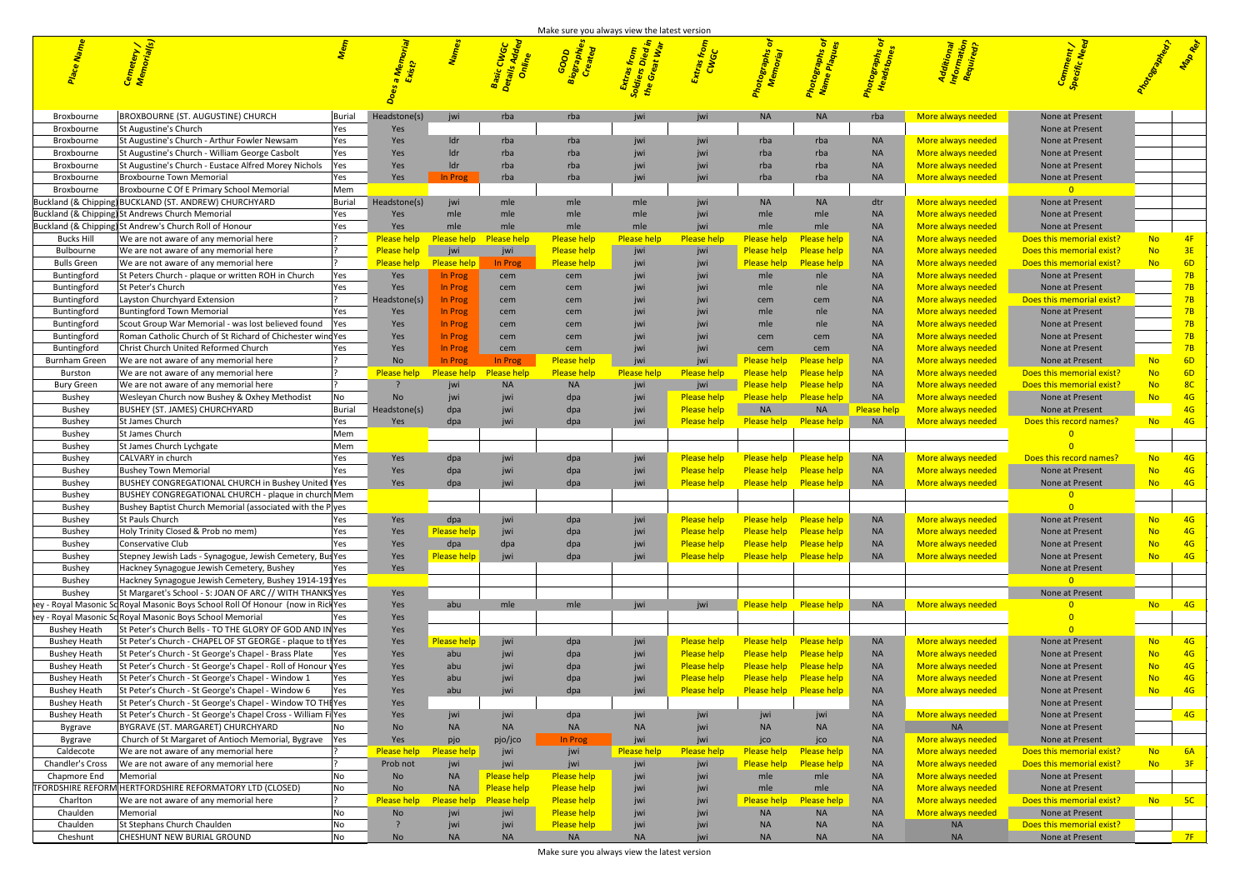| Additional<br>nformation<br>Required? | Comment /<br>Specific Need                          |                 |                |
|---------------------------------------|-----------------------------------------------------|-----------------|----------------|
|                                       |                                                     | -10 costage     |                |
|                                       |                                                     |                 |                |
| always needed                         | None at Present                                     |                 |                |
|                                       | None at Present                                     |                 |                |
| always needed                         | None at Present<br>None at Present                  |                 |                |
| always needed<br>always needed        | None at Present                                     |                 |                |
| always needed                         | <b>None at Present</b>                              |                 |                |
|                                       | O                                                   |                 |                |
| always needed                         | <b>None at Present</b>                              |                 |                |
| always needed                         | None at Present                                     |                 |                |
| always needed                         | None at Present<br>Does this memorial exist?        | <b>No</b>       | 4F             |
| always needed<br>always needed        | Does this memorial exist?                           | <b>No</b>       | 3E             |
| always needed                         | Does this memorial exist?                           | No              | 6D             |
| always needed                         | None at Present                                     |                 | 7B             |
| always needed                         | None at Present                                     |                 | 7B             |
| always needed                         | Does this memorial exist?                           |                 | 7B             |
| always needed                         | None at Present                                     |                 | 7B             |
| always needed                         | None at Present                                     |                 | 7B             |
| always needed<br>always needed        | None at Present<br>None at Present                  |                 | 7B<br>7B       |
| always needed                         | None at Present                                     | <b>No</b>       | 6 <sub>D</sub> |
| always needed                         | Does this memorial exist?                           | No              | 6 <sub>D</sub> |
| always needed                         | Does this memorial exist?                           | No              | 8C             |
| always needed                         | None at Present                                     | No              | 4G             |
| always needed                         | None at Present                                     |                 | 4G             |
| always needed                         | Does this record names?                             | <b>No</b>       | 4G             |
|                                       | $\overline{0}$<br>$\overline{0}$                    |                 |                |
| always needed                         | Does this record names?                             | <b>No</b>       | 4G             |
| always needed                         | None at Present                                     | No              | 4G             |
| always needed                         | None at Present                                     | No              | 4G             |
|                                       | 0                                                   |                 |                |
|                                       | 0                                                   |                 |                |
| always needed                         | None at Present                                     | <b>No</b>       | 4G             |
| always needed                         | None at Present                                     | No              | 4G             |
| always needed<br>always needed        | None at Present<br>None at Present                  | <b>No</b><br>No | 4G<br>4G       |
|                                       | <b>None at Present</b>                              |                 |                |
|                                       | 0                                                   |                 |                |
|                                       | <b>None at Present</b>                              |                 |                |
| always needed                         | 0                                                   | No              | 4G             |
|                                       | 0                                                   |                 |                |
| always needed                         | $\Omega$<br><b>None at Present</b>                  | No              | 4G             |
| always needed                         | None at Present                                     | <b>No</b>       | 4G             |
| always needed                         | None at Present                                     | <b>No</b>       | 4G             |
| always needed                         | None at Present                                     | No              | 4G             |
| always needed                         | None at Present                                     | No              | 4G             |
|                                       | None at Present                                     |                 |                |
| always needed                         | None at Present                                     |                 | 4G             |
| <b>NA</b>                             | None at Present                                     |                 |                |
| always needed<br>always needed        | <b>None at Present</b><br>Does this memorial exist? | <b>No</b>       | 6A             |
| always needed                         | Does this memorial exist?                           | No              | 3F             |
| always needed                         | <b>None at Present</b>                              |                 |                |
| always needed                         | None at Present                                     |                 |                |
| always needed                         | Does this memorial exist?                           | No              | 5C             |
| always needed                         | None at Present                                     |                 |                |
| <b>NA</b>                             | Does this memorial exist?                           |                 |                |
| <b>NA</b>                             | None at Present                                     |                 | 7F             |

| rial Headstone(s) jwi headstone(s) iwi headstone(s) jwi headstone(s) iwi headstone(s) iwi headstone(s) iwi hea<br>BROXBOURNE (ST. AUGUSTINE) CHURCH                                                                                                                             |  |  |
|---------------------------------------------------------------------------------------------------------------------------------------------------------------------------------------------------------------------------------------------------------------------------------|--|--|
|                                                                                                                                                                                                                                                                                 |  |  |
| rba   jwi   jwi   rba   rba   NA                                                                                                                                                                                                                                                |  |  |
|                                                                                                                                                                                                                                                                                 |  |  |
| n and <mark>menger</mark> and the men in the men and the men and the men and the men and the men and the men and the men <mark>a</mark>                                                                                                                                         |  |  |
|                                                                                                                                                                                                                                                                                 |  |  |
| Headstone(s) jwi mle mle mle mle jwi NA NA dtr                                                                                                                                                                                                                                  |  |  |
| i and the mean of the mean of the mean of the mean of the mean of the mean of the mean of the mean of the mean<br>In the mean of the mean of the mean of the mean of the mean of the mean of the mean of the mean of the mean of<br>and (& Chipping) St Andrew's Church Roll of |  |  |
|                                                                                                                                                                                                                                                                                 |  |  |
|                                                                                                                                                                                                                                                                                 |  |  |
| <b>Example 19 and 19 and 19 and 19 and 19 and 19 and 19 and 19 and 19 and 19 and 19 and 19 and 19 and 19 and 19 a</b><br>eded None at Present<br>rs Church - plaque or written ROH in Church                                                                                    |  |  |
|                                                                                                                                                                                                                                                                                 |  |  |
|                                                                                                                                                                                                                                                                                 |  |  |
|                                                                                                                                                                                                                                                                                 |  |  |
|                                                                                                                                                                                                                                                                                 |  |  |
| jwi cem cem NA                                                                                                                                                                                                                                                                  |  |  |
|                                                                                                                                                                                                                                                                                 |  |  |
|                                                                                                                                                                                                                                                                                 |  |  |
| Bushey   Wesleyan Church now Bushey & Oxhey Methodist<br><b>Example 2 None at Present</b>                                                                                                                                                                                       |  |  |
| <mark>lp</mark> NA NA <mark>P</mark><br>ded <b>State None at Present</b><br>BUSHEY (ST. JAMES) CHURCHYARD<br>l Headstone(s) dpa jwi dpa jwi <mark>i</mark><br>I Yes dpa jwi dpa jwi <mark>i</mark><br><mark>e help </mark> NA <mark>_</mark>                                    |  |  |
|                                                                                                                                                                                                                                                                                 |  |  |
|                                                                                                                                                                                                                                                                                 |  |  |
| ase help die die die van die volgende van die volgende van die volgende van die volgende van die volgende van<br>Ase help die van die van die van die volgende van die volgende van die volgende van die van die van die van di<br>A                                            |  |  |
| l <mark>ed</mark> None at Present                                                                                                                                                                                                                                               |  |  |
|                                                                                                                                                                                                                                                                                 |  |  |
| Bushey Baptist Church Memorial (associated with the Plyes                                                                                                                                                                                                                       |  |  |
| a Please help<br>Please help NA<br>Please help NA<br>Please help NA<br>Please help NA<br>Paris and Mone at Present<br>Paris Mone at Present<br>Paris Mone at Present<br>Paris Mone at Present<br>None at Present<br>None at Present                                             |  |  |
|                                                                                                                                                                                                                                                                                 |  |  |
|                                                                                                                                                                                                                                                                                 |  |  |
|                                                                                                                                                                                                                                                                                 |  |  |
| Bushey Bushey Bushey Baptist Church Memorial (associated with the Pyes<br>Bushey St Pauls Church Ves Ves dpa jwi dpa jwi self of the Pyes Ves dpa jwi dpa jwi self of the Bushey Conservative Club<br>Bushey Conservative Club Ves                                              |  |  |
|                                                                                                                                                                                                                                                                                 |  |  |
|                                                                                                                                                                                                                                                                                 |  |  |
|                                                                                                                                                                                                                                                                                 |  |  |
|                                                                                                                                                                                                                                                                                 |  |  |
|                                                                                                                                                                                                                                                                                 |  |  |
|                                                                                                                                                                                                                                                                                 |  |  |
|                                                                                                                                                                                                                                                                                 |  |  |
|                                                                                                                                                                                                                                                                                 |  |  |
|                                                                                                                                                                                                                                                                                 |  |  |
|                                                                                                                                                                                                                                                                                 |  |  |
|                                                                                                                                                                                                                                                                                 |  |  |
|                                                                                                                                                                                                                                                                                 |  |  |
|                                                                                                                                                                                                                                                                                 |  |  |
| <u>rease neip Prease neip Prease neip II</u><br>Io - No I jwi I jwi<br>Io - 2 I jwi I jwi                                                                                                                                                                                       |  |  |
|                                                                                                                                                                                                                                                                                 |  |  |

Cheshunt CHESHUNT NEW BURIAL GROUND No No NA NA NA NA NA NA jwi NA NA NA NA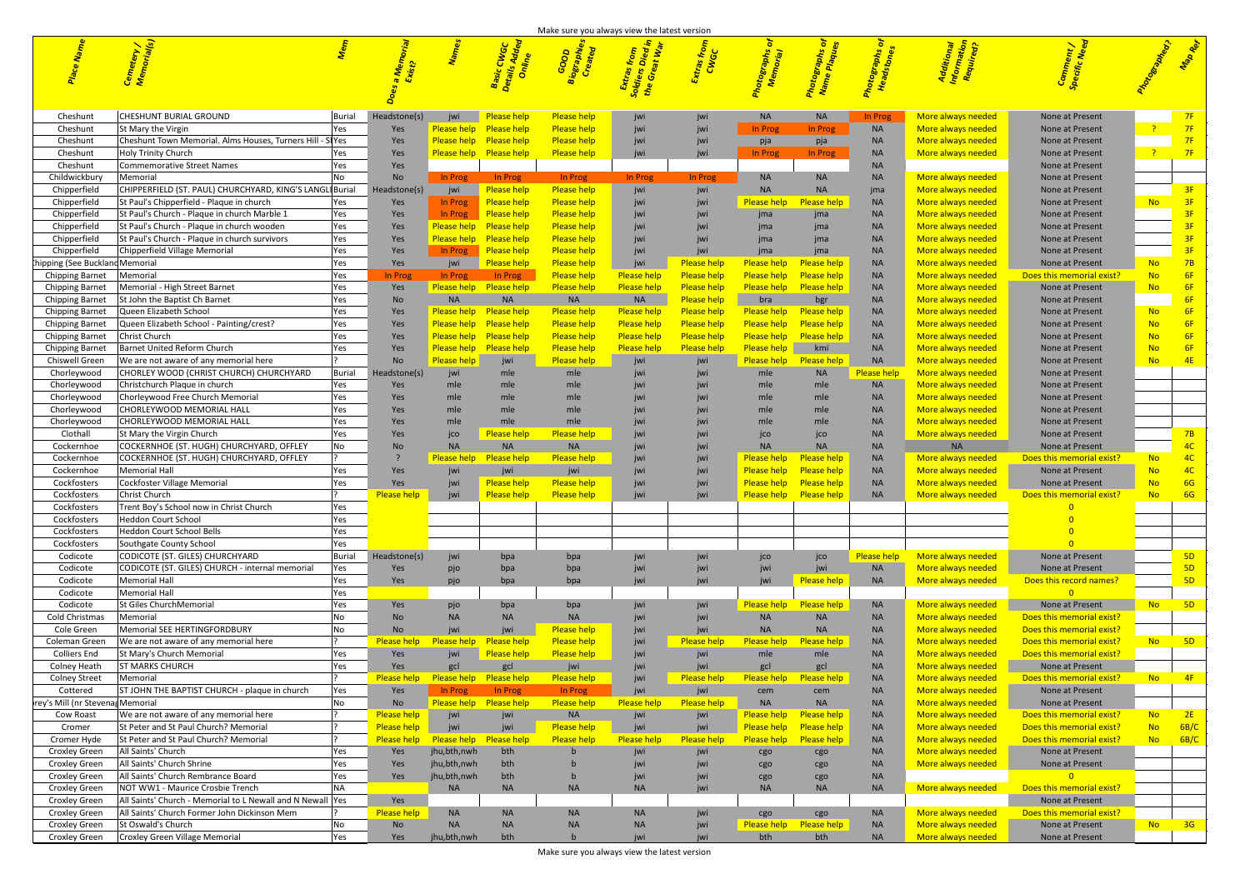|                                   |                                                                                                |                   |                           |                                   |                                          | Make sure you always view the latest version |                                                      |                                          |                                          |                                 |                        |                                          |                                              |                        |                |
|-----------------------------------|------------------------------------------------------------------------------------------------|-------------------|---------------------------|-----------------------------------|------------------------------------------|----------------------------------------------|------------------------------------------------------|------------------------------------------|------------------------------------------|---------------------------------|------------------------|------------------------------------------|----------------------------------------------|------------------------|----------------|
|                                   |                                                                                                |                   |                           |                                   |                                          |                                              | i <mark>vuri</mark><br>Died i <sub>l</sub><br>at Wai |                                          |                                          |                                 |                        |                                          |                                              |                        |                |
|                                   |                                                                                                |                   |                           |                                   |                                          |                                              |                                                      |                                          |                                          |                                 |                        |                                          |                                              |                        |                |
| Cheshun                           | <b>CHESHUNT BURIAL GROUND</b>                                                                  | <b>Burial</b>     | leadstone(s               | jwi                               | Please help                              | Please help                                  | jwi                                                  | jwi                                      | <b>NA</b>                                | <b>NA</b>                       | <b>In Prog</b>         | More always needed                       | None at Present                              | - ? -                  | 7F             |
| Cheshunt<br>Cheshunt              | St Mary the Virgin<br>Cheshunt Town Memorial. Alms Houses, Turners Hill - Si Yes               | Yes               | Yes<br>Yes                | <b>Please help</b>                | Please help<br>Please help Please help   | Please help<br>Please help                   | jwi<br>jwi                                           | jwi<br>jwi                               | In Prog<br>pja                           | In Prog<br>рја                  | <b>NA</b><br><b>NA</b> | More always needed<br>More always needed | None at Present<br>None at Present           |                        | 7F<br>7F       |
| Cheshunt                          | Holy Trinity Church                                                                            | Yes               | Yes                       |                                   | Please help Please help                  | <b>Please help</b>                           | jwi                                                  | jwi                                      | In Prog                                  | In Prog                         | <b>NA</b>              | More always needed                       | None at Present                              | $\overline{?}$         | 7F             |
| Cheshunt                          | Commemorative Street Names                                                                     | Yes               | Yes                       |                                   |                                          |                                              |                                                      |                                          |                                          |                                 | <b>NA</b>              |                                          | None at Present                              |                        |                |
| Childwickbury                     | Memorial                                                                                       |                   | <b>No</b>                 | In Prog                           | In Prog                                  | In Prog                                      | In Prog                                              | In Prog                                  | <b>NA</b>                                | <b>NA</b>                       | <b>NA</b>              | More always needed                       | None at Present                              |                        |                |
| Chipperfield                      | CHIPPERFIELD (ST. PAUL) CHURCHYARD, KING'S LANGLI Burial                                       |                   | leadstone(s               | jwi                               | Please help                              | Please help                                  | jwi                                                  | jwi                                      | <b>NA</b>                                | <b>NA</b>                       | jma                    | More always needed                       | None at Present                              |                        | R              |
| Chipperfield                      | St Paul's Chipperfield - Plaque in church                                                      | Yes               | Yes                       | In Prog                           | <b>Please help</b>                       | <b>Please help</b>                           | jwi                                                  | jwi                                      | <b>Please help</b>                       | ease help                       | <b>NA</b>              | More always needed                       | None at Present                              | <b>No</b>              |                |
| Chipperfield                      | St Paul's Church - Plaque in church Marble 1                                                   | Yes               | Yes                       | In Prog                           | <b>Please help</b>                       | <b>Please help</b>                           | jwi                                                  | jwi                                      | <sub>l</sub> ma                          | jma                             | <b>NA</b>              | More always needed                       | None at Present                              |                        |                |
| Chipperfield<br>Chipperfield      | St Paul's Church - Plaque in church wooden<br>St Paul's Church - Plaque in church survivors    | Yes<br>Yes        | <b>Yes</b><br>Yes         | Please help<br>Please help        | Please help<br>Please help               | <b>Please help</b><br>Please help            |                                                      |                                          | <sub>I</sub> ma                          | jma<br>jma                      | <b>NA</b><br><b>NA</b> | More always needed<br>More always needed | None at Present<br>None at Present           |                        |                |
| Chipperfield                      | Chipperfield Village Memorial                                                                  | Yes               | Yes                       | In Prog                           | Please help                              | Please help                                  | jwi                                                  | jw                                       | <i>ima</i><br>jma                        | jma                             | <b>NA</b>              | More always needed                       | None at Present                              |                        |                |
| hipping (See Buckland Memorial    |                                                                                                | Yes               | Yes                       | iwi                               | Please help                              | Please help                                  | jwi                                                  | <b>Please help</b>                       | Please help                              | <b>Please help</b>              | <b>NA</b>              | More always needed                       | None at Present                              | <b>No</b>              | 7B             |
| Chipping Barnet   Memorial        |                                                                                                | Yes               | In Prog                   | In Prog                           | In Prog                                  | Please help                                  | <b>Please help</b>                                   | <b>Please help</b>                       | <u>Please help-</u>                      | <b>Please help</b>              | <b>NA</b>              | More always needed                       | Does this memorial exist?                    | <b>No</b>              | <b>6F</b>      |
| <b>Chipping Barnet</b>            | Memorial - High Street Barnet                                                                  | Yes               | Yes                       | Please help                       | <b>Please help</b>                       | <b>Please help</b>                           | <b>Please help</b>                                   | <b>Please help</b>                       | <b>Please help</b>                       | Please help                     | <b>NA</b>              | More always needed                       | None at Present                              | <b>No</b>              | <b>6F</b>      |
| Chipping Barnet                   | St John the Baptist Ch Barnet                                                                  | Yes               | <b>No</b>                 | <b>NA</b>                         | <b>NA</b>                                | <b>NA</b>                                    | <b>NA</b>                                            | <b>Please help</b>                       | bra                                      | bgr                             | <b>NA</b>              | More always needed                       | None at Present                              |                        | <b>6F</b>      |
| Chipping Barnet                   | Queen Elizabeth School                                                                         | Yes               | Yes                       | <b>Please help</b>                | <b>Please help</b>                       | Please help                                  | <b>Please help</b>                                   | <b>Please help</b>                       | <b>Please help</b>                       | <b>Please help</b>              | <b>NA</b>              | More always needed                       | None at Present                              | <b>No</b>              | $-6F$          |
| Chipping Barnet                   | Queen Elizabeth School - Painting/crest?                                                       | Yes               | Yes                       | <b>Please help</b>                | Please help                              | Please help                                  | <b>Please help</b>                                   | <b>Please help</b>                       | <u>Please help-</u>                      | <b>Please help</b>              | <b>NA</b>              | More always needed                       | None at Present                              | <b>No</b>              | <b>6F</b>      |
| Chipping Barnet                   | <b>Christ Church</b><br>Barnet United Reform Church                                            | Yes<br><b>Yes</b> | <b>Yes</b><br>Yes         | Please help<br><b>Please help</b> | Please help<br><b>Please help</b>        | Please help<br>Please help                   | <b>Please help</b><br><b>Please help</b>             | <b>Please help</b><br><b>Please help</b> | <b>Please help</b><br><b>Please help</b> | <b>Please help</b><br>kmi       | <b>NA</b><br><b>NA</b> | More always needed                       | None at Present<br>None at Present           | <b>No</b><br><b>No</b> |                |
| Chipping Barnet<br>Chiswell Green | We are not aware of any memorial here                                                          |                   | N <sub>o</sub>            | Please help                       | iwi                                      | Please help                                  | jwi                                                  | jwi                                      | Please help                              | <b>Please help</b>              | <b>NA</b>              | More always needed<br>More always needed | None at Present                              | <b>No</b>              | 4 <sub>1</sub> |
| Chorleywood                       | CHORLEY WOOD (CHRIST CHURCH) CHURCHYARD                                                        | Burial            | Ieadstone(s               |                                   |                                          | mle                                          |                                                      |                                          | mle                                      | <b>NA</b>                       | <b>Please help</b>     | More always needed                       | None at Present                              |                        |                |
| Chorleywood                       | Christchurch Plaque in church                                                                  | Yes               | Yes                       | mle                               |                                          | mle                                          |                                                      |                                          | mle                                      | mle                             | <b>NA</b>              | More always needed                       | None at Present                              |                        |                |
| Chorleywood                       | Chorleywood Free Church Memorial                                                               | Yes               | Yes                       | mle                               | mle                                      | mle                                          |                                                      |                                          | mle                                      | mle                             | <b>NA</b>              | More always needed                       | None at Present                              |                        |                |
| Chorleywood                       | CHORLEYWOOD MEMORIAL HALL                                                                      | Yes               | Yes                       | mle                               | mle                                      | mle                                          |                                                      |                                          | mle                                      | mle                             | <b>NA</b>              | More always needed                       | None at Present                              |                        |                |
| Chorleywood                       | CHORLEYWOOD MEMORIAL HALL                                                                      | Yes               |                           | mle                               | mle                                      | mle                                          |                                                      |                                          |                                          | mle                             | <b>NA</b>              | More always needed                       | None at Present                              |                        |                |
| Clothall                          | St Mary the Virgin Church                                                                      | Yes               | Yes                       | jco                               | <b>Please help</b>                       | lease help                                   |                                                      |                                          | ico                                      | jco                             | <b>NA</b>              | More always needed                       | None at Present                              |                        |                |
| Cockernhoe                        | COCKERNHOE (ST. HUGH) CHURCHYARD, OFFLEY                                                       | Nο                |                           | <b>NA</b><br>Please help          | <b>NA</b><br><b>Please help</b>          | <b>NA</b>                                    |                                                      | jwi                                      | <b>NA</b><br><b>Please help</b>          | <b>NA</b><br><b>Please help</b> | <b>NA</b><br><b>NA</b> | <b>NA</b>                                | None at Present<br>loes this memorial exist? | <b>No</b>              |                |
| Cockernhoe<br>Cockernhoe          | COCKERNHOE (ST. HUGH) CHURCHYARD, OFFLEY<br><b>Memorial Hall</b>                               | Yes               | Yes                       |                                   |                                          | <b>Please help</b><br>jwi                    |                                                      | jwi<br>jwi                               | Please help                              | <b>Please help</b>              | <b>NA</b>              | More always needed<br>More always needed | None at Present                              | <b>No</b>              |                |
| Cockfosters                       | Cockfoster Village Memorial                                                                    | Yes               | Yes                       |                                   | <b>Please help</b>                       | <b>Please help</b>                           | jwi                                                  | jwi                                      | Please help-                             | <b>Please help</b>              | <b>NA</b>              | More always needed                       | None at Present                              | <b>No</b>              |                |
| Cockfosters                       | Christ Church                                                                                  |                   |                           |                                   | Please help iwi <mark>Please help</mark> | Please help                                  |                                                      |                                          |                                          | Please help Please help NA      |                        | More always needed                       | Does this memorial exist?                    | <b>No</b>              | 6G             |
| Cockfosters                       | Trent Boy's School now in Christ Church                                                        | Yes               |                           |                                   |                                          |                                              |                                                      |                                          |                                          |                                 |                        |                                          |                                              |                        |                |
| Cockfosters                       | Heddon Court School                                                                            | Yes               |                           |                                   |                                          |                                              |                                                      |                                          |                                          |                                 |                        |                                          |                                              |                        |                |
| Cockfosters                       | Heddon Court School Bells                                                                      | Yes               |                           |                                   |                                          |                                              |                                                      |                                          |                                          |                                 |                        |                                          |                                              |                        |                |
| Cockfosters                       | Southgate County School                                                                        | Yes               |                           |                                   |                                          |                                              |                                                      |                                          |                                          |                                 |                        |                                          |                                              |                        |                |
| Codicote                          | CODICOTE (ST. GILES) CHURCHYARD                                                                | Burial            | leadstone(s               | jwi                               | bpa                                      | bpa                                          |                                                      | jwi                                      | jco                                      | jco                             | Please help            | More always needed                       | None at Present                              |                        | 5D             |
| Codicote<br>Codicote              | CODICOTE (ST. GILES) CHURCH - internal memorial<br><b>Memorial Hall</b>                        | Yes<br>Yes        | Yes<br>Yes                | pjo                               | bpa                                      | bpa                                          |                                                      | jwi                                      | iwi                                      | jwi<br><b>Please help</b>       | <b>NA</b><br><b>NA</b> | More always needed<br>More always needed | None at Present<br>Does this record names?   |                        | 5D<br>5D       |
| Codicote                          | Memorial Hall                                                                                  | Yes               |                           | pjo                               | bpa                                      | bpa                                          |                                                      |                                          |                                          |                                 |                        |                                          |                                              |                        |                |
| Codicote                          | St Giles ChurchMemorial                                                                        | Yes               | Yes                       | pjo                               | bpa                                      | bpa                                          | jwi                                                  | jwi                                      | <b>Please help</b>                       | <b>Please help</b>              | <b>NA</b>              | More always needed                       | None at Present                              | <b>No</b>              | $-5D$          |
| Cold Christmas                    | Memorial                                                                                       | No.               | No                        | <b>NA</b>                         | <b>NA</b>                                | <b>NA</b>                                    |                                                      | jwi                                      | <b>NA</b>                                | <b>NA</b>                       | <b>NA</b>              | More always needed                       | Does this memorial exist?                    |                        |                |
| Cole Green                        | Memorial SEE HERTINGFORDBURY                                                                   | No.               | No                        |                                   | jwi                                      | <b>Please help</b>                           | jwi                                                  | jwi                                      | <b>NA</b>                                | <b>NA</b>                       | <b>NA</b>              | More always needed                       | Does this memorial exist?                    |                        |                |
| Coleman Green                     | We are not aware of any memorial here                                                          |                   | <b>Please help</b>        | <u>Please hel</u>                 | Please help l                            | Please help                                  | jwi                                                  | <b>Please help</b>                       | <u>Please hel</u>                        | lease help                      | <b>NA</b>              | More always needed                       | Does this memorial exist?                    | No                     | $-5D$          |
| Colliers End                      | St Mary's Church Memorial                                                                      | Yes               | Yes                       | jwi                               | Please help                              | Please help                                  | jwi                                                  | jwi                                      | mle                                      | mle                             | <b>NA</b>              | More always needed                       | Does this memorial exist?                    |                        |                |
| Colney Heath                      | <b>ST MARKS CHURCH</b><br>Memorial                                                             | Yes               | Yes<br><b>Please help</b> | gcl                               | gcl                                      | jwi                                          | jwi                                                  | jwi<br><b>Please help</b>                | gcl                                      | gcl                             | <b>NA</b><br><b>NA</b> | More always needed                       | None at Present<br>Does this memorial exist? | No No                  | $-4F$          |
| <b>Colney Street</b><br>Cottered  | ST JOHN THE BAPTIST CHURCH - plaque in church                                                  | Yes               | Yes                       | <b>Please help</b><br>In Prog     | <b>Please help</b><br>In Prog            | <b>Please help</b><br>In Prog                | jwi                                                  | jwi                                      | <u>Please help</u><br>cem                | <b>Please help</b><br>cem       | <b>NA</b>              | More always needed<br>More always needed | None at Present                              |                        |                |
| rey's Mill (nr Stevenag Memorial  |                                                                                                | No.               | <b>No</b>                 |                                   | Please help Please help                  | Please help                                  | <b>Please help</b>                                   | <b>Please help</b>                       | <b>NA</b>                                | <b>NA</b>                       | <b>NA</b>              | More always needed                       | None at Present                              |                        |                |
| Cow Roast                         | We are not aware of any memorial here                                                          |                   | Please help               | jwi                               | jwi                                      | <b>NA</b>                                    | jwi                                                  | jwi                                      | <b>Please help</b>                       | <b>Please help</b>              | <b>NA</b>              | More always needed                       | Does this memorial exist?                    | No                     | 2E             |
| Cromer                            | St Peter and St Paul Church? Memorial                                                          |                   | Please help               | jwi                               | jwi                                      | <b>Please help</b>                           | jwi                                                  | jwi                                      | Please help                              | <b>Please help</b>              | <b>NA</b>              | More always needed                       | Does this memorial exist?                    | <b>No</b>              | 6B/C           |
| Cromer Hyde                       | St Peter and St Paul Church? Memorial                                                          |                   | <b>Please help</b>        | <b>Please help</b>                | <b>Please help</b>                       | Please help                                  | <b>Please help</b>                                   | <b>Please help</b>                       | <b>Please help</b>                       | <b>Please help</b>              | <b>NA</b>              | More always needed                       | Does this memorial exist?                    | <b>No</b>              | $-6B/C$        |
| Croxley Green                     | All Saints' Church                                                                             | Yes               | Yes                       | jhu,bth,nwh                       | bth                                      |                                              |                                                      | jw                                       | cgo                                      | cgo                             | <b>NA</b>              | More always needed                       | None at Present                              |                        |                |
| Croxley Green                     | All Saints' Church Shrine                                                                      | Yes               | Yes                       | jhu,bth,nwh                       | bth                                      |                                              |                                                      |                                          | cgo                                      | cgo                             | <b>NA</b>              | More always needed                       | None at Present                              |                        |                |
| Croxley Green                     | All Saints' Church Rembrance Board                                                             | Yes<br><b>NA</b>  | Yes                       | jhu,bth,nwh                       | bth                                      |                                              |                                                      |                                          | cgo                                      | cgo                             | <b>NA</b>              |                                          | _റ_                                          |                        |                |
| Croxley Green<br>Croxley Green    | NOT WW1 - Maurice Crosbie Trench<br>All Saints' Church - Memorial to L Newall and N Newall Yes |                   |                           | <b>NA</b>                         | <b>NA</b>                                | <b>NA</b>                                    | <b>NA</b>                                            | jwi                                      | <b>NA</b>                                | <b>NA</b>                       | <b>NA</b>              | More always needed                       | Does this memorial exist?<br>None at Present |                        |                |
| Croxley Green                     | All Saints' Church Former John Dickinson Mem                                                   |                   | Yes<br>Please help        | <b>NA</b>                         | <b>NA</b>                                | <b>NA</b>                                    | <b>NA</b>                                            | jwi                                      | cgo                                      | cgo                             | <b>NA</b>              | More always needed                       | Does this memorial exist?                    |                        |                |
| Croxley Green                     | St Oswald's Church                                                                             | No.               | No                        | <b>NA</b>                         | <b>NA</b>                                | <b>NA</b>                                    | <b>NA</b>                                            | jwi                                      | <b>Please help</b>                       | <b>Please help</b>              | <b>NA</b>              | More always needed                       | None at Present                              | <b>No</b>              | $-3G$          |
| Croxley Green                     | Croxley Green Village Memorial                                                                 | <b>Yes</b>        | Yes                       | jhu,bth,nwh                       | bth                                      |                                              |                                                      |                                          | bth                                      | bth                             | <b>NA</b>              | More always needed                       | None at Present                              |                        |                |
|                                   |                                                                                                |                   |                           |                                   |                                          |                                              |                                                      |                                          |                                          |                                 |                        |                                          |                                              |                        |                |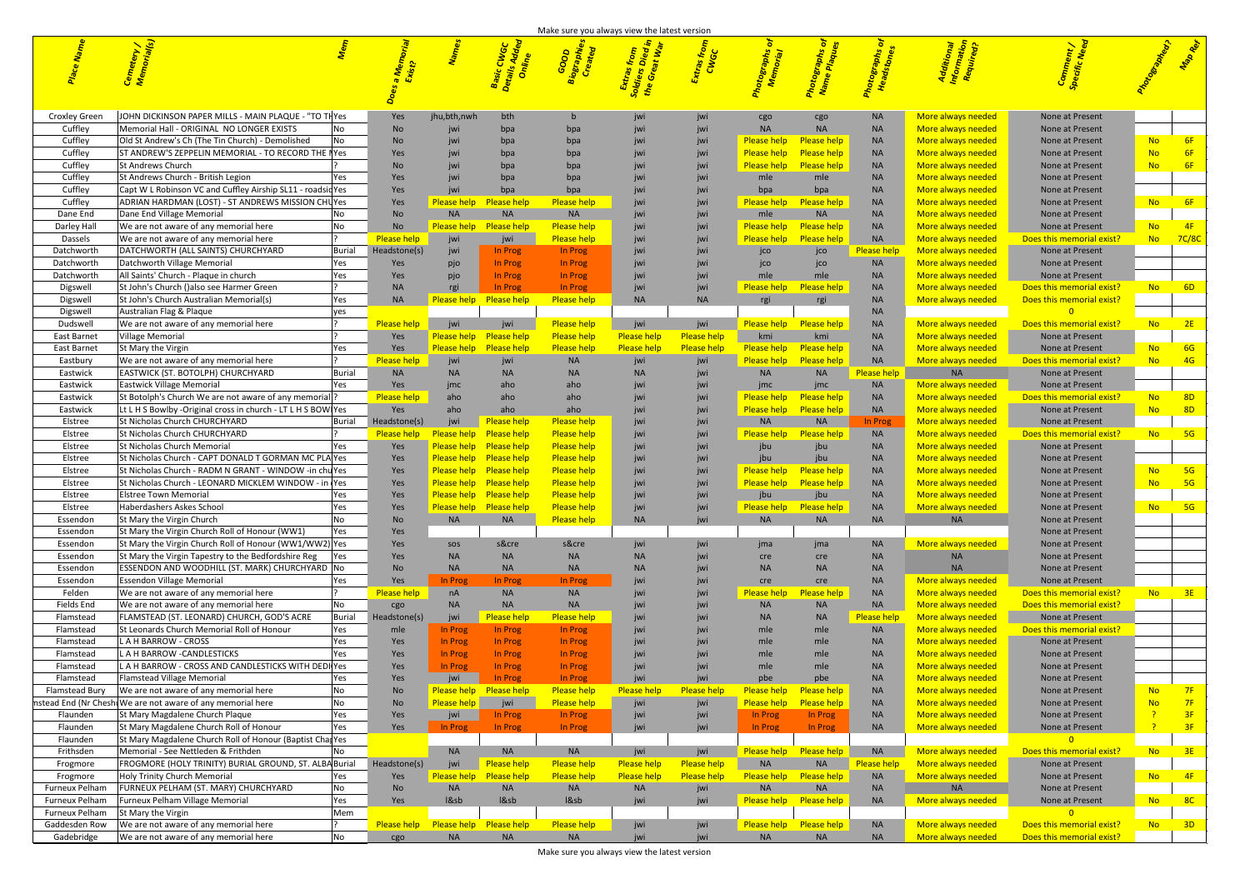|  | Make sure you always view the latest version |
|--|----------------------------------------------|
|--|----------------------------------------------|

| JOHN DICKINSON PAPER MILLS - MAIN PLAQUE - "TO THYes<br><b>NA</b><br>Croxley Green<br>jhu,bth,nwh<br>None at Present<br>bth<br>More always needed<br>Yes<br>cgo<br>cgo<br><b>NA</b><br><b>NA</b><br><b>NA</b><br>Memorial Hall - ORIGINAL NO LONGER EXISTS<br>More always needed<br>None at Present<br>Cuffley<br><b>No</b><br>bpa<br>bpa<br><b>No</b><br>$-6F$<br><b>Please help</b><br><b>NA</b><br>More always needed<br>None at Present<br>Cuffley<br>Old St Andrew's Ch (The Tin Church) - Demolished<br><b>Please help</b><br>bpa<br><b>NA</b><br>Cuffley<br>ST ANDREW'S ZEPPELIN MEMORIAL - TO RECORD THE NYes<br><b>Please help</b><br><b>Please help</b><br>More always needed<br>None at Present<br><b>NA</b><br>Cuffley<br> St Andrews Church<br>More always needed<br>None at Present<br><b>No</b><br><b>Please help</b><br>Please help<br><b>NA</b><br>None at Present<br>Cuffley<br>St Andrews Church - British Legion<br>More always needed<br>mle<br>mle<br>Cuffley<br>Capt W L Robinson VC and Cuffley Airship SL11 - roadsid Yes<br><b>NA</b><br>None at Present<br>bpa<br>More always needed<br>Yes<br>bpa<br>bpa<br>bpa<br>Cuffley<br>ADRIAN HARDMAN (LOST) - ST ANDREWS MISSION CHUYes<br><b>NA</b><br>None at Present<br><b>No</b><br>- 6F<br>Please help<br><b>Please help</b><br><b>Please help</b><br><b>Please help</b><br>More always needed<br>Yes<br><b>Please help</b><br><b>NA</b><br><b>NA</b><br><b>NA</b><br><b>NA</b><br>mle<br><b>NA</b><br>None at Present<br>Dane End<br>Dane End Village Memorial<br><b>No</b><br>More always needed<br>No<br><b>NA</b><br>None at Present<br><b>No</b><br>$-4F$<br>We are not aware of any memorial here<br>No.<br><b>Please help</b><br><b>Please help</b><br><b>Please help</b><br><b>Please help</b><br>Darley Hall<br>lease help<br>More always needed<br><b>NA</b><br>No<br>We are not aware of any memorial here<br><u>Please help-</u><br>jwi<br>jwi<br><b>Please help</b><br>More always needed<br><u>Does this memorial exist?</u><br>Dassels<br><b>Please help</b><br>Please help-<br>DATCHWORTH (ALL SAINTS) CHURCHYARD<br>Burial<br>None at Present<br>Datchworth<br>eadstone(s)<br>In Prog<br>In Prog<br>More always needed<br><u>Please hel</u><br>jco<br><b>JCO</b><br><b>NA</b><br>None at Present<br>Datchworth Village Memorial<br>In Prog<br>More always needed<br>Datchworth<br>In Prog<br>Yes<br>Yes<br>jco<br><b>NA</b><br>mle<br>All Saints' Church - Plaque in church<br>None at Present<br>Datchworth<br>In Prog<br>In Prog<br>More always needed<br>Yes<br>Yes<br><b>NA</b><br>No<br>6D<br>St John's Church () also see Harmer Green<br>In Prog<br>In Prog<br><b>Please help</b><br><b>Please help</b><br>Does this memorial exist?<br>More always needed<br>Digswell<br><b>NA</b><br><b>NA</b><br><b>Please help</b><br><b>Please help</b><br><b>NA</b><br>Does this memorial exist?<br>St John's Church Australian Memorial(s)<br>Please help<br>More always needed<br>Yes<br>Digswell<br><b>NA</b><br>Australian Flag & Plaque<br>Digswell<br><b>ves</b><br>jwi<br>iwi<br>iwi<br>jwi<br>Please help<br><b>NA</b><br>No<br>2E<br><b>Please help</b><br><b>Please help</b><br>More always needed<br>Does this memorial exist?<br><u>Please help-</u><br>Dudswell<br>We are not aware of any memorial here<br>kmi<br><b>Please help</b><br>kmi<br><b>NA</b><br>Yes<br><b>Please help</b><br><b>Please help</b><br>Village Memorial<br><u>Please help</u><br><b>Please help</b><br>More always needed<br>None at Present<br>East Barnet<br>$-6G$<br><b>Please help</b><br><b>NA</b><br>None at Present<br><b>No</b><br>East Barnet<br>St Mary the Virgin<br> Yes<br>Yes<br>Please help<br><b>Please help</b><br><b>Please help</b><br><b>Please help</b><br><b>Please help</b><br>More always needed<br><b>Please help</b><br><b>NA</b><br><b>No</b><br>We are not aware of any memorial here<br>$N_A$<br><b>Please help</b><br>More always needed<br>Does this memorial exist?<br>$-4G$<br>Eastbury<br>Please help-<br>Please help i<br>iwi<br><b>NA</b><br><b>EASTWICK (ST. BOTOLPH) CHURCHYARD</b><br>$N_A$<br><b>NA</b><br><b>NA</b><br>Burial<br><b>NA</b><br>None at Present<br>Eastwick<br><b>Please help</b><br><b>NA</b><br>More always needed<br>Yes<br>None at Present<br>Eastwick<br><b>Eastwick Village Memorial</b><br>Yes<br>aho<br>jmc<br>jmc<br>8D<br>St Botolph's Church We are not aware of any memorial ?<br><b>NA</b><br><b>Does this memorial exist?</b><br>No<br><u>Please help-</u><br>aho<br>aho<br><b>Please help</b><br><b>Please help</b><br>More always needed<br>Eastwick<br>aho<br><b>NA</b><br>8D<br>Yes<br>None at Present<br><b>No</b><br>Eastwick<br>Lt L H S Bowlby -Original cross in church - LT L H S BOWIYes<br>aho<br>aho<br><b>Please help</b><br>More always needed<br><b>Please help</b><br>aho<br><b>NA</b><br>leadstone(s)<br>jwi<br><b>NA</b><br>In Pro<br>None at Present<br>St Nicholas Church CHURCHYARD<br>Burial<br><u>Please help-</u><br><b>Please help</b><br>More always needed<br>Elstree<br><b>NA</b><br><b>No</b><br>$-5G$<br>St Nicholas Church CHURCHYARD<br>Does this memorial exist?<br><b>Please help</b> Please help<br><b>Please help</b><br><b>Please help</b><br>More always needed<br>Please help -<br><b>Please help</b><br>Elstree<br><b>NA</b><br>None at Present<br>St Nicholas Church Memorial<br>Please help Delease help<br>More always needed<br>Elstree<br><b>Please help</b><br>Yes<br>jbu<br><b>IDU</b><br>St Nicholas Church - CAPT DONALD T GORMAN MC PLA Yes<br><b>NA</b><br>None at Present<br>Please help Please help<br>More always needed<br>Elstree<br><b>Please help</b><br>ibu<br><b>NA</b><br><b>No</b><br><b>5G</b><br>St Nicholas Church - RADM N GRANT - WINDOW -in chuYes<br>Please help Please help<br>None at Present<br>Elstree<br><b>Please help</b><br>Please help<br>More always needed<br><b>Please help</b><br><b>NA</b><br>St Nicholas Church - LEONARD MICKLEM WINDOW - in (Yes<br>None at Present<br><b>N</b> c<br>Please help - Please help<br><b>Please help</b><br>Please help<br>More always needed<br>Elstree<br><b>Please help</b><br><b>NA</b><br>None at Present<br>Please help Please help<br><b>Please help</b><br>More always needed<br>Elstree<br>Elstree Town Memorial<br>Yes<br>jbu<br>jbu<br>Yes<br>NA<br>Haberdashers Askes School<br>None at Present<br><b>No</b><br>5G<br>Please h<br>More always needed<br>Elstree<br><b>Please help</b><br>Please help Please help<br>Yes<br><b>NA</b><br><b>NA</b><br><b>Please help</b><br><b>NA</b><br>iwi<br><b>NA</b><br><b>NA</b><br><b>NA</b><br><b>NA</b><br>Essendon<br>St Mary the Virgin Church<br><b>No</b><br>None at Present<br>l No<br>St Mary the Virgin Church Roll of Honour (WW1)<br>Yes<br>None at Present<br>Essendon<br><b>Yes</b><br>St Mary the Virgin Church Roll of Honour (WW1/WW2) Yes<br>s&cre<br><b>NA</b><br>More always needed<br>None at Present<br>Essendon<br>Yes<br>SOS<br>s&cre<br>iwi<br>jma<br>jma<br><b>NA</b><br><b>NA</b><br><b>NA</b><br>None at Present<br>Essendon<br>St Mary the Virgin Tapestry to the Bedfordshire Reg<br>Yes<br><b>NA</b><br>cre<br>cre<br>ESSENDON AND WOODHILL (ST. MARK) CHURCHYARD No<br>No<br><b>NA</b><br><b>NA</b><br><b>NA</b><br><b>NA</b><br><b>NA</b><br>None at Present<br>Essendon<br>$N_A$<br><b>Essendon Village Memorial</b><br>Yes<br><b>NA</b><br>In Prog<br><b>In Prog</b><br>In Prog<br>None at Present<br>Essendon<br>More always needed<br>lYes !<br>cre<br>cre<br>nA<br><b>NA</b><br><b>NA</b><br><b>NA</b><br>We are not aware of any memorial here<br>More always needed<br>Does this memorial exist?<br>No No<br>$-3E$<br>Felden<br><b>Please help</b><br><b>Please help</b><br>ease help<br><b>NA</b><br><b>NA</b><br><b>NA</b><br><b>NA</b><br><b>NA</b><br>Does this memorial exist?<br>Fields End<br>We are not aware of any memorial here<br>More always needed<br>cgo<br>More always needed<br>FLAMSTEAD (ST. LEONARD) CHURCH, GOD'S ACRE<br>Burial<br>eadstone(s)<br>jwi<br><b>NA</b><br><b>Please help</b><br>None at Present<br>Flamstead<br><b>Please help</b><br><b>Please help</b><br><b>NA</b><br>More always needed<br>St Leonards Church Memorial Roll of Honour<br>mle<br><b>In Prog</b><br>Does this memorial exist?<br>In Prog<br><b>In Prog</b><br>mle<br>mle<br>Flamstead<br>lYes !<br>LAH BARROW - CROSS<br><b>In Prog</b><br><b>NA</b><br>More always needed<br>None at Present<br>Flamstead<br><b>Yes</b><br>Yes<br>In Prog<br>mle<br>mle<br><b>In Prog</b><br>L A H BARROW - CANDLESTICKS<br>None at Present<br><b>NA</b><br>More always needed<br>Flamstead<br><b>Yes</b><br>Yes<br>In Prog<br><b>In Prog</b><br>mle<br>mle<br>In Prog<br><b>NA</b><br>L A H BARROW - CROSS AND CANDLESTICKS WITH DEDIVES<br><b>In Prog</b><br>mle<br>mle<br>More always needed<br>None at Present<br>Flamstead<br>Yes<br>In Prog<br>In Prog<br>jwi<br>In Prog<br>In Prog<br><b>NA</b><br>Flamstead Village Memorial<br>Yes<br>pbe<br>pbe<br>More always needed<br>None at Present<br>Flamstead<br>Yes<br>iwi<br>jwi<br>Please help<br>Please help<br><b>NA</b><br><b>No</b><br>We are not aware of any memorial here<br>No<br>Please help<br>More always needed<br>None at Present<br>7F<br>Please help<br>Please help<br>Please help<br><b>Please help</b><br>Flamstead Bury<br>lNo.<br>jwi<br>jwi<br><b>Please help</b><br><b>NA</b><br>nstead End (Nr Chesh) We are not aware of any memorial here<br>Please help<br>jwi<br>Please help<br><b>Please help</b><br>More always needed<br>None at Present<br>Nc<br>No.<br>jwi<br>In Prog<br>jwi<br>In Prog<br><b>NA</b><br>$R^2$<br>St Mary Magdalene Church Plaque<br>Yes<br>In Prog<br>In Prog<br>More always needed<br>None at Present<br>Flaunden<br>Yes<br>Yes<br>St Mary Magdalene Church Roll of Honour<br><b>In Prog</b><br>In Prog<br>iwi<br>In Prog<br><b>NA</b><br>None at Present<br>$-3F$<br>Flaunden<br>In Prog<br>jwi<br>More always needed<br>lYes.<br>In Prog<br>Flaunden<br>St Mary Magdalene Church Roll of Honour (Baptist CharVes<br>_റ_<br><b>NA</b><br>Please help Please help<br><b>NA</b><br>More always needed<br>Memorial - See Nettleden & Frithden<br><b>NA</b><br><b>NA</b><br>jwi<br>iwi<br>Does this memorial exist?<br>No No<br>$-3E$<br>Frithsden<br>eadstone(s)<br>jwi<br><b>NA</b><br><b>NA</b><br>FROGMORE (HOLY TRINITY) BURIAL GROUND, ST. ALBA Burial<br><b>Please help</b><br>Please help<br>More always needed<br>Please help<br><b>Please help</b><br>None at Present<br>Frogmore<br><b>Please help</b><br><b>NA</b><br>Please help<br>Please help<br>Yes<br><b>Please help</b><br><b>Please help</b><br>More always needed<br>None at Present<br><b>No</b><br><b>Holy Trinity Church Memorial</b><br><b>Please help</b><br><b>Please help</b><br>$-4F$<br>Frogmore<br><b>Yes</b><br><b>Please help</b><br><b>NA</b><br><b>NA</b><br>iwi<br><b>NA</b><br><b>NA</b><br><b>NA</b><br>Furneux Pelham<br>FURNEUX PELHAM (ST. MARY) CHURCHYARD<br><b>NA</b><br><b>NA</b><br>None at Present<br>No.<br><b>No</b><br>I&sb<br>I&sb<br>Furneux Pelham<br>Furneux Pelham Village Memorial<br>Yes<br>Yes<br>18sb<br>iwi<br><b>NA</b><br>More always needed<br>None at Present<br><b>Please help</b><br>No No<br>$-8C$<br><b>Please help</b><br>Furneux Pelham<br>St Mary the Virgin<br>Mem<br><b>NA</b><br>Gaddesden Row   We are not aware of any memorial here<br>Please help Please help Please help<br><b>Please help</b><br>jwi<br>jwi<br>Please help Please help<br>More always needed<br>Does this memorial exist?<br>No<br>3D<br><b>NA</b><br><b>NA</b><br><b>NA</b><br>Gadebridge<br>We are not aware of any memorial here<br><b>No</b><br><b>NA</b><br><b>NA</b><br><b>NA</b><br>More always needed<br>Does this memorial exist?<br>cgo |  |  |  |  |  |  |  |  |
|-------------------------------------------------------------------------------------------------------------------------------------------------------------------------------------------------------------------------------------------------------------------------------------------------------------------------------------------------------------------------------------------------------------------------------------------------------------------------------------------------------------------------------------------------------------------------------------------------------------------------------------------------------------------------------------------------------------------------------------------------------------------------------------------------------------------------------------------------------------------------------------------------------------------------------------------------------------------------------------------------------------------------------------------------------------------------------------------------------------------------------------------------------------------------------------------------------------------------------------------------------------------------------------------------------------------------------------------------------------------------------------------------------------------------------------------------------------------------------------------------------------------------------------------------------------------------------------------------------------------------------------------------------------------------------------------------------------------------------------------------------------------------------------------------------------------------------------------------------------------------------------------------------------------------------------------------------------------------------------------------------------------------------------------------------------------------------------------------------------------------------------------------------------------------------------------------------------------------------------------------------------------------------------------------------------------------------------------------------------------------------------------------------------------------------------------------------------------------------------------------------------------------------------------------------------------------------------------------------------------------------------------------------------------------------------------------------------------------------------------------------------------------------------------------------------------------------------------------------------------------------------------------------------------------------------------------------------------------------------------------------------------------------------------------------------------------------------------------------------------------------------------------------------------------------------------------------------------------------------------------------------------------------------------------------------------------------------------------------------------------------------------------------------------------------------------------------------------------------------------------------------------------------------------------------------------------------------------------------------------------------------------------------------------------------------------------------------------------------------------------------------------------------------------------------------------------------------------------------------------------------------------------------------------------------------------------------------------------------------------------------------------------------------------------------------------------------------------------------------------------------------------------------------------------------------------------------------------------------------------------------------------------------------------------------------------------------------------------------------------------------------------------------------------------------------------------------------------------------------------------------------------------------------------------------------------------------------------------------------------------------------------------------------------------------------------------------------------------------------------------------------------------------------------------------------------------------------------------------------------------------------------------------------------------------------------------------------------------------------------------------------------------------------------------------------------------------------------------------------------------------------------------------------------------------------------------------------------------------------------------------------------------------------------------------------------------------------------------------------------------------------------------------------------------------------------------------------------------------------------------------------------------------------------------------------------------------------------------------------------------------------------------------------------------------------------------------------------------------------------------------------------------------------------------------------------------------------------------------------------------------------------------------------------------------------------------------------------------------------------------------------------------------------------------------------------------------------------------------------------------------------------------------------------------------------------------------------------------------------------------------------------------------------------------------------------------------------------------------------------------------------------------------------------------------------------------------------------------------------------------------------------------------------------------------------------------------------------------------------------------------------------------------------------------------------------------------------------------------------------------------------------------------------------------------------------------------------------------------------------------------------------------------------------------------------------------------------------------------------------------------------------------------------------------------------------------------------------------------------------------------------------------------------------------------------------------------------------------------------------------------------------------------------------------------------------------------------------------------------------------------------------------------------------------------------------------------------------------------------------------------------------------------------------------------------------------------------------------------------------------------------------------------------------------------------------------------------------------------------------------------------------------------------------------------------------------------------------------------------------------------------------------------------------------------------------------------------------------------------------------------------------------------------------------------------------------------------------------------------------------------------------------------------------------------------------------------------------------------------------------------------------------------------------------------------------------------------------------------------------------------------------------------------------------------------------------------------------------------------------------------------------------------------------------------------------------------------------------------------------------------------------------------------------------------------------------------------------------------------------------------------------------------------------------------------------------------------------------------------------------------------------------------------------------------------------------------------------------------------------------------------------------------------------------------------------------------------------------------------------------------------------------------------------------------------------------------------------------------------------------------------------------------------------------------------------------------------------------------------------------------------------------------------------------------------------------------------------------------------------------------------------------------------------------------------------------------------------------------------------------------------------------------------------------------------------------------------------------------------------------------------------------------------------------------------------------------------------------------------------------------------------------------------------------------------------------------------------------------------------------------------------------------------------------------------------------------------------------------------------------------------------------------------------------------------------------------------------------------------------------------------------------------------------------------------------------------------------------------------------------------------------------------------------------------------------------------------------------------------------------------------------------------------------------------------------------------------------------------------------------------------------------------------------------------------------------------------------------------------------------------------------------------------------------------------------------------------------------------------------------------------------------------------------------------------------------------------------------------------------------------------------------------------------------------------------------------------------------------------------------------------------------------------------------------------------------------------------------------------------------------------------------------------------------------------------------------------------------------------------------------------------------------------------------------------------------------------------------------------------------------------------------------------------------------------------------------------------------------------------------------------------------------------------------------------------------------------------------------------------------------------------------------------------------------|--|--|--|--|--|--|--|--|
|                                                                                                                                                                                                                                                                                                                                                                                                                                                                                                                                                                                                                                                                                                                                                                                                                                                                                                                                                                                                                                                                                                                                                                                                                                                                                                                                                                                                                                                                                                                                                                                                                                                                                                                                                                                                                                                                                                                                                                                                                                                                                                                                                                                                                                                                                                                                                                                                                                                                                                                                                                                                                                                                                                                                                                                                                                                                                                                                                                                                                                                                                                                                                                                                                                                                                                                                                                                                                                                                                                                                                                                                                                                                                                                                                                                                                                                                                                                                                                                                                                                                                                                                                                                                                                                                                                                                                                                                                                                                                                                                                                                                                                                                                                                                                                                                                                                                                                                                                                                                                                                                                                                                                                                                                                                                                                                                                                                                                                                                                                                                                                                                                                                                                                                                                                                                                                                                                                                                                                                                                                                                                                                                                                                                                                                                                                                                                                                                                                                                                                                                                                                                                                                                                                                                                                                                                                                                                                                                                                                                                                                                                                                                                                                                                                                                                                                                                                                                                                                                                                                                                                                                                                                                                                                                                                                                                                                                                                                                                                                                                                                                                                                                                                                                                                                                                                                                                                                                                                                                                                                                                                                                                                                                                                                                                                                                                                                                                                                                                                                                                                                                                                                                                                                                                                                                                                                                                                                                                                                                                                                                                                                                                                                                                                                                                                                                                                                                                                                                                                                                                                                                                                                                                                                                                                                                                                                                                                                                                                                                                                                                                                                                                                                                                                                                                                                                                                                                                                                                                                                                                                                                                                                                                                                                                                                                                                                                                                                                                                                                                                                                                                                                                                                                                                                                                                                                       |  |  |  |  |  |  |  |  |
|                                                                                                                                                                                                                                                                                                                                                                                                                                                                                                                                                                                                                                                                                                                                                                                                                                                                                                                                                                                                                                                                                                                                                                                                                                                                                                                                                                                                                                                                                                                                                                                                                                                                                                                                                                                                                                                                                                                                                                                                                                                                                                                                                                                                                                                                                                                                                                                                                                                                                                                                                                                                                                                                                                                                                                                                                                                                                                                                                                                                                                                                                                                                                                                                                                                                                                                                                                                                                                                                                                                                                                                                                                                                                                                                                                                                                                                                                                                                                                                                                                                                                                                                                                                                                                                                                                                                                                                                                                                                                                                                                                                                                                                                                                                                                                                                                                                                                                                                                                                                                                                                                                                                                                                                                                                                                                                                                                                                                                                                                                                                                                                                                                                                                                                                                                                                                                                                                                                                                                                                                                                                                                                                                                                                                                                                                                                                                                                                                                                                                                                                                                                                                                                                                                                                                                                                                                                                                                                                                                                                                                                                                                                                                                                                                                                                                                                                                                                                                                                                                                                                                                                                                                                                                                                                                                                                                                                                                                                                                                                                                                                                                                                                                                                                                                                                                                                                                                                                                                                                                                                                                                                                                                                                                                                                                                                                                                                                                                                                                                                                                                                                                                                                                                                                                                                                                                                                                                                                                                                                                                                                                                                                                                                                                                                                                                                                                                                                                                                                                                                                                                                                                                                                                                                                                                                                                                                                                                                                                                                                                                                                                                                                                                                                                                                                                                                                                                                                                                                                                                                                                                                                                                                                                                                                                                                                                                                                                                                                                                                                                                                                                                                                                                                                                                                                                                                                       |  |  |  |  |  |  |  |  |
|                                                                                                                                                                                                                                                                                                                                                                                                                                                                                                                                                                                                                                                                                                                                                                                                                                                                                                                                                                                                                                                                                                                                                                                                                                                                                                                                                                                                                                                                                                                                                                                                                                                                                                                                                                                                                                                                                                                                                                                                                                                                                                                                                                                                                                                                                                                                                                                                                                                                                                                                                                                                                                                                                                                                                                                                                                                                                                                                                                                                                                                                                                                                                                                                                                                                                                                                                                                                                                                                                                                                                                                                                                                                                                                                                                                                                                                                                                                                                                                                                                                                                                                                                                                                                                                                                                                                                                                                                                                                                                                                                                                                                                                                                                                                                                                                                                                                                                                                                                                                                                                                                                                                                                                                                                                                                                                                                                                                                                                                                                                                                                                                                                                                                                                                                                                                                                                                                                                                                                                                                                                                                                                                                                                                                                                                                                                                                                                                                                                                                                                                                                                                                                                                                                                                                                                                                                                                                                                                                                                                                                                                                                                                                                                                                                                                                                                                                                                                                                                                                                                                                                                                                                                                                                                                                                                                                                                                                                                                                                                                                                                                                                                                                                                                                                                                                                                                                                                                                                                                                                                                                                                                                                                                                                                                                                                                                                                                                                                                                                                                                                                                                                                                                                                                                                                                                                                                                                                                                                                                                                                                                                                                                                                                                                                                                                                                                                                                                                                                                                                                                                                                                                                                                                                                                                                                                                                                                                                                                                                                                                                                                                                                                                                                                                                                                                                                                                                                                                                                                                                                                                                                                                                                                                                                                                                                                                                                                                                                                                                                                                                                                                                                                                                                                                                                                                                                       |  |  |  |  |  |  |  |  |
|                                                                                                                                                                                                                                                                                                                                                                                                                                                                                                                                                                                                                                                                                                                                                                                                                                                                                                                                                                                                                                                                                                                                                                                                                                                                                                                                                                                                                                                                                                                                                                                                                                                                                                                                                                                                                                                                                                                                                                                                                                                                                                                                                                                                                                                                                                                                                                                                                                                                                                                                                                                                                                                                                                                                                                                                                                                                                                                                                                                                                                                                                                                                                                                                                                                                                                                                                                                                                                                                                                                                                                                                                                                                                                                                                                                                                                                                                                                                                                                                                                                                                                                                                                                                                                                                                                                                                                                                                                                                                                                                                                                                                                                                                                                                                                                                                                                                                                                                                                                                                                                                                                                                                                                                                                                                                                                                                                                                                                                                                                                                                                                                                                                                                                                                                                                                                                                                                                                                                                                                                                                                                                                                                                                                                                                                                                                                                                                                                                                                                                                                                                                                                                                                                                                                                                                                                                                                                                                                                                                                                                                                                                                                                                                                                                                                                                                                                                                                                                                                                                                                                                                                                                                                                                                                                                                                                                                                                                                                                                                                                                                                                                                                                                                                                                                                                                                                                                                                                                                                                                                                                                                                                                                                                                                                                                                                                                                                                                                                                                                                                                                                                                                                                                                                                                                                                                                                                                                                                                                                                                                                                                                                                                                                                                                                                                                                                                                                                                                                                                                                                                                                                                                                                                                                                                                                                                                                                                                                                                                                                                                                                                                                                                                                                                                                                                                                                                                                                                                                                                                                                                                                                                                                                                                                                                                                                                                                                                                                                                                                                                                                                                                                                                                                                                                                                                                                       |  |  |  |  |  |  |  |  |
|                                                                                                                                                                                                                                                                                                                                                                                                                                                                                                                                                                                                                                                                                                                                                                                                                                                                                                                                                                                                                                                                                                                                                                                                                                                                                                                                                                                                                                                                                                                                                                                                                                                                                                                                                                                                                                                                                                                                                                                                                                                                                                                                                                                                                                                                                                                                                                                                                                                                                                                                                                                                                                                                                                                                                                                                                                                                                                                                                                                                                                                                                                                                                                                                                                                                                                                                                                                                                                                                                                                                                                                                                                                                                                                                                                                                                                                                                                                                                                                                                                                                                                                                                                                                                                                                                                                                                                                                                                                                                                                                                                                                                                                                                                                                                                                                                                                                                                                                                                                                                                                                                                                                                                                                                                                                                                                                                                                                                                                                                                                                                                                                                                                                                                                                                                                                                                                                                                                                                                                                                                                                                                                                                                                                                                                                                                                                                                                                                                                                                                                                                                                                                                                                                                                                                                                                                                                                                                                                                                                                                                                                                                                                                                                                                                                                                                                                                                                                                                                                                                                                                                                                                                                                                                                                                                                                                                                                                                                                                                                                                                                                                                                                                                                                                                                                                                                                                                                                                                                                                                                                                                                                                                                                                                                                                                                                                                                                                                                                                                                                                                                                                                                                                                                                                                                                                                                                                                                                                                                                                                                                                                                                                                                                                                                                                                                                                                                                                                                                                                                                                                                                                                                                                                                                                                                                                                                                                                                                                                                                                                                                                                                                                                                                                                                                                                                                                                                                                                                                                                                                                                                                                                                                                                                                                                                                                                                                                                                                                                                                                                                                                                                                                                                                                                                                                                                                       |  |  |  |  |  |  |  |  |
|                                                                                                                                                                                                                                                                                                                                                                                                                                                                                                                                                                                                                                                                                                                                                                                                                                                                                                                                                                                                                                                                                                                                                                                                                                                                                                                                                                                                                                                                                                                                                                                                                                                                                                                                                                                                                                                                                                                                                                                                                                                                                                                                                                                                                                                                                                                                                                                                                                                                                                                                                                                                                                                                                                                                                                                                                                                                                                                                                                                                                                                                                                                                                                                                                                                                                                                                                                                                                                                                                                                                                                                                                                                                                                                                                                                                                                                                                                                                                                                                                                                                                                                                                                                                                                                                                                                                                                                                                                                                                                                                                                                                                                                                                                                                                                                                                                                                                                                                                                                                                                                                                                                                                                                                                                                                                                                                                                                                                                                                                                                                                                                                                                                                                                                                                                                                                                                                                                                                                                                                                                                                                                                                                                                                                                                                                                                                                                                                                                                                                                                                                                                                                                                                                                                                                                                                                                                                                                                                                                                                                                                                                                                                                                                                                                                                                                                                                                                                                                                                                                                                                                                                                                                                                                                                                                                                                                                                                                                                                                                                                                                                                                                                                                                                                                                                                                                                                                                                                                                                                                                                                                                                                                                                                                                                                                                                                                                                                                                                                                                                                                                                                                                                                                                                                                                                                                                                                                                                                                                                                                                                                                                                                                                                                                                                                                                                                                                                                                                                                                                                                                                                                                                                                                                                                                                                                                                                                                                                                                                                                                                                                                                                                                                                                                                                                                                                                                                                                                                                                                                                                                                                                                                                                                                                                                                                                                                                                                                                                                                                                                                                                                                                                                                                                                                                                                                                       |  |  |  |  |  |  |  |  |
|                                                                                                                                                                                                                                                                                                                                                                                                                                                                                                                                                                                                                                                                                                                                                                                                                                                                                                                                                                                                                                                                                                                                                                                                                                                                                                                                                                                                                                                                                                                                                                                                                                                                                                                                                                                                                                                                                                                                                                                                                                                                                                                                                                                                                                                                                                                                                                                                                                                                                                                                                                                                                                                                                                                                                                                                                                                                                                                                                                                                                                                                                                                                                                                                                                                                                                                                                                                                                                                                                                                                                                                                                                                                                                                                                                                                                                                                                                                                                                                                                                                                                                                                                                                                                                                                                                                                                                                                                                                                                                                                                                                                                                                                                                                                                                                                                                                                                                                                                                                                                                                                                                                                                                                                                                                                                                                                                                                                                                                                                                                                                                                                                                                                                                                                                                                                                                                                                                                                                                                                                                                                                                                                                                                                                                                                                                                                                                                                                                                                                                                                                                                                                                                                                                                                                                                                                                                                                                                                                                                                                                                                                                                                                                                                                                                                                                                                                                                                                                                                                                                                                                                                                                                                                                                                                                                                                                                                                                                                                                                                                                                                                                                                                                                                                                                                                                                                                                                                                                                                                                                                                                                                                                                                                                                                                                                                                                                                                                                                                                                                                                                                                                                                                                                                                                                                                                                                                                                                                                                                                                                                                                                                                                                                                                                                                                                                                                                                                                                                                                                                                                                                                                                                                                                                                                                                                                                                                                                                                                                                                                                                                                                                                                                                                                                                                                                                                                                                                                                                                                                                                                                                                                                                                                                                                                                                                                                                                                                                                                                                                                                                                                                                                                                                                                                                                                                                       |  |  |  |  |  |  |  |  |
|                                                                                                                                                                                                                                                                                                                                                                                                                                                                                                                                                                                                                                                                                                                                                                                                                                                                                                                                                                                                                                                                                                                                                                                                                                                                                                                                                                                                                                                                                                                                                                                                                                                                                                                                                                                                                                                                                                                                                                                                                                                                                                                                                                                                                                                                                                                                                                                                                                                                                                                                                                                                                                                                                                                                                                                                                                                                                                                                                                                                                                                                                                                                                                                                                                                                                                                                                                                                                                                                                                                                                                                                                                                                                                                                                                                                                                                                                                                                                                                                                                                                                                                                                                                                                                                                                                                                                                                                                                                                                                                                                                                                                                                                                                                                                                                                                                                                                                                                                                                                                                                                                                                                                                                                                                                                                                                                                                                                                                                                                                                                                                                                                                                                                                                                                                                                                                                                                                                                                                                                                                                                                                                                                                                                                                                                                                                                                                                                                                                                                                                                                                                                                                                                                                                                                                                                                                                                                                                                                                                                                                                                                                                                                                                                                                                                                                                                                                                                                                                                                                                                                                                                                                                                                                                                                                                                                                                                                                                                                                                                                                                                                                                                                                                                                                                                                                                                                                                                                                                                                                                                                                                                                                                                                                                                                                                                                                                                                                                                                                                                                                                                                                                                                                                                                                                                                                                                                                                                                                                                                                                                                                                                                                                                                                                                                                                                                                                                                                                                                                                                                                                                                                                                                                                                                                                                                                                                                                                                                                                                                                                                                                                                                                                                                                                                                                                                                                                                                                                                                                                                                                                                                                                                                                                                                                                                                                                                                                                                                                                                                                                                                                                                                                                                                                                                                                                                       |  |  |  |  |  |  |  |  |
|                                                                                                                                                                                                                                                                                                                                                                                                                                                                                                                                                                                                                                                                                                                                                                                                                                                                                                                                                                                                                                                                                                                                                                                                                                                                                                                                                                                                                                                                                                                                                                                                                                                                                                                                                                                                                                                                                                                                                                                                                                                                                                                                                                                                                                                                                                                                                                                                                                                                                                                                                                                                                                                                                                                                                                                                                                                                                                                                                                                                                                                                                                                                                                                                                                                                                                                                                                                                                                                                                                                                                                                                                                                                                                                                                                                                                                                                                                                                                                                                                                                                                                                                                                                                                                                                                                                                                                                                                                                                                                                                                                                                                                                                                                                                                                                                                                                                                                                                                                                                                                                                                                                                                                                                                                                                                                                                                                                                                                                                                                                                                                                                                                                                                                                                                                                                                                                                                                                                                                                                                                                                                                                                                                                                                                                                                                                                                                                                                                                                                                                                                                                                                                                                                                                                                                                                                                                                                                                                                                                                                                                                                                                                                                                                                                                                                                                                                                                                                                                                                                                                                                                                                                                                                                                                                                                                                                                                                                                                                                                                                                                                                                                                                                                                                                                                                                                                                                                                                                                                                                                                                                                                                                                                                                                                                                                                                                                                                                                                                                                                                                                                                                                                                                                                                                                                                                                                                                                                                                                                                                                                                                                                                                                                                                                                                                                                                                                                                                                                                                                                                                                                                                                                                                                                                                                                                                                                                                                                                                                                                                                                                                                                                                                                                                                                                                                                                                                                                                                                                                                                                                                                                                                                                                                                                                                                                                                                                                                                                                                                                                                                                                                                                                                                                                                                                                                                       |  |  |  |  |  |  |  |  |
|                                                                                                                                                                                                                                                                                                                                                                                                                                                                                                                                                                                                                                                                                                                                                                                                                                                                                                                                                                                                                                                                                                                                                                                                                                                                                                                                                                                                                                                                                                                                                                                                                                                                                                                                                                                                                                                                                                                                                                                                                                                                                                                                                                                                                                                                                                                                                                                                                                                                                                                                                                                                                                                                                                                                                                                                                                                                                                                                                                                                                                                                                                                                                                                                                                                                                                                                                                                                                                                                                                                                                                                                                                                                                                                                                                                                                                                                                                                                                                                                                                                                                                                                                                                                                                                                                                                                                                                                                                                                                                                                                                                                                                                                                                                                                                                                                                                                                                                                                                                                                                                                                                                                                                                                                                                                                                                                                                                                                                                                                                                                                                                                                                                                                                                                                                                                                                                                                                                                                                                                                                                                                                                                                                                                                                                                                                                                                                                                                                                                                                                                                                                                                                                                                                                                                                                                                                                                                                                                                                                                                                                                                                                                                                                                                                                                                                                                                                                                                                                                                                                                                                                                                                                                                                                                                                                                                                                                                                                                                                                                                                                                                                                                                                                                                                                                                                                                                                                                                                                                                                                                                                                                                                                                                                                                                                                                                                                                                                                                                                                                                                                                                                                                                                                                                                                                                                                                                                                                                                                                                                                                                                                                                                                                                                                                                                                                                                                                                                                                                                                                                                                                                                                                                                                                                                                                                                                                                                                                                                                                                                                                                                                                                                                                                                                                                                                                                                                                                                                                                                                                                                                                                                                                                                                                                                                                                                                                                                                                                                                                                                                                                                                                                                                                                                                                                                                                       |  |  |  |  |  |  |  |  |
|                                                                                                                                                                                                                                                                                                                                                                                                                                                                                                                                                                                                                                                                                                                                                                                                                                                                                                                                                                                                                                                                                                                                                                                                                                                                                                                                                                                                                                                                                                                                                                                                                                                                                                                                                                                                                                                                                                                                                                                                                                                                                                                                                                                                                                                                                                                                                                                                                                                                                                                                                                                                                                                                                                                                                                                                                                                                                                                                                                                                                                                                                                                                                                                                                                                                                                                                                                                                                                                                                                                                                                                                                                                                                                                                                                                                                                                                                                                                                                                                                                                                                                                                                                                                                                                                                                                                                                                                                                                                                                                                                                                                                                                                                                                                                                                                                                                                                                                                                                                                                                                                                                                                                                                                                                                                                                                                                                                                                                                                                                                                                                                                                                                                                                                                                                                                                                                                                                                                                                                                                                                                                                                                                                                                                                                                                                                                                                                                                                                                                                                                                                                                                                                                                                                                                                                                                                                                                                                                                                                                                                                                                                                                                                                                                                                                                                                                                                                                                                                                                                                                                                                                                                                                                                                                                                                                                                                                                                                                                                                                                                                                                                                                                                                                                                                                                                                                                                                                                                                                                                                                                                                                                                                                                                                                                                                                                                                                                                                                                                                                                                                                                                                                                                                                                                                                                                                                                                                                                                                                                                                                                                                                                                                                                                                                                                                                                                                                                                                                                                                                                                                                                                                                                                                                                                                                                                                                                                                                                                                                                                                                                                                                                                                                                                                                                                                                                                                                                                                                                                                                                                                                                                                                                                                                                                                                                                                                                                                                                                                                                                                                                                                                                                                                                                                                                                                                       |  |  |  |  |  |  |  |  |
|                                                                                                                                                                                                                                                                                                                                                                                                                                                                                                                                                                                                                                                                                                                                                                                                                                                                                                                                                                                                                                                                                                                                                                                                                                                                                                                                                                                                                                                                                                                                                                                                                                                                                                                                                                                                                                                                                                                                                                                                                                                                                                                                                                                                                                                                                                                                                                                                                                                                                                                                                                                                                                                                                                                                                                                                                                                                                                                                                                                                                                                                                                                                                                                                                                                                                                                                                                                                                                                                                                                                                                                                                                                                                                                                                                                                                                                                                                                                                                                                                                                                                                                                                                                                                                                                                                                                                                                                                                                                                                                                                                                                                                                                                                                                                                                                                                                                                                                                                                                                                                                                                                                                                                                                                                                                                                                                                                                                                                                                                                                                                                                                                                                                                                                                                                                                                                                                                                                                                                                                                                                                                                                                                                                                                                                                                                                                                                                                                                                                                                                                                                                                                                                                                                                                                                                                                                                                                                                                                                                                                                                                                                                                                                                                                                                                                                                                                                                                                                                                                                                                                                                                                                                                                                                                                                                                                                                                                                                                                                                                                                                                                                                                                                                                                                                                                                                                                                                                                                                                                                                                                                                                                                                                                                                                                                                                                                                                                                                                                                                                                                                                                                                                                                                                                                                                                                                                                                                                                                                                                                                                                                                                                                                                                                                                                                                                                                                                                                                                                                                                                                                                                                                                                                                                                                                                                                                                                                                                                                                                                                                                                                                                                                                                                                                                                                                                                                                                                                                                                                                                                                                                                                                                                                                                                                                                                                                                                                                                                                                                                                                                                                                                                                                                                                                                                                                                       |  |  |  |  |  |  |  |  |
|                                                                                                                                                                                                                                                                                                                                                                                                                                                                                                                                                                                                                                                                                                                                                                                                                                                                                                                                                                                                                                                                                                                                                                                                                                                                                                                                                                                                                                                                                                                                                                                                                                                                                                                                                                                                                                                                                                                                                                                                                                                                                                                                                                                                                                                                                                                                                                                                                                                                                                                                                                                                                                                                                                                                                                                                                                                                                                                                                                                                                                                                                                                                                                                                                                                                                                                                                                                                                                                                                                                                                                                                                                                                                                                                                                                                                                                                                                                                                                                                                                                                                                                                                                                                                                                                                                                                                                                                                                                                                                                                                                                                                                                                                                                                                                                                                                                                                                                                                                                                                                                                                                                                                                                                                                                                                                                                                                                                                                                                                                                                                                                                                                                                                                                                                                                                                                                                                                                                                                                                                                                                                                                                                                                                                                                                                                                                                                                                                                                                                                                                                                                                                                                                                                                                                                                                                                                                                                                                                                                                                                                                                                                                                                                                                                                                                                                                                                                                                                                                                                                                                                                                                                                                                                                                                                                                                                                                                                                                                                                                                                                                                                                                                                                                                                                                                                                                                                                                                                                                                                                                                                                                                                                                                                                                                                                                                                                                                                                                                                                                                                                                                                                                                                                                                                                                                                                                                                                                                                                                                                                                                                                                                                                                                                                                                                                                                                                                                                                                                                                                                                                                                                                                                                                                                                                                                                                                                                                                                                                                                                                                                                                                                                                                                                                                                                                                                                                                                                                                                                                                                                                                                                                                                                                                                                                                                                                                                                                                                                                                                                                                                                                                                                                                                                                                                                                                       |  |  |  |  |  |  |  |  |
|                                                                                                                                                                                                                                                                                                                                                                                                                                                                                                                                                                                                                                                                                                                                                                                                                                                                                                                                                                                                                                                                                                                                                                                                                                                                                                                                                                                                                                                                                                                                                                                                                                                                                                                                                                                                                                                                                                                                                                                                                                                                                                                                                                                                                                                                                                                                                                                                                                                                                                                                                                                                                                                                                                                                                                                                                                                                                                                                                                                                                                                                                                                                                                                                                                                                                                                                                                                                                                                                                                                                                                                                                                                                                                                                                                                                                                                                                                                                                                                                                                                                                                                                                                                                                                                                                                                                                                                                                                                                                                                                                                                                                                                                                                                                                                                                                                                                                                                                                                                                                                                                                                                                                                                                                                                                                                                                                                                                                                                                                                                                                                                                                                                                                                                                                                                                                                                                                                                                                                                                                                                                                                                                                                                                                                                                                                                                                                                                                                                                                                                                                                                                                                                                                                                                                                                                                                                                                                                                                                                                                                                                                                                                                                                                                                                                                                                                                                                                                                                                                                                                                                                                                                                                                                                                                                                                                                                                                                                                                                                                                                                                                                                                                                                                                                                                                                                                                                                                                                                                                                                                                                                                                                                                                                                                                                                                                                                                                                                                                                                                                                                                                                                                                                                                                                                                                                                                                                                                                                                                                                                                                                                                                                                                                                                                                                                                                                                                                                                                                                                                                                                                                                                                                                                                                                                                                                                                                                                                                                                                                                                                                                                                                                                                                                                                                                                                                                                                                                                                                                                                                                                                                                                                                                                                                                                                                                                                                                                                                                                                                                                                                                                                                                                                                                                                                                                                       |  |  |  |  |  |  |  |  |
|                                                                                                                                                                                                                                                                                                                                                                                                                                                                                                                                                                                                                                                                                                                                                                                                                                                                                                                                                                                                                                                                                                                                                                                                                                                                                                                                                                                                                                                                                                                                                                                                                                                                                                                                                                                                                                                                                                                                                                                                                                                                                                                                                                                                                                                                                                                                                                                                                                                                                                                                                                                                                                                                                                                                                                                                                                                                                                                                                                                                                                                                                                                                                                                                                                                                                                                                                                                                                                                                                                                                                                                                                                                                                                                                                                                                                                                                                                                                                                                                                                                                                                                                                                                                                                                                                                                                                                                                                                                                                                                                                                                                                                                                                                                                                                                                                                                                                                                                                                                                                                                                                                                                                                                                                                                                                                                                                                                                                                                                                                                                                                                                                                                                                                                                                                                                                                                                                                                                                                                                                                                                                                                                                                                                                                                                                                                                                                                                                                                                                                                                                                                                                                                                                                                                                                                                                                                                                                                                                                                                                                                                                                                                                                                                                                                                                                                                                                                                                                                                                                                                                                                                                                                                                                                                                                                                                                                                                                                                                                                                                                                                                                                                                                                                                                                                                                                                                                                                                                                                                                                                                                                                                                                                                                                                                                                                                                                                                                                                                                                                                                                                                                                                                                                                                                                                                                                                                                                                                                                                                                                                                                                                                                                                                                                                                                                                                                                                                                                                                                                                                                                                                                                                                                                                                                                                                                                                                                                                                                                                                                                                                                                                                                                                                                                                                                                                                                                                                                                                                                                                                                                                                                                                                                                                                                                                                                                                                                                                                                                                                                                                                                                                                                                                                                                                                                                                       |  |  |  |  |  |  |  |  |
|                                                                                                                                                                                                                                                                                                                                                                                                                                                                                                                                                                                                                                                                                                                                                                                                                                                                                                                                                                                                                                                                                                                                                                                                                                                                                                                                                                                                                                                                                                                                                                                                                                                                                                                                                                                                                                                                                                                                                                                                                                                                                                                                                                                                                                                                                                                                                                                                                                                                                                                                                                                                                                                                                                                                                                                                                                                                                                                                                                                                                                                                                                                                                                                                                                                                                                                                                                                                                                                                                                                                                                                                                                                                                                                                                                                                                                                                                                                                                                                                                                                                                                                                                                                                                                                                                                                                                                                                                                                                                                                                                                                                                                                                                                                                                                                                                                                                                                                                                                                                                                                                                                                                                                                                                                                                                                                                                                                                                                                                                                                                                                                                                                                                                                                                                                                                                                                                                                                                                                                                                                                                                                                                                                                                                                                                                                                                                                                                                                                                                                                                                                                                                                                                                                                                                                                                                                                                                                                                                                                                                                                                                                                                                                                                                                                                                                                                                                                                                                                                                                                                                                                                                                                                                                                                                                                                                                                                                                                                                                                                                                                                                                                                                                                                                                                                                                                                                                                                                                                                                                                                                                                                                                                                                                                                                                                                                                                                                                                                                                                                                                                                                                                                                                                                                                                                                                                                                                                                                                                                                                                                                                                                                                                                                                                                                                                                                                                                                                                                                                                                                                                                                                                                                                                                                                                                                                                                                                                                                                                                                                                                                                                                                                                                                                                                                                                                                                                                                                                                                                                                                                                                                                                                                                                                                                                                                                                                                                                                                                                                                                                                                                                                                                                                                                                                                                                                       |  |  |  |  |  |  |  |  |
|                                                                                                                                                                                                                                                                                                                                                                                                                                                                                                                                                                                                                                                                                                                                                                                                                                                                                                                                                                                                                                                                                                                                                                                                                                                                                                                                                                                                                                                                                                                                                                                                                                                                                                                                                                                                                                                                                                                                                                                                                                                                                                                                                                                                                                                                                                                                                                                                                                                                                                                                                                                                                                                                                                                                                                                                                                                                                                                                                                                                                                                                                                                                                                                                                                                                                                                                                                                                                                                                                                                                                                                                                                                                                                                                                                                                                                                                                                                                                                                                                                                                                                                                                                                                                                                                                                                                                                                                                                                                                                                                                                                                                                                                                                                                                                                                                                                                                                                                                                                                                                                                                                                                                                                                                                                                                                                                                                                                                                                                                                                                                                                                                                                                                                                                                                                                                                                                                                                                                                                                                                                                                                                                                                                                                                                                                                                                                                                                                                                                                                                                                                                                                                                                                                                                                                                                                                                                                                                                                                                                                                                                                                                                                                                                                                                                                                                                                                                                                                                                                                                                                                                                                                                                                                                                                                                                                                                                                                                                                                                                                                                                                                                                                                                                                                                                                                                                                                                                                                                                                                                                                                                                                                                                                                                                                                                                                                                                                                                                                                                                                                                                                                                                                                                                                                                                                                                                                                                                                                                                                                                                                                                                                                                                                                                                                                                                                                                                                                                                                                                                                                                                                                                                                                                                                                                                                                                                                                                                                                                                                                                                                                                                                                                                                                                                                                                                                                                                                                                                                                                                                                                                                                                                                                                                                                                                                                                                                                                                                                                                                                                                                                                                                                                                                                                                                                                                       |  |  |  |  |  |  |  |  |
|                                                                                                                                                                                                                                                                                                                                                                                                                                                                                                                                                                                                                                                                                                                                                                                                                                                                                                                                                                                                                                                                                                                                                                                                                                                                                                                                                                                                                                                                                                                                                                                                                                                                                                                                                                                                                                                                                                                                                                                                                                                                                                                                                                                                                                                                                                                                                                                                                                                                                                                                                                                                                                                                                                                                                                                                                                                                                                                                                                                                                                                                                                                                                                                                                                                                                                                                                                                                                                                                                                                                                                                                                                                                                                                                                                                                                                                                                                                                                                                                                                                                                                                                                                                                                                                                                                                                                                                                                                                                                                                                                                                                                                                                                                                                                                                                                                                                                                                                                                                                                                                                                                                                                                                                                                                                                                                                                                                                                                                                                                                                                                                                                                                                                                                                                                                                                                                                                                                                                                                                                                                                                                                                                                                                                                                                                                                                                                                                                                                                                                                                                                                                                                                                                                                                                                                                                                                                                                                                                                                                                                                                                                                                                                                                                                                                                                                                                                                                                                                                                                                                                                                                                                                                                                                                                                                                                                                                                                                                                                                                                                                                                                                                                                                                                                                                                                                                                                                                                                                                                                                                                                                                                                                                                                                                                                                                                                                                                                                                                                                                                                                                                                                                                                                                                                                                                                                                                                                                                                                                                                                                                                                                                                                                                                                                                                                                                                                                                                                                                                                                                                                                                                                                                                                                                                                                                                                                                                                                                                                                                                                                                                                                                                                                                                                                                                                                                                                                                                                                                                                                                                                                                                                                                                                                                                                                                                                                                                                                                                                                                                                                                                                                                                                                                                                                                                                                       |  |  |  |  |  |  |  |  |
|                                                                                                                                                                                                                                                                                                                                                                                                                                                                                                                                                                                                                                                                                                                                                                                                                                                                                                                                                                                                                                                                                                                                                                                                                                                                                                                                                                                                                                                                                                                                                                                                                                                                                                                                                                                                                                                                                                                                                                                                                                                                                                                                                                                                                                                                                                                                                                                                                                                                                                                                                                                                                                                                                                                                                                                                                                                                                                                                                                                                                                                                                                                                                                                                                                                                                                                                                                                                                                                                                                                                                                                                                                                                                                                                                                                                                                                                                                                                                                                                                                                                                                                                                                                                                                                                                                                                                                                                                                                                                                                                                                                                                                                                                                                                                                                                                                                                                                                                                                                                                                                                                                                                                                                                                                                                                                                                                                                                                                                                                                                                                                                                                                                                                                                                                                                                                                                                                                                                                                                                                                                                                                                                                                                                                                                                                                                                                                                                                                                                                                                                                                                                                                                                                                                                                                                                                                                                                                                                                                                                                                                                                                                                                                                                                                                                                                                                                                                                                                                                                                                                                                                                                                                                                                                                                                                                                                                                                                                                                                                                                                                                                                                                                                                                                                                                                                                                                                                                                                                                                                                                                                                                                                                                                                                                                                                                                                                                                                                                                                                                                                                                                                                                                                                                                                                                                                                                                                                                                                                                                                                                                                                                                                                                                                                                                                                                                                                                                                                                                                                                                                                                                                                                                                                                                                                                                                                                                                                                                                                                                                                                                                                                                                                                                                                                                                                                                                                                                                                                                                                                                                                                                                                                                                                                                                                                                                                                                                                                                                                                                                                                                                                                                                                                                                                                                                                                       |  |  |  |  |  |  |  |  |
|                                                                                                                                                                                                                                                                                                                                                                                                                                                                                                                                                                                                                                                                                                                                                                                                                                                                                                                                                                                                                                                                                                                                                                                                                                                                                                                                                                                                                                                                                                                                                                                                                                                                                                                                                                                                                                                                                                                                                                                                                                                                                                                                                                                                                                                                                                                                                                                                                                                                                                                                                                                                                                                                                                                                                                                                                                                                                                                                                                                                                                                                                                                                                                                                                                                                                                                                                                                                                                                                                                                                                                                                                                                                                                                                                                                                                                                                                                                                                                                                                                                                                                                                                                                                                                                                                                                                                                                                                                                                                                                                                                                                                                                                                                                                                                                                                                                                                                                                                                                                                                                                                                                                                                                                                                                                                                                                                                                                                                                                                                                                                                                                                                                                                                                                                                                                                                                                                                                                                                                                                                                                                                                                                                                                                                                                                                                                                                                                                                                                                                                                                                                                                                                                                                                                                                                                                                                                                                                                                                                                                                                                                                                                                                                                                                                                                                                                                                                                                                                                                                                                                                                                                                                                                                                                                                                                                                                                                                                                                                                                                                                                                                                                                                                                                                                                                                                                                                                                                                                                                                                                                                                                                                                                                                                                                                                                                                                                                                                                                                                                                                                                                                                                                                                                                                                                                                                                                                                                                                                                                                                                                                                                                                                                                                                                                                                                                                                                                                                                                                                                                                                                                                                                                                                                                                                                                                                                                                                                                                                                                                                                                                                                                                                                                                                                                                                                                                                                                                                                                                                                                                                                                                                                                                                                                                                                                                                                                                                                                                                                                                                                                                                                                                                                                                                                                                                                       |  |  |  |  |  |  |  |  |
|                                                                                                                                                                                                                                                                                                                                                                                                                                                                                                                                                                                                                                                                                                                                                                                                                                                                                                                                                                                                                                                                                                                                                                                                                                                                                                                                                                                                                                                                                                                                                                                                                                                                                                                                                                                                                                                                                                                                                                                                                                                                                                                                                                                                                                                                                                                                                                                                                                                                                                                                                                                                                                                                                                                                                                                                                                                                                                                                                                                                                                                                                                                                                                                                                                                                                                                                                                                                                                                                                                                                                                                                                                                                                                                                                                                                                                                                                                                                                                                                                                                                                                                                                                                                                                                                                                                                                                                                                                                                                                                                                                                                                                                                                                                                                                                                                                                                                                                                                                                                                                                                                                                                                                                                                                                                                                                                                                                                                                                                                                                                                                                                                                                                                                                                                                                                                                                                                                                                                                                                                                                                                                                                                                                                                                                                                                                                                                                                                                                                                                                                                                                                                                                                                                                                                                                                                                                                                                                                                                                                                                                                                                                                                                                                                                                                                                                                                                                                                                                                                                                                                                                                                                                                                                                                                                                                                                                                                                                                                                                                                                                                                                                                                                                                                                                                                                                                                                                                                                                                                                                                                                                                                                                                                                                                                                                                                                                                                                                                                                                                                                                                                                                                                                                                                                                                                                                                                                                                                                                                                                                                                                                                                                                                                                                                                                                                                                                                                                                                                                                                                                                                                                                                                                                                                                                                                                                                                                                                                                                                                                                                                                                                                                                                                                                                                                                                                                                                                                                                                                                                                                                                                                                                                                                                                                                                                                                                                                                                                                                                                                                                                                                                                                                                                                                                                                                                       |  |  |  |  |  |  |  |  |
|                                                                                                                                                                                                                                                                                                                                                                                                                                                                                                                                                                                                                                                                                                                                                                                                                                                                                                                                                                                                                                                                                                                                                                                                                                                                                                                                                                                                                                                                                                                                                                                                                                                                                                                                                                                                                                                                                                                                                                                                                                                                                                                                                                                                                                                                                                                                                                                                                                                                                                                                                                                                                                                                                                                                                                                                                                                                                                                                                                                                                                                                                                                                                                                                                                                                                                                                                                                                                                                                                                                                                                                                                                                                                                                                                                                                                                                                                                                                                                                                                                                                                                                                                                                                                                                                                                                                                                                                                                                                                                                                                                                                                                                                                                                                                                                                                                                                                                                                                                                                                                                                                                                                                                                                                                                                                                                                                                                                                                                                                                                                                                                                                                                                                                                                                                                                                                                                                                                                                                                                                                                                                                                                                                                                                                                                                                                                                                                                                                                                                                                                                                                                                                                                                                                                                                                                                                                                                                                                                                                                                                                                                                                                                                                                                                                                                                                                                                                                                                                                                                                                                                                                                                                                                                                                                                                                                                                                                                                                                                                                                                                                                                                                                                                                                                                                                                                                                                                                                                                                                                                                                                                                                                                                                                                                                                                                                                                                                                                                                                                                                                                                                                                                                                                                                                                                                                                                                                                                                                                                                                                                                                                                                                                                                                                                                                                                                                                                                                                                                                                                                                                                                                                                                                                                                                                                                                                                                                                                                                                                                                                                                                                                                                                                                                                                                                                                                                                                                                                                                                                                                                                                                                                                                                                                                                                                                                                                                                                                                                                                                                                                                                                                                                                                                                                                                                                                       |  |  |  |  |  |  |  |  |
|                                                                                                                                                                                                                                                                                                                                                                                                                                                                                                                                                                                                                                                                                                                                                                                                                                                                                                                                                                                                                                                                                                                                                                                                                                                                                                                                                                                                                                                                                                                                                                                                                                                                                                                                                                                                                                                                                                                                                                                                                                                                                                                                                                                                                                                                                                                                                                                                                                                                                                                                                                                                                                                                                                                                                                                                                                                                                                                                                                                                                                                                                                                                                                                                                                                                                                                                                                                                                                                                                                                                                                                                                                                                                                                                                                                                                                                                                                                                                                                                                                                                                                                                                                                                                                                                                                                                                                                                                                                                                                                                                                                                                                                                                                                                                                                                                                                                                                                                                                                                                                                                                                                                                                                                                                                                                                                                                                                                                                                                                                                                                                                                                                                                                                                                                                                                                                                                                                                                                                                                                                                                                                                                                                                                                                                                                                                                                                                                                                                                                                                                                                                                                                                                                                                                                                                                                                                                                                                                                                                                                                                                                                                                                                                                                                                                                                                                                                                                                                                                                                                                                                                                                                                                                                                                                                                                                                                                                                                                                                                                                                                                                                                                                                                                                                                                                                                                                                                                                                                                                                                                                                                                                                                                                                                                                                                                                                                                                                                                                                                                                                                                                                                                                                                                                                                                                                                                                                                                                                                                                                                                                                                                                                                                                                                                                                                                                                                                                                                                                                                                                                                                                                                                                                                                                                                                                                                                                                                                                                                                                                                                                                                                                                                                                                                                                                                                                                                                                                                                                                                                                                                                                                                                                                                                                                                                                                                                                                                                                                                                                                                                                                                                                                                                                                                                                                                                       |  |  |  |  |  |  |  |  |
|                                                                                                                                                                                                                                                                                                                                                                                                                                                                                                                                                                                                                                                                                                                                                                                                                                                                                                                                                                                                                                                                                                                                                                                                                                                                                                                                                                                                                                                                                                                                                                                                                                                                                                                                                                                                                                                                                                                                                                                                                                                                                                                                                                                                                                                                                                                                                                                                                                                                                                                                                                                                                                                                                                                                                                                                                                                                                                                                                                                                                                                                                                                                                                                                                                                                                                                                                                                                                                                                                                                                                                                                                                                                                                                                                                                                                                                                                                                                                                                                                                                                                                                                                                                                                                                                                                                                                                                                                                                                                                                                                                                                                                                                                                                                                                                                                                                                                                                                                                                                                                                                                                                                                                                                                                                                                                                                                                                                                                                                                                                                                                                                                                                                                                                                                                                                                                                                                                                                                                                                                                                                                                                                                                                                                                                                                                                                                                                                                                                                                                                                                                                                                                                                                                                                                                                                                                                                                                                                                                                                                                                                                                                                                                                                                                                                                                                                                                                                                                                                                                                                                                                                                                                                                                                                                                                                                                                                                                                                                                                                                                                                                                                                                                                                                                                                                                                                                                                                                                                                                                                                                                                                                                                                                                                                                                                                                                                                                                                                                                                                                                                                                                                                                                                                                                                                                                                                                                                                                                                                                                                                                                                                                                                                                                                                                                                                                                                                                                                                                                                                                                                                                                                                                                                                                                                                                                                                                                                                                                                                                                                                                                                                                                                                                                                                                                                                                                                                                                                                                                                                                                                                                                                                                                                                                                                                                                                                                                                                                                                                                                                                                                                                                                                                                                                                                                                                       |  |  |  |  |  |  |  |  |
|                                                                                                                                                                                                                                                                                                                                                                                                                                                                                                                                                                                                                                                                                                                                                                                                                                                                                                                                                                                                                                                                                                                                                                                                                                                                                                                                                                                                                                                                                                                                                                                                                                                                                                                                                                                                                                                                                                                                                                                                                                                                                                                                                                                                                                                                                                                                                                                                                                                                                                                                                                                                                                                                                                                                                                                                                                                                                                                                                                                                                                                                                                                                                                                                                                                                                                                                                                                                                                                                                                                                                                                                                                                                                                                                                                                                                                                                                                                                                                                                                                                                                                                                                                                                                                                                                                                                                                                                                                                                                                                                                                                                                                                                                                                                                                                                                                                                                                                                                                                                                                                                                                                                                                                                                                                                                                                                                                                                                                                                                                                                                                                                                                                                                                                                                                                                                                                                                                                                                                                                                                                                                                                                                                                                                                                                                                                                                                                                                                                                                                                                                                                                                                                                                                                                                                                                                                                                                                                                                                                                                                                                                                                                                                                                                                                                                                                                                                                                                                                                                                                                                                                                                                                                                                                                                                                                                                                                                                                                                                                                                                                                                                                                                                                                                                                                                                                                                                                                                                                                                                                                                                                                                                                                                                                                                                                                                                                                                                                                                                                                                                                                                                                                                                                                                                                                                                                                                                                                                                                                                                                                                                                                                                                                                                                                                                                                                                                                                                                                                                                                                                                                                                                                                                                                                                                                                                                                                                                                                                                                                                                                                                                                                                                                                                                                                                                                                                                                                                                                                                                                                                                                                                                                                                                                                                                                                                                                                                                                                                                                                                                                                                                                                                                                                                                                                                                                       |  |  |  |  |  |  |  |  |
|                                                                                                                                                                                                                                                                                                                                                                                                                                                                                                                                                                                                                                                                                                                                                                                                                                                                                                                                                                                                                                                                                                                                                                                                                                                                                                                                                                                                                                                                                                                                                                                                                                                                                                                                                                                                                                                                                                                                                                                                                                                                                                                                                                                                                                                                                                                                                                                                                                                                                                                                                                                                                                                                                                                                                                                                                                                                                                                                                                                                                                                                                                                                                                                                                                                                                                                                                                                                                                                                                                                                                                                                                                                                                                                                                                                                                                                                                                                                                                                                                                                                                                                                                                                                                                                                                                                                                                                                                                                                                                                                                                                                                                                                                                                                                                                                                                                                                                                                                                                                                                                                                                                                                                                                                                                                                                                                                                                                                                                                                                                                                                                                                                                                                                                                                                                                                                                                                                                                                                                                                                                                                                                                                                                                                                                                                                                                                                                                                                                                                                                                                                                                                                                                                                                                                                                                                                                                                                                                                                                                                                                                                                                                                                                                                                                                                                                                                                                                                                                                                                                                                                                                                                                                                                                                                                                                                                                                                                                                                                                                                                                                                                                                                                                                                                                                                                                                                                                                                                                                                                                                                                                                                                                                                                                                                                                                                                                                                                                                                                                                                                                                                                                                                                                                                                                                                                                                                                                                                                                                                                                                                                                                                                                                                                                                                                                                                                                                                                                                                                                                                                                                                                                                                                                                                                                                                                                                                                                                                                                                                                                                                                                                                                                                                                                                                                                                                                                                                                                                                                                                                                                                                                                                                                                                                                                                                                                                                                                                                                                                                                                                                                                                                                                                                                                                                                                                       |  |  |  |  |  |  |  |  |
|                                                                                                                                                                                                                                                                                                                                                                                                                                                                                                                                                                                                                                                                                                                                                                                                                                                                                                                                                                                                                                                                                                                                                                                                                                                                                                                                                                                                                                                                                                                                                                                                                                                                                                                                                                                                                                                                                                                                                                                                                                                                                                                                                                                                                                                                                                                                                                                                                                                                                                                                                                                                                                                                                                                                                                                                                                                                                                                                                                                                                                                                                                                                                                                                                                                                                                                                                                                                                                                                                                                                                                                                                                                                                                                                                                                                                                                                                                                                                                                                                                                                                                                                                                                                                                                                                                                                                                                                                                                                                                                                                                                                                                                                                                                                                                                                                                                                                                                                                                                                                                                                                                                                                                                                                                                                                                                                                                                                                                                                                                                                                                                                                                                                                                                                                                                                                                                                                                                                                                                                                                                                                                                                                                                                                                                                                                                                                                                                                                                                                                                                                                                                                                                                                                                                                                                                                                                                                                                                                                                                                                                                                                                                                                                                                                                                                                                                                                                                                                                                                                                                                                                                                                                                                                                                                                                                                                                                                                                                                                                                                                                                                                                                                                                                                                                                                                                                                                                                                                                                                                                                                                                                                                                                                                                                                                                                                                                                                                                                                                                                                                                                                                                                                                                                                                                                                                                                                                                                                                                                                                                                                                                                                                                                                                                                                                                                                                                                                                                                                                                                                                                                                                                                                                                                                                                                                                                                                                                                                                                                                                                                                                                                                                                                                                                                                                                                                                                                                                                                                                                                                                                                                                                                                                                                                                                                                                                                                                                                                                                                                                                                                                                                                                                                                                                                                                                                       |  |  |  |  |  |  |  |  |
|                                                                                                                                                                                                                                                                                                                                                                                                                                                                                                                                                                                                                                                                                                                                                                                                                                                                                                                                                                                                                                                                                                                                                                                                                                                                                                                                                                                                                                                                                                                                                                                                                                                                                                                                                                                                                                                                                                                                                                                                                                                                                                                                                                                                                                                                                                                                                                                                                                                                                                                                                                                                                                                                                                                                                                                                                                                                                                                                                                                                                                                                                                                                                                                                                                                                                                                                                                                                                                                                                                                                                                                                                                                                                                                                                                                                                                                                                                                                                                                                                                                                                                                                                                                                                                                                                                                                                                                                                                                                                                                                                                                                                                                                                                                                                                                                                                                                                                                                                                                                                                                                                                                                                                                                                                                                                                                                                                                                                                                                                                                                                                                                                                                                                                                                                                                                                                                                                                                                                                                                                                                                                                                                                                                                                                                                                                                                                                                                                                                                                                                                                                                                                                                                                                                                                                                                                                                                                                                                                                                                                                                                                                                                                                                                                                                                                                                                                                                                                                                                                                                                                                                                                                                                                                                                                                                                                                                                                                                                                                                                                                                                                                                                                                                                                                                                                                                                                                                                                                                                                                                                                                                                                                                                                                                                                                                                                                                                                                                                                                                                                                                                                                                                                                                                                                                                                                                                                                                                                                                                                                                                                                                                                                                                                                                                                                                                                                                                                                                                                                                                                                                                                                                                                                                                                                                                                                                                                                                                                                                                                                                                                                                                                                                                                                                                                                                                                                                                                                                                                                                                                                                                                                                                                                                                                                                                                                                                                                                                                                                                                                                                                                                                                                                                                                                                                                                                       |  |  |  |  |  |  |  |  |
|                                                                                                                                                                                                                                                                                                                                                                                                                                                                                                                                                                                                                                                                                                                                                                                                                                                                                                                                                                                                                                                                                                                                                                                                                                                                                                                                                                                                                                                                                                                                                                                                                                                                                                                                                                                                                                                                                                                                                                                                                                                                                                                                                                                                                                                                                                                                                                                                                                                                                                                                                                                                                                                                                                                                                                                                                                                                                                                                                                                                                                                                                                                                                                                                                                                                                                                                                                                                                                                                                                                                                                                                                                                                                                                                                                                                                                                                                                                                                                                                                                                                                                                                                                                                                                                                                                                                                                                                                                                                                                                                                                                                                                                                                                                                                                                                                                                                                                                                                                                                                                                                                                                                                                                                                                                                                                                                                                                                                                                                                                                                                                                                                                                                                                                                                                                                                                                                                                                                                                                                                                                                                                                                                                                                                                                                                                                                                                                                                                                                                                                                                                                                                                                                                                                                                                                                                                                                                                                                                                                                                                                                                                                                                                                                                                                                                                                                                                                                                                                                                                                                                                                                                                                                                                                                                                                                                                                                                                                                                                                                                                                                                                                                                                                                                                                                                                                                                                                                                                                                                                                                                                                                                                                                                                                                                                                                                                                                                                                                                                                                                                                                                                                                                                                                                                                                                                                                                                                                                                                                                                                                                                                                                                                                                                                                                                                                                                                                                                                                                                                                                                                                                                                                                                                                                                                                                                                                                                                                                                                                                                                                                                                                                                                                                                                                                                                                                                                                                                                                                                                                                                                                                                                                                                                                                                                                                                                                                                                                                                                                                                                                                                                                                                                                                                                                                                                                       |  |  |  |  |  |  |  |  |
|                                                                                                                                                                                                                                                                                                                                                                                                                                                                                                                                                                                                                                                                                                                                                                                                                                                                                                                                                                                                                                                                                                                                                                                                                                                                                                                                                                                                                                                                                                                                                                                                                                                                                                                                                                                                                                                                                                                                                                                                                                                                                                                                                                                                                                                                                                                                                                                                                                                                                                                                                                                                                                                                                                                                                                                                                                                                                                                                                                                                                                                                                                                                                                                                                                                                                                                                                                                                                                                                                                                                                                                                                                                                                                                                                                                                                                                                                                                                                                                                                                                                                                                                                                                                                                                                                                                                                                                                                                                                                                                                                                                                                                                                                                                                                                                                                                                                                                                                                                                                                                                                                                                                                                                                                                                                                                                                                                                                                                                                                                                                                                                                                                                                                                                                                                                                                                                                                                                                                                                                                                                                                                                                                                                                                                                                                                                                                                                                                                                                                                                                                                                                                                                                                                                                                                                                                                                                                                                                                                                                                                                                                                                                                                                                                                                                                                                                                                                                                                                                                                                                                                                                                                                                                                                                                                                                                                                                                                                                                                                                                                                                                                                                                                                                                                                                                                                                                                                                                                                                                                                                                                                                                                                                                                                                                                                                                                                                                                                                                                                                                                                                                                                                                                                                                                                                                                                                                                                                                                                                                                                                                                                                                                                                                                                                                                                                                                                                                                                                                                                                                                                                                                                                                                                                                                                                                                                                                                                                                                                                                                                                                                                                                                                                                                                                                                                                                                                                                                                                                                                                                                                                                                                                                                                                                                                                                                                                                                                                                                                                                                                                                                                                                                                                                                                                                                                                       |  |  |  |  |  |  |  |  |
|                                                                                                                                                                                                                                                                                                                                                                                                                                                                                                                                                                                                                                                                                                                                                                                                                                                                                                                                                                                                                                                                                                                                                                                                                                                                                                                                                                                                                                                                                                                                                                                                                                                                                                                                                                                                                                                                                                                                                                                                                                                                                                                                                                                                                                                                                                                                                                                                                                                                                                                                                                                                                                                                                                                                                                                                                                                                                                                                                                                                                                                                                                                                                                                                                                                                                                                                                                                                                                                                                                                                                                                                                                                                                                                                                                                                                                                                                                                                                                                                                                                                                                                                                                                                                                                                                                                                                                                                                                                                                                                                                                                                                                                                                                                                                                                                                                                                                                                                                                                                                                                                                                                                                                                                                                                                                                                                                                                                                                                                                                                                                                                                                                                                                                                                                                                                                                                                                                                                                                                                                                                                                                                                                                                                                                                                                                                                                                                                                                                                                                                                                                                                                                                                                                                                                                                                                                                                                                                                                                                                                                                                                                                                                                                                                                                                                                                                                                                                                                                                                                                                                                                                                                                                                                                                                                                                                                                                                                                                                                                                                                                                                                                                                                                                                                                                                                                                                                                                                                                                                                                                                                                                                                                                                                                                                                                                                                                                                                                                                                                                                                                                                                                                                                                                                                                                                                                                                                                                                                                                                                                                                                                                                                                                                                                                                                                                                                                                                                                                                                                                                                                                                                                                                                                                                                                                                                                                                                                                                                                                                                                                                                                                                                                                                                                                                                                                                                                                                                                                                                                                                                                                                                                                                                                                                                                                                                                                                                                                                                                                                                                                                                                                                                                                                                                                                                                                       |  |  |  |  |  |  |  |  |
|                                                                                                                                                                                                                                                                                                                                                                                                                                                                                                                                                                                                                                                                                                                                                                                                                                                                                                                                                                                                                                                                                                                                                                                                                                                                                                                                                                                                                                                                                                                                                                                                                                                                                                                                                                                                                                                                                                                                                                                                                                                                                                                                                                                                                                                                                                                                                                                                                                                                                                                                                                                                                                                                                                                                                                                                                                                                                                                                                                                                                                                                                                                                                                                                                                                                                                                                                                                                                                                                                                                                                                                                                                                                                                                                                                                                                                                                                                                                                                                                                                                                                                                                                                                                                                                                                                                                                                                                                                                                                                                                                                                                                                                                                                                                                                                                                                                                                                                                                                                                                                                                                                                                                                                                                                                                                                                                                                                                                                                                                                                                                                                                                                                                                                                                                                                                                                                                                                                                                                                                                                                                                                                                                                                                                                                                                                                                                                                                                                                                                                                                                                                                                                                                                                                                                                                                                                                                                                                                                                                                                                                                                                                                                                                                                                                                                                                                                                                                                                                                                                                                                                                                                                                                                                                                                                                                                                                                                                                                                                                                                                                                                                                                                                                                                                                                                                                                                                                                                                                                                                                                                                                                                                                                                                                                                                                                                                                                                                                                                                                                                                                                                                                                                                                                                                                                                                                                                                                                                                                                                                                                                                                                                                                                                                                                                                                                                                                                                                                                                                                                                                                                                                                                                                                                                                                                                                                                                                                                                                                                                                                                                                                                                                                                                                                                                                                                                                                                                                                                                                                                                                                                                                                                                                                                                                                                                                                                                                                                                                                                                                                                                                                                                                                                                                                                                                                                       |  |  |  |  |  |  |  |  |
|                                                                                                                                                                                                                                                                                                                                                                                                                                                                                                                                                                                                                                                                                                                                                                                                                                                                                                                                                                                                                                                                                                                                                                                                                                                                                                                                                                                                                                                                                                                                                                                                                                                                                                                                                                                                                                                                                                                                                                                                                                                                                                                                                                                                                                                                                                                                                                                                                                                                                                                                                                                                                                                                                                                                                                                                                                                                                                                                                                                                                                                                                                                                                                                                                                                                                                                                                                                                                                                                                                                                                                                                                                                                                                                                                                                                                                                                                                                                                                                                                                                                                                                                                                                                                                                                                                                                                                                                                                                                                                                                                                                                                                                                                                                                                                                                                                                                                                                                                                                                                                                                                                                                                                                                                                                                                                                                                                                                                                                                                                                                                                                                                                                                                                                                                                                                                                                                                                                                                                                                                                                                                                                                                                                                                                                                                                                                                                                                                                                                                                                                                                                                                                                                                                                                                                                                                                                                                                                                                                                                                                                                                                                                                                                                                                                                                                                                                                                                                                                                                                                                                                                                                                                                                                                                                                                                                                                                                                                                                                                                                                                                                                                                                                                                                                                                                                                                                                                                                                                                                                                                                                                                                                                                                                                                                                                                                                                                                                                                                                                                                                                                                                                                                                                                                                                                                                                                                                                                                                                                                                                                                                                                                                                                                                                                                                                                                                                                                                                                                                                                                                                                                                                                                                                                                                                                                                                                                                                                                                                                                                                                                                                                                                                                                                                                                                                                                                                                                                                                                                                                                                                                                                                                                                                                                                                                                                                                                                                                                                                                                                                                                                                                                                                                                                                                                                                                       |  |  |  |  |  |  |  |  |
|                                                                                                                                                                                                                                                                                                                                                                                                                                                                                                                                                                                                                                                                                                                                                                                                                                                                                                                                                                                                                                                                                                                                                                                                                                                                                                                                                                                                                                                                                                                                                                                                                                                                                                                                                                                                                                                                                                                                                                                                                                                                                                                                                                                                                                                                                                                                                                                                                                                                                                                                                                                                                                                                                                                                                                                                                                                                                                                                                                                                                                                                                                                                                                                                                                                                                                                                                                                                                                                                                                                                                                                                                                                                                                                                                                                                                                                                                                                                                                                                                                                                                                                                                                                                                                                                                                                                                                                                                                                                                                                                                                                                                                                                                                                                                                                                                                                                                                                                                                                                                                                                                                                                                                                                                                                                                                                                                                                                                                                                                                                                                                                                                                                                                                                                                                                                                                                                                                                                                                                                                                                                                                                                                                                                                                                                                                                                                                                                                                                                                                                                                                                                                                                                                                                                                                                                                                                                                                                                                                                                                                                                                                                                                                                                                                                                                                                                                                                                                                                                                                                                                                                                                                                                                                                                                                                                                                                                                                                                                                                                                                                                                                                                                                                                                                                                                                                                                                                                                                                                                                                                                                                                                                                                                                                                                                                                                                                                                                                                                                                                                                                                                                                                                                                                                                                                                                                                                                                                                                                                                                                                                                                                                                                                                                                                                                                                                                                                                                                                                                                                                                                                                                                                                                                                                                                                                                                                                                                                                                                                                                                                                                                                                                                                                                                                                                                                                                                                                                                                                                                                                                                                                                                                                                                                                                                                                                                                                                                                                                                                                                                                                                                                                                                                                                                                                                                                       |  |  |  |  |  |  |  |  |
|                                                                                                                                                                                                                                                                                                                                                                                                                                                                                                                                                                                                                                                                                                                                                                                                                                                                                                                                                                                                                                                                                                                                                                                                                                                                                                                                                                                                                                                                                                                                                                                                                                                                                                                                                                                                                                                                                                                                                                                                                                                                                                                                                                                                                                                                                                                                                                                                                                                                                                                                                                                                                                                                                                                                                                                                                                                                                                                                                                                                                                                                                                                                                                                                                                                                                                                                                                                                                                                                                                                                                                                                                                                                                                                                                                                                                                                                                                                                                                                                                                                                                                                                                                                                                                                                                                                                                                                                                                                                                                                                                                                                                                                                                                                                                                                                                                                                                                                                                                                                                                                                                                                                                                                                                                                                                                                                                                                                                                                                                                                                                                                                                                                                                                                                                                                                                                                                                                                                                                                                                                                                                                                                                                                                                                                                                                                                                                                                                                                                                                                                                                                                                                                                                                                                                                                                                                                                                                                                                                                                                                                                                                                                                                                                                                                                                                                                                                                                                                                                                                                                                                                                                                                                                                                                                                                                                                                                                                                                                                                                                                                                                                                                                                                                                                                                                                                                                                                                                                                                                                                                                                                                                                                                                                                                                                                                                                                                                                                                                                                                                                                                                                                                                                                                                                                                                                                                                                                                                                                                                                                                                                                                                                                                                                                                                                                                                                                                                                                                                                                                                                                                                                                                                                                                                                                                                                                                                                                                                                                                                                                                                                                                                                                                                                                                                                                                                                                                                                                                                                                                                                                                                                                                                                                                                                                                                                                                                                                                                                                                                                                                                                                                                                                                                                                                                                                                       |  |  |  |  |  |  |  |  |
|                                                                                                                                                                                                                                                                                                                                                                                                                                                                                                                                                                                                                                                                                                                                                                                                                                                                                                                                                                                                                                                                                                                                                                                                                                                                                                                                                                                                                                                                                                                                                                                                                                                                                                                                                                                                                                                                                                                                                                                                                                                                                                                                                                                                                                                                                                                                                                                                                                                                                                                                                                                                                                                                                                                                                                                                                                                                                                                                                                                                                                                                                                                                                                                                                                                                                                                                                                                                                                                                                                                                                                                                                                                                                                                                                                                                                                                                                                                                                                                                                                                                                                                                                                                                                                                                                                                                                                                                                                                                                                                                                                                                                                                                                                                                                                                                                                                                                                                                                                                                                                                                                                                                                                                                                                                                                                                                                                                                                                                                                                                                                                                                                                                                                                                                                                                                                                                                                                                                                                                                                                                                                                                                                                                                                                                                                                                                                                                                                                                                                                                                                                                                                                                                                                                                                                                                                                                                                                                                                                                                                                                                                                                                                                                                                                                                                                                                                                                                                                                                                                                                                                                                                                                                                                                                                                                                                                                                                                                                                                                                                                                                                                                                                                                                                                                                                                                                                                                                                                                                                                                                                                                                                                                                                                                                                                                                                                                                                                                                                                                                                                                                                                                                                                                                                                                                                                                                                                                                                                                                                                                                                                                                                                                                                                                                                                                                                                                                                                                                                                                                                                                                                                                                                                                                                                                                                                                                                                                                                                                                                                                                                                                                                                                                                                                                                                                                                                                                                                                                                                                                                                                                                                                                                                                                                                                                                                                                                                                                                                                                                                                                                                                                                                                                                                                                                                                                       |  |  |  |  |  |  |  |  |
|                                                                                                                                                                                                                                                                                                                                                                                                                                                                                                                                                                                                                                                                                                                                                                                                                                                                                                                                                                                                                                                                                                                                                                                                                                                                                                                                                                                                                                                                                                                                                                                                                                                                                                                                                                                                                                                                                                                                                                                                                                                                                                                                                                                                                                                                                                                                                                                                                                                                                                                                                                                                                                                                                                                                                                                                                                                                                                                                                                                                                                                                                                                                                                                                                                                                                                                                                                                                                                                                                                                                                                                                                                                                                                                                                                                                                                                                                                                                                                                                                                                                                                                                                                                                                                                                                                                                                                                                                                                                                                                                                                                                                                                                                                                                                                                                                                                                                                                                                                                                                                                                                                                                                                                                                                                                                                                                                                                                                                                                                                                                                                                                                                                                                                                                                                                                                                                                                                                                                                                                                                                                                                                                                                                                                                                                                                                                                                                                                                                                                                                                                                                                                                                                                                                                                                                                                                                                                                                                                                                                                                                                                                                                                                                                                                                                                                                                                                                                                                                                                                                                                                                                                                                                                                                                                                                                                                                                                                                                                                                                                                                                                                                                                                                                                                                                                                                                                                                                                                                                                                                                                                                                                                                                                                                                                                                                                                                                                                                                                                                                                                                                                                                                                                                                                                                                                                                                                                                                                                                                                                                                                                                                                                                                                                                                                                                                                                                                                                                                                                                                                                                                                                                                                                                                                                                                                                                                                                                                                                                                                                                                                                                                                                                                                                                                                                                                                                                                                                                                                                                                                                                                                                                                                                                                                                                                                                                                                                                                                                                                                                                                                                                                                                                                                                                                                                                                       |  |  |  |  |  |  |  |  |
|                                                                                                                                                                                                                                                                                                                                                                                                                                                                                                                                                                                                                                                                                                                                                                                                                                                                                                                                                                                                                                                                                                                                                                                                                                                                                                                                                                                                                                                                                                                                                                                                                                                                                                                                                                                                                                                                                                                                                                                                                                                                                                                                                                                                                                                                                                                                                                                                                                                                                                                                                                                                                                                                                                                                                                                                                                                                                                                                                                                                                                                                                                                                                                                                                                                                                                                                                                                                                                                                                                                                                                                                                                                                                                                                                                                                                                                                                                                                                                                                                                                                                                                                                                                                                                                                                                                                                                                                                                                                                                                                                                                                                                                                                                                                                                                                                                                                                                                                                                                                                                                                                                                                                                                                                                                                                                                                                                                                                                                                                                                                                                                                                                                                                                                                                                                                                                                                                                                                                                                                                                                                                                                                                                                                                                                                                                                                                                                                                                                                                                                                                                                                                                                                                                                                                                                                                                                                                                                                                                                                                                                                                                                                                                                                                                                                                                                                                                                                                                                                                                                                                                                                                                                                                                                                                                                                                                                                                                                                                                                                                                                                                                                                                                                                                                                                                                                                                                                                                                                                                                                                                                                                                                                                                                                                                                                                                                                                                                                                                                                                                                                                                                                                                                                                                                                                                                                                                                                                                                                                                                                                                                                                                                                                                                                                                                                                                                                                                                                                                                                                                                                                                                                                                                                                                                                                                                                                                                                                                                                                                                                                                                                                                                                                                                                                                                                                                                                                                                                                                                                                                                                                                                                                                                                                                                                                                                                                                                                                                                                                                                                                                                                                                                                                                                                                                                                                       |  |  |  |  |  |  |  |  |
|                                                                                                                                                                                                                                                                                                                                                                                                                                                                                                                                                                                                                                                                                                                                                                                                                                                                                                                                                                                                                                                                                                                                                                                                                                                                                                                                                                                                                                                                                                                                                                                                                                                                                                                                                                                                                                                                                                                                                                                                                                                                                                                                                                                                                                                                                                                                                                                                                                                                                                                                                                                                                                                                                                                                                                                                                                                                                                                                                                                                                                                                                                                                                                                                                                                                                                                                                                                                                                                                                                                                                                                                                                                                                                                                                                                                                                                                                                                                                                                                                                                                                                                                                                                                                                                                                                                                                                                                                                                                                                                                                                                                                                                                                                                                                                                                                                                                                                                                                                                                                                                                                                                                                                                                                                                                                                                                                                                                                                                                                                                                                                                                                                                                                                                                                                                                                                                                                                                                                                                                                                                                                                                                                                                                                                                                                                                                                                                                                                                                                                                                                                                                                                                                                                                                                                                                                                                                                                                                                                                                                                                                                                                                                                                                                                                                                                                                                                                                                                                                                                                                                                                                                                                                                                                                                                                                                                                                                                                                                                                                                                                                                                                                                                                                                                                                                                                                                                                                                                                                                                                                                                                                                                                                                                                                                                                                                                                                                                                                                                                                                                                                                                                                                                                                                                                                                                                                                                                                                                                                                                                                                                                                                                                                                                                                                                                                                                                                                                                                                                                                                                                                                                                                                                                                                                                                                                                                                                                                                                                                                                                                                                                                                                                                                                                                                                                                                                                                                                                                                                                                                                                                                                                                                                                                                                                                                                                                                                                                                                                                                                                                                                                                                                                                                                                                                                                                       |  |  |  |  |  |  |  |  |
|                                                                                                                                                                                                                                                                                                                                                                                                                                                                                                                                                                                                                                                                                                                                                                                                                                                                                                                                                                                                                                                                                                                                                                                                                                                                                                                                                                                                                                                                                                                                                                                                                                                                                                                                                                                                                                                                                                                                                                                                                                                                                                                                                                                                                                                                                                                                                                                                                                                                                                                                                                                                                                                                                                                                                                                                                                                                                                                                                                                                                                                                                                                                                                                                                                                                                                                                                                                                                                                                                                                                                                                                                                                                                                                                                                                                                                                                                                                                                                                                                                                                                                                                                                                                                                                                                                                                                                                                                                                                                                                                                                                                                                                                                                                                                                                                                                                                                                                                                                                                                                                                                                                                                                                                                                                                                                                                                                                                                                                                                                                                                                                                                                                                                                                                                                                                                                                                                                                                                                                                                                                                                                                                                                                                                                                                                                                                                                                                                                                                                                                                                                                                                                                                                                                                                                                                                                                                                                                                                                                                                                                                                                                                                                                                                                                                                                                                                                                                                                                                                                                                                                                                                                                                                                                                                                                                                                                                                                                                                                                                                                                                                                                                                                                                                                                                                                                                                                                                                                                                                                                                                                                                                                                                                                                                                                                                                                                                                                                                                                                                                                                                                                                                                                                                                                                                                                                                                                                                                                                                                                                                                                                                                                                                                                                                                                                                                                                                                                                                                                                                                                                                                                                                                                                                                                                                                                                                                                                                                                                                                                                                                                                                                                                                                                                                                                                                                                                                                                                                                                                                                                                                                                                                                                                                                                                                                                                                                                                                                                                                                                                                                                                                                                                                                                                                                                                                       |  |  |  |  |  |  |  |  |
|                                                                                                                                                                                                                                                                                                                                                                                                                                                                                                                                                                                                                                                                                                                                                                                                                                                                                                                                                                                                                                                                                                                                                                                                                                                                                                                                                                                                                                                                                                                                                                                                                                                                                                                                                                                                                                                                                                                                                                                                                                                                                                                                                                                                                                                                                                                                                                                                                                                                                                                                                                                                                                                                                                                                                                                                                                                                                                                                                                                                                                                                                                                                                                                                                                                                                                                                                                                                                                                                                                                                                                                                                                                                                                                                                                                                                                                                                                                                                                                                                                                                                                                                                                                                                                                                                                                                                                                                                                                                                                                                                                                                                                                                                                                                                                                                                                                                                                                                                                                                                                                                                                                                                                                                                                                                                                                                                                                                                                                                                                                                                                                                                                                                                                                                                                                                                                                                                                                                                                                                                                                                                                                                                                                                                                                                                                                                                                                                                                                                                                                                                                                                                                                                                                                                                                                                                                                                                                                                                                                                                                                                                                                                                                                                                                                                                                                                                                                                                                                                                                                                                                                                                                                                                                                                                                                                                                                                                                                                                                                                                                                                                                                                                                                                                                                                                                                                                                                                                                                                                                                                                                                                                                                                                                                                                                                                                                                                                                                                                                                                                                                                                                                                                                                                                                                                                                                                                                                                                                                                                                                                                                                                                                                                                                                                                                                                                                                                                                                                                                                                                                                                                                                                                                                                                                                                                                                                                                                                                                                                                                                                                                                                                                                                                                                                                                                                                                                                                                                                                                                                                                                                                                                                                                                                                                                                                                                                                                                                                                                                                                                                                                                                                                                                                                                                                                                                       |  |  |  |  |  |  |  |  |
|                                                                                                                                                                                                                                                                                                                                                                                                                                                                                                                                                                                                                                                                                                                                                                                                                                                                                                                                                                                                                                                                                                                                                                                                                                                                                                                                                                                                                                                                                                                                                                                                                                                                                                                                                                                                                                                                                                                                                                                                                                                                                                                                                                                                                                                                                                                                                                                                                                                                                                                                                                                                                                                                                                                                                                                                                                                                                                                                                                                                                                                                                                                                                                                                                                                                                                                                                                                                                                                                                                                                                                                                                                                                                                                                                                                                                                                                                                                                                                                                                                                                                                                                                                                                                                                                                                                                                                                                                                                                                                                                                                                                                                                                                                                                                                                                                                                                                                                                                                                                                                                                                                                                                                                                                                                                                                                                                                                                                                                                                                                                                                                                                                                                                                                                                                                                                                                                                                                                                                                                                                                                                                                                                                                                                                                                                                                                                                                                                                                                                                                                                                                                                                                                                                                                                                                                                                                                                                                                                                                                                                                                                                                                                                                                                                                                                                                                                                                                                                                                                                                                                                                                                                                                                                                                                                                                                                                                                                                                                                                                                                                                                                                                                                                                                                                                                                                                                                                                                                                                                                                                                                                                                                                                                                                                                                                                                                                                                                                                                                                                                                                                                                                                                                                                                                                                                                                                                                                                                                                                                                                                                                                                                                                                                                                                                                                                                                                                                                                                                                                                                                                                                                                                                                                                                                                                                                                                                                                                                                                                                                                                                                                                                                                                                                                                                                                                                                                                                                                                                                                                                                                                                                                                                                                                                                                                                                                                                                                                                                                                                                                                                                                                                                                                                                                                                                                                       |  |  |  |  |  |  |  |  |
|                                                                                                                                                                                                                                                                                                                                                                                                                                                                                                                                                                                                                                                                                                                                                                                                                                                                                                                                                                                                                                                                                                                                                                                                                                                                                                                                                                                                                                                                                                                                                                                                                                                                                                                                                                                                                                                                                                                                                                                                                                                                                                                                                                                                                                                                                                                                                                                                                                                                                                                                                                                                                                                                                                                                                                                                                                                                                                                                                                                                                                                                                                                                                                                                                                                                                                                                                                                                                                                                                                                                                                                                                                                                                                                                                                                                                                                                                                                                                                                                                                                                                                                                                                                                                                                                                                                                                                                                                                                                                                                                                                                                                                                                                                                                                                                                                                                                                                                                                                                                                                                                                                                                                                                                                                                                                                                                                                                                                                                                                                                                                                                                                                                                                                                                                                                                                                                                                                                                                                                                                                                                                                                                                                                                                                                                                                                                                                                                                                                                                                                                                                                                                                                                                                                                                                                                                                                                                                                                                                                                                                                                                                                                                                                                                                                                                                                                                                                                                                                                                                                                                                                                                                                                                                                                                                                                                                                                                                                                                                                                                                                                                                                                                                                                                                                                                                                                                                                                                                                                                                                                                                                                                                                                                                                                                                                                                                                                                                                                                                                                                                                                                                                                                                                                                                                                                                                                                                                                                                                                                                                                                                                                                                                                                                                                                                                                                                                                                                                                                                                                                                                                                                                                                                                                                                                                                                                                                                                                                                                                                                                                                                                                                                                                                                                                                                                                                                                                                                                                                                                                                                                                                                                                                                                                                                                                                                                                                                                                                                                                                                                                                                                                                                                                                                                                                                                                       |  |  |  |  |  |  |  |  |
|                                                                                                                                                                                                                                                                                                                                                                                                                                                                                                                                                                                                                                                                                                                                                                                                                                                                                                                                                                                                                                                                                                                                                                                                                                                                                                                                                                                                                                                                                                                                                                                                                                                                                                                                                                                                                                                                                                                                                                                                                                                                                                                                                                                                                                                                                                                                                                                                                                                                                                                                                                                                                                                                                                                                                                                                                                                                                                                                                                                                                                                                                                                                                                                                                                                                                                                                                                                                                                                                                                                                                                                                                                                                                                                                                                                                                                                                                                                                                                                                                                                                                                                                                                                                                                                                                                                                                                                                                                                                                                                                                                                                                                                                                                                                                                                                                                                                                                                                                                                                                                                                                                                                                                                                                                                                                                                                                                                                                                                                                                                                                                                                                                                                                                                                                                                                                                                                                                                                                                                                                                                                                                                                                                                                                                                                                                                                                                                                                                                                                                                                                                                                                                                                                                                                                                                                                                                                                                                                                                                                                                                                                                                                                                                                                                                                                                                                                                                                                                                                                                                                                                                                                                                                                                                                                                                                                                                                                                                                                                                                                                                                                                                                                                                                                                                                                                                                                                                                                                                                                                                                                                                                                                                                                                                                                                                                                                                                                                                                                                                                                                                                                                                                                                                                                                                                                                                                                                                                                                                                                                                                                                                                                                                                                                                                                                                                                                                                                                                                                                                                                                                                                                                                                                                                                                                                                                                                                                                                                                                                                                                                                                                                                                                                                                                                                                                                                                                                                                                                                                                                                                                                                                                                                                                                                                                                                                                                                                                                                                                                                                                                                                                                                                                                                                                                                                                                       |  |  |  |  |  |  |  |  |
|                                                                                                                                                                                                                                                                                                                                                                                                                                                                                                                                                                                                                                                                                                                                                                                                                                                                                                                                                                                                                                                                                                                                                                                                                                                                                                                                                                                                                                                                                                                                                                                                                                                                                                                                                                                                                                                                                                                                                                                                                                                                                                                                                                                                                                                                                                                                                                                                                                                                                                                                                                                                                                                                                                                                                                                                                                                                                                                                                                                                                                                                                                                                                                                                                                                                                                                                                                                                                                                                                                                                                                                                                                                                                                                                                                                                                                                                                                                                                                                                                                                                                                                                                                                                                                                                                                                                                                                                                                                                                                                                                                                                                                                                                                                                                                                                                                                                                                                                                                                                                                                                                                                                                                                                                                                                                                                                                                                                                                                                                                                                                                                                                                                                                                                                                                                                                                                                                                                                                                                                                                                                                                                                                                                                                                                                                                                                                                                                                                                                                                                                                                                                                                                                                                                                                                                                                                                                                                                                                                                                                                                                                                                                                                                                                                                                                                                                                                                                                                                                                                                                                                                                                                                                                                                                                                                                                                                                                                                                                                                                                                                                                                                                                                                                                                                                                                                                                                                                                                                                                                                                                                                                                                                                                                                                                                                                                                                                                                                                                                                                                                                                                                                                                                                                                                                                                                                                                                                                                                                                                                                                                                                                                                                                                                                                                                                                                                                                                                                                                                                                                                                                                                                                                                                                                                                                                                                                                                                                                                                                                                                                                                                                                                                                                                                                                                                                                                                                                                                                                                                                                                                                                                                                                                                                                                                                                                                                                                                                                                                                                                                                                                                                                                                                                                                                                                                                       |  |  |  |  |  |  |  |  |
|                                                                                                                                                                                                                                                                                                                                                                                                                                                                                                                                                                                                                                                                                                                                                                                                                                                                                                                                                                                                                                                                                                                                                                                                                                                                                                                                                                                                                                                                                                                                                                                                                                                                                                                                                                                                                                                                                                                                                                                                                                                                                                                                                                                                                                                                                                                                                                                                                                                                                                                                                                                                                                                                                                                                                                                                                                                                                                                                                                                                                                                                                                                                                                                                                                                                                                                                                                                                                                                                                                                                                                                                                                                                                                                                                                                                                                                                                                                                                                                                                                                                                                                                                                                                                                                                                                                                                                                                                                                                                                                                                                                                                                                                                                                                                                                                                                                                                                                                                                                                                                                                                                                                                                                                                                                                                                                                                                                                                                                                                                                                                                                                                                                                                                                                                                                                                                                                                                                                                                                                                                                                                                                                                                                                                                                                                                                                                                                                                                                                                                                                                                                                                                                                                                                                                                                                                                                                                                                                                                                                                                                                                                                                                                                                                                                                                                                                                                                                                                                                                                                                                                                                                                                                                                                                                                                                                                                                                                                                                                                                                                                                                                                                                                                                                                                                                                                                                                                                                                                                                                                                                                                                                                                                                                                                                                                                                                                                                                                                                                                                                                                                                                                                                                                                                                                                                                                                                                                                                                                                                                                                                                                                                                                                                                                                                                                                                                                                                                                                                                                                                                                                                                                                                                                                                                                                                                                                                                                                                                                                                                                                                                                                                                                                                                                                                                                                                                                                                                                                                                                                                                                                                                                                                                                                                                                                                                                                                                                                                                                                                                                                                                                                                                                                                                                                                                                                       |  |  |  |  |  |  |  |  |
|                                                                                                                                                                                                                                                                                                                                                                                                                                                                                                                                                                                                                                                                                                                                                                                                                                                                                                                                                                                                                                                                                                                                                                                                                                                                                                                                                                                                                                                                                                                                                                                                                                                                                                                                                                                                                                                                                                                                                                                                                                                                                                                                                                                                                                                                                                                                                                                                                                                                                                                                                                                                                                                                                                                                                                                                                                                                                                                                                                                                                                                                                                                                                                                                                                                                                                                                                                                                                                                                                                                                                                                                                                                                                                                                                                                                                                                                                                                                                                                                                                                                                                                                                                                                                                                                                                                                                                                                                                                                                                                                                                                                                                                                                                                                                                                                                                                                                                                                                                                                                                                                                                                                                                                                                                                                                                                                                                                                                                                                                                                                                                                                                                                                                                                                                                                                                                                                                                                                                                                                                                                                                                                                                                                                                                                                                                                                                                                                                                                                                                                                                                                                                                                                                                                                                                                                                                                                                                                                                                                                                                                                                                                                                                                                                                                                                                                                                                                                                                                                                                                                                                                                                                                                                                                                                                                                                                                                                                                                                                                                                                                                                                                                                                                                                                                                                                                                                                                                                                                                                                                                                                                                                                                                                                                                                                                                                                                                                                                                                                                                                                                                                                                                                                                                                                                                                                                                                                                                                                                                                                                                                                                                                                                                                                                                                                                                                                                                                                                                                                                                                                                                                                                                                                                                                                                                                                                                                                                                                                                                                                                                                                                                                                                                                                                                                                                                                                                                                                                                                                                                                                                                                                                                                                                                                                                                                                                                                                                                                                                                                                                                                                                                                                                                                                                                                                                                       |  |  |  |  |  |  |  |  |
|                                                                                                                                                                                                                                                                                                                                                                                                                                                                                                                                                                                                                                                                                                                                                                                                                                                                                                                                                                                                                                                                                                                                                                                                                                                                                                                                                                                                                                                                                                                                                                                                                                                                                                                                                                                                                                                                                                                                                                                                                                                                                                                                                                                                                                                                                                                                                                                                                                                                                                                                                                                                                                                                                                                                                                                                                                                                                                                                                                                                                                                                                                                                                                                                                                                                                                                                                                                                                                                                                                                                                                                                                                                                                                                                                                                                                                                                                                                                                                                                                                                                                                                                                                                                                                                                                                                                                                                                                                                                                                                                                                                                                                                                                                                                                                                                                                                                                                                                                                                                                                                                                                                                                                                                                                                                                                                                                                                                                                                                                                                                                                                                                                                                                                                                                                                                                                                                                                                                                                                                                                                                                                                                                                                                                                                                                                                                                                                                                                                                                                                                                                                                                                                                                                                                                                                                                                                                                                                                                                                                                                                                                                                                                                                                                                                                                                                                                                                                                                                                                                                                                                                                                                                                                                                                                                                                                                                                                                                                                                                                                                                                                                                                                                                                                                                                                                                                                                                                                                                                                                                                                                                                                                                                                                                                                                                                                                                                                                                                                                                                                                                                                                                                                                                                                                                                                                                                                                                                                                                                                                                                                                                                                                                                                                                                                                                                                                                                                                                                                                                                                                                                                                                                                                                                                                                                                                                                                                                                                                                                                                                                                                                                                                                                                                                                                                                                                                                                                                                                                                                                                                                                                                                                                                                                                                                                                                                                                                                                                                                                                                                                                                                                                                                                                                                                                                                                       |  |  |  |  |  |  |  |  |
|                                                                                                                                                                                                                                                                                                                                                                                                                                                                                                                                                                                                                                                                                                                                                                                                                                                                                                                                                                                                                                                                                                                                                                                                                                                                                                                                                                                                                                                                                                                                                                                                                                                                                                                                                                                                                                                                                                                                                                                                                                                                                                                                                                                                                                                                                                                                                                                                                                                                                                                                                                                                                                                                                                                                                                                                                                                                                                                                                                                                                                                                                                                                                                                                                                                                                                                                                                                                                                                                                                                                                                                                                                                                                                                                                                                                                                                                                                                                                                                                                                                                                                                                                                                                                                                                                                                                                                                                                                                                                                                                                                                                                                                                                                                                                                                                                                                                                                                                                                                                                                                                                                                                                                                                                                                                                                                                                                                                                                                                                                                                                                                                                                                                                                                                                                                                                                                                                                                                                                                                                                                                                                                                                                                                                                                                                                                                                                                                                                                                                                                                                                                                                                                                                                                                                                                                                                                                                                                                                                                                                                                                                                                                                                                                                                                                                                                                                                                                                                                                                                                                                                                                                                                                                                                                                                                                                                                                                                                                                                                                                                                                                                                                                                                                                                                                                                                                                                                                                                                                                                                                                                                                                                                                                                                                                                                                                                                                                                                                                                                                                                                                                                                                                                                                                                                                                                                                                                                                                                                                                                                                                                                                                                                                                                                                                                                                                                                                                                                                                                                                                                                                                                                                                                                                                                                                                                                                                                                                                                                                                                                                                                                                                                                                                                                                                                                                                                                                                                                                                                                                                                                                                                                                                                                                                                                                                                                                                                                                                                                                                                                                                                                                                                                                                                                                                                                                       |  |  |  |  |  |  |  |  |
|                                                                                                                                                                                                                                                                                                                                                                                                                                                                                                                                                                                                                                                                                                                                                                                                                                                                                                                                                                                                                                                                                                                                                                                                                                                                                                                                                                                                                                                                                                                                                                                                                                                                                                                                                                                                                                                                                                                                                                                                                                                                                                                                                                                                                                                                                                                                                                                                                                                                                                                                                                                                                                                                                                                                                                                                                                                                                                                                                                                                                                                                                                                                                                                                                                                                                                                                                                                                                                                                                                                                                                                                                                                                                                                                                                                                                                                                                                                                                                                                                                                                                                                                                                                                                                                                                                                                                                                                                                                                                                                                                                                                                                                                                                                                                                                                                                                                                                                                                                                                                                                                                                                                                                                                                                                                                                                                                                                                                                                                                                                                                                                                                                                                                                                                                                                                                                                                                                                                                                                                                                                                                                                                                                                                                                                                                                                                                                                                                                                                                                                                                                                                                                                                                                                                                                                                                                                                                                                                                                                                                                                                                                                                                                                                                                                                                                                                                                                                                                                                                                                                                                                                                                                                                                                                                                                                                                                                                                                                                                                                                                                                                                                                                                                                                                                                                                                                                                                                                                                                                                                                                                                                                                                                                                                                                                                                                                                                                                                                                                                                                                                                                                                                                                                                                                                                                                                                                                                                                                                                                                                                                                                                                                                                                                                                                                                                                                                                                                                                                                                                                                                                                                                                                                                                                                                                                                                                                                                                                                                                                                                                                                                                                                                                                                                                                                                                                                                                                                                                                                                                                                                                                                                                                                                                                                                                                                                                                                                                                                                                                                                                                                                                                                                                                                                                                                                                       |  |  |  |  |  |  |  |  |
|                                                                                                                                                                                                                                                                                                                                                                                                                                                                                                                                                                                                                                                                                                                                                                                                                                                                                                                                                                                                                                                                                                                                                                                                                                                                                                                                                                                                                                                                                                                                                                                                                                                                                                                                                                                                                                                                                                                                                                                                                                                                                                                                                                                                                                                                                                                                                                                                                                                                                                                                                                                                                                                                                                                                                                                                                                                                                                                                                                                                                                                                                                                                                                                                                                                                                                                                                                                                                                                                                                                                                                                                                                                                                                                                                                                                                                                                                                                                                                                                                                                                                                                                                                                                                                                                                                                                                                                                                                                                                                                                                                                                                                                                                                                                                                                                                                                                                                                                                                                                                                                                                                                                                                                                                                                                                                                                                                                                                                                                                                                                                                                                                                                                                                                                                                                                                                                                                                                                                                                                                                                                                                                                                                                                                                                                                                                                                                                                                                                                                                                                                                                                                                                                                                                                                                                                                                                                                                                                                                                                                                                                                                                                                                                                                                                                                                                                                                                                                                                                                                                                                                                                                                                                                                                                                                                                                                                                                                                                                                                                                                                                                                                                                                                                                                                                                                                                                                                                                                                                                                                                                                                                                                                                                                                                                                                                                                                                                                                                                                                                                                                                                                                                                                                                                                                                                                                                                                                                                                                                                                                                                                                                                                                                                                                                                                                                                                                                                                                                                                                                                                                                                                                                                                                                                                                                                                                                                                                                                                                                                                                                                                                                                                                                                                                                                                                                                                                                                                                                                                                                                                                                                                                                                                                                                                                                                                                                                                                                                                                                                                                                                                                                                                                                                                                                                                                                       |  |  |  |  |  |  |  |  |
|                                                                                                                                                                                                                                                                                                                                                                                                                                                                                                                                                                                                                                                                                                                                                                                                                                                                                                                                                                                                                                                                                                                                                                                                                                                                                                                                                                                                                                                                                                                                                                                                                                                                                                                                                                                                                                                                                                                                                                                                                                                                                                                                                                                                                                                                                                                                                                                                                                                                                                                                                                                                                                                                                                                                                                                                                                                                                                                                                                                                                                                                                                                                                                                                                                                                                                                                                                                                                                                                                                                                                                                                                                                                                                                                                                                                                                                                                                                                                                                                                                                                                                                                                                                                                                                                                                                                                                                                                                                                                                                                                                                                                                                                                                                                                                                                                                                                                                                                                                                                                                                                                                                                                                                                                                                                                                                                                                                                                                                                                                                                                                                                                                                                                                                                                                                                                                                                                                                                                                                                                                                                                                                                                                                                                                                                                                                                                                                                                                                                                                                                                                                                                                                                                                                                                                                                                                                                                                                                                                                                                                                                                                                                                                                                                                                                                                                                                                                                                                                                                                                                                                                                                                                                                                                                                                                                                                                                                                                                                                                                                                                                                                                                                                                                                                                                                                                                                                                                                                                                                                                                                                                                                                                                                                                                                                                                                                                                                                                                                                                                                                                                                                                                                                                                                                                                                                                                                                                                                                                                                                                                                                                                                                                                                                                                                                                                                                                                                                                                                                                                                                                                                                                                                                                                                                                                                                                                                                                                                                                                                                                                                                                                                                                                                                                                                                                                                                                                                                                                                                                                                                                                                                                                                                                                                                                                                                                                                                                                                                                                                                                                                                                                                                                                                                                                                                                                       |  |  |  |  |  |  |  |  |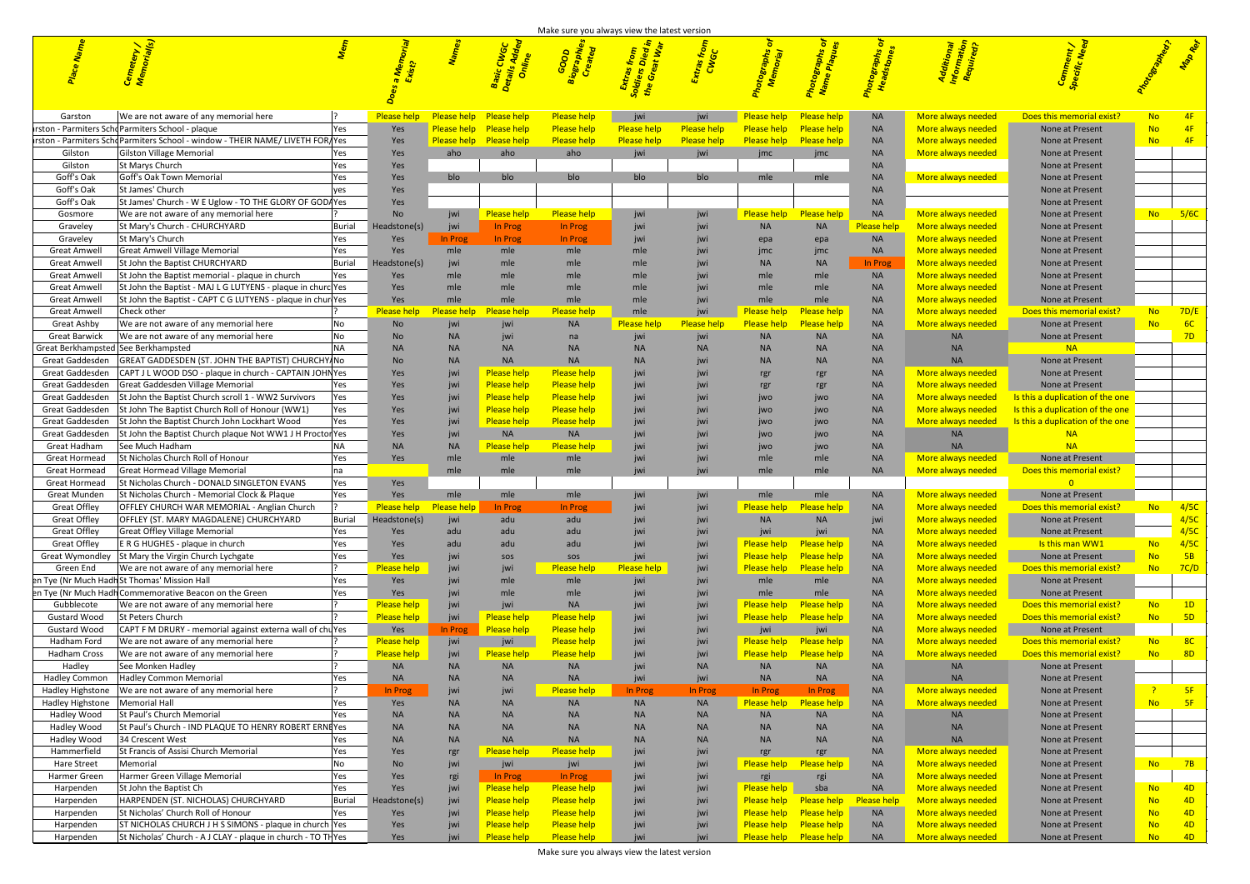|                                   |                                                                                          |                 |                     |                        |                            | Make sure you always view the latest version |                    |                    |                                       |                           |                                 |                                          |                                              |                    |
|-----------------------------------|------------------------------------------------------------------------------------------|-----------------|---------------------|------------------------|----------------------------|----------------------------------------------|--------------------|--------------------|---------------------------------------|---------------------------|---------------------------------|------------------------------------------|----------------------------------------------|--------------------|
|                                   |                                                                                          |                 |                     |                        |                            | ទី ឆ្នាំ <mark>ខ្ញុំ</mark>                  |                    |                    |                                       |                           |                                 |                                          |                                              |                    |
|                                   |                                                                                          |                 |                     |                        |                            |                                              |                    |                    |                                       |                           |                                 |                                          |                                              |                    |
| Garston                           | We are not aware of any memorial here                                                    |                 | <b>Please help</b>  | <b>Please help</b>     | <b>Please help</b>         | <u>Please help</u>                           | iwi                | iwi                | lease help                            | Please help               | <b>NA</b>                       | More always needed                       | Does this memorial exist <sup>1</sup>        | <b>No</b><br>$-4F$ |
|                                   | Irston - Parmiters Schd Parmiters School - plaque                                        | Yes             | Yes                 | <b>Please help</b>     | <b>Please help</b>         | Please help                                  | <b>Please help</b> | <b>Please help</b> | <b>Please help</b>                    | Please help               | <b>NA</b>                       | More always needed                       | None at Present                              | 4F                 |
|                                   | arston - Parmiters Schd Parmiters School - window - THEIR NAME/ LIVETH FOR/Yes           |                 | Yes                 |                        | Please help Please help    | Please help                                  | <b>Please help</b> | <b>Please help</b> |                                       | Please help Please help   | <b>NA</b>                       | More always needed                       | None at Present                              | <b>No</b><br>$-4F$ |
| Gilston<br>Gilston                | Gilston Village Memorial<br><b>St Marys Church</b>                                       | Yes<br>Yes      | Yes<br>Yes          | aho                    | aho                        | aho                                          | jwi                | jwi                | jmc                                   | jmc                       | <b>NA</b><br><b>NA</b>          | More always needed                       | None at Present<br>None at Present           |                    |
| Goff's Oak                        | Goff's Oak Town Memorial                                                                 | Yes             | Yes                 | blo                    | blo                        | blo                                          | blo                | blo                | mle                                   | mle                       | <b>NA</b>                       | More always needed                       | None at Present                              |                    |
| Goff's Oak                        | St James' Church                                                                         | ves             | Yes                 |                        |                            |                                              |                    |                    |                                       |                           | <b>NA</b>                       |                                          | None at Present                              |                    |
| Goff's Oak                        | St James' Church - W E Uglow - TO THE GLORY OF GODAYes                                   |                 | Yes                 |                        |                            |                                              |                    |                    |                                       |                           | <b>NA</b>                       |                                          | None at Present                              |                    |
| Gosmore                           | We are not aware of any memorial here                                                    |                 | <b>No</b>           | jwi                    | Please help                | <b>Please help</b>                           | iwi                | jw                 | Please help                           | <b>Please help</b>        | <b>NA</b>                       | More always needed                       | None at Present                              | $No$ 5/6C          |
| Graveley                          | St Mary's Church - CHURCHYARD                                                            | Burial          | leadstone(s)        | jwi                    | In Prog                    | In Prog                                      |                    |                    | <b>NA</b>                             | <b>NA</b>                 | <u>lease help</u>               | More always needed                       | None at Present                              |                    |
| Graveley                          | St Mary's Church                                                                         | Yes<br>Yes      | Yes<br>Yes          | n Prog<br>mle          | In Prog<br>mle             | In Prog<br>mle                               |                    |                    | epa                                   | epa                       | <b>NA</b>                       | More always needed                       | None at Present                              |                    |
| Great Amwell<br>Great Amwell      | Great Amwell Village Memorial<br>St John the Baptist CHURCHYARD                          | Burial          | eadstone(s)         |                        |                            | mle                                          | mle                |                    | <b>Jmc</b>                            | jmc<br><b>NA</b>          | <b>NA</b><br>In Prog            | More always needed<br>More always needed | None at Present<br>None at Present           |                    |
| Great Amwell                      | St John the Baptist memorial - plaque in church                                          | Yes             | Yes                 |                        |                            | ml                                           |                    |                    |                                       | mle                       | <b>NA</b>                       | More always needed                       | None at Present                              |                    |
| Great Amwell                      | St John the Baptist - MAJ L G LUTYENS - plaque in churc Yes                              |                 | Yes                 | mle                    |                            | ml                                           | mle                |                    |                                       | mle                       | <b>NA</b>                       | More always needed                       | None at Present                              |                    |
| Great Amwell                      | St John the Baptist - CAPT C G LUTYENS - plaque in churiYes                              |                 | Yes                 | mle                    | mle                        | mle                                          | mle                |                    | mle                                   | mle                       | <b>NA</b>                       | More always needed                       | None at Present                              |                    |
| Great Amwell                      | Check other                                                                              |                 | Please help         | <b>Please help</b>     | <b>Please help</b>         | lease help                                   | mle                | iwi                | Please help                           | <b>Please help</b>        | <b>NA</b>                       | More always needed                       | Does this memorial exist                     | 7D/E<br>No l       |
| Great Ashby                       | We are not aware of any memorial here                                                    | No.             | <b>No</b>           | jwi                    |                            | <b>NA</b>                                    | Please help        | <b>Please help</b> | Please help                           | Please help               | <b>NA</b>                       | More always needed                       | None at Present                              | 6C                 |
| Great Barwick                     | We are not aware of any memorial here                                                    | No<br><b>NA</b> | N <sub>c</sub><br>N | <b>NA</b><br><b>NA</b> |                            | na<br>$N_A$                                  |                    |                    | <b>NA</b>                             | <b>NA</b><br>N            | <b>NA</b><br><b>NA</b>          | <b>NA</b><br><b>NA</b>                   | None at Present<br><b>NA</b>                 | 7D                 |
| Great Gaddesden                   | Great Berkhampsted See Berkhampsted<br>GREAT GADDESDEN (ST. JOHN THE BAPTIST) CHURCHY No |                 | N <sub>c</sub>      | <b>NA</b>              | <b>NA</b>                  | <b>NA</b>                                    |                    |                    |                                       |                           | <b>NA</b>                       | <b>NA</b>                                | None at Present                              |                    |
| Great Gaddesden                   | CAPT J L WOOD DSO - plaque in church - CAPTAIN JOHNYes                                   |                 | Yes                 | jwi                    | Please help                | Please help                                  |                    |                    |                                       |                           | <b>NA</b>                       | More always needed                       | None at Present                              |                    |
| Great Gaddesden                   | Great Gaddesden Village Memorial                                                         | Yes             | Yes                 | jwi                    | Please help                | <b>Please help</b>                           |                    |                    |                                       |                           | <b>NA</b>                       | More always needer                       | None at Present                              |                    |
| Great Gaddesden                   | St John the Baptist Church scroll 1 - WW2 Survivors                                      | Yes             | Yes                 | jwi                    | Please help.               | <b>Please help</b>                           |                    |                    |                                       | jwo                       | <b>NA</b>                       | More always needed                       | Is this a duplication of the one             |                    |
| Great Gaddesden                   | St John The Baptist Church Roll of Honour (WW1)                                          | <b>Yes</b>      | Yes                 | <b>jwi</b>             | Please help                | <b>Please help</b>                           |                    |                    | JWO.                                  | <b>JWO</b>                | <b>NA</b>                       | More always needed                       | Is this a duplication of the one             |                    |
| Great Gaddesden                   | St John the Baptist Church John Lockhart Wood                                            | Yes             | Yes                 | <b>jwi</b>             | Please help                | <b>Please help</b>                           |                    |                    | <b>IWO</b>                            | <b>JWO</b>                | <b>NA</b>                       | More always needed                       | Is this a duplication of the one             |                    |
| Great Gaddesden                   | St John the Baptist Church plaque Not WW1 J H Proctor Yes                                |                 | Yes                 |                        | <b>NA</b>                  | <b>NA</b>                                    |                    |                    | <b>IWO</b>                            | <b>JWO</b>                | <b>NA</b>                       | <b>NA</b>                                | <b>NA</b>                                    |                    |
| Great Hadham                      | See Much Hadham                                                                          | <b>NA</b>       | N <sub>f</sub>      | <b>NA</b>              | <u>lease help</u>          | lease help                                   |                    |                    |                                       | jwo                       | <b>NA</b>                       | <b>NA</b>                                | <b>NA</b>                                    |                    |
| Great Hormead<br>Great Hormead    | St Nicholas Church Roll of Honour<br>Great Hormead Village Memorial                      | Yes<br>na       |                     | mle<br>mle             | mle                        | mle<br>mle                                   |                    |                    | mle                                   | mle                       | <b>NA</b><br><b>NA</b>          | More always needed<br>More always needed | None at Present<br>Does this memorial exist? |                    |
| Great Hormead                     | St Nicholas Church - DONALD SINGLETON EVANS                                              | Yes             | Yes                 |                        |                            |                                              |                    |                    |                                       |                           |                                 |                                          |                                              |                    |
| Great Munden                      | St Nicholas Church - Memorial Clock & Plaque                                             | Yes             | Yes                 |                        | mle                        | mle                                          | $i x_i$            | jwi                | mle                                   | mle                       | <b>NA</b>                       | More always needed                       | None at Present                              |                    |
| <b>Great Offley</b>               | <b>OFFLEY CHURCH WAR MEMORIAL - Anglian Church</b>                                       |                 | <b>Please help</b>  | <b>Please help</b>     | <b>In Prog</b>             | In Prog                                      |                    | jw                 | Please help                           | <b>Please help</b>        | <b>NA</b>                       | More always needed                       | Does this memorial exist?                    | 4/5C<br>No l       |
| <b>Great Offley</b>               | OFFLEY (ST. MARY MAGDALENE) CHURCHYARD                                                   | Burial          | Headstone(s)        | jwi                    | adu                        | adu                                          |                    |                    | <b>NA</b>                             | <b>NA</b>                 | jwi                             | More always needed                       | None at Present                              | 4/5C               |
| <b>Great Offley</b>               | <b>Great Offley Village Memorial</b>                                                     | Yes             | Yes                 | adu                    | adu                        | adu                                          |                    |                    | jwi                                   | jwi                       | <b>NA</b>                       | More always needed                       | None at Present                              | 4/5C               |
| <b>Great Offley</b>               | E R G HUGHES - plaque in church                                                          | Yes             | Yes                 | adu                    | adı                        | adu                                          |                    | jw                 | lease help                            | <b>Please help</b>        | <b>NA</b>                       | More always needed                       | Is this man WW1                              | 4/5C<br>No         |
|                                   | Great Wymondley St Mary the Virgin Church Lychgate                                       | Yes             | Yes                 | jwi                    | <b>SOS</b>                 | sos                                          |                    | jw                 | Please help                           | <b>Please help</b>        | <b>NA</b>                       | More always needed                       | None at Present                              | 5B<br><b>No</b>    |
| Green End                         | We are not aware of any memorial here<br>en Tye (Nr Much Hadh St Thomas' Mission Hall    | Yes             | Please help<br>Yes  | jwi                    |                            | Please hel<br>mle                            | lease help         | jw                 | Please help<br>mle                    | <b>Please help</b><br>mle | <b>NA</b><br><b>NA</b>          | More always needed<br>More always needed | Does this memorial exist?<br>None at Present | 7C/D<br>No         |
|                                   | en Tye (Nr Much Hadh Commemorative Beacon on the Green                                   | <b>Yes</b>      | Yes                 | jwi                    |                            | ml                                           |                    |                    | mle                                   | mle                       | <b>NA</b>                       | More always needed                       | None at Present                              |                    |
| Gubblecote                        | We are not aware of any memorial here                                                    |                 | Please help         | jwi                    |                            | <b>NA</b>                                    |                    | jw                 | Please help                           | <b>Please help</b>        | <b>NA</b>                       | More always needed                       | Does this memorial exist?                    | 1D<br>No No        |
| <b>Gustard Wood</b>               | St Peters Church                                                                         |                 | Please help         | jwi                    | Please help                | Please help                                  | iwi                | jw                 | Please help                           | <b>Please help</b>        | <b>NA</b>                       | More always needed                       | Does this memorial exist?                    | 5D<br><b>No</b>    |
| <b>Gustard Wood</b>               | CAPT F M DRURY - memorial against externa wall of chuYes                                 |                 | Yes                 | In Prog                | Please help                | <b>Please help</b>                           | iwi                | jw                 | jwi                                   | jwi                       | <b>NA</b>                       | More always needed                       | None at Present                              |                    |
| Hadham Ford                       | We are not aware of any memorial here                                                    |                 | Please help         | jwi                    | jwi                        | lease help                                   | jwi                | jw                 | lease help                            | Please help               | <b>NA</b>                       | More always needed                       | Does this memorial exist?                    | No<br>8C           |
| Hadham Cross                      | We are not aware of any memorial here                                                    |                 | Please help         | jwi                    | Please help                | Please help                                  | jwi                | jw                 | Please help                           | <b>Please help</b>        | <b>NA</b>                       | More always needed                       | Does this memorial exist?                    | 8D<br><b>No</b>    |
| Hadley                            | See Monken Hadley                                                                        |                 | <b>NA</b><br>$N_A$  | <b>NA</b><br><b>NA</b> | <b>NA</b>                  | <b>NA</b>                                    |                    | $N_A$              | <b>NA</b>                             | <b>NA</b><br>N            | <b>NA</b>                       | <b>NA</b>                                | None at Present                              |                    |
| Hadley Common<br>Hadley Highstone | Hadley Common Memorial<br>We are not aware of any memorial here                          | Yes             | In Prog             | jwi                    | jwi                        | <b>NA</b><br><b>Please help</b>              | In Prog            | In Prog            | <b>NA</b><br>In Prog                  | In Prog                   | <b>NA</b><br><b>NA</b>          | <b>NA</b><br>More always needed          | None at Present<br>None at Present           | ാ.<br>$-5F$        |
| Hadley Highstone                  | <b>Memorial Hall</b>                                                                     | Yes             | Yes                 | <b>NA</b>              |                            | <b>NA</b>                                    | <b>NA</b>          | <b>NA</b>          | Please help                           | <b>Please help</b>        | <b>NA</b>                       | More always needed                       | None at Present                              | $-5F$<br><b>No</b> |
| Hadley Wood                       | St Paul's Church Memorial                                                                | Yes             | N <sub>f</sub>      | <b>NA</b>              |                            | N <sub>A</sub>                               |                    | $N_A$              | <b>NA</b>                             | <b>NA</b>                 | <b>NA</b>                       | <b>NA</b>                                | None at Present                              |                    |
| Hadley Wood                       | St Paul's Church - IND PLAQUE TO HENRY ROBERT ERNEYES                                    |                 | N <sub>f</sub>      | <b>NA</b>              |                            | $N_A$                                        |                    | $N_A$              | <b>NA</b>                             | <b>NA</b>                 | <b>NA</b>                       | <b>NA</b>                                | None at Present                              |                    |
| Hadley Wood                       | 34 Crescent West                                                                         | Yes             | N <sub>f</sub>      | <b>NA</b>              | <b>NA</b>                  | <b>NA</b>                                    | N <sub>f</sub>     |                    |                                       | N <sub>f</sub>            | <b>NA</b>                       | <b>NA</b>                                | None at Present                              |                    |
| Hammerfield                       | St Francis of Assisi Church Memorial                                                     | Yes             | Yes                 | rgr                    | Please help                | lease help                                   | jw                 |                    | rgr                                   | rg                        | <b>NA</b>                       | More always needed                       | None at Present                              |                    |
| <b>Hare Street</b>                | Memorial                                                                                 | No              | <b>Nc</b>           | jwi                    | jwi                        | jwi                                          |                    | jw                 | Please help                           | <b>Please help</b>        | <b>NA</b>                       | More always needed                       | None at Present                              | <b>No</b><br>7B    |
| Harmer Green                      | Harmer Green Village Memorial                                                            | Yes             | Yes                 | rgi                    | In Prog                    | In Prog                                      |                    |                    | rgi                                   | rgi                       | <b>NA</b>                       | More always needed                       | None at Present                              | <b>No</b>          |
| Harpenden<br>Harpenden            | St John the Baptist Ch<br>HARPENDEN (ST. NICHOLAS) CHURCHYARD                            | Yes<br>Burial   | Yes<br>leadstone(s) | jwi<br>iwi             | Please help<br>Please help | Please help<br><b>Please help</b>            | jwi<br>jwi         | jw<br>jw           | Please help <b>Lang</b><br>lease help | sba<br><b>Please help</b> | <b>NA</b><br><b>Please help</b> | More always needed<br>More always needed | None at Present<br>None at Present           | 4D<br>No<br>4D     |
| Harpenden                         | St Nicholas' Church Roll of Honour                                                       | <b>Yes</b>      | Yes                 | jwi                    | lease help                 | Please help                                  | iwi                | jw                 | lease help                            | Please help               | <b>NA</b>                       | More always needed                       | None at Present                              | No<br>4D           |
| Harpenden                         | ST NICHOLAS CHURCH J H S SIMONS - plaque in church Yes                                   |                 | Yes                 |                        | Please help                | <b>Please help</b>                           | jwi                | jw                 | lease help                            | <b>Please help</b>        | <b>NA</b>                       | More always needed                       | None at Present                              | <b>No</b><br>4D    |
| Harpenden                         | St Nicholas' Church - A J CLAY - plaque in church - TO THYes                             |                 | Yes                 | iwi                    | <u>Please help-</u>        | <b>Please help</b>                           | iwi                |                    |                                       | Please help Please help   | <b>NA</b>                       | More always needed                       | None at Present                              | No<br>4D           |
|                                   |                                                                                          |                 |                     |                        |                            |                                              |                    |                    |                                       |                           |                                 |                                          |                                              |                    |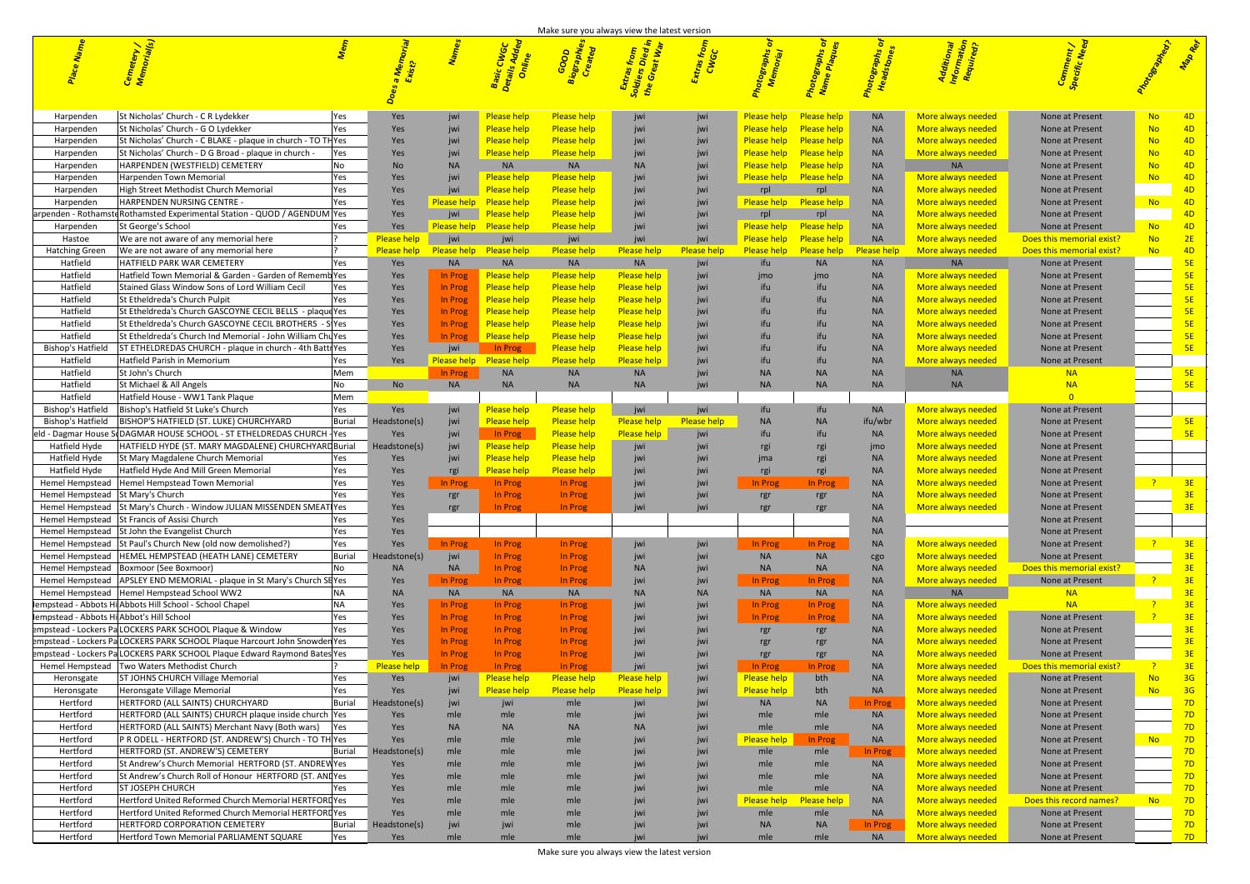| Basic CWGC<br>Details Added<br>Online<br>Created<br>Biographies<br>Soldiers Died In<br>Soldiers Died In<br>Extras from<br>Extras from<br>Photographs of<br>Mame Pladstones<br>Mame Pladstones<br>Mame Pladstones<br>Mame Pladstones                                                                                                                                                                                                                                                                |
|----------------------------------------------------------------------------------------------------------------------------------------------------------------------------------------------------------------------------------------------------------------------------------------------------------------------------------------------------------------------------------------------------------------------------------------------------------------------------------------------------|
|                                                                                                                                                                                                                                                                                                                                                                                                                                                                                                    |
|                                                                                                                                                                                                                                                                                                                                                                                                                                                                                                    |
| <b>Example to the property of the set of the set of the set of the set of the set of the set of the set of the set of the set of the set of the set of the set of the set of the set of the set of the set of the set of the set</b>                                                                                                                                                                                                                                                               |
|                                                                                                                                                                                                                                                                                                                                                                                                                                                                                                    |
|                                                                                                                                                                                                                                                                                                                                                                                                                                                                                                    |
|                                                                                                                                                                                                                                                                                                                                                                                                                                                                                                    |
|                                                                                                                                                                                                                                                                                                                                                                                                                                                                                                    |
|                                                                                                                                                                                                                                                                                                                                                                                                                                                                                                    |
|                                                                                                                                                                                                                                                                                                                                                                                                                                                                                                    |
| martin Production Contract Contract Contract Contract Contract Contract Contract Contract Contract Contract Contract Contract Contract Contract Contract Contract Contract Contract Contract Contract Contract Contract Contra                                                                                                                                                                                                                                                                     |
|                                                                                                                                                                                                                                                                                                                                                                                                                                                                                                    |
|                                                                                                                                                                                                                                                                                                                                                                                                                                                                                                    |
|                                                                                                                                                                                                                                                                                                                                                                                                                                                                                                    |
| i a man a man a man a man a man a man a man a man a man a man a man a man a man a man a man a man a man a man<br>A man a man a man a man a man a man a man a man a man a man a man a man a man a man a man a man a man a man a                                                                                                                                                                                                                                                                     |
|                                                                                                                                                                                                                                                                                                                                                                                                                                                                                                    |
|                                                                                                                                                                                                                                                                                                                                                                                                                                                                                                    |
|                                                                                                                                                                                                                                                                                                                                                                                                                                                                                                    |
| <b>Eded</b> None at Present<br><b>Reded</b> None at Present<br><b>Reded</b> None at Present<br><b>Reded</b> None at Prese                                                                                                                                                                                                                                                                                                                                                                          |
|                                                                                                                                                                                                                                                                                                                                                                                                                                                                                                    |
| Bishop's Hatfield ST ETHELDREDAS CHURCH - plaque in church - 4th Batti Yes Yes jwi and the Trouble of the Prop<br>Hatfield Hatfield Parish in Memorium Tres Yes Yes Please help Please h                                                                                                                                                                                                                                                                                                           |
|                                                                                                                                                                                                                                                                                                                                                                                                                                                                                                    |
|                                                                                                                                                                                                                                                                                                                                                                                                                                                                                                    |
|                                                                                                                                                                                                                                                                                                                                                                                                                                                                                                    |
| Hatfield St Michael & All Angels<br>Hatfield Hatfield House - WW1 Tank Place<br>Bishop's Hatfield Bishop's Hatfield St Luke's Chur<br>Bishop's Hatfield BISHOP'S HATFIELD (ST. LUKE                                                                                                                                                                                                                                                                                                                |
| a ves jwi<br>im a the set of the set of the set of the set of the set of the set of the set of the set of the set of the se<br>In the set of the set of the set of the set of the set of the set of the set of the set of the set of the set<br>                                                                                                                                                                                                                                                   |
|                                                                                                                                                                                                                                                                                                                                                                                                                                                                                                    |
|                                                                                                                                                                                                                                                                                                                                                                                                                                                                                                    |
| Hatfield Hyde HATFIELD HYDE (ST. MARY MAGDALENE)<br>Hatfield Hyde St Mary Magdalene Church Memorial<br>Hatfield Hyde Hatfield Hyde And Mill Green Memorial<br>Hemel Hempstead Hemel Hempstead Town Memorial<br>Hemel Hempstead St Mary's C                                                                                                                                                                                                                                                         |
| and the vest of the right of the right of the set of the set of the set of the set of the set of the set of th<br>The set of the set of the set of the set of the set of the set of the set of the set of the set of the set of<br>                                                                                                                                                                                                                                                                |
| <u>Please help</u> jwi jwi rgi rgi NA<br>In Prog jwi jwi <mark>In Prog In Prog NA Museo in Program</mark> NA Museo iwi iwi rer ner ner NA More.                                                                                                                                                                                                                                                                                                                                                    |
|                                                                                                                                                                                                                                                                                                                                                                                                                                                                                                    |
|                                                                                                                                                                                                                                                                                                                                                                                                                                                                                                    |
| Hemel Hempstead St Francis of Assisi Church<br>1 Hemel Hempstead St Francis of Assisi Church                                                                                                                                                                                                                                                                                                                                                                                                       |
|                                                                                                                                                                                                                                                                                                                                                                                                                                                                                                    |
|                                                                                                                                                                                                                                                                                                                                                                                                                                                                                                    |
| The Manuscript Headstone(s) and the same state of the same state of the same state of the same state of the same state of the same state of the same state of the same state of the same state of the same state of the same s                                                                                                                                                                                                                                                                     |
|                                                                                                                                                                                                                                                                                                                                                                                                                                                                                                    |
| Hemel Hempstead St Francis of Assisi Church<br>Hemel Hempstead St John the Evangelist Church<br>Hemel Hempstead St Paul's Church New (old now demolished?)<br>Hemel Hempstead HEMEL HEMPSTEAD (HEATH LANE) CEMETERY<br>Hemel Hempstead<br>More always needed<br>None at Present<br>veralways needed<br>veralways needed<br>veralways needed<br>veralways needed<br>None at Present<br>varys needed<br>None at Present<br>varys needed<br>None at Present<br>varys needed<br>varys needed<br>None a |
|                                                                                                                                                                                                                                                                                                                                                                                                                                                                                                    |
|                                                                                                                                                                                                                                                                                                                                                                                                                                                                                                    |
|                                                                                                                                                                                                                                                                                                                                                                                                                                                                                                    |
|                                                                                                                                                                                                                                                                                                                                                                                                                                                                                                    |
|                                                                                                                                                                                                                                                                                                                                                                                                                                                                                                    |
|                                                                                                                                                                                                                                                                                                                                                                                                                                                                                                    |
|                                                                                                                                                                                                                                                                                                                                                                                                                                                                                                    |
|                                                                                                                                                                                                                                                                                                                                                                                                                                                                                                    |
|                                                                                                                                                                                                                                                                                                                                                                                                                                                                                                    |
|                                                                                                                                                                                                                                                                                                                                                                                                                                                                                                    |
|                                                                                                                                                                                                                                                                                                                                                                                                                                                                                                    |
| Hertford PR ODELL - HERTFORD (ST. ANDRL)                                                                                                                                                                                                                                                                                                                                                                                                                                                           |
|                                                                                                                                                                                                                                                                                                                                                                                                                                                                                                    |
|                                                                                                                                                                                                                                                                                                                                                                                                                                                                                                    |
| Sur Chemorial HERTFORD (ST. ANDREWYES VESTER THE SURFERENCE ST. AND AND THE ST JOSEPH CHURCH                                                                                                                                                                                                                                                                                                                                                                                                       |
|                                                                                                                                                                                                                                                                                                                                                                                                                                                                                                    |
|                                                                                                                                                                                                                                                                                                                                                                                                                                                                                                    |
| 10 Hertford United Reformed Church Memorial HERTFORD<br>Thertford Hertford United Reformed Church Memorial HERTFORD<br>Hertford HERTFORD CORPORATION CEMETERY<br><b>Exercise School</b> None at Present                                                                                                                                                                                                                                                                                            |
|                                                                                                                                                                                                                                                                                                                                                                                                                                                                                                    |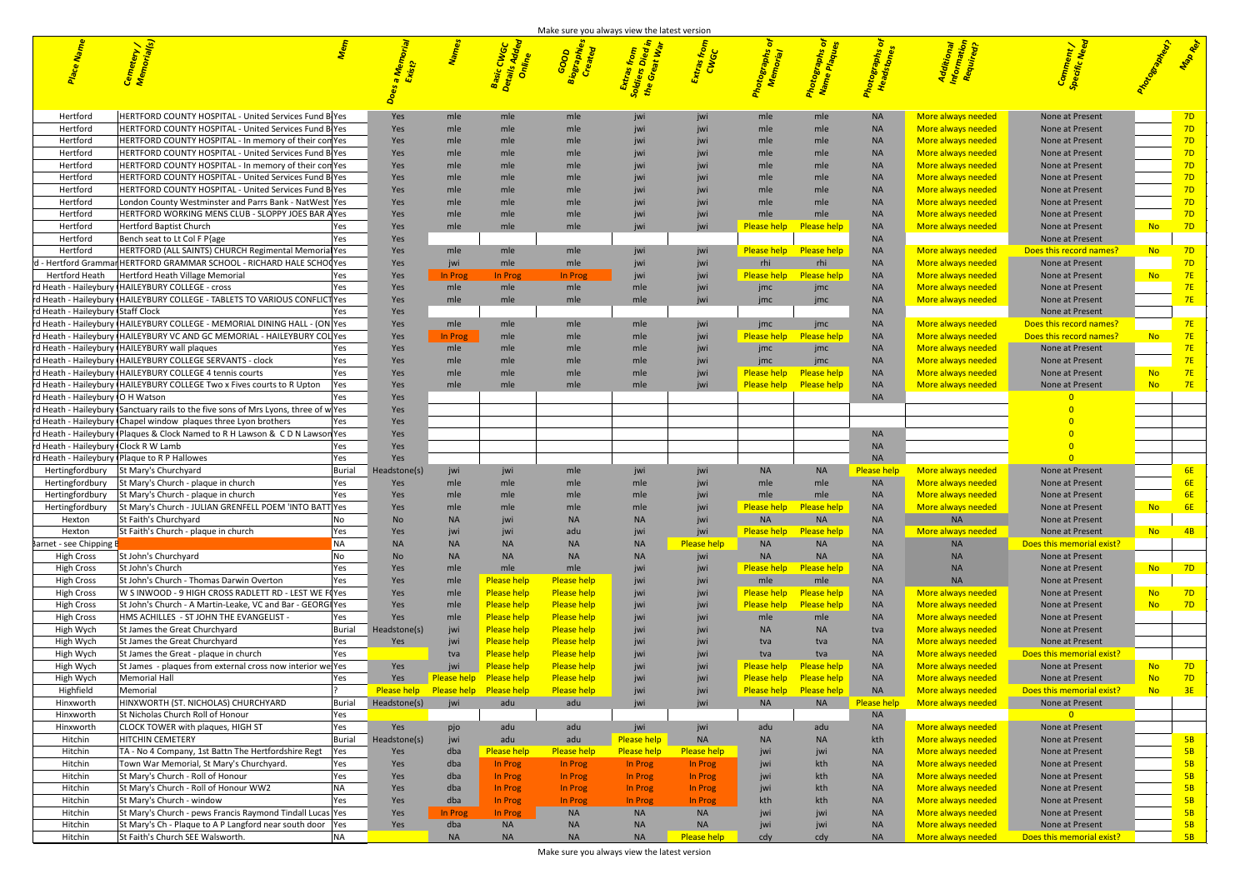|                                                                                                                                 |                     |                   |                                     |                        | Make sure you always view the latest version |                                 |                                       |                    |                    |                                                  |                                                           |                                                       |
|---------------------------------------------------------------------------------------------------------------------------------|---------------------|-------------------|-------------------------------------|------------------------|----------------------------------------------|---------------------------------|---------------------------------------|--------------------|--------------------|--------------------------------------------------|-----------------------------------------------------------|-------------------------------------------------------|
|                                                                                                                                 |                     |                   |                                     |                        |                                              |                                 |                                       |                    |                    |                                                  |                                                           |                                                       |
|                                                                                                                                 |                     |                   |                                     | naj<br>Partial<br>Port | ង<br>ស្រី<br>ខេត្ត                           |                                 |                                       |                    |                    |                                                  |                                                           |                                                       |
|                                                                                                                                 |                     |                   |                                     |                        |                                              |                                 |                                       |                    |                    |                                                  |                                                           |                                                       |
|                                                                                                                                 |                     |                   |                                     |                        |                                              |                                 |                                       |                    |                    |                                                  |                                                           |                                                       |
|                                                                                                                                 |                     |                   |                                     |                        |                                              |                                 |                                       |                    |                    |                                                  |                                                           |                                                       |
| HERTFORD COUNTY HOSPITAL - United Services Fund B Yes<br>Hertford                                                               |                     |                   |                                     |                        |                                              |                                 |                                       |                    |                    | <u> Aore always needec</u>                       | None at Present                                           |                                                       |
| HERTFORD COUNTY HOSPITAL - United Services Fund B Yes<br>Hertford                                                               |                     |                   |                                     |                        |                                              |                                 |                                       |                    |                    | <u>More always needec</u>                        | None at Present                                           |                                                       |
| HERTFORD COUNTY HOSPITAL - In memory of their con Yes<br>Hertford                                                               |                     |                   |                                     |                        |                                              |                                 |                                       |                    |                    | <u>More always needec</u>                        | None at Present                                           |                                                       |
| HERTFORD COUNTY HOSPITAL - United Services Fund B Yes<br>Hertford                                                               |                     |                   |                                     |                        |                                              |                                 |                                       |                    |                    | <u>More always needec</u>                        | None at Present                                           |                                                       |
| HERTFORD COUNTY HOSPITAL - In memory of their com Yes<br>Hertford                                                               |                     |                   |                                     |                        |                                              |                                 |                                       |                    |                    | <u>More always needec</u>                        | None at Present                                           |                                                       |
| HERTFORD COUNTY HOSPITAL - United Services Fund BIYes<br>Hertford                                                               |                     |                   |                                     |                        |                                              |                                 |                                       |                    |                    | <u>More always needec</u>                        | None at Present                                           |                                                       |
| HERTFORD COUNTY HOSPITAL - United Services Fund B Yes<br>Hertford                                                               |                     |                   |                                     |                        |                                              |                                 |                                       |                    |                    | <u>More always needec</u>                        | None at Present                                           |                                                       |
| London County Westminster and Parrs Bank - NatWest Yes<br>Hertford                                                              |                     |                   |                                     |                        |                                              |                                 |                                       |                    |                    | <u>More always needec</u>                        | None at Present                                           |                                                       |
| HERTFORD WORKING MENS CLUB - SLOPPY JOES BAR AYes<br>Hertford                                                                   |                     |                   |                                     |                        |                                              |                                 |                                       |                    |                    | <u>More always neede</u>                         | None at Present                                           |                                                       |
| Hertford Baptist Church<br>Hertford                                                                                             |                     |                   |                                     |                        |                                              | jwi                             | <b>Please help</b> Please help        |                    | <b>NA</b>          | More always needed                               | None at Present                                           | $\overline{7}$ 7D<br>No l                             |
| Bench seat to Lt Col F P{age<br>Hertford                                                                                        |                     |                   |                                     |                        |                                              |                                 |                                       |                    | <b>NA</b>          |                                                  | None at Present                                           |                                                       |
| HERTFORD (ALL SAINTS) CHURCH Regimental Memorial Yes<br>Hertford                                                                |                     |                   |                                     |                        |                                              |                                 | Please help Please help               |                    | <b>NA</b>          | More always needec                               | Does this record names?                                   | No 7D                                                 |
| - Hertford Grammar HERTFORD GRAMMAR SCHOOL - RICHARD HALE SCHO (Yes                                                             |                     |                   | mle                                 |                        |                                              |                                 | - rhi                                 |                    |                    | <u>More always needer</u>                        | None at Present                                           | 7D                                                    |
| Hertford Heath   Hertford Heath Village Memorial                                                                                | Yes                 | n Prog            | <b>In Prog</b>                      | In Prog                |                                              |                                 | <b>Please help</b> Please help        |                    | <b>NA</b>          | More always needed                               | None at Present                                           | 7E<br>No l                                            |
| rd Heath - Haileybury (HAILEYBURY COLLEGE - cross                                                                               |                     |                   | mle                                 |                        |                                              |                                 |                                       |                    |                    | More always needed                               | None at Present                                           |                                                       |
| rd Heath - Haileybury (HAILEYBURY COLLEGE - TABLETS TO VARIOUS CONFLICT Yes                                                     |                     |                   |                                     |                        |                                              |                                 |                                       |                    |                    | More always needed                               | None at Present                                           |                                                       |
| rd Heath - Haileybury (Staff Clock                                                                                              | Yes                 |                   |                                     |                        |                                              |                                 |                                       |                    |                    |                                                  | None at Present                                           |                                                       |
| rd Heath - Haileybury (HAILEYBURY COLLEGE - MEMORIAL DINING HALL - (ON Yes                                                      | Yes<br>Yes          | mle               | mle                                 |                        |                                              |                                 | jmc<br><b>Please help</b> Please help | jmc                | <b>NA</b>          | More always needed<br>More always neede          | <b>Does this record names?</b><br>Does this record names? | 7F                                                    |
| rd Heath - Haileybury (HAILEYBURY VC AND GC MEMORIAL - HAILEYBURY COL Yes<br>rd Heath - Haileybury (HAILEYBURY wall plaques     |                     |                   |                                     |                        |                                              |                                 | ImC                                   |                    |                    | More always needer                               | None at Present                                           |                                                       |
| rd Heath - Haileybury (HAILEYBURY COLLEGE SERVANTS - clock                                                                      |                     |                   |                                     |                        |                                              |                                 |                                       | jmc                |                    | More always needed                               | None at Present                                           |                                                       |
| rd Heath - Haileybury (HAILEYBURY COLLEGE 4 tennis courts                                                                       |                     |                   |                                     |                        |                                              |                                 | <b>Please help</b> Please help        |                    | <b>NA</b>          | More always needed                               | None at Present                                           |                                                       |
| rd Heath - Haileybury (HAILEYBURY COLLEGE Two x Fives courts to R Upton                                                         | <b>Yes</b>          |                   |                                     |                        |                                              |                                 | <b>Please help Please help</b>        |                    | <b>NA</b>          | More always needed                               | None at Present                                           | No 7E                                                 |
| rd Heath - Haileybury (O H Watson                                                                                               | Yes                 |                   |                                     |                        |                                              |                                 |                                       |                    | <b>NA</b>          |                                                  |                                                           |                                                       |
| rd Heath - Haileybury (Sanctuary rails to the five sons of Mrs Lyons, three of w Yes                                            | Yes                 |                   |                                     |                        |                                              |                                 |                                       |                    |                    |                                                  |                                                           |                                                       |
| rd Heath - Haileybury (Chapel window plaques three Lyon brothers                                                                | Yes                 |                   |                                     |                        |                                              |                                 |                                       |                    |                    |                                                  |                                                           |                                                       |
| rd Heath - Haileybury (Plaques & Clock Named to R H Lawson & C D N Lawson Yes                                                   | Yes                 |                   |                                     |                        |                                              |                                 |                                       |                    | <b>NA</b>          |                                                  |                                                           |                                                       |
| rd Heath - Haileybury (Clock R W Lamb                                                                                           | Yes                 |                   |                                     |                        |                                              |                                 |                                       |                    | <b>NA</b>          |                                                  |                                                           |                                                       |
| rd Heath - Haileybury (Plaque to R P Hallowes                                                                                   | Yes                 |                   |                                     |                        |                                              |                                 |                                       |                    | <b>NA</b>          |                                                  |                                                           |                                                       |
| Hertingfordbury   St Mary's Churchyard<br>Burial                                                                                |                     |                   |                                     |                        |                                              |                                 |                                       |                    | Please help        | More always needed                               | None at Present                                           |                                                       |
| Hertingfordbury   St Mary's Church - plaque in church                                                                           |                     |                   |                                     |                        |                                              |                                 |                                       |                    | <b>NA</b>          | More always needed                               | None at Present                                           |                                                       |
|                                                                                                                                 |                     |                   |                                     |                        |                                              |                                 |                                       |                    | <b>NA</b>          |                                                  | None at Present                                           |                                                       |
| Hertingfordbury St Mary's Church - plaque in church                                                                             |                     |                   |                                     |                        | m                                            |                                 | <b>Please help</b> Please help        |                    | <b>NA</b>          | More always needed                               | None at Present                                           | No 6E                                                 |
| Hertingfordbury St Mary's Church - JULIAN GRENFELL POEM 'INTO BATT Yes                                                          | Yes                 |                   |                                     |                        |                                              |                                 |                                       |                    |                    |                                                  |                                                           |                                                       |
| St Faith's Churchyard<br>Hexton                                                                                                 |                     |                   |                                     |                        |                                              |                                 | <b>NA</b>                             | <b>NA</b>          |                    | <b>NA</b>                                        | None at Present                                           |                                                       |
| St Faith's Church - plaque in church<br>Hexton                                                                                  | Yes                 |                   |                                     |                        |                                              | iwi                             | Please help L                         | <b>Please help</b> | <b>NA</b>          | More always needed                               | None at Present                                           | No 4B                                                 |
| Barnet - see Chipping E                                                                                                         |                     |                   |                                     | N <sub>1</sub>         | <b>NA</b>                                    | Please help                     | <b>NA</b>                             | <b>NA</b>          |                    |                                                  | Does this memorial exist?                                 |                                                       |
| St John's Churchyard<br><b>High Cross</b><br>∣N∩                                                                                |                     |                   |                                     |                        |                                              | iwi                             | <b>NA</b>                             | <b>NA</b>          |                    |                                                  | None at Present                                           |                                                       |
| St John's Church<br><b>High Cross</b>                                                                                           | Ye                  |                   | mle                                 | $m$ le                 |                                              |                                 | Please help Please help               |                    | <b>NA</b>          |                                                  | None at Present                                           | No <mark>7D</mark>                                    |
| St John's Church - Thomas Darwin Overton<br><b>High Cross</b>                                                                   | Yes                 | mle               | Please help-                        | <b>Please help</b>     |                                              |                                 | mle                                   | mle                |                    | <b>NA</b>                                        | None at Present                                           |                                                       |
| W S INWOOD - 9 HIGH CROSS RADLETT RD - LEST WE F(Yes<br><b>High Cross</b>                                                       |                     |                   | lease help                          | <b>Please help</b>     |                                              |                                 | lease help De Please help             |                    | <b>NA</b>          | More always needed                               | None at Present                                           | No <sub>7D</sub>                                      |
| St John's Church - A Martin-Leake, VC and Bar - GEORGI Yes<br><b>High Cross</b>                                                 |                     |                   | Please help -                       | <b>Please help</b>     |                                              |                                 | lease help De Please help             |                    | <b>NA</b>          | More always needed                               | None at Present                                           | No <sub>7D</sub>                                      |
| HMS ACHILLES - ST JOHN THE EVANGELIST<br>High Cross                                                                             | Yes                 | mle               | lease help                          | Please help            |                                              |                                 | mle                                   | mle                |                    | More always needed                               | None at Present                                           |                                                       |
| it James the Great Churchyard<br>Burial<br>High Wych                                                                            |                     |                   | Please help-                        | <b>Please help</b>     |                                              |                                 |                                       |                    |                    | More always needed                               | None at Present                                           |                                                       |
| St James the Great Churchyard<br>High Wych                                                                                      | Yes                 | jwi               | <b>Please help</b>                  | <b>Please help</b>     |                                              |                                 |                                       |                    |                    | More always needed                               | None at Present                                           |                                                       |
| St James the Great - plaque in church<br>High Wych                                                                              |                     | tva               | Please help                         | <b>Please help</b>     | iwi                                          |                                 | tva                                   | tva                |                    | <u>More always neede</u>                         | Does this memorial exist?                                 |                                                       |
| St James - plaques from external cross now interior we Yes<br>High Wych                                                         | Yes                 | jwi               | Please help                         | <b>Please help</b>     | iwi                                          | iwi                             | 'lease help                           | <b>Please help</b> | <b>NA</b>          | <b>More always needed</b>                        | None at Present                                           | $-7D$<br>No l                                         |
| <b>Memorial Hall</b><br>High Wych                                                                                               | Yes                 |                   | <b>Example 2 Please Please help</b> | <b>Please help</b>     | iwi                                          | iwi                             | Please help Please help               |                    | <b>NA</b>          | More always needed                               | None at Present                                           | <u>. 70</u>                                           |
| Highfield<br>Memorial                                                                                                           |                     |                   | Please help Please help Please help | <b>Please help</b>     | iwi                                          | iwi                             | Please help Please help               |                    | <b>NA</b>          | More always needed                               | Does this memorial exist?                                 | $-3F$<br>No a                                         |
| HINXWORTH (ST. NICHOLAS) CHURCHYARD<br>Hinxworth                                                                                | Burial Headstone(s) | iwi               | adu                                 | adu                    |                                              |                                 | <b>NA</b>                             | <b>NA</b>          | <b>Please help</b> | More always needed                               | None at Present                                           |                                                       |
| St Nicholas Church Roll of Honour<br>Hinxworth                                                                                  |                     |                   |                                     |                        |                                              |                                 |                                       |                    | <b>NA</b>          |                                                  | $\sim$ 0 $\sim$ 0 $\sim$                                  |                                                       |
| CLOCK TOWER with plaques, HIGH ST<br>Hinxworth                                                                                  | Yes                 | nio               | adu                                 | adu                    | iwi                                          | jwi                             | adu                                   | adu                |                    | More always needer                               | None at Present                                           |                                                       |
| HITCHIN CEMETERY<br><b>Burial</b><br>Hitchin                                                                                    | eadstone(s)         |                   | adu                                 | adu                    | Please help                                  | <b>NA</b>                       |                                       |                    |                    | More always needed                               | None at Present                                           |                                                       |
| TA - No 4 Company, 1st Battn The Hertfordshire Regt Yes<br>Hitchin                                                              | Yes                 | dba               | Please help                         | <b>Please help</b>     | <b>Please help</b>                           | <b>Please help</b>              | iwi                                   |                    |                    | More always needed                               | None at Present                                           |                                                       |
| Town War Memorial, St Mary's Churchyard.<br>Hitchin<br>lYes .                                                                   | Yes                 |                   | In Prog                             | In Prog                | In Prog                                      | In Prog                         | jwi                                   |                    |                    | More always needed                               | None at Present                                           |                                                       |
| St Mary's Church - Roll of Honour<br>Hitchin<br><b>Yes</b>                                                                      | Ye                  |                   | In Prog                             | In Prog                | In Prog                                      | In Prog                         | jwi                                   |                    |                    | More always needed                               | None at Present                                           |                                                       |
| St Mary's Church - Roll of Honour WW2<br><b>NA</b><br>Hitchin                                                                   | Yes                 |                   | In Prog                             | In Prog                | In Prog                                      | In Prog                         | jwi                                   |                    |                    | More always needed                               | None at Present                                           |                                                       |
| St Mary's Church - window<br>Hitchin                                                                                            | Yes                 | dha               | In Prog                             | In Prog                | <b>In Prog</b>                               | In Prog                         | kth                                   |                    |                    | More always needed                               | None at Present                                           |                                                       |
| St Mary's Church - pews Francis Raymond Tindall Lucas Yes<br>Hitchir                                                            | Yes                 | n Prog            | $\ln$ Prog                          | <b>NA</b>              |                                              |                                 |                                       |                    |                    | <u>More always needed</u>                        | None at Present                                           |                                                       |
| St Mary's Ch - Plaque to A P Langford near south door Yes<br>Hitchin<br>St Faith's Church SEE Walsworth<br>Hitchin<br><b>NA</b> | Yes                 | dha.<br>$N\Delta$ | <b>NA</b><br>N <sub>1</sub>         |                        | <b>NA</b>                                    | <b>NA</b><br><b>Please help</b> | cdy                                   |                    |                    | <u>More always needed-</u><br>More always needed | None at Present<br>Does this memorial exist?              | <b>5R</b><br><b>SB</b><br><b>SB</b><br>5R<br>5R<br>5R |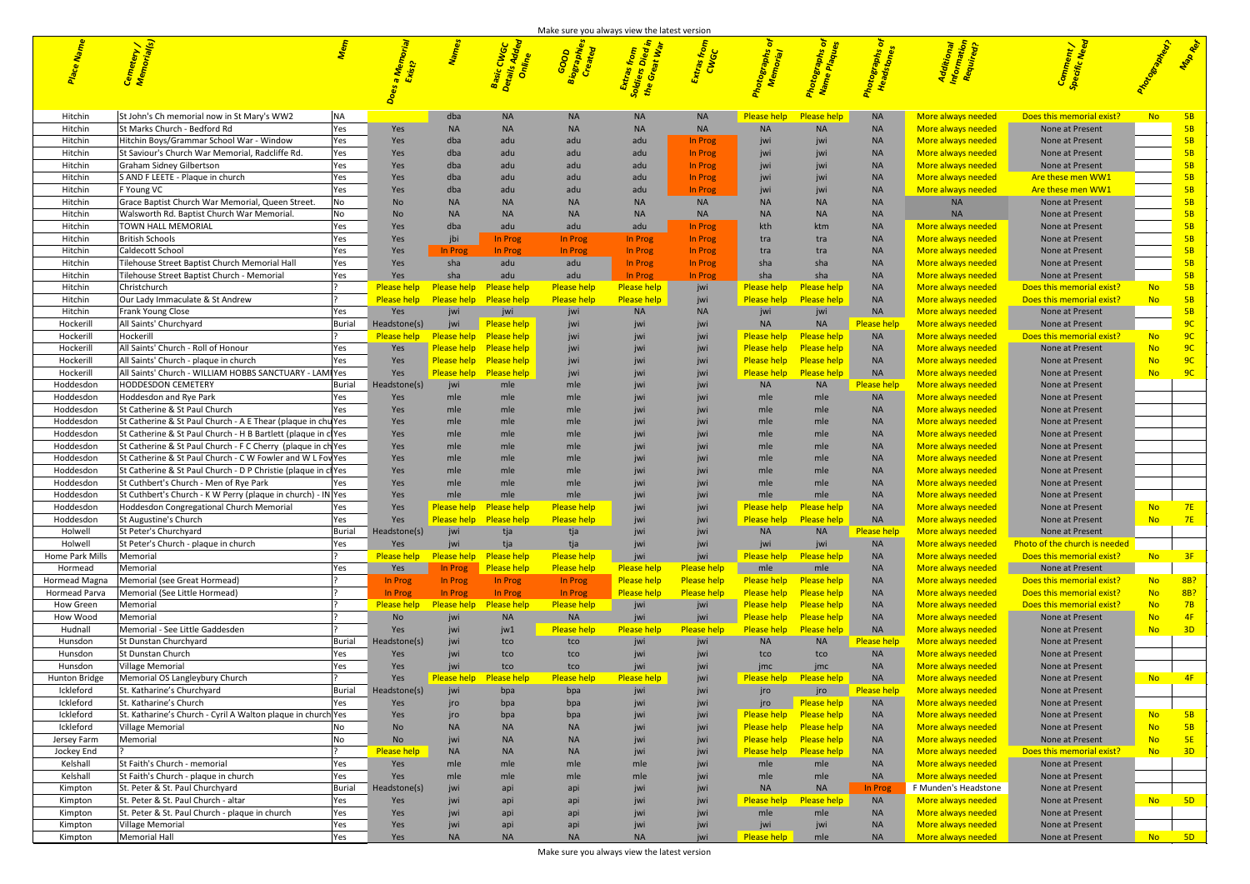|                                 |                                                                                                                            |               |                          |                           |                                 | Make sure you always view the latest version |                           |                    |                                    |                                          |                                 |                                                 |                                                        |                        |                 |  |
|---------------------------------|----------------------------------------------------------------------------------------------------------------------------|---------------|--------------------------|---------------------------|---------------------------------|----------------------------------------------|---------------------------|--------------------|------------------------------------|------------------------------------------|---------------------------------|-------------------------------------------------|--------------------------------------------------------|------------------------|-----------------|--|
|                                 |                                                                                                                            |               |                          |                           | is da<br>Sis da                 |                                              |                           | tras fro<br>CWGC   |                                    |                                          |                                 |                                                 |                                                        |                        |                 |  |
| Hitchin                         | St John's Ch memorial now in St Mary's WW2                                                                                 | <b>NA</b>     |                          | dba                       | <b>NA</b>                       | <b>NA</b>                                    | <b>NA</b>                 | <b>NA</b>          | Please help                        | <b>Please help</b>                       | <b>NA</b>                       | More always needed                              | Does this memorial exist                               | <b>No</b>              | 5B              |  |
| Hitchin                         | St Marks Church - Bedford Rd                                                                                               | Yes           | Yes                      | <b>NA</b>                 | <b>NA</b>                       | <b>NA</b>                                    | <b>NA</b>                 | <b>NA</b>          | <b>NA</b>                          | <b>NA</b>                                | <b>NA</b>                       | More always needed                              | None at Present                                        |                        | 5B              |  |
| Hitchin                         | Hitchin Boys/Grammar School War - Window                                                                                   | Yes           | Yes                      | dba                       | adu                             | adu                                          | adu                       | In Prog            |                                    |                                          | <b>NA</b>                       | More always needed                              | None at Present                                        |                        | <b>5B</b>       |  |
| Hitchin                         | St Saviour's Church War Memorial, Radcliffe Rd.                                                                            | Yes           | Yes                      | dba                       | adu                             | adu                                          | adu                       | In Prog            |                                    |                                          | <b>NA</b>                       | <u>More always needed</u>                       | None at Present                                        |                        | 5B              |  |
| Hitchin<br>Hitchin              | Graham Sidney Gilbertson<br>S AND F LEETE - Plaque in church                                                               | Yes<br>Yes    | Yes<br>Yes               | dba<br>dba                | adu<br>adu                      | adu<br>adu                                   | adu<br>adu                | In Prog<br>In Prog | jw                                 | jwi                                      | <b>NA</b><br><b>NA</b>          | More always needed<br><u>More always needed</u> | None at Present<br>Are these men WW1                   |                        |                 |  |
| Hitchin                         | F Young VC                                                                                                                 | Yes           | <b>Yes</b>               | dba                       | adu                             | adu                                          | adu                       | In Prog            | jwi                                | jwi                                      | <b>NA</b>                       | <u>More always needed</u>                       | Are these men WW1                                      |                        | <b>5B</b>       |  |
| Hitchin                         | Grace Baptist Church War Memorial, Queen Street.                                                                           | No            | No                       | <b>NA</b>                 | <b>NA</b>                       | <b>NA</b>                                    | <b>NA</b>                 | <b>NA</b>          | N/                                 | <b>NA</b>                                | <b>NA</b>                       | <b>NA</b>                                       | None at Present                                        |                        | 5B              |  |
| Hitchin                         | Walsworth Rd. Baptist Church War Memorial.                                                                                 | No            | No                       | $N_A$                     | <b>NA</b>                       | <b>NA</b>                                    | <b>NA</b>                 | <b>NA</b>          | <b>NA</b>                          | <b>NA</b>                                | <b>NA</b>                       | <b>NA</b>                                       | None at Present                                        |                        | 5B              |  |
| Hitchin                         | <b>TOWN HALL MEMORIAL</b>                                                                                                  | Yes           | Yes                      | dba                       | adu                             | adu                                          | adu                       | In Prog            | kth                                | ktm                                      | <b>NA</b>                       | More always needed                              | None at Present                                        |                        |                 |  |
| Hitchin<br>Hitchin              | <b>British Schools</b><br>Caldecott School                                                                                 | Yes<br>Yes    | Yes<br>Yes               | jbi<br>In Prog            | In Prog<br>In Prog              | In Prog<br>In Prog                           | In Prog<br>In Prog        | In Prog<br>In Prog | tra<br>tra                         | tra<br>tra                               | <b>NA</b><br><b>NA</b>          | More always needed<br>More always needed        | None at Present<br>None at Present                     |                        | -5B             |  |
| Hitchin                         | Tilehouse Street Baptist Church Memorial Hall                                                                              | Yes           | Yes                      | sha                       | adu                             | adu                                          | In Prog                   | In Prog            | sha                                | sha                                      | <b>NA</b>                       | More always needed                              | None at Present                                        |                        |                 |  |
| Hitchin                         | Tilehouse Street Baptist Church - Memorial                                                                                 | Yes           | Yes                      | sha                       | adu                             | adu                                          | In Prog                   | In Prog            | sha                                | sha                                      | <b>NA</b>                       | More always needed                              | None at Present                                        |                        | <b>5B</b>       |  |
| Hitchin                         | Christchurch                                                                                                               |               | <b>Please help</b>       | <b>Please help</b>        | <b>Please help</b>              | <b>Please help</b>                           | <b>Please help</b>        | jwi                | Please help                        | <b>Please help</b>                       | <b>NA</b>                       | More always needed                              | Does this memorial exist?                              | <b>No</b>              | <b>5B</b>       |  |
| Hitchin                         | Our Lady Immaculate & St Andrew                                                                                            |               | Please help              | <b>Please help</b>        | <b>Please help</b>              | <b>Please help</b>                           | <b>Please help</b>        | jwi                | <u>Please help-</u>                | <b>Please help</b>                       | <b>NA</b>                       | More always needed                              | Does this memorial exist?                              | <b>No</b>              | <b>5B</b><br>5B |  |
| Hitchin<br>Hockerill            | Frank Young Close<br>All Saints' Churchyard                                                                                | Yes<br>Burial | Yes<br>Headstone(s)      | jwi<br>jwi                | jwi<br><b>Please help</b>       | iwi                                          | <b>NA</b>                 | <b>NA</b><br>jwi   | jwi<br><b>NA</b>                   | jwi<br><b>NA</b>                         | <b>NA</b><br><b>Please help</b> | More always needed<br>More always needed        | None at Present<br>None at Present                     |                        | 9 <sup>c</sup>  |  |
| Hockerill                       | Hockerill                                                                                                                  |               | <u>Please help</u>       | Please help               | <b>Please help</b>              |                                              |                           | jwi                | <b>Please help</b>                 | <b>Please help</b>                       | <b>NA</b>                       | More always needed                              | Does this memorial exist?                              | <b>No</b>              | 9 <sub>C</sub>  |  |
| Hockerill                       | All Saints' Church - Roll of Honour                                                                                        | Yes           | Yes                      | <b>Please help</b>        | <b>Please help</b>              |                                              |                           | jwi                | <b>Please help</b>                 | <b>Please help</b>                       | <b>NA</b>                       | More always needed                              | None at Present                                        | <b>No</b>              | 9 <sub>C</sub>  |  |
| Hockerill                       | All Saints' Church - plaque in church                                                                                      | Yes           | Yes                      | <b>Please help</b>        | <b>Please help</b>              |                                              |                           | jwi                | Please help                        | <b>Please help</b>                       | <b>NA</b>                       | More always needed                              | None at Present                                        | <b>No</b>              | 9 <sup>c</sup>  |  |
| Hockerill                       | All Saints' Church - WILLIAM HOBBS SANCTUARY - LAMIYes<br><b>HODDESDON CEMETERY</b>                                        | Burial        | Yes                      | Please help               | <b>Please help</b>              | iwi                                          |                           | jw                 | Please help<br><b>NA</b>           | <b>Please help</b><br><b>NA</b>          | <b>NA</b>                       | More always needed                              | None at Present<br>None at Present                     | <b>No</b>              | 9 <sub>C</sub>  |  |
| Hoddesdon<br>Hoddesdon          | Hoddesdon and Rye Park                                                                                                     | Yes           | leadstone(s)<br>Yes      | jwi<br>mle                | mle<br>mle                      | mle<br>mle                                   |                           |                    | mle                                | mle                                      | <u>Please help</u><br><b>NA</b> | More always needed<br>More always needed        | None at Present                                        |                        |                 |  |
| Hoddesdon                       | St Catherine & St Paul Church                                                                                              |               | <b>Yes</b>               | mle                       | mle                             | mle                                          |                           |                    | mle                                | mle                                      | <b>NA</b>                       | More always needed                              | None at Present                                        |                        |                 |  |
| Hoddesdon                       | St Catherine & St Paul Church - A E Thear (plaque in chu Yes                                                               |               | Yes                      | mle                       | mle                             | mle                                          |                           |                    | mle                                | mle                                      | <b>NA</b>                       | More always needed                              | None at Present                                        |                        |                 |  |
| Hoddesdon                       | St Catherine & St Paul Church - H B Bartlett (plaque in clYes                                                              |               | Yes                      | mle                       | mle                             | mle                                          |                           |                    | mle                                | mle                                      | <b>NA</b>                       | More always needed                              | None at Present                                        |                        |                 |  |
| Hoddesdon<br>Hoddesdon          | St Catherine & St Paul Church - F C Cherry (plaque in ch Yes<br>St Catherine & St Paul Church - C W Fowler and W L Fov Yes |               | Yes<br>Yes               | mle<br>mle                | mle<br>mle                      | mle<br>mle                                   |                           |                    | mle<br>mle                         | mle<br>mle                               | <b>NA</b><br><b>NA</b>          | More always needed<br>More always needed        | None at Present<br>None at Present                     |                        |                 |  |
| Hoddesdon                       | St Catherine & St Paul Church - D P Christie (plaque in clyles                                                             |               | Yes                      | mle                       |                                 | mle                                          |                           |                    |                                    | mle                                      | <b>NA</b>                       | <u>More always needed</u>                       | None at Present                                        |                        |                 |  |
| Hoddesdon                       | St Cuthbert's Church - Men of Rye Park                                                                                     |               | Yes                      | mle                       |                                 | mle                                          |                           |                    |                                    | mle                                      | <b>NA</b>                       | <u>More always needed</u>                       | None at Present                                        |                        |                 |  |
| Hoddesdon                       | St Cuthbert's Church - K W Perry (plaque in church) - IN Yes                                                               |               | Yes                      |                           |                                 | mie                                          |                           | JW                 |                                    |                                          | <b>NA</b>                       | More always needed                              | None at Present                                        |                        |                 |  |
| Hoddesdon                       | Hoddesdon Congregational Church Memorial                                                                                   | Yes           | Yes                      | Please help               | <b>Please help</b>              | <b>Please help</b>                           | jw                        | jwi                | <b>Please help</b>                 | <b>Please help</b>                       | <b>NA</b>                       | More always needed                              | None at Present                                        | <b>No</b>              | 7E              |  |
| Hoddesdon<br>Holwell            | St Augustine's Church<br>St Peter's Churchyard                                                                             | Yes<br>Burial | Yes<br>Headstone(s)      |                           | Please help Please help         | <b>Please help</b>                           | jw                        | jwi<br>jw          | <b>Please help</b><br><b>NA</b>    | <b>Please help</b><br><b>NA</b>          | <b>NA</b><br>Please help        | More always needed<br>More always needed        | None at Present<br>None at Present                     | <b>No</b>              | 7E              |  |
| Holwell                         | St Peter's Church - plaque in church                                                                                       | Yes           | Yes                      | jwi<br>jwi                | tja<br>tja                      | tja<br>tja                                   |                           | jw                 | jwi                                | jwi                                      | <b>NA</b>                       | More always needed                              | hoto of the church is needed                           |                        |                 |  |
| Home Park Mills                 | Memorial                                                                                                                   |               | Please help              | Please help               | <b>Please help</b>              | <b>Please help</b>                           | jwi                       | jwi                | Please help                        | <b>Please help</b>                       | <b>NA</b>                       | More always needed                              | Does this memorial exist?                              | <b>No</b>              | $-3F$           |  |
| Hormead                         | Memorial                                                                                                                   | Yes           | Yes                      | In Prog                   | Please help                     | <b>Please help</b>                           | Please help               | <b>Please help</b> | mle                                | mle                                      | <b>NA</b>                       | More always needed                              | None at Present                                        |                        |                 |  |
| Hormead Magna                   | Memorial (see Great Hormead)                                                                                               |               | In Prog                  | In Prog                   | In Prog                         | In Prog                                      | <b>Please help</b>        | Please help        | Please help Please help            |                                          | <b>NA</b>                       | More always needed                              | Does this memorial exist?                              | <b>No</b>              | 8B?             |  |
| <b>Hormead Parva</b>            | Memorial (See Little Hormead)                                                                                              |               | In Prog                  | In Prog<br>lease help     | In Prog                         | In Prog                                      | <b>Please help</b>        | <b>Please help</b> | <b>Please help</b>                 | <b>Please help</b>                       | <b>NA</b>                       | More always needed                              | Does this memorial exist?<br>Does this memorial exist? | <b>No</b>              | 8B?<br>7B       |  |
| <b>How Green</b><br>How Wood    | Memorial<br>Memorial                                                                                                       |               | Please help<br><b>No</b> | jwi                       | <b>Please help</b><br><b>NA</b> | <b>Please help</b><br><b>NA</b>              | jwi<br>jwi                | jwi<br>jwi         | Please help<br><u>Please help-</u> | <b>Please help</b><br><b>Please help</b> | <b>NA</b><br><b>NA</b>          | More always needed<br>More always needed        | None at Present                                        | <b>No</b><br><b>No</b> | 4F              |  |
| Hudnall                         | Memorial - See Little Gaddesden                                                                                            |               | Yes                      | jwi                       | jw1                             | <b>Please help</b>                           | <u>Please help</u>        | <u>Please help</u> | Please help                        | <b>Please help</b>                       | <b>NA</b>                       | More always needed                              | None at Present                                        | <b>No</b>              | 3 <sub>C</sub>  |  |
| Hunsdon                         | St Dunstan Churchyard                                                                                                      | <b>Burial</b> | Headstone(s)             | jwi                       | tco                             | tco                                          | jwi                       | jwi                | <b>NA</b>                          | <b>NA</b>                                | <b>Please help</b>              | More always needed                              | None at Present                                        |                        |                 |  |
| Hunsdon                         | St Dunstan Church                                                                                                          | Yes           | Yes                      | jwi                       | tco                             | tco                                          |                           |                    | tco                                | tco                                      | <b>NA</b>                       | More always needed                              | None at Present                                        |                        |                 |  |
| Hunsdon<br><b>Hunton Bridge</b> | Village Memorial<br>Memorial OS Langleybury Church                                                                         | Yes           | Yes<br>Yes               | jwi<br><b>Please help</b> | tco<br><b>Please help</b>       | tco<br><b>Please help</b>                    | jwi<br><b>Please help</b> | jwi<br>jwi         | jmc<br>Please help                 | jmc<br><b>Please help</b>                | <b>NA</b>                       | More always needed<br>More always needed        | None at Present<br>None at Present                     | <b>No</b>              | $-4F$           |  |
| Ickleford                       | St. Katharine's Churchyard                                                                                                 | Burial        | Headstone(s              | jwi                       | bpa                             | bpa                                          | jwi                       | jwi                | jro                                | jro                                      | <b>NA</b><br>Please help        | More always needed                              | None at Present                                        |                        |                 |  |
| Ickleford                       | St. Katharine's Church                                                                                                     | Yes           | Yes                      | jro                       | bpa                             | bpa                                          | jw                        | jwi                | jro                                | Please help                              | <b>NA</b>                       | More always needed                              | None at Present                                        |                        |                 |  |
| Ickleford                       | St. Katharine's Church - Cyril A Walton plaque in church Yes                                                               |               | Yes                      | jro                       | bpa                             | bpa                                          | jw                        | jwi                | <b>Please help</b>                 | <b>Please help</b>                       | <b>NA</b>                       | More always needed                              | None at Present                                        | <b>No</b>              | 5B              |  |
| Ickleford                       | <b>Village Memorial</b>                                                                                                    | No            | <b>No</b>                | $N_A$                     | <b>NA</b>                       | <b>NA</b>                                    |                           | jwi                | <b>Please help</b>                 | <b>Please help</b>                       | <b>NA</b>                       | More always needed                              | None at Present                                        | <b>No</b>              | <b>5B</b>       |  |
| Jersey Farm                     | Memorial                                                                                                                   | No            | <b>No</b>                | jw                        | <b>NA</b>                       | <b>NA</b>                                    |                           | jwi                | <b>Please help</b>                 | <b>Please help</b>                       | <b>NA</b>                       | More always needed                              | None at Present                                        | <b>No</b>              | <b>5E</b>       |  |
| Jockey End<br>Kelshall          | St Faith's Church - memorial                                                                                               | Yes           | <u>Please he</u><br>Yes  | <b>NA</b><br>mle          | <b>NA</b><br>mle                | <b>NA</b><br>mle                             | mle                       | jwi<br>jw          | Please help<br>mle                 | Please help<br>mle                       | <b>NA</b><br><b>NA</b>          | More always needed<br>More always needed        | Does this memorial exist?<br>None at Present           | <b>No</b>              | 3 <sub>C</sub>  |  |
| Kelshall                        | St Faith's Church - plaque in church                                                                                       | Yes           | Yes                      | mle                       | mle                             | mle                                          | mle                       |                    | mle                                | mle                                      | <b>NA</b>                       | More always needed                              | None at Present                                        |                        |                 |  |
| Kimpton                         | St. Peter & St. Paul Churchyard                                                                                            | <b>Burial</b> | leadstone(s)             | jwi                       | api                             | api                                          |                           | jw                 | <b>NA</b>                          | <b>NA</b>                                | <b>In Prog</b>                  | F Munden's Headstone                            | None at Present                                        |                        |                 |  |
| Kimpton                         | St. Peter & St. Paul Church - altar                                                                                        | Yes           | Yes                      | iw                        | api                             | api                                          |                           | jwi                | <b>Please help</b>                 | ease help                                | <b>NA</b>                       | More always needed                              | None at Present                                        | <b>No</b>              | <b>5D</b>       |  |
| Kimpton                         | St. Peter & St. Paul Church - plaque in church                                                                             | Yes           | Yes                      | iw                        | api                             | api                                          |                           |                    | mle                                | mle                                      | <b>NA</b>                       | More always needed                              | None at Present                                        |                        |                 |  |
| Kimpton<br>Kimpton              | Village Memorial<br><b>Memorial Hall</b>                                                                                   | Yes           | Yes                      | jw<br><b>NA</b>           | api<br><b>NA</b>                | api<br><b>NA</b>                             | <b>NA</b>                 | iwi                | jwi<br><b>Please help</b>          | jwi<br>mle                               | <b>NA</b><br><b>NA</b>          | More always needed                              | None at Present<br>None at Present                     | No 5D                  |                 |  |
|                                 |                                                                                                                            | Yes           | Yes                      |                           |                                 |                                              |                           |                    |                                    |                                          |                                 | More always needed                              |                                                        |                        |                 |  |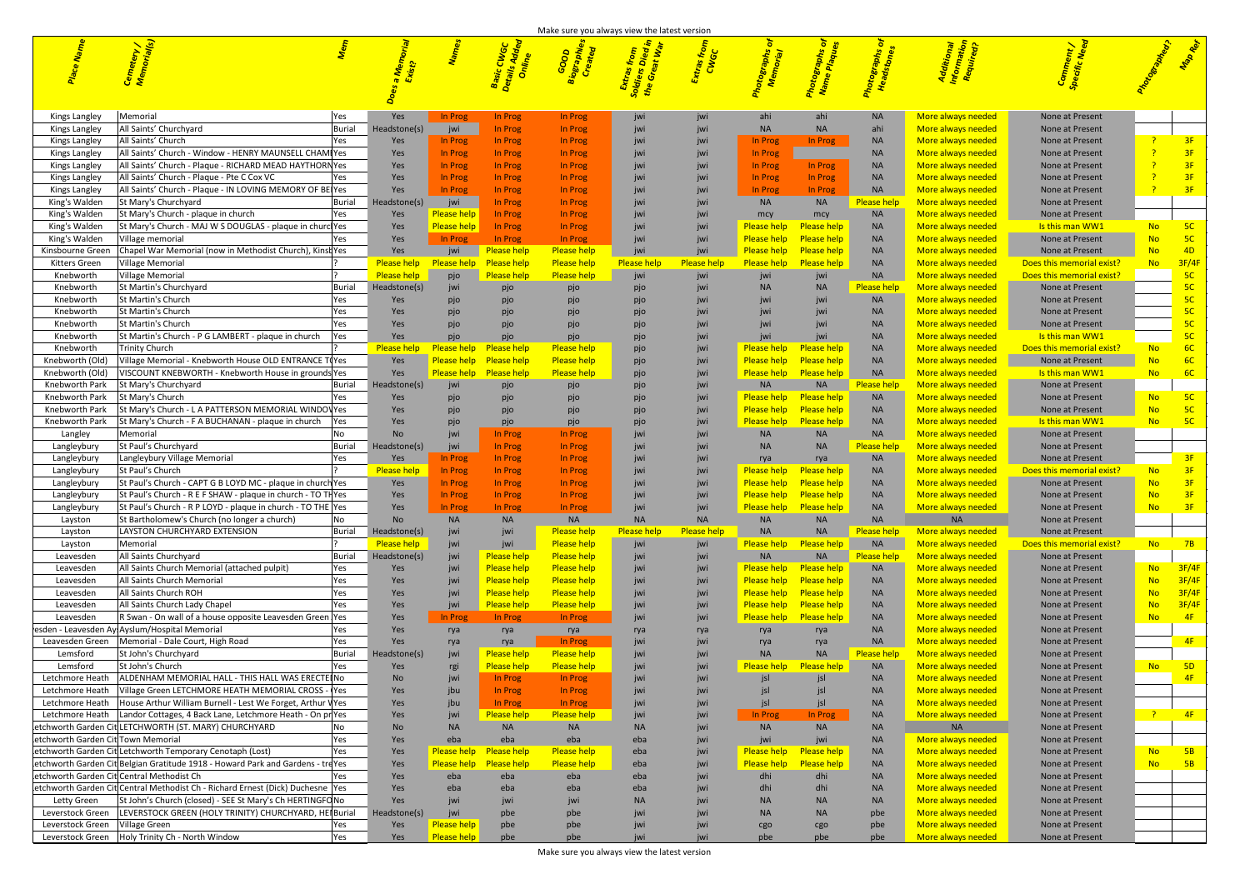|                                |                                                                                                                                      |               |                                          |                           |                                                      |                                          | Make sure you always view the latest version |                    |                                 |                                                                  |                    |                                                          |                                                        |                         |
|--------------------------------|--------------------------------------------------------------------------------------------------------------------------------------|---------------|------------------------------------------|---------------------------|------------------------------------------------------|------------------------------------------|----------------------------------------------|--------------------|---------------------------------|------------------------------------------------------------------|--------------------|----------------------------------------------------------|--------------------------------------------------------|-------------------------|
|                                |                                                                                                                                      |               |                                          |                           |                                                      |                                          | <mark>វិទាំង</mark><br>ស្រុ <mark>ះ</mark>   |                    |                                 |                                                                  |                    |                                                          |                                                        |                         |
| Kings Langley                  | Memorial                                                                                                                             | Yes           | Yes                                      | In Prog                   | <b>In Prog</b>                                       | In Prog                                  |                                              |                    | ahi                             | -ahi                                                             | -NA                | More always needed                                       | None at Present                                        |                         |
| Kings Langley                  | All Saints' Churchyard                                                                                                               | <b>Burial</b> | eadstone(s                               | jwi                       | In Prog                                              | In Prog                                  |                                              |                    | <b>NA</b>                       | N <sub>f</sub>                                                   | ahi                | More always needed                                       | None at Present                                        |                         |
| Kings Langley                  | All Saints' Church                                                                                                                   | lYes.         | Yes                                      | In Prog                   | In Prog                                              | In Prog                                  |                                              |                    | In Prog                         | <b>In Prog</b>                                                   | NA                 | <u>More always needed</u>                                | None at Present                                        | $-3F$                   |
| Kings Langley                  | All Saints' Church - Window - HENRY MAUNSELL CHAMIYes                                                                                |               | Yes                                      | n Prog                    | In Prog                                              | In Prog                                  |                                              |                    | In Prog                         |                                                                  |                    | <u> More always needed</u>                               | None at Present                                        |                         |
| Kings Langley                  | All Saints' Church - Plaque - RICHARD MEAD HAYTHORNYes                                                                               |               | Yes                                      | n Prog                    | In Prog                                              | In Prog                                  |                                              |                    | In Prog                         | <b>In Prog</b>                                                   |                    | <u>More always needed</u>                                | None at Present                                        |                         |
| Kings Langley                  | All Saints' Church - Plaque - Pte C Cox VC<br>All Saints' Church - Plaque - IN LOVING MEMORY OF BEIYes                               | Yes           | Yes<br>Yes                               | า Prog -                  | In Prog                                              | In Prog                                  |                                              |                    | In Prog<br>In Prog              | In Prog<br>In Prog                                               | NA.                | <u>More always needed</u>                                | None at Present<br>None at Present                     | R                       |
| Kings Langley<br>King's Walden | St Mary's Churchyard                                                                                                                 | Burial        | eadstone(s)                              | า Prog -<br>jwi           | In Prog<br>In Prog                                   | In Prog<br>In Prog                       |                                              |                    | <b>NA</b>                       | <b>NA</b>                                                        | <b>Please help</b> | <u> Aore always needed</u><br><u> Aore always needed</u> | None at Present                                        |                         |
| King's Walden                  | St Mary's Church - plaque in church                                                                                                  | Yes           | Yes                                      | <u>Please help</u>        | In Prog                                              | In Prog                                  |                                              |                    | mcy                             | mcy                                                              |                    | <u>More always needed</u>                                | None at Present                                        |                         |
| King's Walden                  | St Mary's Church - MAJ W S DOUGLAS - plaque in churclYes                                                                             |               |                                          | Please help               | In Prog                                              | In Prog                                  |                                              |                    | <b>Please help</b>              | <b>Please help</b>                                               |                    | <u>More always needed</u>                                | Is this man WW1                                        | - 50<br>No              |
| King's Walden                  | Village memorial                                                                                                                     | l Yes         |                                          | In Prog                   | In Prog                                              | In Prog                                  |                                              |                    |                                 | <b>Please help</b> Please help                                   |                    | More always needed                                       | None at Present                                        | $-50$                   |
| Kinsbourne Green               | Chapel War Memorial (now in Methodist Church), Kinst Yes                                                                             |               | Yes                                      | jwi                       | Please help                                          | <b>Please help</b>                       | iw                                           |                    | <b>Please help</b>              | <b>Please help</b>                                               |                    | <u>More always needed</u>                                | None at Present                                        | 4D                      |
| Kitters Green<br>Knebworth     | Village Memoria<br>Village Memorial                                                                                                  |               | <b>Please help</b><br><b>Please help</b> | <b>Please help</b><br>pjo | <b>Please help</b><br><u>Please help</u>             | <b>Please help</b><br><b>Please help</b> | <b>Please help</b><br>jwi                    | <b>Please help</b> | <b>Please help</b>              | <b>Please help</b><br>jwi                                        | <b>NA</b>          | <u>More always needed</u><br><u> More always needed</u>  | Does this memorial exist?<br>Does this memorial exist? | 3F/4F<br>5 <sub>C</sub> |
| Knebworth                      | St Martin's Churchyard                                                                                                               | Burial        | Headstone(s)                             |                           | pjo                                                  |                                          | pjo                                          |                    |                                 | <b>NA</b>                                                        | <b>Please help</b> | More always needed                                       | None at Present                                        | 5C                      |
| Knebworth                      | <b>St Martin's Church</b>                                                                                                            | Yes           | y es                                     |                           |                                                      |                                          |                                              |                    |                                 |                                                                  | <b>NA</b>          | <u>More always needed</u>                                | None at Present                                        | 5C                      |
| Knebworth                      | <b>St Martin's Church</b>                                                                                                            | Yes           | res                                      |                           |                                                      |                                          |                                              |                    |                                 |                                                                  |                    | <u>More always needed</u>                                | None at Present                                        | 5 <sub>C</sub>          |
| Knebworth                      | <b>St Martin's Church</b>                                                                                                            | Yes           | Yes                                      |                           |                                                      |                                          |                                              |                    |                                 |                                                                  |                    | <u>More always needed</u>                                | None at Present                                        |                         |
| Knebworth                      | St Martin's Church - P G LAMBERT - plaque in church                                                                                  | Yes           | Yes                                      |                           |                                                      |                                          |                                              |                    |                                 |                                                                  |                    | <u>More always needed</u>                                | <b>Is this man WW1</b>                                 |                         |
| Knebworth                      | <b>Trinity Church</b>                                                                                                                |               | <b>Please help</b>                       | <b>Please help</b>        | <b>Please help</b>                                   | <b>Please help</b>                       | pjo                                          |                    |                                 | <b>Please help</b> Please help                                   | - NA               | <u>More always needed</u>                                | Does this memorial exist?                              | <b>No</b>               |
| Knebworth (Old)                | Village Memorial - Knebworth House OLD ENTRANCE T(Yes<br>Knebworth (Old)   VISCOUNT KNEBWORTH - Knebworth House in grounds  Yes      |               | Yes                                      |                           | <u>Please help Please help</u><br><b>Please help</b> | <b>Please help</b>                       | pjo                                          |                    | Please help                     | <b>Please help</b><br><b>Please help</b>                         | NA                 | More always needed                                       | None at Present<br>Is this man WW1                     | - 60<br>No              |
|                                | Knebworth Park St Mary's Churchyard                                                                                                  | Burial        | Yes<br>Headstone(s                       | Please help -             | pjo                                                  | <u>Please help</u>                       | pjo<br>pjo                                   |                    | <b>Please help</b><br><b>NA</b> | <b>NA</b>                                                        | <b>Please help</b> | <u> More always needed</u><br>More always needed         | None at Present                                        |                         |
|                                | Knebworth Park St Mary's Church                                                                                                      | Yes           | y es                                     |                           |                                                      |                                          |                                              |                    | <b>Please help</b>              | <b>Please help</b>                                               | NA                 | <u>More always needed</u>                                | None at Present                                        | $-5C$<br>No             |
| Knebworth Park                 | St Mary's Church - L A PATTERSON MEMORIAL WINDOVYes                                                                                  |               |                                          |                           |                                                      |                                          |                                              |                    | Please help                     | <b>Please help</b>                                               |                    | <u>More always needed</u>                                | None at Present                                        | - 50                    |
|                                | Knebworth Park St Mary's Church - F A BUCHANAN - plaque in church                                                                    | - Yes         |                                          |                           |                                                      |                                          |                                              |                    | <b>Please help</b>              | <b>Please help</b>                                               |                    | <u>More always needed</u>                                | <u>Is this man WW1</u>                                 | $-50$<br>No             |
| Langley                        | Memorial                                                                                                                             | No            | No                                       |                           | In Prog                                              | In Prog                                  |                                              |                    | <b>NA</b>                       | N <sub>f</sub>                                                   |                    | More always needed                                       | None at Present                                        |                         |
| Langleybury                    | St Paul's Churchyard                                                                                                                 | Burial        | eadstone(s                               | iwi                       | In Prog                                              | In Prog                                  |                                              |                    | ΝA                              | N/                                                               | <b>Please help</b> | More always needed                                       | None at Present                                        |                         |
| Langleybury                    | Langleybury Village Memorial                                                                                                         | Yes           | Yes                                      | ı Prog                    | In Prog                                              | In Prog                                  |                                              |                    | rya                             | rya                                                              | <b>NA</b>          | More always needed                                       | None at Present                                        | R<br>$\overline{2}$     |
| Langleybury                    | St Paul's Church<br>St Paul's Church - CAPT G B LOYD MC - plaque in church Yes                                                       |               | <b>Please help</b><br>Yes                | In Prog<br>In Prog        | In Prog<br>In Prog                                   | In Prog<br>In Prog                       |                                              |                    |                                 | <b>Please help</b> Please help<br><b>Please help</b> Please help |                    | <u>More always needed-</u><br>More always needed         | Does this memorial exist?<br>None at Present           | N <sub>o</sub><br>-3F   |
| Langleybury<br>Langleybury     | St Paul's Church - R E F SHAW - plaque in church - TO TH Yes                                                                         |               | Yes                                      |                           | III PTUK                                             | I FIU≱                                   | 1.11                                         |                    | Please help                     | Please help                                                      | <b>NA</b>          | More always needed                                       | None at Present                                        | N <sub>1</sub>          |
| Langleybury                    | St Paul's Church - R P LOYD - plaque in church - TO THE Yes                                                                          |               | Yes                                      | In Prog                   | In Prog                                              | In Prog                                  | iwi                                          |                    |                                 | <b>Please help</b> Please help                                   | <b>NA</b>          | More always needed                                       | None at Present                                        | R<br><b>No</b>          |
| Layston                        | St Bartholomew's Church (no longer a church)                                                                                         | No            | <b>No</b>                                | <b>NA</b>                 | <b>NA</b>                                            | <b>NA</b>                                | <b>NA</b>                                    | <b>NA</b>          | <b>NA</b>                       | <b>NA</b>                                                        | $N_A$              | <b>NA</b>                                                | None at Present                                        |                         |
| Layston                        | LAYSTON CHURCHYARD EXTENSION                                                                                                         | <b>Burial</b> | Headstone(s)                             |                           | jwi                                                  | <b>Please help</b>                       | <b>Please help</b>                           | <b>Please help</b> | <b>NA</b>                       | <b>NA</b>                                                        | <b>Please help</b> | More always needed                                       | None at Present                                        |                         |
| Layston                        | Memorial                                                                                                                             |               | <b>Please help</b>                       | jwi                       | jwi                                                  | <b>Please help</b>                       | jwi                                          |                    |                                 | Please help Please help                                          | <b>NA</b>          | More always needed                                       | Does this memorial exist?                              | No <mark>7B</mark>      |
| Leavesden                      | <b>All Saints Churchyard</b>                                                                                                         | Burial        | Headstone(s                              | iwi                       | Please help                                          | <b>Please help</b>                       |                                              |                    | <b>NA</b>                       | <b>NA</b>                                                        | <b>Please help</b> | More always needed                                       | None at Present                                        |                         |
| Leavesden                      | All Saints Church Memorial (attached pulpit)                                                                                         | Yes           | Yes                                      |                           | <mark>Please help</mark>                             | <b>Please help</b>                       |                                              |                    |                                 | Please help Please help                                          | <b>NA</b>          | More always needed                                       | None at Present                                        | No 3F/4F                |
| Leavesden                      | <b>All Saints Church Memorial</b>                                                                                                    | Yes           | Yes                                      |                           | <u>Please help</u>                                   | <b>Please help</b>                       |                                              |                    |                                 | <b>Please help</b> Please help                                   | <b>NA</b>          | More always needed                                       | None at Present                                        | No 3F/4F                |
| Leavesden<br>Leavesden         | All Saints Church ROH<br>All Saints Church Lady Chapel                                                                               | Yes           | Yes                                      |                           | <u>Please help</u>                                   | <b>Please help</b><br><b>Please help</b> | iwi                                          |                    | Please help<br>Please help      | <b>Please help</b>                                               | - NA<br>- NA       | More always needed<br>More always needed                 | None at Present<br>None at Present                     | No 3F/4F<br>No 3F/4F    |
| Leavesden                      | R Swan - On wall of a house opposite Leavesden Green Yes                                                                             | Yes           | Yes<br>Yes                               | jwi<br>In Prog            | <u>lease hel</u><br>In Prog                          | In Prog                                  |                                              |                    | <b>Please help</b>              | <b>Please help</b><br>Please help                                | N <sub>A</sub>     | More always needed                                       | None at Present                                        | No<br>$-4F$             |
|                                | esden - Leavesden AysAyslum/Hospital Memorial                                                                                        | Yes           | Yes                                      | <b>rya</b>                | rya                                                  | rya                                      | rya                                          | rya                | rya                             | -rya                                                             |                    | More always needed                                       | None at Present                                        |                         |
|                                | Leavesden Green   Memorial - Dale Court, High Road                                                                                   | Yes           | Yes                                      | rya                       | rya                                                  | In Prog                                  |                                              |                    | rya                             | rya                                                              |                    | More always needed                                       | None at Present                                        | $-4F$                   |
| Lemsford                       | St John's Churchyard                                                                                                                 | Burial        | adstone (s                               | iwi                       | lease help                                           | Please help                              |                                              |                    | <b>NA</b>                       | <b>NA</b>                                                        | <b>Please help</b> | More always needed                                       | None at Present                                        |                         |
| Lemsford                       | St John's Church                                                                                                                     | l Yes         | Yes                                      |                           | Please help                                          | <b>Please help</b>                       |                                              |                    |                                 | Please help Please help                                          | <b>NA</b>          | More always needed                                       | None at Present                                        | No<br>$-5D$             |
| Letchmore Heath                | ALDENHAM MEMORIAL HALL - THIS HALL WAS ERECTEINO                                                                                     |               | No                                       |                           | In Prog                                              | In Prog                                  |                                              |                    |                                 |                                                                  |                    | More always needed                                       | None at Present                                        | 4F                      |
| Letchmore Heath                | Village Green LETCHMORE HEATH MEMORIAL CROSS - Yes                                                                                   |               | Yes                                      |                           | In Prog                                              | In Prog                                  |                                              |                    |                                 |                                                                  |                    | More always needed                                       | None at Present                                        |                         |
|                                | Letchmore Heath   House Arthur William Burnell - Lest We Forget, Arthur VYes                                                         |               | Yes                                      | jbu                       | In Prog                                              | In Prog<br>Please help                   |                                              |                    | <b>In Prog</b>                  |                                                                  |                    | More always needed                                       | None at Present                                        | $-4F$                   |
|                                | Letchmore Heath   Landor Cottages, 4 Back Lane, Letchmore Heath - On pr Yes<br>etchworth Garden Cit LETCHWORTH (ST. MARY) CHURCHYARD |               | Yes<br>No                                | jwi<br><b>NA</b>          | Please help<br><b>NA</b>                             |                                          |                                              |                    | <b>NA</b>                       | In Prog<br><b>NA</b>                                             |                    | <u>More always needed</u><br><b>NA</b>                   | None at Present<br>None at Present                     |                         |
|                                | etchworth Garden Cit Town Memorial                                                                                                   | Yes           | Yes                                      | eba                       | eba                                                  | eba                                      | eba                                          |                    |                                 | jw                                                               |                    | More always needed                                       | None at Present                                        |                         |
|                                | etchworth Garden Cit Letchworth Temporary Cenotaph (Lost)                                                                            | Yes           | Yes                                      | Please help               | <b>Please help</b>                                   | Please help                              | eba                                          |                    |                                 | Please help Please help                                          | NA                 | More always needed                                       | None at Present                                        | No 5B                   |
|                                | etchworth Garden Cit Belgian Gratitude 1918 - Howard Park and Gardens - tre Yes                                                      |               | Yes                                      | Please help               | <b>Please help</b>                                   | <u>Please help</u>                       | eba                                          |                    |                                 | Please help Please help                                          | - NA               | More always needed                                       | None at Present                                        | $-5B$<br>No             |
|                                | etchworth Garden Cit Central Methodist Ch                                                                                            | Yes           | Yes                                      | eba                       | eba                                                  | eba                                      | eba                                          |                    | dhi                             | dh                                                               |                    | More always needed                                       | None at Present                                        |                         |
|                                | etchworth Garden Cit Central Methodist Ch - Richard Ernest (Dick) Duchesne   Yes                                                     |               | Yes                                      | eba                       | eba                                                  |                                          | eba                                          |                    |                                 | -dh                                                              |                    | <u>More always needed</u>                                | None at Present                                        |                         |
| Letty Green                    | St John's Church (closed) - SEE St Mary's Ch HERTINGFO No                                                                            |               | Yes                                      |                           |                                                      |                                          |                                              |                    |                                 |                                                                  |                    | More always needed                                       | None at Present                                        |                         |
|                                | Leverstock Green LEVERSTOCK GREEN (HOLY TRINITY) CHURCHYARD, HEI Burial                                                              |               | eadstone(s)                              |                           |                                                      | pbe                                      |                                              |                    | NA                              | N <sub>f</sub>                                                   | pbe                | More always needed                                       | None at Present                                        |                         |
|                                | Leverstock Green   Village Green<br>Leverstock Green   Holy Trinity Ch - North Window                                                | Yes<br>Yes    | Yes                                      | <mark>lease help</mark>   | pbe<br>nh6                                           | pbe                                      |                                              |                    | cgo                             | cgo                                                              | pbe                | More always needed<br>lore always needed                 | None at Present<br>None at Present                     |                         |
|                                |                                                                                                                                      |               |                                          |                           |                                                      |                                          |                                              |                    |                                 |                                                                  |                    |                                                          |                                                        |                         |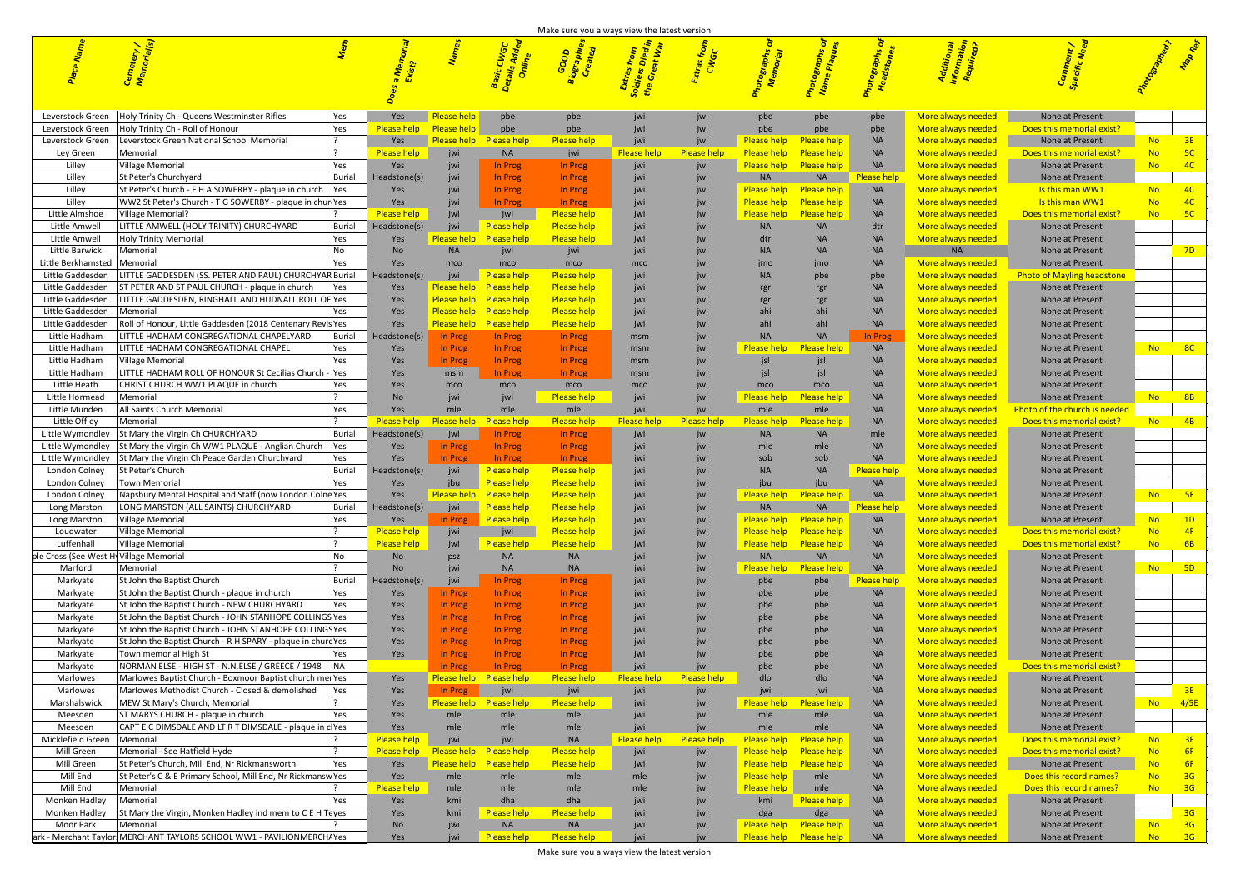| Information<br>Required?   | Com <sub>ment /</sub><br>Specific Need               | Processes Report | Map Ref        |
|----------------------------|------------------------------------------------------|------------------|----------------|
|                            |                                                      |                  |                |
|                            |                                                      |                  |                |
|                            |                                                      |                  |                |
| vays needed                | None at Present                                      |                  |                |
| vays needed                | Does this memorial exist?                            |                  |                |
| vays needed                | None at Present                                      | <b>No</b>        | 3E             |
| vays needed                | Does this memorial exist?                            | <b>No</b>        | 5C             |
| vays needed<br>vays needed | None at Present<br><b>None at Present</b>            | <b>No</b>        | 4C             |
| vays needed                | Is this man WW1                                      | <b>No</b>        | 4C             |
| vays needed                | Is this man WW1                                      | <b>No</b>        | 4C             |
| vays needed                | Does this memorial exist?                            | <b>No</b>        | 5 <sub>C</sub> |
| vays needed                | None at Present                                      |                  |                |
| vays needed                | None at Present                                      |                  |                |
| <b>NA</b>                  | None at Present                                      |                  | 7D             |
| vays needed<br>vays needed | None at Present<br><b>Photo of Mayling headstone</b> |                  |                |
| vays needed                | None at Present                                      |                  |                |
| vays needed                | None at Present                                      |                  |                |
| vays needed                | None at Present                                      |                  |                |
| vays needed                | None at Present                                      |                  |                |
| vays needed                | None at Present                                      |                  |                |
| vays needed                | None at Present                                      | <b>No</b>        | 8C             |
| vays needed                | None at Present                                      |                  |                |
| vays needed                | None at Present                                      |                  |                |
| vays needed<br>vays needed | None at Present<br>None at Present                   | <b>No</b>        | 8B             |
| vays needed                | <b>Photo of the church is needed</b>                 |                  |                |
| vays needed                | Does this memorial exist?                            | <b>No</b>        | 4B             |
| vays needed                | <b>None at Present</b>                               |                  |                |
| vays needed                | <b>None at Present</b>                               |                  |                |
| vays needed                | <b>None at Present</b>                               |                  |                |
| vays needed                | None at Present                                      |                  |                |
| vays needed                | None at Present                                      | <b>No</b>        | 5F             |
| vays needed<br>vays needed | <b>None at Present</b><br>None at Present            |                  |                |
| vays needed                | None at Present                                      | <b>No</b>        | 1D             |
| vays needed                | Does this memorial exist?                            | <b>No</b>        | 4F             |
| vays needed                | Does this memorial exist?                            | <b>No</b>        | 6B             |
| vays needed                | None at Present                                      |                  |                |
| vays needed                | None at Present                                      | <b>No</b>        | 5 <sub>D</sub> |
| vays needed                | <b>None at Present</b>                               |                  |                |
| vays needed                | <b>None at Present</b>                               |                  |                |
| vays needed<br>vays needed | <b>None at Present</b><br>None at Present            |                  |                |
| vays needed                | <b>None at Present</b>                               |                  |                |
| vays needed                | <b>None at Present</b>                               |                  |                |
| vays needed                | None at Present                                      |                  |                |
| vays needed                | Does this memorial exist?                            |                  |                |
| vays needed                | <b>None at Present</b>                               |                  |                |
| vays needed                | None at Present                                      |                  | 3E             |
| vays needed                | None at Present                                      | <b>No</b>        | 4/5E           |
| vays needed<br>vays needed | None at Present<br>None at Present                   |                  |                |
| vays needed                | Does this memorial exist?                            | <b>No</b>        | 3F             |
| vays needed                | Does this memorial exist?                            | <b>No</b>        | 6F             |
| vays needed                | None at Present                                      | <b>No</b>        | 6F             |
| vays needed                | Does this record names?                              | <b>No</b>        | 3 <sub>G</sub> |
| vays needed                | Does this record names?                              | <b>No</b>        | 3G             |
| vays needed                | <b>None at Present</b>                               |                  |                |
| vays needed                | <b>None at Present</b>                               |                  | 3G             |
| vays needed                | None at Present                                      | <b>No</b>        | 3 <sub>G</sub> |
| vays needed                | None at Present                                      | <b>No</b>        | 3 <sub>G</sub> |

|                                                                                |                    |                                |                                          | <b>DOOR STAR</b>   | is from<br>S Died<br>eat Wa |                    |                    |                                   |                     |                                       |                                      |                         |
|--------------------------------------------------------------------------------|--------------------|--------------------------------|------------------------------------------|--------------------|-----------------------------|--------------------|--------------------|-----------------------------------|---------------------|---------------------------------------|--------------------------------------|-------------------------|
|                                                                                |                    |                                |                                          |                    |                             |                    |                    |                                   |                     |                                       |                                      |                         |
|                                                                                |                    |                                |                                          |                    |                             |                    |                    |                                   |                     |                                       |                                      |                         |
|                                                                                |                    |                                |                                          |                    |                             |                    |                    |                                   |                     |                                       |                                      |                         |
|                                                                                |                    |                                |                                          |                    |                             |                    |                    |                                   |                     |                                       |                                      |                         |
| Leverstock Green   Holy Trinity Ch - Queens Westminster Rifles                 | Yes                | <b>Please help</b>             |                                          | pbe                |                             |                    |                    |                                   |                     | More always needed                    | None at Present                      |                         |
| Leverstock Green   Holy Trinity Ch - Roll of Honour                            |                    | <b>Please help Please help</b> | pbe                                      |                    |                             |                    |                    |                                   |                     | <u>More always needed</u>             | Does this memorial exist?            |                         |
| Leverstock Green   Leverstock Green National School Memorial                   |                    |                                | Yes Please help Please help              | <b>Please help</b> | jwi                         |                    | Please help        | <b>Please help</b>                | <b>NA</b>           | More always needed                    | None at Present                      |                         |
| Memorial<br>Ley Green                                                          | <b>Please help</b> |                                | - NA                                     |                    | <b>Please help</b>          | <b>Please help</b> |                    | <b>Please help Please help</b>    | <b>NA</b>           | More always needed                    | Does this memorial exist?            | <b>No</b>               |
| Village Memorial<br>Lilley                                                     | Yes                |                                | In Prog                                  | In Prog            |                             |                    |                    | Please help De Please help        | <b>NA</b>           | More always needed                    | None at Present                      | No.                     |
| St Peter's Churchyard<br>Burial<br>Lilley                                      | leadstone(s        |                                | In Prog                                  | In Prog            |                             |                    |                    | <b>NA</b>                         | Please help-        | More always needed                    | None at Present                      |                         |
| St Peter's Church - F H A SOWERBY - plaque in church<br>Lilley                 |                    |                                | In Prog                                  | In Prog            |                             |                    |                    | Please help Please help           | <b>NA</b>           | More always needed                    | Is this man WW1                      | No No<br>$-4C$          |
| WW2 St Peter's Church - T G SOWERBY - plaque in chur Yes<br>Lilley             | Yes                |                                | In Prog                                  | <b>In Prog</b>     |                             | jwi                |                    | <u>Please help - Please help-</u> | - NA                | <b>More always needed</b>             | <b>Is this man WW1</b>               | No No                   |
| Little Almshoe<br>Village Memorial?                                            | <b>Please help</b> | <b>iwi</b>                     | jwi                                      | <b>Please help</b> |                             |                    |                    | <u>Please help - Please help-</u> | - NA                | More always needed                    | Does this memorial exist?            | - No                    |
| LITTLE AMWELL (HOLY TRINITY) CHURCHYARD<br>Burial<br>Little Amwell             | Headstone(s)       | jwi                            | <b>Please help</b>                       | <b>Please help</b> |                             |                    |                    |                                   |                     | More always needed                    | None at Present                      |                         |
| Holy Trinity Memorial<br>Little Amwell                                         | Yes                |                                | <b>Please help</b> Please help           | <b>Please help</b> |                             |                    |                    |                                   |                     | More always needed                    | None at Present                      |                         |
| Little Barwick<br> Memorial                                                    |                    |                                |                                          |                    |                             |                    |                    |                                   |                     | <b>NA</b>                             | None at Present                      | 7D                      |
| Little Berkhamsted   Memorial                                                  |                    | mco                            | mco                                      | mco                | mco                         |                    |                    |                                   |                     | More always needed                    | None at Present                      |                         |
| LITTLE GADDESDEN (SS. PETER AND PAUL) CHURCHYAR Burial<br>Little Gaddesden     | eadstone(s)        | jwi                            | Please help                              | <b>Please help</b> |                             |                    |                    |                                   | pbe                 | More always needed                    | Photo of Mayling headstone           |                         |
| ST PETER AND ST PAUL CHURCH - plaque in church<br>Little Gaddesden             | Yes                |                                | <b>Please help</b> Please help           | <u>Please help</u> |                             |                    |                    |                                   |                     | More always needed                    | None at Present                      |                         |
|                                                                                | <b>Yes</b>         |                                |                                          |                    |                             |                    |                    |                                   |                     |                                       | None at Present                      |                         |
| LITTLE GADDESDEN, RINGHALL AND HUDNALL ROLL OF Yes<br>Little Gaddesden         |                    |                                | <b>Please help</b> Please help           | <b>Please help</b> |                             |                    |                    |                                   |                     | <u>More always neede</u>              |                                      |                         |
| Little Gaddesden   Memorial                                                    | Yes                |                                | <b>Please help</b> Please help           | <b>Please help</b> |                             |                    |                    |                                   |                     | <u>More always needed</u>             | None at Present                      |                         |
| Roll of Honour, Little Gaddesden (2018 Centenary Revis Yes<br>Little Gaddesden | Yes                |                                | <b>Please help</b> Please help           | <b>Please help</b> |                             |                    |                    |                                   | -NA                 | <u>More always neede</u>              | None at Present                      |                         |
| LITTLE HADHAM CONGREGATIONAL CHAPELYARD<br>Little Hadham<br>Burial             | eadstone(s)        | ן Prog                         | <b>In Prog</b>                           | In Prog            | msm                         |                    |                    |                                   |                     | More always neede                     | None at Present                      |                         |
| LITTLE HADHAM CONGREGATIONAL CHAPEL<br>Little Hadham                           | Yes                |                                | <b>In Prog</b>                           | In Prog            | msm                         |                    |                    | <b>Please help</b> Please help    | <b>NA</b>           | <b>More always needed</b>             | None at Present                      |                         |
| Little Hadham<br>Village Memorial                                              | Yes                | n Prog                         | In Prog                                  | <b>In Prog</b>     | msm                         |                    |                    |                                   |                     | <u>More always neede</u>              | None at Present                      |                         |
| LITTLE HADHAM ROLL OF HONOUR St Cecilias Church - Yes<br>Little Hadham         | Yes                | msm                            | In Prog                                  | In Prog            | msm                         |                    |                    |                                   |                     | <u>More always neede</u>              | None at Present                      |                         |
| CHRIST CHURCH WW1 PLAQUE in church<br>Little Heath                             |                    | mco                            |                                          | mco                | mco                         |                    | mco                | mco                               |                     | More always needed                    | None at Present                      |                         |
| Little Hormead<br><b>Memorial</b>                                              |                    |                                |                                          | <b>Please help</b> |                             |                    |                    | Please help Please help           | <b>NA</b>           | More always needed                    | None at Present                      | N <sub>0</sub><br>$-8B$ |
| Little Munden<br>  All Saints Church Memoria                                   | Yes                |                                | mle                                      | mle                |                             |                    | mle                | mle                               |                     | More always needed                    | <b>Photo of the church is needed</b> |                         |
| Little Offley<br>Memorial                                                      |                    |                                | Please help Please help Please help      | <b>Please help</b> | <b>Please help</b>          | <b>Please help</b> | <b>Please help</b> | <b>Please help</b>                | - NA                | More always needed                    | Does this memorial exist?            | $-4B$<br><b>No</b>      |
| Little Wymondley St Mary the Virgin Ch CHURCHYARD<br><b>Burial</b>             | Headstone(s)       | jwi                            | In Prog                                  | In Prog            |                             |                    |                    |                                   | mle                 | <b>More always needed</b>             | None at Present                      |                         |
| Little Wymondley St Mary the Virgin Ch WW1 PLAQUE - Anglian Church $\sqrt{2}$  | Yes                | In Prog                        | In Prog                                  | In Prog            |                             |                    |                    |                                   | -NA                 | More always needed                    | None at Present                      |                         |
| Little Wymondley St Mary the Virgin Ch Peace Garden Churchyard                 | Yes                |                                | In Prog                                  | In Prog            |                             |                    |                    |                                   | - NA                | <u>More always needed</u>             | None at Present                      |                         |
| St Peter's Church<br>Burial<br>London Colney                                   | eadstone(s)        | iwi                            | <b>Please help</b>                       | <b>Please help</b> |                             |                    |                    |                                   | <u>Please help-</u> | <b>More always needed</b>             | None at Present                      |                         |
| London Colney<br>Town Memorial                                                 |                    |                                | Please help                              | <b>Please help</b> |                             |                    |                    |                                   | <b>NA</b>           | <b>More always needed</b>             | None at Present                      |                         |
| Napsbury Mental Hospital and Staff (now London Colne Yes<br>London Colney      | <b>Yes</b>         |                                | <b>Please help</b> Please help           | <b>Please help</b> |                             |                    |                    | Please help Please help           | <b>NA</b>           | More always needed                    | None at Present                      | - 5F<br>No l            |
| Long Marston   LONG MARSTON (ALL SAINTS) CHURCHYARD<br>Burial                  |                    | jwi l                          | Please help                              | <b>Please help</b> |                             |                    | <b>NA</b>          | <b>NA</b>                         |                     | <b>Please help More always needed</b> | None at Present                      |                         |
| Long Marston<br>Village Memorial<br><b>IYes</b>                                | Yes                |                                | <b>Please help</b>                       | <b>Please help</b> | jwi                         | jwi                |                    | Please help Please help           | <b>NA</b>           | More always needed                    | None at Present                      | 1D<br><b>No</b>         |
| Village Memorial<br>Loudwater                                                  | Please help        | jwi                            | jwi                                      | <b>Please help</b> | jwi                         | jwi                |                    | Please help Please help           | <b>NA</b>           | More always needed                    | Does this memorial exist?            | $-4F$<br><b>No</b>      |
| <b>Village Memorial</b><br>Luffenhall                                          | <b>Please help</b> | jwi                            | <b>Please help</b>                       | <b>Please help</b> | iwi                         |                    |                    | <u>Please help - Please help-</u> | <b>NA</b>           | More always needed                    | Does this memorial exist?            | $-6B$<br>No.            |
|                                                                                |                    |                                |                                          |                    |                             |                    | <b>NA</b>          | <b>NA</b>                         |                     |                                       | None at Present                      |                         |
| ple Cross (See West Hy Village Memorial                                        | No                 |                                |                                          |                    |                             |                    |                    |                                   | <b>NA</b>           | More always needed                    |                                      | <b>No</b><br>$-5D$      |
| Marford<br>Memorial                                                            | <b>No</b>          |                                |                                          |                    |                             |                    | Please help        |                                   |                     | <u>More always needed</u>             | None at Present                      |                         |
| St John the Baptist Church<br><b>Burial</b><br>Markyate                        | leadstone(s)       |                                | In Prog                                  | In Prog            |                             |                    | pbe                | pbe                               | Please help         | More always needed                    | None at Present                      |                         |
| St John the Baptist Church - plaque in church<br>Markyate                      | Yes                | Prog                           | In Prog                                  | In Prog            |                             |                    | pbe                | obe                               | <b>NA</b>           | More always needed                    | None at Present                      |                         |
| St John the Baptist Church - NEW CHURCHYARD<br>Markyate                        | Yes                | n Prog                         | In Prog                                  | In Prog            |                             |                    | pbe                | obe                               | <b>NA</b>           | More always needed                    | None at Present                      |                         |
| St John the Baptist Church - JOHN STANHOPE COLLINGS Yes<br>Markyate            | Yes                | n Prog                         | In Prog                                  | In Prog            |                             |                    |                    |                                   | <b>NA</b>           | More always needed                    | None at Present                      |                         |
| St John the Baptist Church - JOHN STANHOPE COLLINGS Yes<br>Markyate            | Yes                | In Prog                        | In Prog                                  | In Prog            |                             |                    | pb6                | obe                               | <b>NA</b>           | <u>More always needed</u>             | None at Present                      |                         |
| St John the Baptist Church - R H SPARY - plaque in churd Yes<br>Markyate       | Yes                | In Prog                        | <b>In Prog</b>                           | In Prog            |                             |                    |                    |                                   | -NA                 | <u>More always needed</u>             | None at Present                      |                         |
| Town memorial High St<br>Markyate                                              | Yes                | n Prog                         | <b>In Prog</b>                           | In Prog            |                             |                    |                    |                                   | N/                  | <u>More always needed</u>             | None at Present                      |                         |
| NORMAN ELSE - HIGH ST - N.N.ELSE / GREECE / 1948 NA<br>Markyate                |                    | In Prog                        | <b>In Prog</b>                           | In Prog            | jwi                         |                    | pb6                |                                   |                     | More always needed                    | Does this memorial exist?            |                         |
| Marlowes Baptist Church - Boxmoor Baptist church mer Yes<br>Marlowes           |                    |                                | Yes <mark>Please help Please help</mark> | <b>Please help</b> | <b>Please help</b>          | <b>Please help</b> |                    |                                   |                     | More always needed                    | None at Present                      |                         |
| Marlowes Methodist Church - Closed & demolished<br>Marlowes                    | Yes                |                                | <b>o</b> jwi                             |                    |                             |                    |                    |                                   | N/                  | <u>More always needed</u>             | None at Present                      | 3E                      |
| MEW St Mary's Church, Memorial<br>Marshalswick                                 | Yes                |                                | <b>Please help</b> Please help           | <b>Please help</b> |                             |                    |                    | Please help De Please help        | <b>NA</b>           | More always needed                    | None at Present                      | 4/5E<br>No.             |
| ST MARYS CHURCH - plaque in church<br>Meesden                                  | Yes                |                                |                                          |                    |                             |                    |                    | mle                               | N/                  | More always needed                    | None at Present                      |                         |
| CAPT E C DIMSDALE AND LT R T DIMSDALE - plaque in clYes<br>Meesden             | Yes                |                                |                                          |                    |                             |                    | mle                |                                   |                     | <u>More always needed</u>             | None at Present                      |                         |
| Micklefield Green<br>Memorial                                                  | Please help        | iwi                            |                                          |                    | <b>Please hel</b>           | <b>Please he</b>   |                    | Please helt                       | <b>NA</b>           | <u>More always needed</u>             | Does this memorial exist? _          | $-3F$<br><b>No</b>      |
| Memorial - See Hatfield Hyde<br>Mill Green                                     |                    |                                | Please help Please help Please help      | <b>Please help</b> | jwi                         |                    |                    | Please help Please help           | <b>NA</b>           | More always needed                    | Does this memorial exist?            | $-6F$<br><b>No</b>      |
| Mill Green<br>St Peter's Church, Mill End, Nr Rickmansworth                    | Yes                |                                | Please help Please help                  | <b>Please help</b> | jwi                         |                    | <b>Please help</b> | <b>Please help</b>                | <b>NA</b>           | More always needed                    | None at Present<br><b>STATISTICS</b> |                         |
| St Peter's C & E Primary School, Mill End, Nr Rickmansw Yes<br>Mill End        | Yes                |                                |                                          |                    | mle                         |                    | Please help        | mle                               | <b>NA</b>           | More always needed                    | Does this record names?              | <b>No</b>               |
| Mill End<br>Memorial                                                           | Please help        | mle                            |                                          |                    | mle                         |                    | Please help        | mle                               | <b>NA</b>           | More always needed                    | Does this record names?              | $-36$<br>No.            |
| Monken Hadley<br>Memorial                                                      | Yes                | kmi                            | dha                                      | dha                |                             |                    | kmi                | lease help                        | <b>NA</b>           | More always needed                    | None at Present                      |                         |
|                                                                                |                    |                                |                                          |                    |                             |                    |                    |                                   |                     |                                       |                                      | 3 <sub>G</sub>          |
| St Mary the Virgin, Monken Hadley ind mem to C E H Teyes<br>Monken Hadley      | Yes                | kmi                            | <b>Please help</b>                       | <b>Please help</b> |                             |                    |                    | dga                               | <b>NA</b>           | More always needed                    | None at Present                      |                         |
| Moor Park<br>Memorial                                                          | <b>No</b>          |                                | <b>NA</b>                                | <b>NA</b>          |                             |                    | <b>Please help</b> | <b>Please help</b>                | <b>NA</b>           | More always needed                    | None at Present                      | <b>No</b>               |
| ark - Merchant Taylors MERCHANT TAYLORS SCHOOL WW1 - PAVILIONMERCHAYes         | Yes                |                                | Please help-                             | <b>Please help</b> |                             |                    |                    | Please help De Please help        | <b>NA</b>           | More always needed                    | None at Present                      |                         |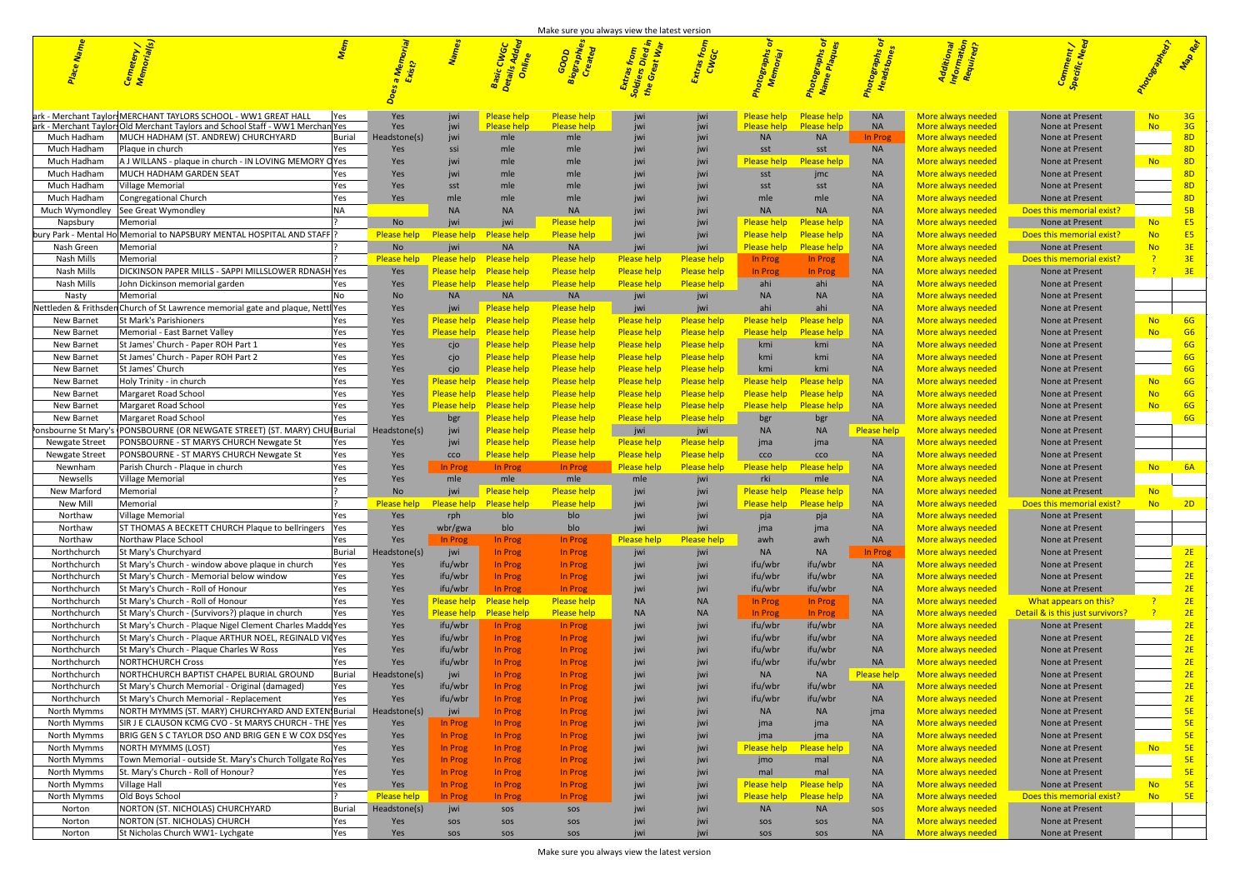| Additional<br>Information<br>Required? |                                                  | Thoracean Manus | <b>Map Ref</b> |
|----------------------------------------|--------------------------------------------------|-----------------|----------------|
|                                        |                                                  |                 |                |
|                                        |                                                  |                 |                |
|                                        | Com <sub>ment /</sub><br>Specific Need           |                 |                |
|                                        |                                                  |                 |                |
|                                        |                                                  |                 |                |
| always needed                          | <b>None at Present</b>                           | <b>No</b>       | 3G             |
| always needed<br>always needed         | <b>None at Present</b><br><b>None at Present</b> | No              | 3G<br>8D       |
| always needed                          | <b>None at Present</b>                           |                 | 8D             |
| always needed                          | None at Present                                  | <b>No</b>       | 8D             |
| always needed                          | None at Present                                  |                 | 8D             |
| always needed                          | <b>None at Present</b>                           |                 | 8D             |
| always needed                          | None at Present                                  |                 | 8D             |
| always needed                          | Does this memorial exist?                        |                 | 5B             |
| always needed                          | None at Present                                  | No              | E <sub>5</sub> |
| always needed                          | Does this memorial exist?                        | No              | E <sub>5</sub> |
| always needed                          | None at Present                                  | <b>No</b>       | 3E             |
| always needed                          | Does this memorial exist?                        | P               | 3E             |
| always needed                          | <b>None at Present</b>                           | P               | 3E             |
| always needed                          | <b>None at Present</b>                           |                 |                |
| always needed                          | <b>None at Present</b>                           |                 |                |
| always needed                          | <b>None at Present</b>                           |                 |                |
| always needed                          | <b>None at Present</b>                           | <b>No</b>       | 6G             |
| always needed                          | <b>None at Present</b>                           | No              | G <sub>6</sub> |
| always needed                          | <b>None at Present</b>                           |                 | 6G             |
| always needed                          | <b>None at Present</b>                           |                 | 6G             |
| always needed                          | None at Present                                  |                 | 6G             |
| always needed                          | <b>None at Present</b>                           | <b>No</b>       | 6G             |
| always needed                          | None at Present                                  | <b>No</b>       | 6G             |
| always needed                          | <b>None at Present</b>                           | No              | 6G             |
| always needed                          | <b>None at Present</b>                           |                 | 6G             |
| always needed                          | <b>None at Present</b>                           |                 |                |
| always needed                          | <b>None at Present</b>                           |                 |                |
| always needed                          | <b>None at Present</b>                           |                 |                |
| always needed                          | <b>None at Present</b>                           | <b>No</b>       | 6A             |
| always needed                          | <b>None at Present</b>                           |                 |                |
| always needed<br>always needed         | None at Present<br>Does this memorial exist?     | <b>No</b><br>No | 2D             |
| always needed                          | <b>None at Present</b>                           |                 |                |
| always needed                          | <b>None at Present</b>                           |                 |                |
| always needed                          | <b>None at Present</b>                           |                 |                |
| always needed                          | None at Present                                  |                 | 2E             |
| always needed                          | <b>None at Present</b>                           |                 | 2E             |
| always needed                          | <b>None at Present</b>                           |                 | 2E             |
| always needed                          | <b>None at Present</b>                           |                 | 2E             |
| always needed                          | What appears on this?                            | P               | 2E             |
| always needed                          | Detail & is this just survivors?                 | P               | 2E             |
| always needed                          | <b>None at Present</b>                           |                 | 2E             |
| always needed                          | <b>None at Present</b>                           |                 | 2E             |
| always needed                          | None at Present                                  |                 | 2E             |
| always needed                          | <b>None at Present</b>                           |                 | 2E             |
| always needed                          | None at Present                                  |                 | 2E             |
| always needed                          | <b>None at Present</b>                           |                 | 2E             |
| always needed                          | <b>None at Present</b>                           |                 | 2E             |
| always needed                          | <b>None at Present</b>                           |                 | <b>5E</b>      |
| always needed                          | <b>None at Present</b>                           |                 | <b>5E</b>      |
| always needed                          | <b>None at Present</b>                           |                 | <b>5E</b>      |
| always needed                          | <b>None at Present</b>                           | <b>No</b>       | <b>5E</b>      |
| always needed                          | None at Present                                  |                 | 5E             |
| always needed                          | <b>None at Present</b>                           |                 | <b>5E</b>      |
| always needed                          | <b>None at Present</b>                           | <b>No</b>       | <b>5E</b>      |
| always needed                          | Does this memorial exist?                        | <b>No</b>       | <b>5E</b>      |
| always needed                          | <b>None at Present</b>                           |                 |                |
| always needed                          | <b>None at Present</b>                           |                 |                |
| always needed                          | <b>None at Present</b>                           |                 |                |

| Eeded None at Present<br>Rome at Present<br>Rome at Present<br>None at Present                                                                                                                                                                                                                                                                                                                                                                                                                                                                                                                                                                                                                                                                                                                                            |  |
|---------------------------------------------------------------------------------------------------------------------------------------------------------------------------------------------------------------------------------------------------------------------------------------------------------------------------------------------------------------------------------------------------------------------------------------------------------------------------------------------------------------------------------------------------------------------------------------------------------------------------------------------------------------------------------------------------------------------------------------------------------------------------------------------------------------------------|--|
|                                                                                                                                                                                                                                                                                                                                                                                                                                                                                                                                                                                                                                                                                                                                                                                                                           |  |
|                                                                                                                                                                                                                                                                                                                                                                                                                                                                                                                                                                                                                                                                                                                                                                                                                           |  |
|                                                                                                                                                                                                                                                                                                                                                                                                                                                                                                                                                                                                                                                                                                                                                                                                                           |  |
|                                                                                                                                                                                                                                                                                                                                                                                                                                                                                                                                                                                                                                                                                                                                                                                                                           |  |
|                                                                                                                                                                                                                                                                                                                                                                                                                                                                                                                                                                                                                                                                                                                                                                                                                           |  |
| Much Hadham Congregational Church Yes<br>Much Wymondley See Great Wymondley<br>NA Napsbury Memorial<br>bury Park - Mental Ho Memorial to NAPSBURY MENTAL HOSPITAL AND STAFF?<br>Nash Green Memorial Prematal<br>Nash Mills Memorial                                                                                                                                                                                                                                                                                                                                                                                                                                                                                                                                                                                       |  |
|                                                                                                                                                                                                                                                                                                                                                                                                                                                                                                                                                                                                                                                                                                                                                                                                                           |  |
| <u>res</u> Yes me me me me jwi jwi r<br>NA NA NA NA jwi jwi jwi leta<br>Please help Please help Please help Please help Please help Please help jwi jwi Plea<br>Please help Please help Please help Please help jwi jwi Plea<br>Please help                                                                                                                                                                                                                                                                                                                                                                                                                                                                                                                                                                               |  |
|                                                                                                                                                                                                                                                                                                                                                                                                                                                                                                                                                                                                                                                                                                                                                                                                                           |  |
| <mark>ielp</mark> NA<br><mark>ielp</mark> NA<br>ig NA                                                                                                                                                                                                                                                                                                                                                                                                                                                                                                                                                                                                                                                                                                                                                                     |  |
|                                                                                                                                                                                                                                                                                                                                                                                                                                                                                                                                                                                                                                                                                                                                                                                                                           |  |
|                                                                                                                                                                                                                                                                                                                                                                                                                                                                                                                                                                                                                                                                                                                                                                                                                           |  |
| Example and a Present<br>Reded Book this memorial exist?<br>Reded Book this memorial exist?<br>Reded Book this memorial exist?<br>Reded None at Present<br>Reded None at Present<br>Nash Mills<br>Nash Mills<br>Nash Mills<br>Nash Mills<br>John Dickinson memorial garden<br>Nash Mills<br>John Dickinson memorial garden<br>Nettleden & Frithsden Church of St Lawrence memorial gate and plaque, Nettl Ye                                                                                                                                                                                                                                                                                                                                                                                                              |  |
|                                                                                                                                                                                                                                                                                                                                                                                                                                                                                                                                                                                                                                                                                                                                                                                                                           |  |
|                                                                                                                                                                                                                                                                                                                                                                                                                                                                                                                                                                                                                                                                                                                                                                                                                           |  |
|                                                                                                                                                                                                                                                                                                                                                                                                                                                                                                                                                                                                                                                                                                                                                                                                                           |  |
|                                                                                                                                                                                                                                                                                                                                                                                                                                                                                                                                                                                                                                                                                                                                                                                                                           |  |
|                                                                                                                                                                                                                                                                                                                                                                                                                                                                                                                                                                                                                                                                                                                                                                                                                           |  |
|                                                                                                                                                                                                                                                                                                                                                                                                                                                                                                                                                                                                                                                                                                                                                                                                                           |  |
|                                                                                                                                                                                                                                                                                                                                                                                                                                                                                                                                                                                                                                                                                                                                                                                                                           |  |
|                                                                                                                                                                                                                                                                                                                                                                                                                                                                                                                                                                                                                                                                                                                                                                                                                           |  |
|                                                                                                                                                                                                                                                                                                                                                                                                                                                                                                                                                                                                                                                                                                                                                                                                                           |  |
|                                                                                                                                                                                                                                                                                                                                                                                                                                                                                                                                                                                                                                                                                                                                                                                                                           |  |
| The Contract of Test of Test of Test of Test of Test of Test of Test of Test of Test of Test of Test of Test of Test of Test of Test of Test of Test of Test of Test of Test of Test of Test of Test of Test of Test of Test o<br>Please help kmi kmi NA I<br>Please help kmi kmi NA I<br>Please help Please help Please help NA I<br>Please help Please help NA I<br>Please help Please help NA I<br><b>d</b><br><b>ed</b><br><b>None at Present<br/> <b>led</b><br/> <b>None at Present<br/> <b>ded</b><br/> <b>None at Present</b><br/> <b>Rone at Present</b></b></b><br>New Barnet Margaret Road School<br>New Barnet Margaret Road School<br>New Barnet Margaret Road School<br>New Barnet Margaret Road School<br>Margaret Road School<br>Margaret Road School<br>Margaret Margaret Road School<br>Margaret Margar |  |
|                                                                                                                                                                                                                                                                                                                                                                                                                                                                                                                                                                                                                                                                                                                                                                                                                           |  |
|                                                                                                                                                                                                                                                                                                                                                                                                                                                                                                                                                                                                                                                                                                                                                                                                                           |  |
|                                                                                                                                                                                                                                                                                                                                                                                                                                                                                                                                                                                                                                                                                                                                                                                                                           |  |
|                                                                                                                                                                                                                                                                                                                                                                                                                                                                                                                                                                                                                                                                                                                                                                                                                           |  |
|                                                                                                                                                                                                                                                                                                                                                                                                                                                                                                                                                                                                                                                                                                                                                                                                                           |  |
|                                                                                                                                                                                                                                                                                                                                                                                                                                                                                                                                                                                                                                                                                                                                                                                                                           |  |
|                                                                                                                                                                                                                                                                                                                                                                                                                                                                                                                                                                                                                                                                                                                                                                                                                           |  |
| None at Present                                                                                                                                                                                                                                                                                                                                                                                                                                                                                                                                                                                                                                                                                                                                                                                                           |  |
|                                                                                                                                                                                                                                                                                                                                                                                                                                                                                                                                                                                                                                                                                                                                                                                                                           |  |
|                                                                                                                                                                                                                                                                                                                                                                                                                                                                                                                                                                                                                                                                                                                                                                                                                           |  |
|                                                                                                                                                                                                                                                                                                                                                                                                                                                                                                                                                                                                                                                                                                                                                                                                                           |  |
|                                                                                                                                                                                                                                                                                                                                                                                                                                                                                                                                                                                                                                                                                                                                                                                                                           |  |
|                                                                                                                                                                                                                                                                                                                                                                                                                                                                                                                                                                                                                                                                                                                                                                                                                           |  |
|                                                                                                                                                                                                                                                                                                                                                                                                                                                                                                                                                                                                                                                                                                                                                                                                                           |  |
|                                                                                                                                                                                                                                                                                                                                                                                                                                                                                                                                                                                                                                                                                                                                                                                                                           |  |
|                                                                                                                                                                                                                                                                                                                                                                                                                                                                                                                                                                                                                                                                                                                                                                                                                           |  |
|                                                                                                                                                                                                                                                                                                                                                                                                                                                                                                                                                                                                                                                                                                                                                                                                                           |  |
|                                                                                                                                                                                                                                                                                                                                                                                                                                                                                                                                                                                                                                                                                                                                                                                                                           |  |
|                                                                                                                                                                                                                                                                                                                                                                                                                                                                                                                                                                                                                                                                                                                                                                                                                           |  |
| <b>1974</b> Vis (no microsofte) Most analog principles (may be the line of the microsofte) and the microsofte in the microsofte in the microsofte in the microsofte in the microsofte in the microsofte in the microsofte in the<br>Note at Present<br>ded Does this memorial exist?<br>Mone at Present<br>Mone at Present<br>Mone at Present<br>Mone at Present<br>Mone at Present<br>Mone at Present<br>Mone at Present<br>ded Une at Present<br>ded Une at Present<br>Mat appears on                                                                                                                                                                                                                                                                                                                                   |  |
|                                                                                                                                                                                                                                                                                                                                                                                                                                                                                                                                                                                                                                                                                                                                                                                                                           |  |
|                                                                                                                                                                                                                                                                                                                                                                                                                                                                                                                                                                                                                                                                                                                                                                                                                           |  |
|                                                                                                                                                                                                                                                                                                                                                                                                                                                                                                                                                                                                                                                                                                                                                                                                                           |  |
|                                                                                                                                                                                                                                                                                                                                                                                                                                                                                                                                                                                                                                                                                                                                                                                                                           |  |
|                                                                                                                                                                                                                                                                                                                                                                                                                                                                                                                                                                                                                                                                                                                                                                                                                           |  |
|                                                                                                                                                                                                                                                                                                                                                                                                                                                                                                                                                                                                                                                                                                                                                                                                                           |  |
|                                                                                                                                                                                                                                                                                                                                                                                                                                                                                                                                                                                                                                                                                                                                                                                                                           |  |
|                                                                                                                                                                                                                                                                                                                                                                                                                                                                                                                                                                                                                                                                                                                                                                                                                           |  |
|                                                                                                                                                                                                                                                                                                                                                                                                                                                                                                                                                                                                                                                                                                                                                                                                                           |  |
|                                                                                                                                                                                                                                                                                                                                                                                                                                                                                                                                                                                                                                                                                                                                                                                                                           |  |
|                                                                                                                                                                                                                                                                                                                                                                                                                                                                                                                                                                                                                                                                                                                                                                                                                           |  |
| New Marford<br>New Marford Memorial<br>New Marford Memorial<br>New Marford Memorial<br>Northaw ST THOMAS A BECKETT CHURCH Plaque to bellringers<br>Northaw<br>Northaw Northaw Place School<br>Northchurch St Mary's Church - window above pl                                                                                                                                                                                                                                                                                                                                                                                                                                                                                                                                                                              |  |
|                                                                                                                                                                                                                                                                                                                                                                                                                                                                                                                                                                                                                                                                                                                                                                                                                           |  |
|                                                                                                                                                                                                                                                                                                                                                                                                                                                                                                                                                                                                                                                                                                                                                                                                                           |  |
|                                                                                                                                                                                                                                                                                                                                                                                                                                                                                                                                                                                                                                                                                                                                                                                                                           |  |
|                                                                                                                                                                                                                                                                                                                                                                                                                                                                                                                                                                                                                                                                                                                                                                                                                           |  |
|                                                                                                                                                                                                                                                                                                                                                                                                                                                                                                                                                                                                                                                                                                                                                                                                                           |  |
|                                                                                                                                                                                                                                                                                                                                                                                                                                                                                                                                                                                                                                                                                                                                                                                                                           |  |
|                                                                                                                                                                                                                                                                                                                                                                                                                                                                                                                                                                                                                                                                                                                                                                                                                           |  |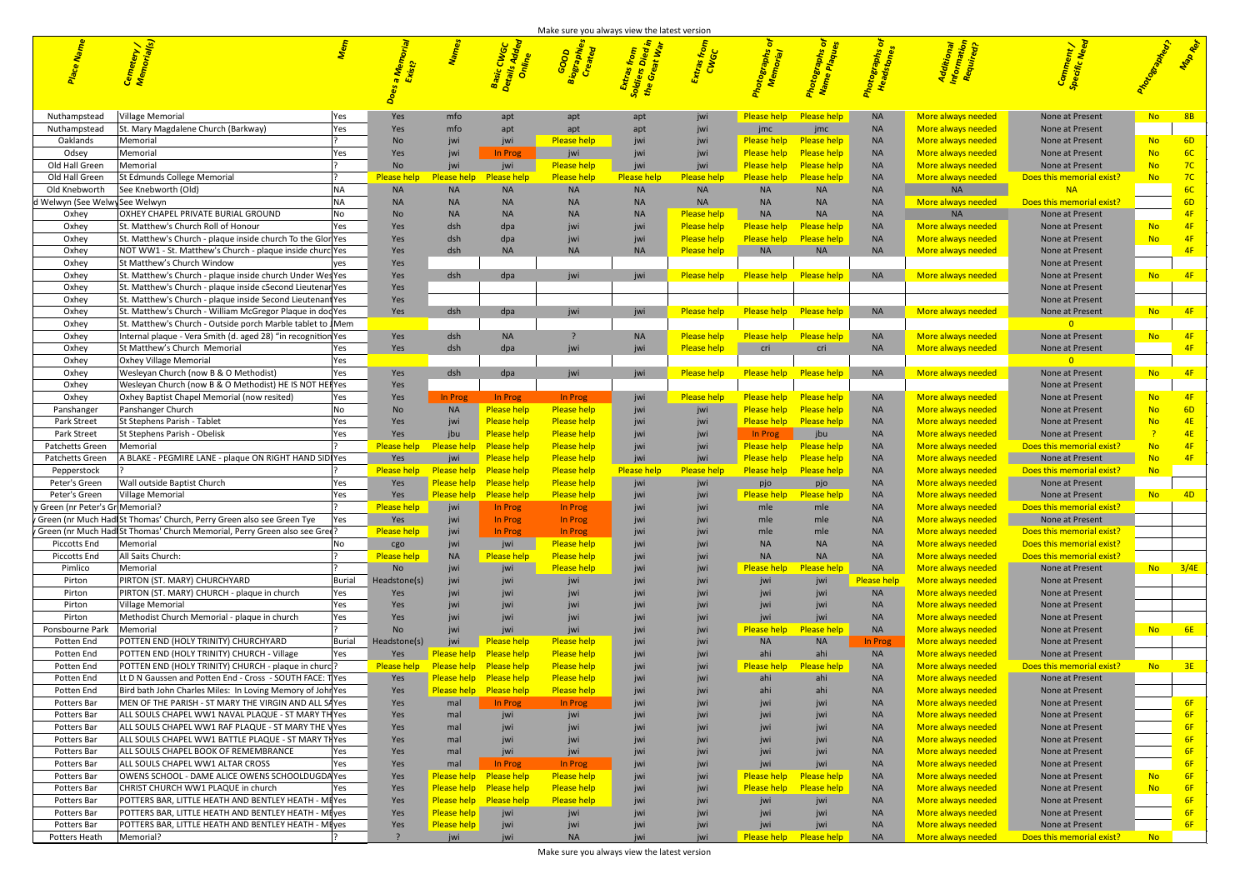| Make sure you always view the latest version |  |  |
|----------------------------------------------|--|--|
|                                              |  |  |

| Nuthampstead                                      | Village Memorial                                                                                                        | Yes                 | Yes                             | mfo                            | apt                           | apt                                      | apt                       | jwi                | Please help                       | <b>Please help</b>                | <b>NA</b>              | More always needed                       | None at Present                              | <b>No</b>              | 8B                               |
|---------------------------------------------------|-------------------------------------------------------------------------------------------------------------------------|---------------------|---------------------------------|--------------------------------|-------------------------------|------------------------------------------|---------------------------|--------------------|-----------------------------------|-----------------------------------|------------------------|------------------------------------------|----------------------------------------------|------------------------|----------------------------------|
| Nuthampstead                                      | St. Mary Magdalene Church (Barkway)                                                                                     | Yes                 | Yes                             | mfo                            | apt                           | apt                                      | apt                       | jwi                | jmc                               | jmc                               | <b>NA</b>              | More always needed                       | None at Present                              |                        |                                  |
| Oaklands                                          | Memorial                                                                                                                |                     | <b>No</b>                       | jwi                            | jwi                           | <b>Please help</b>                       | iw                        | jwi                | <b>Please help</b>                | <b>Please help</b>                | <b>NA</b>              | More always needed                       | None at Present                              | <b>No</b>              | 6D                               |
| Odsey                                             | Memorial                                                                                                                | Yes                 | Yes                             | jwi                            | <b>In Prog</b>                | jwi                                      |                           | jwi                | <b>Please help</b>                | <b>Please help</b>                | <b>NA</b>              | More always needed                       | None at Present                              | <b>No</b>              | 6C                               |
| Old Hall Green<br>Old Hall Green                  | Memorial<br>St Edmunds College Memorial                                                                                 | 12.                 | <b>No</b><br><b>Please help</b> | jwi<br>ease help               | jwi<br><b>Please help</b>     | <b>Please help</b><br><b>Please help</b> | jwi<br><b>Please help</b> | jwi<br>lease help  | Please help<br><b>Please help</b> | <b>Please help</b><br>Please help | <b>NA</b><br><b>NA</b> | More always needed<br>More always needed | None at Present<br>Does this memorial exist? | <b>No</b><br><b>No</b> | 7 <sub>C</sub><br>7 <sub>C</sub> |
| Old Knebworth                                     | See Knebworth (Old)                                                                                                     | <b>NA</b>           | <b>NA</b>                       | <b>NA</b>                      | <b>NA</b>                     | <b>NA</b>                                | <b>NA</b>                 | <b>NA</b>          | <b>NA</b>                         | <b>NA</b>                         | <b>NA</b>              | <b>NA</b>                                | <b>NA</b>                                    |                        | 6C                               |
| d Welwyn (See Welwy See Welwyn                    |                                                                                                                         | <b>NA</b>           | <b>NA</b>                       | <b>NA</b>                      | <b>NA</b>                     | <b>NA</b>                                | <b>NA</b>                 | <b>NA</b>          | <b>NA</b>                         | <b>NA</b>                         | <b>NA</b>              | More always needed                       | Does this memorial exist?                    |                        | <b>6D</b>                        |
| Oxhey                                             | OXHEY CHAPEL PRIVATE BURIAL GROUND                                                                                      | No                  | No                              | <b>NA</b>                      | <b>NA</b>                     | <b>NA</b>                                | <b>NA</b>                 | <b>Please help</b> | <b>NA</b>                         | <b>NA</b>                         | <b>NA</b>              | <b>NA</b>                                | None at Present                              |                        |                                  |
| Oxhey                                             | St. Matthew's Church Roll of Honour                                                                                     | Yes                 | Yes                             | dsh                            | dpa                           | jwi                                      | jwi                       | <b>Please help</b> | <b>Please help</b>                | <b>Please help</b>                | <b>NA</b>              | More always needed                       | None at Present                              | <b>No</b>              | 4F                               |
| Oxhey                                             | St. Matthew's Church - plaque inside church To the Glor Yes                                                             |                     | Yes                             | dsh                            | dpa                           | jwi                                      | jwi                       | <b>Please help</b> | <b>Please help</b>                | <b>Please help</b>                | <b>NA</b>              | More always needed                       | None at Present                              | <b>No</b>              | 4F                               |
| Oxhey                                             | NOT WW1 - St. Matthew's Church - plaque inside churclYes                                                                |                     | Yes                             | dsh                            | <b>NA</b>                     | <b>NA</b>                                | <b>NA</b>                 | Please help        | <b>NA</b>                         | <b>NA</b>                         | <b>NA</b>              | More always needed                       | None at Present                              |                        |                                  |
| Oxhey                                             | St Matthew's Church Window                                                                                              | yes                 | Yes                             |                                |                               |                                          | jwi                       |                    | Please help                       |                                   | <b>NA</b>              |                                          | None at Present                              |                        | 4F                               |
| Oxhey<br>Oxhey                                    | St. Matthew's Church - plaque inside church Under Wes Yes<br>St. Matthew's Church - plaque inside cSecond Lieutenar Yes |                     | Yes<br>Yes                      | dsh                            | dpa                           | jwi                                      |                           | Please help        |                                   | Please help                       |                        | More always needed                       | None at Present<br>None at Present           | No                     |                                  |
| Oxhey                                             | St. Matthew's Church - plaque inside Second Lieutenant Yes                                                              |                     | Yes                             |                                |                               |                                          |                           |                    |                                   |                                   |                        |                                          | None at Present                              |                        |                                  |
| Oxhey                                             | St. Matthew's Church - William McGregor Plaque in dod Yes                                                               |                     | Yes                             | dsh                            | dpa                           | jwi                                      | jwi                       | Please help        | Please help Please help           |                                   | <b>NA</b>              | More always needed                       | None at Present                              | No                     | 4F                               |
| Oxhey                                             | St. Matthew's Church - Outside porch Marble tablet to JMem                                                              |                     |                                 |                                |                               |                                          |                           |                    |                                   |                                   |                        |                                          | $\overline{\phantom{0}}$ 0                   |                        |                                  |
| Oxhey                                             | Internal plaque - Vera Smith (d. aged 28) "in recognition Yes                                                           |                     | Yes                             | dsh                            | <b>NA</b>                     |                                          | <b>NA</b>                 | Please help        | Please help Please help           |                                   | <b>NA</b>              | More always needed                       | None at Present                              | <b>No</b>              | 4F                               |
| Oxhey                                             | St Matthew's Church Memorial                                                                                            | Yes                 | Yes                             | dsh                            | dpa                           | jwi                                      | jwi                       | Please help        | cri                               | cri                               | <b>NA</b>              | More always needed                       | None at Present                              |                        | 4F                               |
| Oxhey                                             | <b>Oxhey Village Memorial</b>                                                                                           | Yes                 |                                 |                                |                               |                                          |                           |                    |                                   |                                   |                        |                                          |                                              |                        |                                  |
| Oxhey                                             | Wesleyan Church (now B & O Methodist)                                                                                   | Yes                 | Yes                             | dsh                            | dpa                           | jwi                                      | jwi                       | Please help        | Please help Please help           |                                   | <b>NA</b>              | More always needed                       | None at Present                              | No                     | $-4F$                            |
| Oxhey<br>Oxhey                                    | Wesleyan Church (now B & O Methodist) HE IS NOT HETYes                                                                  |                     | Yes                             | In Prog                        | In Prog                       | In Prog                                  | jwi                       | <b>Please help</b> | Please help Please help           |                                   | <b>NA</b>              | More always needed                       | None at Present<br>None at Present           | No                     | 4F                               |
| Panshanger                                        | Oxhey Baptist Chapel Memorial (now resited)<br>Panshanger Church                                                        | Yes<br>No           | Yes<br>No                       | <b>NA</b>                      | Please help                   | <b>Please help</b>                       | jwi                       | jwi                | <b>Please help</b>                | <b>Please help</b>                | <b>NA</b>              | More always needed                       | None at Present                              | <b>No</b>              | 6D                               |
| <b>Park Street</b>                                | St Stephens Parish - Tablet                                                                                             | Yes                 | Yes                             | iwi                            | <b>Please help</b>            | <b>Please help</b>                       | jwi                       | jwi                | <u>Please help-</u>               | <b>Please help</b>                | <b>NA</b>              | More always needed                       | None at Present                              | <b>No</b>              | 4E                               |
| <b>Park Street</b>                                | St Stephens Parish - Obelisk                                                                                            | Yes                 | Yes                             | jbu                            | <b>Please help</b>            | <b>Please help</b>                       |                           | jwi                | In Prog                           | jbu                               | <b>NA</b>              | More always needed                       | None at Present                              |                        | 4E                               |
| Patchetts Green                                   | Memorial                                                                                                                |                     | <b>Please help</b>              | <b>Please help</b>             | <b>Please help</b>            | <b>Please help</b>                       | jw                        | jwi                | Please help                       | <b>Please help</b>                | <b>NA</b>              | More always needed                       | Does this memorial exist?                    | <b>No</b>              | 4F                               |
| Patchetts Green                                   | A BLAKE - PEGMIRE LANE - plaque ON RIGHT HAND SIDIYes                                                                   |                     | Yes                             | jwi                            | <b>Please help</b>            | <b>Please help</b>                       | jwi                       | jwi                | <u>Please help</u>                | <b>Please help</b>                | <b>NA</b>              | More always needed                       | None at Present                              | <b>No</b>              | 4F                               |
| Pepperstock                                       |                                                                                                                         |                     | <b>Please help</b>              | Please help Please help        |                               | <b>Please help</b>                       | Please hel                | lease help         | Please help                       | <b>Please help</b>                | <b>NA</b>              | More always needed                       | Does this memorial exist?                    | <b>No</b>              |                                  |
| Peter's Green                                     | <b>Wall outside Baptist Church</b>                                                                                      | Yes                 | <b>Yes</b>                      |                                | Please help Please help       | <b>Please help</b>                       | jwi                       | jwi                | pjo                               | pjo                               | <b>NA</b>              | More always needed                       | None at Present                              |                        |                                  |
| Peter's Green<br>y Green (nr Peter's Gr Memorial? | Village Memorial                                                                                                        | Yes<br>$\mathsf{L}$ | Yes<br>Please help              | Please help Please help<br>jwi |                               | <b>Please help</b>                       | jwi                       | jwi                |                                   | Please help Please help<br>mle    | <b>NA</b>              | More always needed<br>More always needed | None at Present                              | <b>No</b>              | 4D                               |
|                                                   | Green (nr Much Hadl St Thomas' Church, Perry Green also see Green Tye                                                   | Yes                 | Yes                             | jwi                            | In Prog<br>In Prog            | In Prog<br>In Prog                       |                           |                    | mle                               | mle                               | <b>NA</b><br><b>NA</b> | More always needed                       | Does this memorial exist?<br>None at Present |                        |                                  |
|                                                   | Green (nr Much Hadl St Thomas' Church Memorial, Perry Green also see Gree?                                              |                     | <b>Please help</b>              | jwi                            | In Prog                       | In Prog                                  |                           |                    | mle                               | mle                               | <b>NA</b>              | More always needed                       | Does this memorial exist?                    |                        |                                  |
| Piccotts End                                      | Memorial                                                                                                                |                     | cgo                             | jwi                            | jwi                           | <b>Please help</b>                       |                           |                    |                                   | <b>NA</b>                         | <b>NA</b>              | More always needed                       | Does this memorial exist?                    |                        |                                  |
| <b>Piccotts End</b>                               | All Saits Church:                                                                                                       |                     | <b>Please help</b>              | <b>NA</b>                      | <b>Please help</b>            | <b>Please help</b>                       |                           | jwi                | <b>NA</b>                         | <b>NA</b>                         | <b>NA</b>              | More always needed                       | Does this memorial exist?                    |                        |                                  |
| Pimlico                                           | Memorial                                                                                                                |                     | No                              | jwi                            | jwi                           | <b>Please help</b>                       |                           | jwi                | Please help                       | <u>lease he</u>                   | <b>NA</b>              | More always needed                       | None at Present                              | <mark>No No</mark>     | 3/4E                             |
| Pirton                                            | PIRTON (ST. MARY) CHURCHYARD                                                                                            | <b>Burial</b>       | leadstone(s)                    | jwi                            | jw                            |                                          |                           |                    |                                   | jwi                               | Please hel             | More always needed                       | None at Present                              |                        |                                  |
| Pirton                                            | PIRTON (ST. MARY) CHURCH - plaque in church                                                                             | Yes                 | Yes                             |                                |                               |                                          |                           |                    |                                   |                                   | <b>NA</b>              | More always needed                       | None at Present                              |                        |                                  |
| Pirton                                            | Village Memorial                                                                                                        | Yes                 | Yes                             |                                |                               |                                          |                           |                    |                                   |                                   | <b>NA</b>              | More always needed                       | None at Present                              |                        |                                  |
| Pirton                                            | Methodist Church Memorial - plaque in church                                                                            | Yes                 | Yes                             |                                |                               |                                          |                           |                    |                                   |                                   | <b>NA</b>              | More always needed                       | None at Present                              |                        |                                  |
| Ponsbourne Park<br>Potten End                     | Memorial<br>POTTEN END (HOLY TRINITY) CHURCHYARD                                                                        | <b>Burial</b>       | <b>No</b>                       | iwi<br>jwi                     | jwi<br><b>Please help</b>     | jwi                                      |                           | jwi                | <b>Please help</b><br><b>NA</b>   | <b>Please help</b>                | <b>NA</b><br>In Prog   | More always needed                       | None at Present                              | No                     | 6E                               |
| Potten End                                        | POTTEN END (HOLY TRINITY) CHURCH - Village                                                                              | Yes                 | Headstone(s)<br>Yes             | Please help Please help        |                               | <b>Please help</b><br><b>Please help</b> |                           | jwi<br>jwi         | ahi                               | <b>NA</b><br>ahi                  | <b>NA</b>              | More always needed<br>More always needed | None at Present<br>None at Present           |                        |                                  |
| Potten End                                        | POTTEN END (HOLY TRINITY) CHURCH - plaque in churc?                                                                     |                     | <b>Please help</b>              | Please help Please help        |                               | <b>Please help</b>                       |                           | jwi                | Please help                       | lease help                        | <b>NA</b>              | More always needed                       | Does this memorial exist?_                   | No No                  | 3E                               |
| Potten End                                        | Lt D N Gaussen and Potten End - Cross - SOUTH FACE: T Yes                                                               |                     | Yes                             |                                | Please help Please help       | <b>Please help</b>                       |                           | jwi                | ahi                               | ahi                               | <b>NA</b>              | More always needed                       | None at Present                              |                        |                                  |
| Potten End                                        | Bird bath John Charles Miles: In Loving Memory of John Yes                                                              |                     | Yes                             |                                | Please help Please help       | <b>Please help</b>                       | jw                        | jwi                |                                   | ahi                               | <b>NA</b>              | More always needed                       | None at Present                              |                        |                                  |
| <b>Potters Bar</b>                                | MEN OF THE PARISH - ST MARY THE VIRGIN AND ALL SAYES                                                                    |                     | Yes                             | mal                            | In Prog                       | In Prog                                  |                           |                    |                                   |                                   | <b>NA</b>              | More always needed                       | None at Present                              |                        |                                  |
| <b>Potters Bar</b>                                | ALL SOULS CHAPEL WW1 NAVAL PLAQUE - ST MARY TH Yes                                                                      |                     | Yes                             | mal                            | jwi                           |                                          |                           |                    |                                   |                                   | <b>NA</b>              | More always needed                       | None at Present                              |                        |                                  |
| <b>Potters Bar</b>                                | ALL SOULS CHAPEL WW1 RAF PLAQUE - ST MARY THE VYes                                                                      |                     | Yes                             | mal                            |                               |                                          |                           |                    |                                   |                                   | <b>NA</b>              | More always needed                       | None at Present                              |                        |                                  |
| <b>Potters Bar</b>                                | ALL SOULS CHAPEL WW1 BATTLE PLAQUE - ST MARY THYes                                                                      |                     | Yes                             | mal                            | jw                            | jwi                                      |                           |                    |                                   |                                   | <b>NA</b>              | More always needed                       | None at Present                              |                        |                                  |
| Potters Bar                                       | ALL SOULS CHAPEL BOOK OF REMEMBRANCE                                                                                    | Yes                 | Yes                             | mal                            | iw                            | jwi                                      |                           |                    |                                   |                                   | <b>NA</b>              | More always needed                       | None at Present                              |                        |                                  |
| <b>Potters Bar</b><br><b>Potters Bar</b>          | ALL SOULS CHAPEL WW1 ALTAR CROSS<br>OWENS SCHOOL - DAME ALICE OWENS SCHOOLDUGDAYes                                      | Yes                 | Yes<br>Yes                      | mal<br><b>Please help</b>      | In Prog<br><b>Please help</b> | In Prog<br><b>Please help</b>            |                           | jwi<br>jwi         | jwi<br><b>Please help</b>         | iw<br>Please help                 | <b>NA</b><br><b>NA</b> | More always needed<br>More always needed | None at Present<br>None at Present           | <b>No</b>              | 6F<br>6F                         |
| Potters Bar                                       | CHRIST CHURCH WW1 PLAQUE in church                                                                                      | Yes                 | Yes                             |                                | Please help Please help       | <b>Please help</b>                       |                           | jwi                | Please help                       | Please help                       | <b>NA</b>              | More always needed                       | None at Present                              | <b>No</b>              | 6F                               |
| Potters Bar                                       | POTTERS BAR, LITTLE HEATH AND BENTLEY HEATH - MEYes                                                                     |                     | Yes                             |                                | Please help Please help       | <b>Please help</b>                       |                           |                    |                                   | jwi                               | <b>NA</b>              | More always needed                       | None at Present                              |                        |                                  |
| Potters Bar                                       | POTTERS BAR, LITTLE HEATH AND BENTLEY HEATH - MEyes                                                                     |                     | Yes                             | <b>Please help</b>             | jwi                           | jwi                                      |                           |                    |                                   |                                   | <b>NA</b>              | More always needed                       | None at Present                              |                        |                                  |
| <b>Potters Bar</b>                                | POTTERS BAR, LITTLE HEATH AND BENTLEY HEATH - MEyes                                                                     |                     | Yes                             | <b>Please help</b>             | jwi                           | jwi                                      |                           |                    |                                   |                                   | <b>NA</b>              | More always needed                       | None at Present                              |                        |                                  |
| Potters Heath                                     | Memorial?                                                                                                               |                     |                                 | iwi                            |                               | <b>NA</b>                                |                           | iwi                | <b>Please help</b>                | <b>Please help</b>                | <b>NA</b>              | More always needed                       | Does this memorial exist?                    | <b>No</b>              |                                  |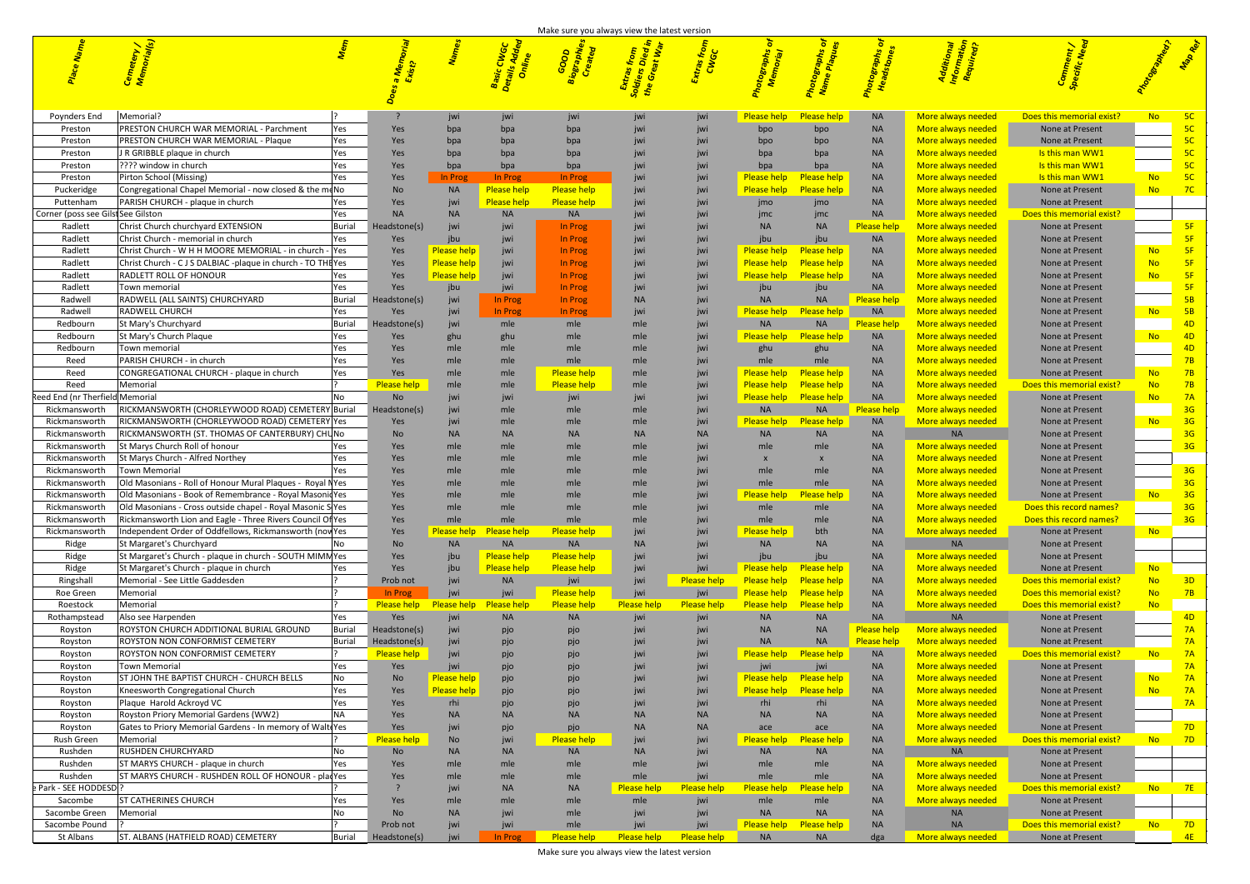|                                    |                                                                                            |               |                    |                             |                                      |                        | ividity sails you diways view the latest version |                               |                                 |                                    |                                       |                                          |                                    |                                    |
|------------------------------------|--------------------------------------------------------------------------------------------|---------------|--------------------|-----------------------------|--------------------------------------|------------------------|--------------------------------------------------|-------------------------------|---------------------------------|------------------------------------|---------------------------------------|------------------------------------------|------------------------------------|------------------------------------|
|                                    |                                                                                            |               |                    |                             |                                      |                        |                                                  |                               |                                 | tographs<br><sup>ne Plaq</sup> ues |                                       |                                          |                                    |                                    |
|                                    |                                                                                            |               |                    |                             |                                      |                        |                                                  | <sup>Sxtras</sup> fro<br>CWGC |                                 |                                    |                                       |                                          |                                    |                                    |
|                                    |                                                                                            |               |                    |                             |                                      |                        | tras fr<br><sup>Mers Di</sup><br>Great           |                               |                                 |                                    |                                       |                                          |                                    |                                    |
|                                    |                                                                                            |               |                    |                             |                                      |                        |                                                  |                               |                                 |                                    |                                       |                                          |                                    |                                    |
|                                    |                                                                                            |               |                    |                             |                                      |                        |                                                  |                               |                                 |                                    |                                       |                                          |                                    |                                    |
| Poynders End                       | Memorial?                                                                                  |               |                    | JWI                         | jwi                                  | JWI                    |                                                  | jwi                           | lease help                      | lease help                         | <b>NA</b>                             | More always needed                       | Does this memorial exist?          | No.<br>5C                          |
| Preston                            | PRESTON CHURCH WAR MEMORIAL - Parchment                                                    | Yes           | Yes                | bpa                         | bpa                                  | bpa                    |                                                  |                               | bpo                             | bpo                                | <b>NA</b>                             | More always needed                       | None at Present                    | 5C                                 |
| Preston                            | <b>PRESTON CHURCH WAR MEMORIAL - Plaque</b>                                                | Yes           | Yes                | bpa                         | bpa                                  | bpa                    |                                                  |                               | bpo                             | bpo                                | <b>NA</b>                             | More always needed                       | None at Present                    | 5C                                 |
| Preston                            | J R GRIBBLE plaque in church                                                               | Yes           | Yes                | bpa                         | bpa                                  | bpa                    |                                                  |                               |                                 | bpa                                | <b>NA</b>                             | More always needed                       | Is this man WW1                    | 5 <sub>C</sub>                     |
| Preston                            | ???? window in church                                                                      | Yes           | Yes                | bpa                         | bpa                                  | bpa                    |                                                  | jwi                           | bpa                             | bpa                                | <b>NA</b>                             | More always needed                       | Is this man WW1                    | 5 <sub>0</sub>                     |
| Preston                            | Pirton School (Missing)                                                                    | Yes           | Yes                | In Prog<br><b>NA</b>        | <b>In Prog</b><br><b>Please help</b> | In Prog<br>Please help | iwi<br>jwi                                       | jwi                           | <b>Please help</b>              | Please help<br>Please help         | <b>NA</b>                             | More always needed                       | Is this man WW1                    | <b>No</b><br>5C<br><b>No</b><br>7C |
| Puckeridge<br>Puttenham            | Congregational Chapel Memorial - now closed & the meNo<br>PARISH CHURCH - plaque in church |               | No<br>Yes          |                             | <b>Please help</b>                   | Please help            | jwi                                              | jwi<br>jwi                    | <u>Please help</u>              | jmo                                | <b>NA</b><br><b>NA</b>                | More always needed<br>More always needed | None at Present<br>None at Present |                                    |
| Corner (poss see Gilst See Gilston |                                                                                            | Yes<br>Yes    | <b>NA</b>          | jwi<br><b>NA</b>            | <b>NA</b>                            | <b>NA</b>              |                                                  |                               | jmo                             | jmc                                | <b>NA</b>                             | More always needed                       | Does this memorial exist?          |                                    |
| Radlett                            | Christ Church churchyard EXTENSION                                                         | Burial        | Headstone(s)       | jw                          | jwi                                  | In Prog                |                                                  |                               |                                 | <b>NA</b>                          | <u>Please help</u>                    | More always needed                       | None at Present                    | 5F                                 |
| Radlett                            | Christ Church - memorial in church                                                         | Yes           | Yes                | jbu                         | jwi                                  | In Prog                |                                                  | jwi                           | jbu                             | jbu                                | <b>NA</b>                             | More always needed                       | None at Present                    | 5F                                 |
| Radlett                            | Christ Church - W H H MOORE MEMORIAL - in church - Yes                                     |               | Yes                | Please help                 | jwi                                  | In Prog                |                                                  | jwi                           | <b>Please help</b>              | <b>Please help</b>                 | <b>NA</b>                             | More always needed                       | None at Present                    | 5F<br><b>No</b>                    |
| Radlett                            | Christ Church - C J S DALBIAC -plaque in church - TO THEYes                                |               | Yes                | <b>Please help</b>          | jwi                                  | In Prog                |                                                  | jwi                           | <u>Please help</u>              | <b>Please help</b>                 | <b>NA</b>                             | More always needed                       | None at Present                    | 5F<br>No                           |
| Radlett                            | <b>RADLETT ROLL OF HONOUR</b>                                                              | Yes           | Yes                | <b>Please help</b>          | jwi                                  | In Prog                |                                                  | jwi                           | <u>Please help-</u>             | <b>Please help</b>                 | <b>NA</b>                             | More always needed                       | None at Present                    | <b>No</b><br>5F                    |
| Radlett                            | Town memorial                                                                              | Yes           | Yes                | jbu                         | jwi                                  | In Prog                |                                                  | jwi                           | jbu                             | jbu                                | <b>NA</b>                             | More always needed                       | None at Present                    | 5F                                 |
| Radwell                            | RADWELL (ALL SAINTS) CHURCHYARD                                                            | Burial        | leadstone(s)       | jwi                         | In Prog                              | In Prog                | <b>NA</b>                                        | jwi                           | <b>NA</b>                       | <b>NA</b>                          | <b>Please help</b>                    | More always needed                       | None at Present                    | 5B                                 |
| Radwell                            | <b>RADWELL CHURCH</b>                                                                      | Yes           | Yes                | jwi                         | In Prog                              | In Prog                | jwi                                              | jwi                           | <b>Please help</b>              | <b>Please help</b>                 | <b>NA</b>                             | More always needed                       | None at Present                    | <b>No</b><br>5B                    |
| Redbourr                           | St Mary's Churchyard                                                                       | Burial        | Headstone(s)       | jwi                         | mle                                  | mle                    | mle                                              | jwi                           | <b>NA</b>                       | <b>NA</b>                          | <u>Please help</u>                    | More always needed                       | None at Present                    | 4D                                 |
| Redbourr                           | St Mary's Church Plaque                                                                    | Yes           | Yes                | ghu                         | ghu                                  | mle                    | mle                                              | jwi                           | <b>Please help</b>              | lease help                         | <b>NA</b>                             | More always needed                       | None at Present                    | <b>No</b><br>4D                    |
| Redbourr                           | Town memorial                                                                              | Yes           | Yes                | mle                         | mle                                  | mle                    | mle                                              | jwi                           | ghu                             | ghu                                | <b>NA</b>                             | More always needed                       | None at Present                    | 4 <sub>0</sub>                     |
| Reed                               | PARISH CHURCH - in church                                                                  | Yes           | Yes                | mle                         | mle                                  | mle                    | mle                                              | jwi                           | mle                             | mle                                | <b>NA</b>                             | More always needed                       | None at Present                    | 7B                                 |
| Reed                               | CONGREGATIONAL CHURCH - plaque in church                                                   | Yes           | Yes                | mle                         | mle                                  | Please help            | mle                                              | jwi                           | <b>Please help</b>              | Please help                        | <b>NA</b>                             | More always needed                       | None at Present                    | No<br>7B                           |
| Reed                               | Memorial                                                                                   |               | <b>Please help</b> | mle                         | mle                                  | Please help            | mle                                              | jwi                           | <u>Please help</u>              | <b>Please help</b>                 | <b>NA</b>                             | More always needed                       | Does this memorial exist?          | <b>No</b><br>7B                    |
| Reed End (nr Therfield Memorial    | RICKMANSWORTH (CHORLEYWOOD ROAD) CEMETERY Burial                                           |               | No<br>Headstone(s) | iw                          | jwi<br>mle                           | jwi<br>mle             | iwi<br>mle                                       | jwi                           | <u>Please help</u><br><b>NA</b> | <b>Please help</b><br><b>NA</b>    | <b>NA</b><br><mark>Please help</mark> | More always needed                       | None at Present<br>None at Present | <b>No</b><br>7A<br>3 <sub>G</sub>  |
| Rickmansworth<br>Rickmansworth     | RICKMANSWORTH (CHORLEYWOOD ROAD) CEMETERY Yes                                              |               | Yes                |                             | mle                                  | mle                    | mle                                              | jwi<br>jwi                    | <b>Please help</b>              | <b>Please help</b>                 | <b>NA</b>                             | More always needed<br>More always needed | None at Present                    | 3G<br><b>No</b>                    |
| Rickmansworth                      | RICKMANSWORTH (ST. THOMAS OF CANTERBURY) CHUNO                                             |               | <b>No</b>          | <b>NA</b>                   | <b>NA</b>                            | <b>NA</b>              | <b>NA</b>                                        | <b>NA</b>                     | <b>NA</b>                       | <b>NA</b>                          | <b>NA</b>                             | <b>NA</b>                                | None at Present                    | 3 <sub>G</sub>                     |
| Rickmansworth                      | St Marys Church Roll of honour                                                             | Yes           | Yes                | mle                         | mle                                  | mle                    | mle                                              |                               |                                 | mle                                | <b>NA</b>                             | More always needed                       | None at Present                    | 3G                                 |
| Rickmansworth                      | St Marys Church - Alfred Northey                                                           | Yes           | Yes                | mle                         | mle                                  | mle                    | mle                                              |                               |                                 |                                    | <b>NA</b>                             | More always needed                       | None at Present                    |                                    |
| Rickmansworth                      | Town Memorial                                                                              | Yes           | Yes                | mle                         | mle                                  | mle                    | mle                                              |                               |                                 | mle                                | <b>NA</b>                             | More always needed                       | None at Present                    | $-3G$                              |
| Rickmansworth                      | Old Masonians - Roll of Honour Mural Plaques - Royal NYes                                  |               | Yes                | $m$ <sub>I</sub> $\epsilon$ | mle                                  |                        | mle                                              | jwi                           | mle                             | mle                                | <b>NA</b>                             | More always needed                       | None at Present                    | 3G                                 |
| Rickmansworth                      | Old Masonians - Book of Remembrance - Royal Masonid Yes                                    |               | Yes                |                             | mle                                  | mle                    | mle                                              | jwi                           | <u>Please help</u>              | <b>Please help</b>                 | <b>NA</b>                             | More always needed                       | None at Present                    | <b>No</b><br>3G                    |
| Rickmansworth                      | Old Masonians - Cross outside chapel - Royal Masonic S Yes                                 |               | Yes                | mle                         | mle                                  | mle                    | mle                                              |                               |                                 | mle                                | <b>NA</b>                             | More always needed                       | Does this record names?            |                                    |
| Rickmansworth                      | Rickmansworth Lion and Eagle - Three Rivers Council Of Yes                                 |               | Yes                | mle                         | mle                                  | mle                    | mle                                              | jwi                           | mle                             | mle                                | <b>NA</b>                             | More always needed                       | Does this record names?            | 3 <sub>G</sub>                     |
| Rickmansworth                      | Independent Order of Oddfellows, Rickmansworth (now Yes                                    |               | Yes                | Please help                 | Please help                          | <b>Please help</b>     | jwi                                              | jwi                           | Please help                     | bth                                | <b>NA</b>                             | More always needed                       | None at Present                    | <b>No</b>                          |
| Ridge                              | St Margaret's Churchyard                                                                   | No            | No                 | <b>NA</b>                   | <b>NA</b>                            | <b>NA</b>              | <b>NA</b>                                        | jwi                           | <b>NA</b>                       | <b>NA</b>                          | <b>NA</b>                             | <b>NA</b>                                | None at Present                    |                                    |
| Ridge                              | St Margaret's Church - plaque in church - SOUTH MIMMYes                                    |               | Yes                | jbu                         | <b>Please hel</b>                    | <b>Please help</b>     | jwi                                              | jwi                           | jbu                             | jbu                                | <b>NA</b>                             | More always needed                       | None at Present                    |                                    |
| Ridge                              | St Margaret's Church - plaque in church                                                    | Yes           | Yes                | jbu                         | <b>Please help</b>                   | Please help            | jwi                                              | jwi                           | <u>Please help</u>              | <b>Please help</b>                 | <b>NA</b>                             | More always needed                       | None at Present                    | <b>No</b>                          |
| Ringshall                          | Memorial - See Little Gaddesden                                                            |               | Prob not           |                             | <b>NA</b>                            | jwi                    | jwi                                              | <b>Please help</b>            | <b>Please help</b>              | <b>Please help</b>                 | <b>NA</b>                             | More always needed                       | Does this memorial exist?          | <b>No</b><br>3D                    |
| Roe Green                          | Memorial                                                                                   |               | In Prog            | jwi                         | jwi                                  | Please help            | jwi                                              | jwi                           | Please help                     | <b>Please help</b>                 | <b>NA</b>                             | More always needed                       | Does this memorial exist?          | <b>No</b><br>7B                    |
| Roestock                           | Memorial                                                                                   |               | Please help        | <b>Please help</b>          | <b>Please help</b>                   | Please help            | <b>Please help</b>                               | <b>Please help</b>            | <b>Please help</b>              | Please help                        | <b>NA</b>                             | More always needed                       | Does this memorial exist?          | <b>No</b>                          |
| Rothampstead                       | Also see Harpenden                                                                         | Yes           | Yes                | jwi                         | <b>NA</b>                            | <b>NA</b>              | jwi                                              | jwi                           | <b>NA</b>                       | <b>NA</b>                          | <b>NA</b>                             | <b>NA</b>                                | None at Present                    | 4D                                 |
| Royston                            | ROYSTON CHURCH ADDITIONAL BURIAL GROUND                                                    | <b>Burial</b> | Headstone(s)       | iw                          | pjo                                  | pjo                    | iw                                               | jwi                           | <b>NA</b>                       | <b>NA</b>                          | <b>Please help</b>                    | More always needed                       | None at Present                    | <b>7A</b>                          |
| Royston                            | <b>ROYSTON NON CONFORMIST CEMETERY</b>                                                     | <b>Burial</b> | Headstone(s)       | jw                          | pjo                                  | pjo                    |                                                  | jwi                           | <b>NA</b>                       | <b>NA</b>                          | <b>Please help</b>                    | More always needed                       | None at Present                    | 7A                                 |
| Royston                            | <b>ROYSTON NON CONFORMIST CEMETERY</b>                                                     |               | <b>Please help</b> | jwi                         | pjo                                  | pjo                    |                                                  | jwi                           | Please help                     | <b>Please help</b>                 | <b>NA</b>                             | More always needed                       | Does this memorial exist?          | <b>No</b><br>7A                    |
| Royston                            | <b>Town Memorial</b><br>ST JOHN THE BAPTIST CHURCH - CHURCH BELLS                          | Yes           | Yes                | jwi<br>Please help          | pjo                                  | pjo                    |                                                  | jwi                           | jwi<br>Please help              | jwi<br><b>Please help</b>          | <b>NA</b><br><b>NA</b>                | More always needed<br>More always needed | None at Present<br>None at Present | 7A                                 |
| Royston<br>Royston                 | Kneesworth Congregational Church                                                           | No<br>Yes     | <b>No</b>          | Please help                 | pjo                                  | pjo                    | jw                                               | jwi                           | Please help                     | Please help                        | <b>NA</b>                             | More always needed                       | None at Present                    | <b>No</b><br>7A<br><b>No</b><br>7A |
| Royston                            | Plaque Harold Ackroyd VC                                                                   | Yes           | Yes<br>Yes         | rhi                         | pjo                                  | pjo                    | iw                                               | jwi<br>jwi                    | rhi                             | rhi                                | <b>NA</b>                             | More always needed                       | None at Present                    | 7A                                 |
| Royston                            | Royston Priory Memorial Gardens (WW2)                                                      | <b>NA</b>     | Yes                | <b>NA</b>                   | pjo<br><b>NA</b>                     | pjo<br><b>NA</b>       | <b>NA</b>                                        | <b>NA</b>                     | <b>NA</b>                       | <b>NA</b>                          | <b>NA</b>                             | More always needed                       | None at Present                    |                                    |
| Royston                            | Gates to Priory Memorial Gardens - In memory of WalteYes                                   |               | Yes                | jwi                         | pjo                                  | pjo                    | <b>NA</b>                                        | <b>NA</b>                     | ace                             | ace                                | <b>NA</b>                             | More always needed                       | None at Present                    | 7D                                 |
| Rush Green                         | Memorial                                                                                   |               | <b>Please help</b> | No                          | jwi                                  | <b>Please help</b>     | jwi                                              | jwi                           | <u>Please help</u>              | lease help                         | <b>NA</b>                             | More always needed                       | Does this memorial exist?          | <b>No</b><br>7D                    |
| Rushden                            | <b>RUSHDEN CHURCHYARD</b>                                                                  |               | No                 | <b>NA</b>                   | NA.                                  | <b>NA</b>              | <b>NA</b>                                        | jwi                           | NA.                             | <b>NA</b>                          | <b>NA</b>                             | <b>NA</b>                                | None at Present                    |                                    |
| Rushden                            | ST MARYS CHURCH - plaque in church                                                         | Yes           | Yes                | mle                         | mle                                  | mle                    | mle                                              | jwi                           |                                 | mle                                | <b>NA</b>                             | More always needed                       | None at Present                    |                                    |
| Rushden                            | ST MARYS CHURCH - RUSHDEN ROLL OF HONOUR - placYes                                         |               | Yes                | mle                         | mle                                  | mle                    | mle                                              | jwi                           | mle                             | $\mathsf{m}\mathsf{I}\mathsf{e}$   | <b>NA</b>                             | More always needed                       | None at Present                    |                                    |
| Park - SEE HODDESD ?               |                                                                                            |               |                    |                             | <b>NA</b>                            | <b>NA</b>              | <b>Please help</b>                               | Please help                   | <b>Please help</b>              | lease help                         | <b>NA</b>                             | More always needed                       | Does this memorial exist?          | <b>No</b><br>7E                    |
| Sacombe                            | <b>ST CATHERINES CHURCH</b>                                                                | Yes           | Yes                |                             | mle                                  | mle                    | mle                                              | jwi                           | mle                             | mle                                | <b>NA</b>                             | More always needed                       | None at Present                    |                                    |
| Sacombe Green                      | Memorial                                                                                   | No            | No                 | <b>NA</b>                   |                                      | mle                    | jwi                                              | jwi                           | <b>NA</b>                       | <b>NA</b>                          | <b>NA</b>                             | <b>NA</b>                                | None at Present                    |                                    |
| Sacombe Pound                      |                                                                                            |               | Prob not           |                             |                                      | mle                    | iwi                                              | jwi                           | Please help                     | Please help                        | <b>NA</b>                             | <b>NA</b>                                | Does this memorial exist?          | <b>No</b><br>7D                    |
| St Albans                          | ST. ALBANS (HATFIELD ROAD) CEMETERY                                                        | Burial        | Headstone(s)       |                             | In Prog                              | <b>Please help</b>     | <b>Please help</b>                               | Please help                   | <b>NA</b>                       | <b>NA</b>                          | dga                                   | More always needed                       | None at Present                    | 4E                                 |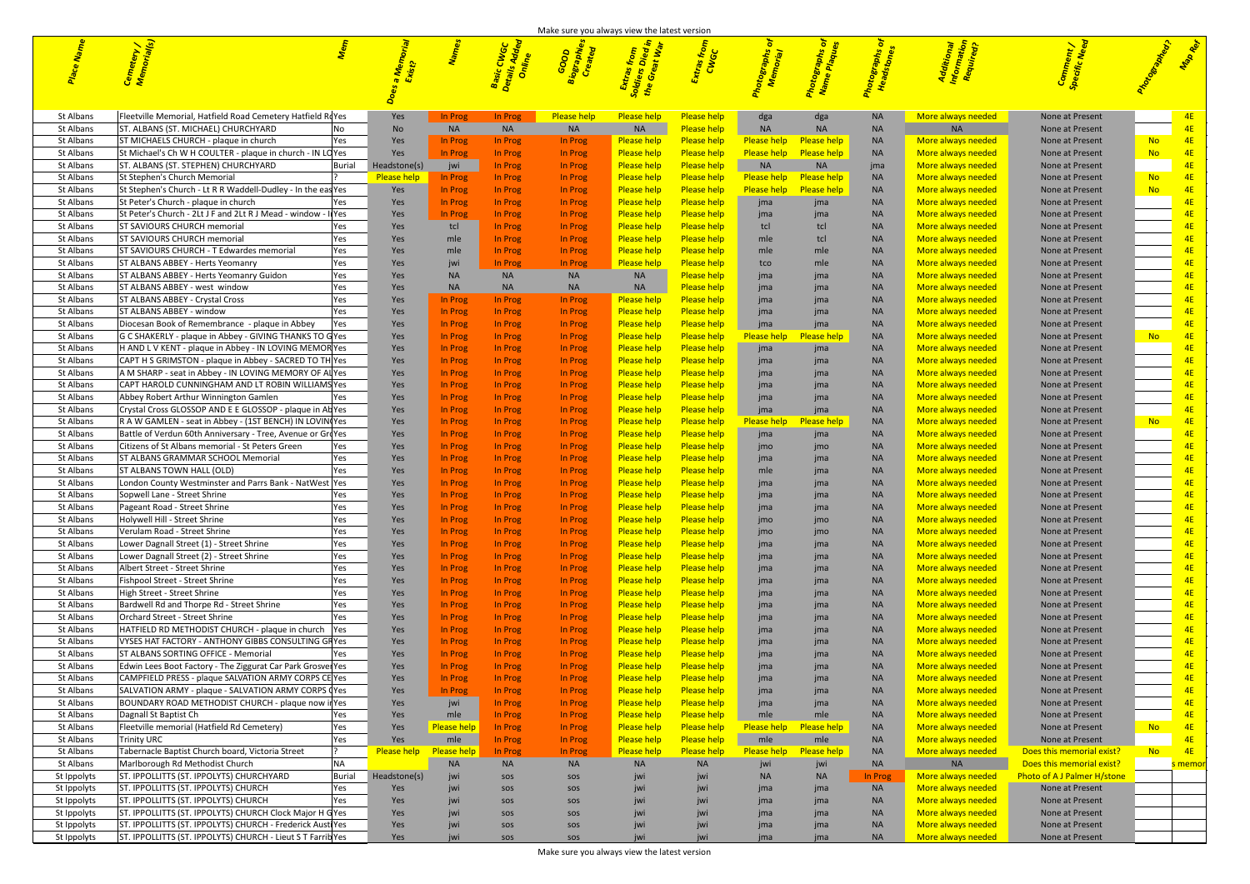

| St Albans<br>St Albans | Fleetville Memorial, Hatfield Road Cemetery Hatfield RdYes<br>Г. ALBANS (ST. MICHAEL) CHURCHYARD             |        | Yes In Prog<br>No.             |                    |         | Please help | Please help                             | Please help<br>Please heli               | <b>NA</b>                         |                                    |            | NA <mark>More always needed i</mark> n<br><b>Example 19 NA</b> | None at Present<br>None at Present    |                          |
|------------------------|--------------------------------------------------------------------------------------------------------------|--------|--------------------------------|--------------------|---------|-------------|-----------------------------------------|------------------------------------------|-----------------------------------|------------------------------------|------------|----------------------------------------------------------------|---------------------------------------|--------------------------|
| St Albans              | T MICHAELS CHURCH - plaque in church                                                                         |        | Yes                            |                    |         |             | Please help <b>a</b>                    | <b>Please help</b>                       | <b>Please help Please help</b>    |                                    |            | More always needed                                             | None at Present                       | - No                     |
| St Albans              | t Michael's Ch W H COULTER - plaque in church - IN LOYes                                                     |        |                                |                    |         |             | Please help -                           | <b>Please help</b>                       | Please help Please help           |                                    | NA NA      | More always needed                                             | None at Present                       |                          |
| St Albans              | <b>r. ALBANS (ST. STEPHEN) CHURCHYARD</b>                                                                    | Burial |                                |                    |         |             |                                         | <b>Please hel</b>                        | <b>NA</b>                         | NA NA                              |            | More always needed                                             | None at Present                       |                          |
| St Albans              | Stephen's Church Memorial                                                                                    |        | lease help l                   |                    |         |             | <u>Please help</u>                      | <b>Please help</b>                       | <b>Please help Please help</b>    |                                    | NA.        | More always needed                                             | None at Present                       |                          |
| St Albans              | St Stephen's Church - Lt R R Waddell-Dudley - In the eas Yes                                                 |        |                                |                    |         |             | <b>Please help</b>                      | <b>Please help</b>                       |                                   | <u>Please help — Please help —</u> | NA 1999 NA | More always needed                                             | None at Present                       |                          |
| St Albans              | St Peter's Church - plaque in church                                                                         |        |                                |                    |         |             | <b>Please help</b>                      | <u>Please help</u>                       |                                   |                                    |            | More always needed                                             | None at Present                       |                          |
| St Albans              | St Peter's Church - 2Lt J F and 2Lt R J Mead - window - II Yes                                               |        |                                |                    |         |             |                                         | <u>Piease nei</u>                        |                                   |                                    |            | More always needed                                             | None at Present                       |                          |
| St Albans              | T SAVIOURS CHURCH memorial                                                                                   |        |                                |                    |         |             | <u>Please heip</u>                      |                                          |                                   |                                    |            | More always needed                                             | None at Present                       |                          |
| St Albans              | T SAVIOURS CHURCH memorial                                                                                   |        |                                |                    |         |             | <u>Please held</u>                      |                                          |                                   |                                    |            | More always needed                                             | None at Present                       |                          |
| St Albans              | T SAVIOURS CHURCH - T Edwardes memorial                                                                      |        |                                |                    |         |             |                                         | <u>Please n</u>                          |                                   |                                    |            | More always needed                                             | None at Present                       |                          |
| St Albans              | F ALBANS ABBEY - Herts Yeomanry                                                                              |        |                                |                    |         |             | <u>Please heip</u>                      | <u>Please h</u>                          |                                   |                                    |            | More always needed                                             | None at Present                       |                          |
| St Albans              | ALBANS ABBEY - Herts Yeomanry Guidon                                                                         |        |                                |                    |         |             |                                         |                                          |                                   |                                    |            | More always needed                                             | None at Present                       |                          |
| St Albans              | ALBANS ABBEY - west window                                                                                   |        |                                |                    |         |             |                                         |                                          |                                   |                                    |            | More always needed                                             | None at Present                       |                          |
| St Albans              | ALBANS ABBEY - Crystal Cross                                                                                 |        | Yes                            |                    | In Prog | - In Prog   | Please help -                           | <u>Please hell</u>                       |                                   |                                    |            | <u>More always needec</u>                                      | None at Present                       |                          |
| St Albans              | ALBANS ABBEY - window                                                                                        |        |                                |                    |         |             |                                         | <u>Please neip</u>                       |                                   |                                    |            | <u>More always needec</u>                                      | None at Present                       |                          |
| St Albans              | Diocesan Book of Remembrance - plaque in Abbey                                                               |        |                                |                    |         |             |                                         | <u>Please help</u>                       | <u>ima</u>                        |                                    |            | <u>More always needec</u>                                      | None at Present                       | . No                     |
| St Albans              | SHAKERLY - plaque in Abbey - GIVING THANKS TO GYes<br>H AND L V KENT - plaque in Abbey - IN LOVING MEMOR Yes |        |                                |                    |         |             |                                         | <u>Please help</u>                       | <u>Please help l</u>              |                                    |            | More always needed                                             | None at Present<br>None at Present    |                          |
|                        | CAPT H S GRIMSTON - plaque in Abbey - SACRED TO TH Yes                                                       |        |                                |                    |         |             |                                         | <b>Please he</b>                         |                                   |                                    |            | More always needed<br>More always needed                       | None at Present                       |                          |
|                        | A M SHARP - seat in Abbey - IN LOVING MEMORY OF ALVes                                                        |        |                                |                    |         |             |                                         |                                          |                                   |                                    |            | More always needed                                             | None at Present                       |                          |
|                        | <b>THAROLD CUNNINGHAM AND LT ROBIN WILLIAMS Yes</b>                                                          |        |                                |                    |         |             |                                         |                                          |                                   |                                    |            | More always needed                                             | None at Present                       |                          |
| St Albans              | Abbey Robert Arthur Winnington Gamlen                                                                        |        |                                |                    |         |             |                                         | <b>Please he</b>                         |                                   |                                    |            | More always needed                                             | None at Present                       |                          |
| St Albans              | Crystal Cross GLOSSOP AND E E GLOSSOP - plaque in Ab Yes                                                     |        |                                |                    |         |             | <u>Please help</u>                      | <u>Please heli</u>                       | $\equiv$ jma                      | ima                                |            | More always needed                                             | None at Present                       |                          |
| St Albans              | R A W GAMLEN - seat in Abbey - (1ST BENCH) IN LOVIN(Yes                                                      |        |                                |                    |         |             | Please heip -                           | – Please help                            | <u>Please help — Please help </u> |                                    | NA.        | More always needed                                             | None at Present                       |                          |
| St Albans              | Battle of Verdun 60th Anniversary - Tree, Avenue or Groves                                                   |        |                                |                    |         |             |                                         |                                          |                                   |                                    |            | More always needed                                             | None at Present                       |                          |
| St Albans              | Citizens of St Albans memorial - St Peters Green                                                             |        |                                |                    |         |             |                                         |                                          |                                   |                                    |            | More always needed                                             | None at Present                       |                          |
| St Albans              | ALBANS GRAMMAR SCHOOL Memorial                                                                               |        |                                |                    |         |             |                                         |                                          |                                   |                                    |            | More always needed                                             | None at Present                       |                          |
| St Albans              | Г ALBANS TOWN HALL (OLD)                                                                                     |        |                                |                    |         |             |                                         |                                          |                                   |                                    |            | More always needed                                             | None at Present                       |                          |
| St Albans              | London County Westminster and Parrs Bank - NatWest Yes                                                       |        |                                |                    |         |             |                                         |                                          |                                   |                                    |            | More always needed                                             | None at Present                       |                          |
| St Albans              | Sopwell Lane - Street Shrine                                                                                 |        |                                |                    |         |             | <u>Please neip</u>                      | <u>Please neip</u>                       |                                   |                                    |            | More always needed                                             | None at Present                       |                          |
| St Albans              | Pageant Road - Street Shrine                                                                                 |        | Yes                            |                    | In Prog | In Prog     | <b>Please help Please help</b>          |                                          | <u>ima</u>                        | <i>i</i> ma                        |            | <u>pre always needed </u>                                      | None at Present                       |                          |
| St Albans              | Holywell Hill - Street Shrine                                                                                |        | Yes                            |                    | In Prog | In Prog     | Please help                             | <b>Please help</b>                       | imo i                             | imo                                |            | <u>Aore always needed</u>                                      | None at Present                       |                          |
| St Albans              | Verulam Road - Street Shrine                                                                                 |        | Yes                            |                    | In Prog |             | <b>Please help</b>                      | <b>Please hel</b>                        | imo i                             |                                    |            | <mark>More always needec</mark>                                | None at Present                       |                          |
| St Albans              | Lower Dagnall Street (1) - Street Shrine                                                                     | Yes    | Yes                            |                    |         |             |                                         | <b>Please hel</b>                        | ima i                             |                                    |            | <mark>More always needec</mark>                                | None at Present                       |                          |
| St Albans              | Lower Dagnall Street (2) - Street Shrine                                                                     |        | Yes                            |                    |         |             |                                         | <b>Please hel</b>                        | ima i                             |                                    |            | <mark>More always needec</mark>                                | None at Present                       |                          |
| St Albans              | Albert Street - Street Shrine                                                                                |        | Yes                            |                    |         |             |                                         | <b>Please h</b>                          | ima i                             |                                    |            | <mark>More always needec</mark>                                | None at Present                       |                          |
| St Albans              | Fishpool Street - Street Shrine                                                                              |        | Yes                            |                    |         |             |                                         | <b>Please</b> he                         | ima                               | ima                                |            | <mark>More always needec</mark>                                | None at Present                       |                          |
| St Albans              | High Street - Street Shrine                                                                                  |        | Yes                            |                    |         |             | <b>Please help</b>                      | <b>Please help</b>                       | ima i                             | ima                                |            | More always needed                                             | None at Present                       |                          |
| St Albans<br>St Albans | Bardwell Rd and Thorpe Rd - Street Shrine<br>Orchard Street - Street Shrine                                  |        | Yes<br>Yes                     |                    |         |             | <b>Please help</b>                      | <b>Please help</b><br><b>Please help</b> | ima                               | ima                                |            | <mark>More always needec</mark>                                | None at Present                       |                          |
| St Albans              | HATFIELD RD METHODIST CHURCH - plaque in church                                                              |        | Yes                            |                    |         |             | <b>Please help</b><br><b>Please hel</b> | <b>Please help</b>                       | ima<br>ima                        | <i>ima</i><br>ima                  |            | <mark>More always needec</mark><br>More always needed          | None at Present<br>None at Present    |                          |
| St Albans              | VYSES HAT FACTORY - ANTHONY GIBBS CONSULTING GRYes                                                           | Yes.   | Yes                            | In Prog            |         |             | <u>Please held</u>                      | <b>Please hel</b>                        | ima i                             | jma                                |            | More always needed                                             | None at Present                       |                          |
| St Albans              | ST ALBANS SORTING OFFICE - Memorial                                                                          |        | Yes                            | In Prog<br>In Prog |         |             | <b>Please help</b>                      | <b>Please hel</b>                        | ima i                             | ima                                |            | More always needed                                             | None at Present                       |                          |
| St Albans              | Edwin Lees Boot Factory - The Ziggurat Car Park Grosver Yes                                                  |        | Yes                            |                    |         |             | <b>Please he</b>                        | <b>Please hel</b>                        | ima)                              | jma                                |            | More always needed                                             | None at Present                       |                          |
| St Albans              | CAMPFIELD PRESS - plaque SALVATION ARMY CORPS CE Yes                                                         |        | Yes                            | In Prog<br>In Prog |         |             |                                         | <b>Please</b> h                          | ima)                              | jma                                |            | <mark>More always needec</mark>                                | None at Present                       |                          |
| St Albans              | SALVATION ARMY - plaque - SALVATION ARMY CORPS (                                                             |        |                                | In Prog            | In Prog |             | <b>Please help</b>                      | <b>Please hel</b>                        | ima i                             | jma                                |            | <mark>More always needec</mark>                                | None at Present                       |                          |
| St Albans              | BOUNDARY ROAD METHODIST CHURCH - plaque now in Yes                                                           |        |                                | jwi <mark>l</mark> |         |             | <b>Please help</b>                      | <u>Please hel</u>                        | ima j                             | ima                                |            | <mark>More always neede</mark>                                 | None at Present                       |                          |
| St Albans              | Dagnall St Baptist Ch                                                                                        |        | Yes                            | mle                |         | n Pro       | <b>Please help</b>                      | <b>Please help</b>                       | <mark>s</mark> mle                | mle                                |            | <mark>More always neede</mark>                                 | None at Present                       |                          |
| St Albans              | Fleetville memorial (Hatfield Rd Cemetery)                                                                   |        | Yes <mark>Please help</mark>   |                    |         |             | <b>Please help</b>                      | Please help                              | Please help Please help           |                                    | <b>NA</b>  | More always needed                                             | None at Present                       | $-4F$<br>No.             |
| St Albans              |                                                                                                              |        | <b>Paragona</b>                | mle                |         |             |                                         | Please help                              | a mle                             | mle                                |            | <b>Aore always needed</b>                                      | None at Present                       |                          |
| St Albans              | Tabernacle Baptist Church board, Victoria Street                                                             |        | <b>Please help</b> Please help |                    | In Prog |             | <b>Please help</b>                      | <b>Please help</b>                       | <b>Please help</b>                | <b>Please help</b>                 | <b>NA</b>  | More always needed                                             | Does this memorial exist?             | <u>na North North St</u> |
| St Albans              | Marlborough Rd Methodist Church                                                                              |        |                                | <b>NA</b>          |         |             |                                         |                                          |                                   |                                    |            | <b>NA</b> MA                                                   | <mark>Does this memorial exist</mark> | s memor                  |
| St Ippolyts            | T. IPPOLLITTS (ST. IPPOLYTS) CHURCHYARD                                                                      | Burial | Headstone(s)                   |                    |         |             |                                         |                                          |                                   |                                    |            | More always needed                                             | Photo of A J Palmer H/stor            |                          |
| St Ippolyts            | T. IPPOLLITTS (ST. IPPOLYTS) CHURCH                                                                          |        | Yes                            |                    |         |             |                                         |                                          |                                   |                                    |            | <b>Aore always needed</b>                                      | None at Present                       |                          |
| St Ippolyts            | T. IPPOLLITTS (ST. IPPOLYTS) CHURCH                                                                          |        | <b>Yes</b>                     |                    |         |             |                                         |                                          |                                   |                                    |            | <mark>Aore always needec</mark>                                | None at Present                       |                          |
| St Ippolyts            | T. IPPOLLITTS (ST. IPPOLYTS) CHURCH Clock Major H GYes                                                       |        |                                |                    |         |             |                                         |                                          |                                   |                                    |            | Aore always needec                                             | None at Present                       |                          |
| St Ippolyts            | [. IPPOLLITTS (ST. IPPOLYTS) CHURCH - Frederick Austi Yes                                                    |        |                                |                    |         |             |                                         |                                          |                                   |                                    |            | <b>Aore always needed</b>                                      | None at Present                       |                          |
| St Ippolyts            | ST. IPPOLLITTS (ST. IPPOLYTS) CHURCH - Lieut S T Farrib Yes                                                  |        |                                |                    |         |             |                                         |                                          |                                   |                                    |            | More always needed                                             | None at Present                       |                          |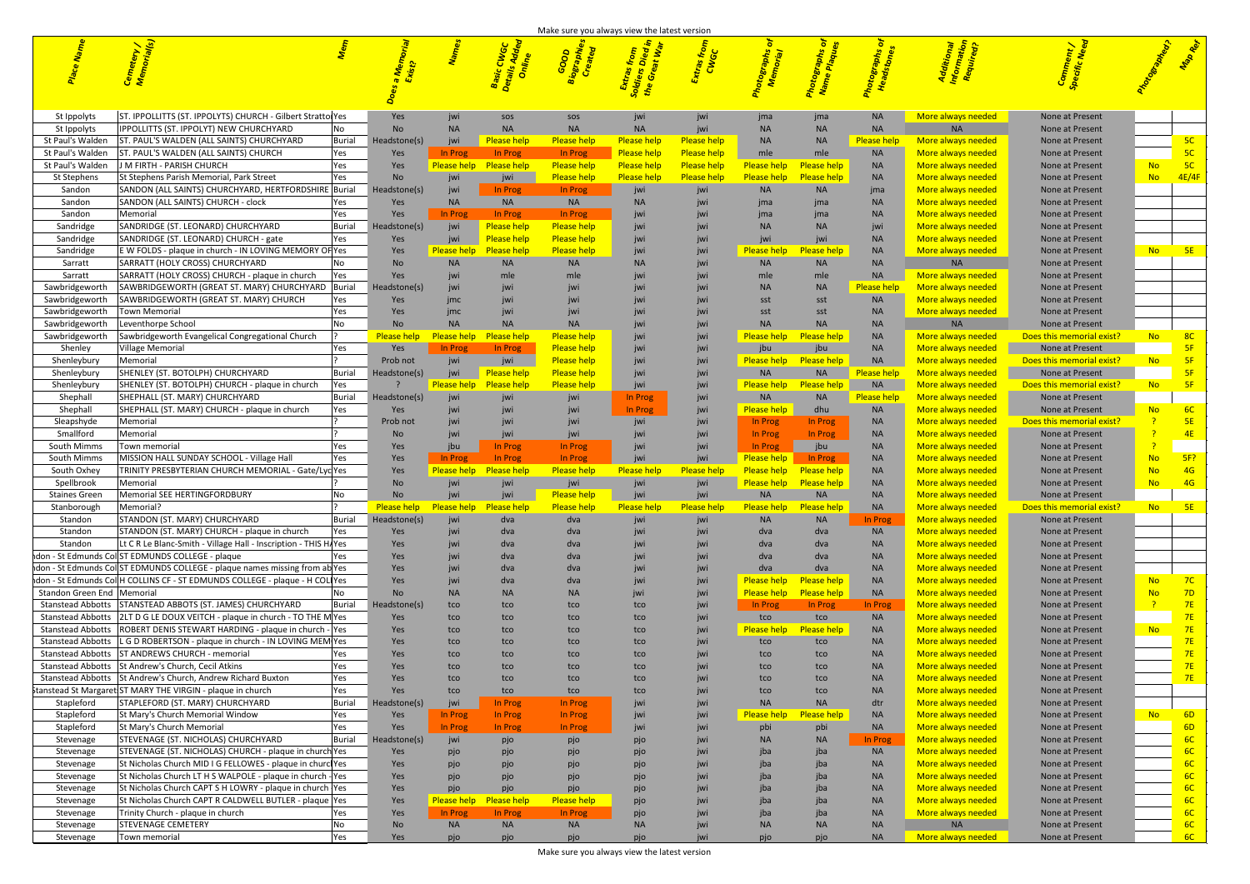|                                      |                                                                                                                                  |                      |                     |                  |                                               | <b>IVIDING SUITE YOU DIWAYS VICW LIIG IDIGSL VCISION</b> | <b>EO B B</b>                     | cw <sub>GC</sub><br>Cw <sub>GC</sub>     |                                   |                                          |                                 |                                          |                                              |            |             |
|--------------------------------------|----------------------------------------------------------------------------------------------------------------------------------|----------------------|---------------------|------------------|-----------------------------------------------|----------------------------------------------------------|-----------------------------------|------------------------------------------|-----------------------------------|------------------------------------------|---------------------------------|------------------------------------------|----------------------------------------------|------------|-------------|
|                                      |                                                                                                                                  |                      |                     |                  |                                               |                                                          |                                   |                                          |                                   |                                          |                                 |                                          |                                              |            |             |
|                                      |                                                                                                                                  |                      |                     |                  |                                               |                                                          |                                   |                                          |                                   |                                          |                                 |                                          |                                              |            |             |
| St Ippolyts                          | ST. IPPOLLITTS (ST. IPPOLYTS) CHURCH - Gilbert StrattolYes                                                                       |                      | Yes                 |                  | SOS                                           | sos                                                      | $J^{w}$                           |                                          | <b>Jma</b>                        | jma                                      | <b>NA</b>                       | More always needed                       | None at Present                              |            |             |
| St Ippolyts                          | <b>IPPOLLITTS (ST. IPPOLYT) NEW CHURCHYARD</b>                                                                                   |                      | <b>No</b>           | $N_A$            | <b>NA</b>                                     | <b>NA</b>                                                | <b>NA</b>                         |                                          | <b>NA</b>                         | <b>NA</b>                                | <b>NA</b>                       | <b>NA</b>                                | None at Present                              |            |             |
| St Paul's Walden<br>St Paul's Walden | ST. PAUL'S WALDEN (ALL SAINTS) CHURCHYARD<br>ST. PAUL'S WALDEN (ALL SAINTS) CHURCH                                               | <b>Burial</b><br>Yes | leadstone(s)<br>Yes | jwi<br>In Prog   | <u>Please help</u><br>In Prog                 | <b>Please help</b><br>In Prog                            | <b>Please help</b><br>Please help | <b>Please help</b><br><b>Please help</b> | <b>NA</b><br>mle                  | <b>NA</b><br>mle                         | Please help<br><b>NA</b>        | More always needed<br>More always needed | None at Present<br>None at Present           |            | 5C<br>5C    |
| St Paul's Walden                     | J M FIRTH - PARISH CHURCH                                                                                                        | l Yes                | Yes                 |                  | Please help Please help                       | Please help                                              | <b>Please help</b>                | Please help                              | <b>Please help</b>                | <b>Please help</b>                       | NA                              | More always needed                       | None at Present                              | <b>No</b>  | 5C          |
| St Stephens                          | St Stephens Parish Memorial, Park Street                                                                                         | Yes                  | <b>No</b>           |                  | jwi                                           | <b>Please help</b>                                       | <b>Please help</b>                | <b>Please help</b>                       | <b>Please help</b>                | <b>Please help</b>                       | <b>NA</b>                       | More always needed                       | None at Present                              | No 4E/4F   |             |
| Sandon                               | SANDON (ALL SAINTS) CHURCHYARD, HERTFORDSHIRE Burial                                                                             |                      | eadstone(s)         |                  | In Prog                                       | <b>In Prog</b>                                           | jwi                               |                                          | <b>NA</b>                         | <b>NA</b>                                |                                 | More always needed                       | None at Present                              |            |             |
| Sandon                               | SANDON (ALL SAINTS) CHURCH - clock                                                                                               |                      | Yes                 | $N_A$<br>In Prog | <b>NA</b><br>In Prog                          | <b>NA</b><br>In Prog                                     | N <sub>f</sub>                    |                                          | Im <sub>5</sub>                   | ıma                                      | <b>NA</b><br><b>NA</b>          | More always needed                       | None at Present                              |            |             |
| Sandon<br>Sandridge                  | Memorial<br>SANDRIDGE (ST. LEONARD) CHURCHYARD                                                                                   | Yes<br> Burial       | Yes<br>eadstone(s)  | jwi              | <b>Please help</b>                            | <b>Please help</b>                                       | jw<br>jw                          |                                          | jma<br><b>NA</b>                  | ıma<br><b>NA</b>                         | <b>WI</b>                       | More always needed<br>More always needed | None at Present<br>None at Present           |            |             |
| Sandridge                            | SANDRIDGE (ST. LEONARD) CHURCH - gate                                                                                            | Yes                  | Yes                 | jwi              | <b>Please help</b>                            | <b>Please help</b>                                       | jw                                |                                          | jwi                               | iwi                                      | <b>NA</b>                       | More always needed                       | None at Present                              |            |             |
| Sandridge                            | E W FOLDS - plaque in church - IN LOVING MEMORY OF Yes                                                                           |                      | Yes                 |                  | Please help Please help                       | <b>Please help</b>                                       | jw                                |                                          | <u>Please help</u>                | <u>Please hel</u>                        | <b>NA</b>                       | More always needed                       | None at Present                              | <b>No</b>  | 5E          |
| Sarratt                              | SARRATT (HOLY CROSS) CHURCHYARD                                                                                                  |                      | <b>No</b>           |                  | <b>NA</b>                                     | <b>NA</b>                                                |                                   |                                          | <b>NA</b>                         | <b>NA</b>                                | <b>NA</b>                       | <b>NA</b>                                | None at Present                              |            |             |
| Sarratt                              | SARRATT (HOLY CROSS) CHURCH - plaque in church                                                                                   |                      | Yes                 |                  | mle                                           |                                                          |                                   |                                          | $m$ <sub>I</sub> $\epsilon$       | mle                                      | <b>NA</b>                       | More always needed                       | None at Present                              |            |             |
| Sawbridgeworth                       | SAWBRIDGEWORTH (GREAT ST. MARY) CHURCHYARD   Burial                                                                              |                      | eadstone(s)         |                  |                                               |                                                          |                                   |                                          | <b>NA</b>                         | <b>NA</b>                                | <b>Please help</b>              | More always needed                       | None at Present                              |            |             |
| Sawbridgeworth<br>Sawbridgeworth     | SAWBRIDGEWORTH (GREAT ST. MARY) CHURCH<br>Town Memorial                                                                          | Yes                  | Yes<br>Yes          |                  |                                               |                                                          |                                   |                                          | .sst<br>sst                       | sst<br>sst                               | <b>NA</b><br>ΝA                 | More always needed<br>More always needed | None at Present<br>None at Present           |            |             |
| Sawbridgeworth                       | Leventhorpe School                                                                                                               |                      | <b>No</b>           | $N_A$            | <b>NA</b>                                     | <b>NA</b>                                                |                                   |                                          | <b>NA</b>                         | <b>NA</b>                                | <b>NA</b>                       | <b>NA</b>                                | None at Present                              |            |             |
| Sawbridgeworth                       | Sawbridgeworth Evangelical Congregational Church                                                                                 |                      | <u>Please help</u>  |                  | <u>Please help Please help</u>                | <b>Please help</b>                                       |                                   |                                          | <u>Please help-</u>               | <b>Please hel</b>                        | <b>NA</b>                       | More always needed                       | Does this memorial exist?                    | No No      | 8C          |
| Shenley                              | Village Memorial                                                                                                                 | Yes                  | Yes                 | In Prog          | In Prog                                       | <b>Please help</b>                                       | jw                                |                                          | jbu                               | jbu                                      |                                 | More always needed                       | None at Present                              |            | 5F          |
| Shenleybury                          | Memorial                                                                                                                         |                      | Prob not            | jwi              | jwi                                           | <b>Please help</b>                                       | jw                                |                                          | <u>Please help-</u>               | <b>Please help</b>                       | <b>NA</b>                       | More always needed                       | Does this memorial exist?_                   | <b>No</b>  | $-5F$       |
| Shenleybury                          | SHENLEY (ST. BOTOLPH) CHURCHYARD                                                                                                 | Burial               | leadstone(s)        | jwi              | <b>Please help</b><br>Please help Please help | <b>Please help</b>                                       |                                   |                                          | <b>NA</b><br><b>Please help</b>   | <b>NA</b>                                | <u>Please help</u><br><b>NA</b> | More always needed<br>More always needed | None at Present<br>Does this memorial exist? | No         | 5F<br>$-5F$ |
| Shenleybury<br>Shephall              | SHENLEY (ST. BOTOLPH) CHURCH - plaque in church<br>SHEPHALL (ST. MARY) CHURCHYARD                                                | Burial               | Headstone(s)        |                  |                                               | <b>Please help</b><br>iwi                                | jw<br>In Prog                     |                                          | <b>NA</b>                         | <b>Please help</b><br><b>NA</b>          | <b>Please help</b>              | More always needed                       | None at Present                              |            |             |
| Shephall                             | SHEPHALL (ST. MARY) CHURCH - plaque in church                                                                                    |                      | Yes                 |                  |                                               |                                                          | In Prog                           | iwi                                      | Please help                       | dhu                                      | <b>NA</b>                       | More always needed                       | None at Present                              | <b>No</b>  | $-6C$       |
| Sleapshyde                           | Memorial                                                                                                                         |                      | Prob not            |                  |                                               |                                                          | iw                                |                                          | In Prog                           | In Prog                                  | <b>NA</b>                       | More always needed                       | Does this memorial exist?                    |            | 5E          |
| Smallford                            | Memorial                                                                                                                         |                      | <b>No</b>           |                  |                                               |                                                          |                                   |                                          | In Prog                           | In Prog                                  | ΝA                              | More always needed                       | None at Present                              |            | 4E          |
| South Mimm:                          | Town memorial                                                                                                                    | Yes                  | Yes                 | jbu              | In Prog                                       | In Prog                                                  | jw                                |                                          | In Prog                           | jbu                                      | ΝA                              | More always needed                       | None at Present                              |            |             |
| South Mimms                          | MISSION HALL SUNDAY SCHOOL - Village Hall                                                                                        |                      | Yes                 | In Prog          | In Prog                                       | In Prog                                                  | jwi                               | jwi                                      | lease help                        | In Prog                                  |                                 | More always needed                       | None at Present                              | No         | $-5F$ ?     |
| South Oxhey<br>Spellbrook            | TRINITY PRESBYTERIAN CHURCH MEMORIAL - Gate/Lyc Yes<br>Memorial                                                                  |                      | Yes<br><b>Nc</b>    |                  | Please help Please help                       | <b>Please help</b><br>jwi                                | <b>Please help</b><br>jw          | lease help<br>jwi                        | <b>Please help</b><br>Please help | <b>Please help</b><br><b>Please help</b> | NA.<br><b>NA</b>                | More always needed<br>More always needed | None at Present<br>None at Present           | No<br>No l | 4G<br>$-4G$ |
| Staines Green                        | Memorial SEE HERTINGFORDBURY                                                                                                     |                      | <b>No</b>           |                  |                                               | <b>Please help</b>                                       | jw                                |                                          | <b>NA</b>                         | <b>NA</b>                                | <b>NA</b>                       | More always needed                       | None at Present                              |            |             |
| Stanborough                          | Memorial?                                                                                                                        |                      | lease help          |                  | <u>Please help Please help</u>                | <u>Please help.</u>                                      | Please help                       | <u>lease help </u>                       | Please help i                     | <b>Please help</b>                       | <b>NA</b>                       | More always needed                       | oes this memorial exist?                     | No l       | <b>5E</b>   |
| Standon                              | STANDON (ST. MARY) CHURCHYARD                                                                                                    | Burial               | eadstone(s)         | iw               | dva                                           | dva                                                      | iw                                |                                          | <b>NA</b>                         | <b>NA</b>                                | In Prog                         | More always needed                       | None at Present                              |            |             |
| Standon                              | STANDON (ST. MARY) CHURCH - plaque in church                                                                                     |                      | Yes                 |                  | dva                                           | dva                                                      |                                   |                                          | dva                               | dva                                      | <b>NA</b>                       | More always needed                       | None at Present                              |            |             |
| Standor                              | Lt C R Le Blanc-Smith - Village Hall - Inscription - THIS HAYes                                                                  |                      | Yes                 |                  | dva                                           | dva                                                      | $\mathsf{I}^{\mathsf{W}}$         |                                          | dva                               | dva                                      | <b>NA</b>                       | More always needed                       | None at Present                              |            |             |
|                                      | ndon - St Edmunds CollST EDMUNDS COLLEGE - plaque<br>ndon - St Edmunds Col ST EDMUNDS COLLEGE - plaque names missing from ab Yes |                      | Yes                 |                  | dva                                           | dva                                                      |                                   |                                          | dva<br>dva                        | dva<br>dva                               | NΑ<br><b>NA</b>                 | More always needed                       | None at Present<br>None at Present           |            |             |
|                                      | ndon - St Edmunds Col H COLLINS CF - ST EDMUNDS COLLEGE - plaque - H COLIYes                                                     |                      | Yes<br>Yes          |                  | dva<br>dva                                    | dva<br>dva                                               | jw                                |                                          | Please help                       | <b>Please help</b>                       | <b>NA</b>                       | More always needed<br>More always needed | None at Present                              | <b>No</b>  | 7C          |
| Standon Green End   Memorial         |                                                                                                                                  |                      | <b>No</b>           | N <sub>A</sub>   | <b>NA</b>                                     |                                                          | jwi                               | jwi                                      | Please help                       | <b>Please help</b>                       | <b>NA</b>                       | More always needed                       | None at Present                              | <b>No</b>  | 7D          |
|                                      | Stanstead Abbotts   STANSTEAD ABBOTS (ST. JAMES) CHURCHYARD                                                                      | <b>Burial</b>        | leadstone (s        | tco              | tco                                           | tco                                                      | tco                               |                                          | In Prog                           | In Prog                                  | In Prog                         | More always needed                       | None at Present                              |            | 7E          |
|                                      | Stanstead Abbotts 2LT D G LE DOUX VEITCH - plaque in church - TO THE M Yes                                                       |                      | Yes                 | tcc              | tco                                           | tco                                                      | tco                               |                                          | tco                               | tco                                      | <b>NA</b>                       | More always needed                       | None at Present                              |            | 7E          |
|                                      | Stanstead Abbotts   ROBERT DENIS STEWART HARDING - plaque in church - Yes                                                        |                      | Yes                 | tco              | tco                                           | tco                                                      | tco                               |                                          | Please help                       | <b>Please help</b>                       | <b>NA</b>                       | More always needed                       | None at Present                              | <b>No</b>  | 7E          |
|                                      | Stanstead Abbotts   L G D ROBERTSON - plaque in church - IN LOVING MEM Yes                                                       |                      | Yes                 | tco              | tco                                           | tco                                                      | tco                               |                                          | tco                               | tco                                      | <b>NA</b>                       | More always needed                       | None at Present                              |            | 7E          |
|                                      | Stanstead Abbotts ST ANDREWS CHURCH - memorial<br>Stanstead Abbotts   St Andrew's Church, Cecil Atkins                           | Yes<br><b>Yes</b>    | Yes<br>Yes          | tco<br>tco       | tco<br>tco                                    | tco<br>tco                                               | tco                               |                                          | tco<br>tco                        | tco<br>tco                               | <b>NA</b><br><b>NA</b>          | More always needed<br>More always needed | None at Present<br>None at Present           |            | 7E<br>7E    |
|                                      | Stanstead Abbotts St Andrew's Church, Andrew Richard Buxton                                                                      | Yes                  | Yes                 | tco              | tco                                           | tco                                                      | tco<br>tco                        |                                          | tco                               | tco                                      | <b>NA</b>                       | More always needed                       | None at Present                              |            | 7E          |
|                                      | Stanstead St Margaret: ST MARY THE VIRGIN - plaque in church                                                                     | Yes                  | Yes                 | tco              | tco                                           | tco                                                      | tco                               |                                          | tco                               | tco                                      | <b>NA</b>                       | More always needed                       | None at Present                              |            |             |
| Stapleford                           | STAPLEFORD (ST. MARY) CHURCHYARD                                                                                                 | <b>Burial</b>        | eadstone(s)         | jwi              | In Prog                                       | In Prog                                                  | jw                                |                                          | <b>NA</b>                         | <b>NA</b>                                | dtr                             | More always needed                       | None at Present                              |            |             |
| Stapleford                           | St Mary's Church Memorial Window                                                                                                 | Yes                  | Yes                 | In Prog          | In Prog                                       | In Prog                                                  | jw                                |                                          | Please help                       | Please help                              | <b>NA</b>                       | More always needed                       | None at Present                              | <b>No</b>  | 6D          |
| Stapleford                           | <b>St Mary's Church Memorial</b>                                                                                                 | Yes                  | Yes                 | In Prog          | In Prog                                       | In Prog                                                  | jw                                |                                          | pbi                               | pbi                                      | <b>NA</b>                       | More always needed                       | None at Present                              |            | 6D/         |
| Stevenage                            | STEVENAGE (ST. NICHOLAS) CHURCHYARD                                                                                              | Burial               | eadstone(s)         | jw               | pjo                                           | pjo                                                      | pjo                               |                                          | N <sub>f</sub>                    | <b>NA</b>                                | In Prog                         | More always needed                       | None at Present                              |            | 6C          |
| Stevenage                            | STEVENAGE (ST. NICHOLAS) CHURCH - plaque in church Yes                                                                           |                      | Yes                 | pjo              | pjo                                           | pjc                                                      | pjo                               |                                          | jba                               | jba                                      | <b>NA</b><br><b>NA</b>          | More always needed                       | None at Present                              |            | 6C          |
| Stevenage<br>Stevenage               | St Nicholas Church MID I G FELLOWES - plaque in churclYes<br>St Nicholas Church LT H S WALPOLE - plaque in church - Yes          |                      | Yes<br>Yes          | pjo<br>pjo       | pjo<br>pjo                                    |                                                          | pjo<br>pjo                        |                                          | jba<br>jba                        | iba<br>iba                               | <b>NA</b>                       | More always needed<br>More always needed | None at Present<br>None at Present           |            | 6C<br>6C    |
| Stevenage                            | St Nicholas Church CAPT S H LOWRY - plaque in church Yes                                                                         |                      | Yes                 | pjo              | pjo                                           | pjo                                                      | pjo                               |                                          | jba                               | iba                                      | <b>NA</b>                       | More always needed                       | None at Present                              |            | 6C          |
| Stevenage                            | St Nicholas Church CAPT R CALDWELL BUTLER - plaque   Yes                                                                         |                      | Yes                 |                  | Please help Please help                       | <b>Please help</b>                                       | pjo                               |                                          | jba                               | iba                                      | <b>NA</b>                       | More always needed                       | None at Present                              |            | 6C          |
| Stevenage                            | Trinity Church - plaque in church                                                                                                | Yes                  | Yes                 | In Prog          | In Prog                                       | In Prog                                                  | pjo                               |                                          | jba                               | iba                                      | <b>NA</b>                       | More always needed                       | None at Present                              |            | 6C          |
| Stevenage                            | <b>STEVENAGE CEMETERY</b>                                                                                                        |                      | <b>No</b>           | <b>NA</b>        | <b>NA</b>                                     | <b>NA</b>                                                | N <sub>f</sub>                    |                                          |                                   | <b>NA</b>                                | $N_A$                           | <b>NA</b>                                | None at Present                              |            | 6C          |
| Stevenage                            | Town memorial                                                                                                                    | Yes                  | Yes                 | <b>pic</b>       | pjo                                           | pjo                                                      |                                   |                                          |                                   |                                          | NA.                             | More always needed                       | None at Present                              |            | 6C          |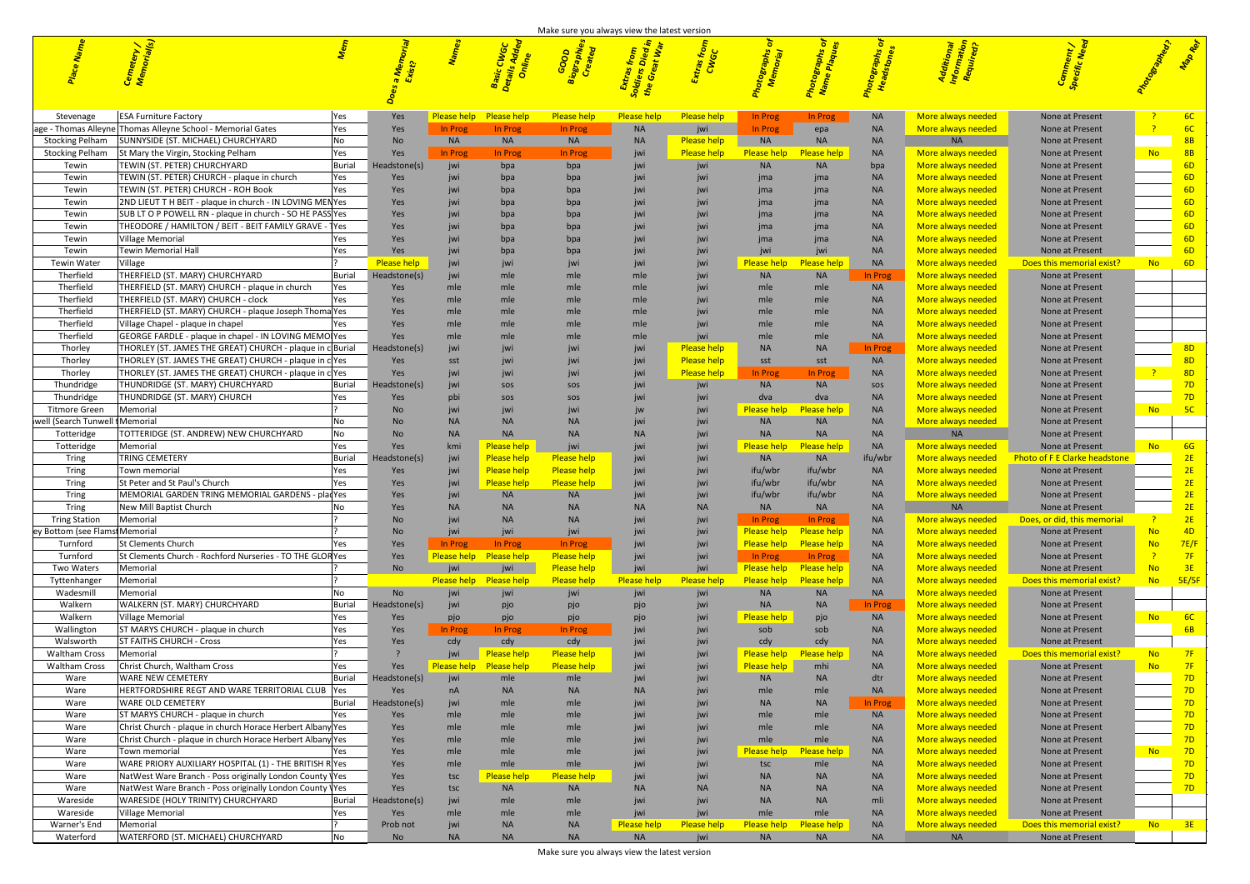|                                                         |                                                                                                                   |                       |                    |                                      |                        | <sup>as fro</sup> m<br><sup>irs Died</sup> i<br><sup>ireat Wa</sup> | tras fro <mark>.</mark><br>CWGC |                                 |                                 |                        |                                          |                                                       |           |                |
|---------------------------------------------------------|-------------------------------------------------------------------------------------------------------------------|-----------------------|--------------------|--------------------------------------|------------------------|---------------------------------------------------------------------|---------------------------------|---------------------------------|---------------------------------|------------------------|------------------------------------------|-------------------------------------------------------|-----------|----------------|
| Stevenage                                               | <b>ESA Furniture Factory</b><br>Yes                                                                               | Yes                   | Please help        | <b>Please help</b>                   | <b>Please help</b>     | <b>Please help</b>                                                  | <b>Please help</b>              | In Prog                         | In Prog                         | <b>NA</b>              | More always needed                       | None at Present                                       |           |                |
|                                                         | lage - Thomas Alleyne Thomas Alleyne School - Memorial Gates<br>Yes                                               | Yes                   | In Prog            | In Prog                              | In Prog                | <b>NA</b>                                                           | jwi                             | In Prog                         | epa                             | <b>NA</b>              | More always needed                       | None at Present                                       |           |                |
| Stocking Pelham                                         | SUNNYSIDE (ST. MICHAEL) CHURCHYARD<br>No                                                                          | No                    | <b>NA</b>          | <b>NA</b>                            | <b>NA</b>              | <b>NA</b>                                                           | <b>Please help</b>              | <b>NA</b>                       | <b>NA</b>                       | <b>NA</b>              | <b>NA</b>                                | None at Present                                       |           | 8B             |
| Stocking Pelham                                         | St Mary the Virgin, Stocking Pelham<br>Yes                                                                        | Yes                   | <b>In Prog</b>     | In Prog                              | In Prog                |                                                                     | <b>Please help</b>              | <b>Please help</b>              | <b>Please help</b>              | <b>NA</b>              | More always needed                       | None at Present                                       | <b>No</b> | 8B             |
| Tewin                                                   | TEWIN (ST. PETER) CHURCHYARD<br>Burial                                                                            | eadstone(s)           | jwi                | bpa                                  | bpa                    |                                                                     | jw                              | <b>NA</b>                       | <b>NA</b>                       | bpa                    | More always needed                       | None at Present                                       |           | 6 <sub>D</sub> |
| Tewin                                                   | TEWIN (ST. PETER) CHURCH - plaque in church<br>Yes                                                                | Yes                   |                    | bpa                                  | bpa                    |                                                                     |                                 | jma                             | jma                             | <b>NA</b>              | More always needed                       | None at Present                                       |           | 6 <sub>D</sub> |
| Tewin                                                   | TEWIN (ST. PETER) CHURCH - ROH Book                                                                               | Yes                   |                    | bpa                                  | bpa                    |                                                                     |                                 | jma                             | jma                             | <b>NA</b>              | More always needed                       | None at Present                                       |           | 6 <sub>D</sub> |
| Tewin<br>Tewin                                          | 2ND LIEUT T H BEIT - plaque in church - IN LOVING MENYes                                                          | Yes                   |                    | bpa<br>bpa                           | bpa                    |                                                                     |                                 | jma                             | jma                             | <b>NA</b><br><b>NA</b> | More always needed                       | None at Present<br>None at Present                    |           | 6D<br>6D       |
| Tewin                                                   | SUB LT O P POWELL RN - plaque in church - SO HE PASS Yes<br>THEODORE / HAMILTON / BEIT - BEIT FAMILY GRAVE - 1Yes | Yes<br>Yes            |                    | bpa                                  | bpa<br>bpa             |                                                                     |                                 | <sub>I</sub> ma<br>Ima          | jma<br>ıma                      | NA.                    | More always needed<br>More always needed | None at Present                                       |           | 6D             |
| Tewin                                                   | Village Memorial<br>Yes                                                                                           | Yes                   |                    | bpa                                  | bpa                    |                                                                     |                                 | <sub>I</sub> ma                 | jma                             | <b>NA</b>              | More always needed                       | None at Present                                       |           | 6D             |
| Tewin                                                   | Tewin Memorial Hall<br>Yes                                                                                        | Yes                   |                    | bpa                                  | bpa                    |                                                                     |                                 | jwi                             |                                 | <b>NA</b>              | More always needed                       | None at Present                                       |           | 6D             |
| <b>Tewin Water</b>                                      | Village                                                                                                           | <b>Please help</b>    | iw                 |                                      | <b>IW</b>              |                                                                     |                                 | <b>Please help</b>              | Please help                     | <b>NA</b>              | More always needed                       | Does this memorial exist?                             | No No     | 6 <sub>D</sub> |
| Therfield                                               | THERFIELD (ST. MARY) CHURCHYARD<br><b>Burial</b>                                                                  | leadstone(s)          | iw                 | mle                                  | mle                    | mle                                                                 |                                 | <b>NA</b>                       | <b>NA</b>                       | In Prog                | More always needed                       | None at Present                                       |           |                |
| Therfield                                               | THERFIELD (ST. MARY) CHURCH - plaque in church<br>Yes                                                             | Yes                   | mle                | mle                                  | mle                    | mle                                                                 |                                 | mle                             | mle                             | <b>NA</b>              | More always needed                       | None at Present                                       |           |                |
| Therfield<br>Therfield                                  | THERFIELD (ST. MARY) CHURCH - clock<br>Yes                                                                        | Yes                   | mle                | mle                                  | mle                    | mle                                                                 |                                 | mle                             | mle                             | <b>NA</b><br><b>NA</b> | More always needed                       | None at Present                                       |           |                |
| Therfield                                               | THERFIELD (ST. MARY) CHURCH - plaque Joseph Thoma Yes<br>Village Chapel - plaque in chapel                        | Yes<br>Yes            | mle<br>mle         | mle                                  | mle<br>mle             | mle<br>mle                                                          |                                 | mle<br>mle                      | mle<br>mle                      | <b>NA</b>              | More always needed<br>More always needed | None at Present<br>None at Present                    |           |                |
| Therfield                                               | GEORGE FARDLE - plaque in chapel - IN LOVING MEMOIYes                                                             | Yes                   | mle                |                                      | mle                    | mle                                                                 |                                 | mle                             | mle                             | <b>NA</b>              | More always needed                       | None at Present                                       |           |                |
| Thorley                                                 | THORLEY (ST. JAMES THE GREAT) CHURCH - plaque in c Burial                                                         | leadstone(s)          |                    |                                      | jwi                    | jwi                                                                 | <b>Please help</b>              | <b>NA</b>                       | <b>NA</b>                       | In Prog                | More always needed                       | None at Present                                       |           | 8D             |
| Thorley                                                 | THORLEY (ST. JAMES THE GREAT) CHURCH - plaque in c Yes                                                            | Yes                   | sst                |                                      | jwi                    | jwi                                                                 | <b>Please help</b>              | sst                             | sst                             | <b>NA</b>              | More always needed                       | None at Present                                       |           | 8D             |
| Thorley                                                 | THORLEY (ST. JAMES THE GREAT) CHURCH - plaque in c Yes                                                            | Yes                   |                    |                                      | jwi                    |                                                                     | <b>Please help</b>              | <b>In Prog</b>                  | <b>In Prog</b>                  | <b>NA</b>              | More always needed                       | None at Present                                       |           | 8D             |
| Thundridge                                              | THUNDRIDGE (ST. MARY) CHURCHYARD<br><b>Burial</b>                                                                 | leadstone(s)          | jwi                | SOS                                  | SOS                    |                                                                     | jwi                             | <b>NA</b>                       | <b>NA</b>                       | SOS                    | More always needed                       | None at Present                                       |           | 7D             |
| Thundridge                                              | THUNDRIDGE (ST. MARY) CHURCH<br>Yes                                                                               | Yes                   | pbi                | SOS                                  | sos                    |                                                                     | JWI                             | dva                             | dva                             | <b>NA</b>              | More always needed                       | None at Present                                       |           | 7D             |
| <b>Titmore Green</b><br>well (Search Tunwell t Memorial | Memorial<br>No                                                                                                    | No.<br>No             | <b>NA</b>          | NA                                   | jw<br><b>NA</b>        |                                                                     | $\mathsf{I}^{\mathsf{W}}$       | <b>Please help</b><br><b>NA</b> | <u>Please help</u><br><b>NA</b> | <b>NA</b><br><b>NA</b> | More always needed<br>More always needed | None at Present<br>None at Present                    | <b>No</b> | 5C             |
| Totteridge                                              | TOTTERIDGE (ST. ANDREW) NEW CHURCHYARD<br>No                                                                      | No                    | <b>NA</b>          | <b>NA</b>                            | <b>NA</b>              |                                                                     |                                 | <b>NA</b>                       | <b>NA</b>                       | <b>NA</b>              | <b>NA</b>                                | None at Present                                       |           |                |
| Totteridge                                              | Memorial<br>Yes                                                                                                   | Yes                   | kmi                | Please help                          | jwi                    |                                                                     |                                 | <b>Please help</b>              | <u>Please help</u>              | <b>NA</b>              | More always needed                       | None at Present                                       | <b>No</b> | 6G             |
| Tring                                                   | <b>TRING CEMETERY</b><br>Burial                                                                                   | eadstone(s)           | iw                 | Please help                          | <b>Please help</b>     | jwi                                                                 |                                 | <b>NA</b>                       | <b>NA</b>                       | ifu/wbr                | More always needed                       | <b>pto of F E Clarke headstone</b>                    |           | 2E             |
| Tring                                                   | Town memorial<br>Yes                                                                                              | Yes                   |                    | <b>Please help</b>                   | Please help            |                                                                     |                                 | ifu/wbr                         | ifu/wbr                         | <b>NA</b>              | More always needed                       | None at Present                                       |           | 2E             |
| Tring                                                   | St Peter and St Paul's Church<br>Yes                                                                              | Yes                   |                    | <u>Please help</u>                   | <b>Please help</b>     | <b>JWI</b>                                                          |                                 | ifu/wbr                         | ifu/wbr                         | <b>NA</b>              | More always needed                       | None at Present                                       |           | 2E             |
| <b>Tring</b>                                            | MEMORIAL GARDEN TRING MEMORIAL GARDENS - placYes                                                                  | Yes                   |                    | NA                                   | <b>NA</b>              |                                                                     |                                 | ifu/wbr                         | ifu/wbr                         | <b>NA</b>              | More always needed                       | None at Present                                       |           | 2E             |
| Tring                                                   | New Mill Baptist Church<br>Memorial                                                                               | Yes                   | <b>NA</b><br>iw    | N/<br>NA                             | <b>NA</b><br><b>NA</b> |                                                                     | <b>NA</b>                       | <b>NA</b><br>In Prog            | <b>NA</b><br>In Prog            | <b>NA</b>              | NA.                                      | None at Present                                       |           | 2E             |
| <b>Tring Station</b><br>ey Bottom (see Flamst Memorial  |                                                                                                                   | No<br>No              | iw                 |                                      | jwi                    |                                                                     | jw<br>jw                        | Please help                     | <b>Please help</b>              | <b>NA</b>              | More always needed<br>More always needed | <u>Does, or did, this memorial</u><br>None at Present | <b>No</b> | 4D             |
| Turnford                                                | <b>St Clements Church</b><br>Yes                                                                                  | Yes                   | In Prog            | <b>In Prog</b>                       | In Prog                | iwi                                                                 | iw                              | <b>Please help</b>              | Please help                     | <b>NA</b>              | More always needed                       | None at Present                                       | <b>No</b> | 7E/F           |
| Turnford                                                | St Clements Church - Rochford Nurseries - TO THE GLOR Yes                                                         | Yes                   | Please help        | Please help                          | Please help            | jwi                                                                 | jw                              | In Prog                         | In Prog                         | <b>NA</b>              | More always needed                       | None at Present                                       |           | 7F             |
| Two Waters                                              | Memorial                                                                                                          | No                    | iwi                | jwi                                  | Please help            | jwi                                                                 |                                 | <b>Please help</b>              | <b>Please help</b>              | <b>NA</b>              | More always needed                       | None at Present                                       | <b>No</b> | 3E             |
| Tyttenhanger                                            | Memorial                                                                                                          |                       | <b>Please help</b> | Please help                          | Please help            | <b>Please help</b>                                                  | Please help                     | <b>Please help</b>              | <b>Please help</b>              | <b>NA</b>              | More always needed                       | Does this memorial exist?                             | <b>No</b> | 5E/5F          |
| Wadesmill                                               | Memorial<br>No                                                                                                    | <b>No</b>             | jwi                | jwi                                  | jwi                    | jwi                                                                 | jwi                             | <b>NA</b>                       | <b>NA</b>                       | <b>NA</b>              | More always needed                       | None at Present                                       |           |                |
| Walkern<br>Walkern                                      | WALKERN (ST. MARY) CHURCHYARD<br><b>Burial</b>                                                                    | eadstone(s)           | jwi                | pjo                                  | pjo                    | pjo                                                                 | jwi                             | <b>NA</b>                       | <b>NA</b>                       | In Prog                | More always needed                       | None at Present                                       |           |                |
| Wallington                                              | Village Memorial<br>Yes<br>ST MARYS CHURCH - plaque in church<br>Yes                                              | Yes<br>Yes            | pjo<br>In Prog     | pjo<br>In Prog                       | pjo<br>In Prog         | pjo                                                                 | jw                              | <b>Please help</b><br>sob       | pjo<br>sob                      | <b>NA</b><br><b>NA</b> | More always needed<br>More always needed | None at Present<br>None at Present                    | <b>No</b> | 6C<br>6B       |
| Walsworth                                               | <b>ST FAITHS CHURCH - Cross</b><br>Yes                                                                            | Yes                   | cdy                | cdy                                  | cdy                    |                                                                     |                                 | cdy                             | cdy                             | <b>NA</b>              | More always needed                       | None at Present                                       |           |                |
| <b>Waltham Cross</b>                                    | Memorial                                                                                                          |                       | jwi                | <b>Please help</b>                   | Please help            | jwi                                                                 | jw                              | Please help                     | <b>Please help</b>              | <b>NA</b>              | More always needed                       | Does this memorial exist?                             | <b>No</b> | 7F             |
| <b>Waltham Cross</b>                                    | Christ Church, Waltham Cross<br>Yes                                                                               | Yes                   | Please help        | <b>Please help</b>                   | Please help            | jwi                                                                 |                                 | <b>Please help</b>              | mhi                             | <b>NA</b>              | More always needed                       | None at Present                                       | <b>No</b> | 7F             |
| Ware                                                    | <b>WARE NEW CEMETERY</b><br><b>Burial</b>                                                                         | eadstone(s)           | iwi                | mle                                  | mle                    |                                                                     |                                 | <b>NA</b>                       | <b>NA</b>                       | dtr                    | More always needed                       | None at Present                                       |           | 7D             |
| Ware                                                    | HERTFORDSHIRE REGT AND WARE TERRITORIAL CLUB Yes                                                                  | Yes                   | nA                 | $N_A$                                | <b>NA</b>              |                                                                     |                                 | mle                             | mle                             | <b>NA</b>              | More always needed                       | None at Present                                       |           | 7D             |
| Ware<br>Ware                                            | <b>WARE OLD CEMETERY</b><br><b>Burial</b><br>ST MARYS CHURCH - plaque in church                                   | eadstone(s            | jwi                | mle                                  | mle                    | IW                                                                  | $\mathsf{I}\mathsf{W}$          | <b>NA</b>                       | <b>NA</b>                       | In Prog<br><b>NA</b>   | More always needed<br>More always needed | None at Present<br>None at Present                    |           | 7D             |
| Ware                                                    | Yes<br>Christ Church - plaque in church Horace Herbert Albany Yes                                                 | Yes<br>Yes            | mle<br>mle         | mle<br>mle                           | mle<br>mle             |                                                                     |                                 | mle<br>mle                      | mle<br>mle                      | <b>NA</b>              | More always needed                       | None at Present                                       |           | 7D<br>7D       |
| Ware                                                    | Christ Church - plaque in church Horace Herbert Albany Yes                                                        | Yes                   | mle                | $m$ <sub><math>\epsilon</math></sub> | mle                    |                                                                     | jw                              | mle                             | mle                             | <b>NA</b>              | More always needed                       | None at Present                                       |           | 7D             |
| Ware                                                    | Town memorial                                                                                                     | Yes                   | mle                | $m$ <sub><math>\epsilon</math></sub> | mle                    |                                                                     | iw                              | <b>Please help</b>              | Please help                     | <b>NA</b>              | More always needed                       | None at Present                                       | <b>No</b> | 7D             |
| Ware                                                    | WARE PRIORY AUXILIARY HOSPITAL (1) - THE BRITISH RYes                                                             | Yes                   | mle                | mle                                  | mle                    |                                                                     |                                 | tsc                             | mle                             | <b>NA</b>              | More always needed                       | None at Present                                       |           | 7D             |
| Ware                                                    | NatWest Ware Branch - Poss originally London County \Yes                                                          | Yes                   | tsc                | <b>Please help</b>                   | Please help            | jwi                                                                 | jw                              | $N_A$                           | <b>NA</b>                       | <b>NA</b>              | More always needed                       | None at Present                                       |           | 7D             |
| Ware                                                    | NatWest Ware Branch - Poss originally London County \Yes                                                          | Yes                   | tsc                | <b>NA</b>                            | <b>NA</b>              |                                                                     | $N_A$                           |                                 | <b>NA</b>                       | <b>NA</b>              | More always needed                       | None at Present                                       |           | 7D             |
| Wareside                                                | WARESIDE (HOLY TRINITY) CHURCHYARD<br>Burial                                                                      | eadstone(s)           | jwi                | mle                                  | mle                    | W                                                                   |                                 | <b>NA</b>                       | <b>NA</b>                       | mli                    | More always needed                       | None at Present                                       |           |                |
| Wareside                                                | Village Memorial<br>Yes                                                                                           | Yes                   | mle                | mle                                  | mle                    | jwi                                                                 | jwi                             | mle                             | mle                             | <b>NA</b>              | More always needed                       | None at Present                                       |           |                |
| Warner's End<br>Waterford                               | Memorial<br>WATERFORD (ST. MICHAEL) CHURCHYARD<br>No                                                              | Prob not<br><b>No</b> | jwi<br><b>NA</b>   | $N_A$<br><b>NA</b>                   | <b>NA</b><br><b>NA</b> | <b>Please help</b><br><b>NA</b>                                     | <b>Please help</b><br>iwi       | <b>Please help</b><br><b>NA</b> | <u>Please help</u><br><b>NA</b> | <b>NA</b><br><b>NA</b> | More always needed<br><b>NA</b>          | Does this memorial exist?<br>None at Present          | No No     | $-3E$          |
|                                                         |                                                                                                                   |                       |                    |                                      |                        |                                                                     |                                 |                                 |                                 |                        |                                          |                                                       |           |                |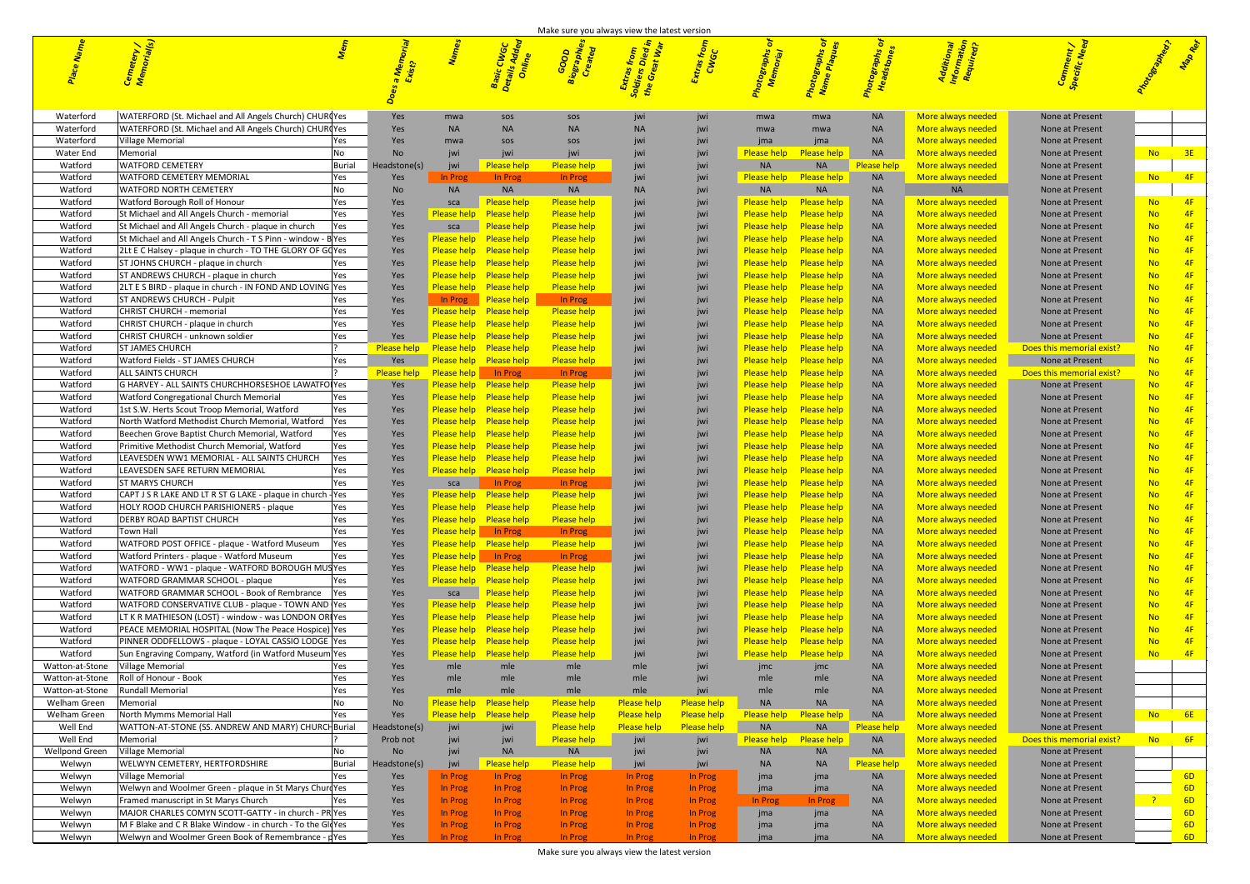| Waterford   WATERFORD (St. Michael and All Angels Church) CHUR(Yes                                                                                                                                                                       | <b>Example 19 Yes</b><br>mwa mwa                                                                                                                                                          |                                                                                                                                                                |                                    |                                                                                                                                                                                                                                     |                                                                                                                                     | ore always needed                                                                                              | None at Present                                     |                                                                                                                |
|------------------------------------------------------------------------------------------------------------------------------------------------------------------------------------------------------------------------------------------|-------------------------------------------------------------------------------------------------------------------------------------------------------------------------------------------|----------------------------------------------------------------------------------------------------------------------------------------------------------------|------------------------------------|-------------------------------------------------------------------------------------------------------------------------------------------------------------------------------------------------------------------------------------|-------------------------------------------------------------------------------------------------------------------------------------|----------------------------------------------------------------------------------------------------------------|-----------------------------------------------------|----------------------------------------------------------------------------------------------------------------|
| Waterford<br>WATERFORD (St. Michael and All Angels Church) CHUR(Yes                                                                                                                                                                      |                                                                                                                                                                                           |                                                                                                                                                                |                                    |                                                                                                                                                                                                                                     |                                                                                                                                     | More always needed <b>careta</b>                                                                               | None at Present                                     |                                                                                                                |
| Waterford<br>Village Memoria                                                                                                                                                                                                             |                                                                                                                                                                                           |                                                                                                                                                                |                                    | ima jima jima ka jima kwa wa 1970, waka wa 1970, waka wa 1980, wakati wa 1980, wakati wa 1980, waka wa 1980, w                                                                                                                      | a NA MA                                                                                                                             | More always needed <b>compart is a</b>                                                                         | None at Present                                     |                                                                                                                |
| Water End Memorial                                                                                                                                                                                                                       | in North Co<br>in the state of the state of the state of the state of the state of the state of the state of the state of the                                                             | i jwi i jwi i                                                                                                                                                  |                                    |                                                                                                                                                                                                                                     |                                                                                                                                     | jwi <mark>   Please help         Please help</mark> NA               More always needed                        | None at Present                                     |                                                                                                                |
| Watford   WATFORD CEMETER                                                                                                                                                                                                                |                                                                                                                                                                                           | Headstone(s) jwi <mark>Please-help Please-help i</mark> jwi                                                                                                    |                                    |                                                                                                                                                                                                                                     |                                                                                                                                     |                                                                                                                | None at Present                                     |                                                                                                                |
| Watford<br>WATFORD CEMETERY MEMORIAL                                                                                                                                                                                                     | a Yes a <mark>l</mark>                                                                                                                                                                    |                                                                                                                                                                |                                    | in the same of the process of the process in the process in the process in the process in the process in the p<br>In the process in the process in the process in the process in the process in the process in the process in th    |                                                                                                                                     | <u> Aore always needed als a l</u>                                                                             | None at Present                                     |                                                                                                                |
| Watford<br><b>WATFORD NORTH CEMETERY</b>                                                                                                                                                                                                 | in in the NA in the NA is not a NA is not a set of the NA is not a set of the NA is not a set of the NA is not                                                                            | in NA NA                                                                                                                                                       |                                    | NA NA NA                                                                                                                                                                                                                            |                                                                                                                                     | in a shekarar NA shekarar 1970 a NA shekarar 1970 a NA shekarar 1970 a NA shekarar 1970 a NA shekarar 1970 a N | None at Present                                     |                                                                                                                |
| Watford<br>Watford Borough Roll of Honour                                                                                                                                                                                                | in Yes is is scale in <mark>P</mark>                                                                                                                                                      |                                                                                                                                                                |                                    | <b>Please help Please help</b>                                                                                                                                                                                                      | i NA I                                                                                                                              | More always needed                                                                                             |                                                     | None at Present 1990 <b>No. 1999</b>                                                                           |
| Watford<br>St Michael and All Angels Church - memorial                                                                                                                                                                                   |                                                                                                                                                                                           | Mes and <mark>Please help Please help and Please help</mark>                                                                                                   |                                    |                                                                                                                                                                                                                                     |                                                                                                                                     | <u> Aore always needed </u>                                                                                    | None at Present                                     | <mark>No 4F</mark>                                                                                             |
| St Michael and All Angels Church - plaque in church<br>Watford                                                                                                                                                                           | <b>Yes</b>                                                                                                                                                                                | sa <mark>Please help Please help</mark>                                                                                                                        |                                    |                                                                                                                                                                                                                                     | <b>Please help Please help in the NA Fig. 1.</b>                                                                                    |                                                                                                                | None at Present                                     | - No. - 4F                                                                                                     |
|                                                                                                                                                                                                                                          |                                                                                                                                                                                           |                                                                                                                                                                |                                    |                                                                                                                                                                                                                                     |                                                                                                                                     |                                                                                                                |                                                     |                                                                                                                |
| St Michael and All Angels Church - T S Pinn - window - B Yes<br>Watford                                                                                                                                                                  |                                                                                                                                                                                           | Yes Please help Please help Please help                                                                                                                        |                                    |                                                                                                                                                                                                                                     | <b>Please help Please help</b> NA                                                                                                   |                                                                                                                | None at Present                                     |                                                                                                                |
| 2Lt E C Halsey - plaque in church - TO THE GLORY OF GOYes                                                                                                                                                                                |                                                                                                                                                                                           | The Sease of the Please help the Please help                                                                                                                   |                                    |                                                                                                                                                                                                                                     | <b>Please help Please help NANNA</b>                                                                                                |                                                                                                                | None at Present                                     |                                                                                                                |
| ST JOHNS CHURCH - plaque in church<br>Watford                                                                                                                                                                                            |                                                                                                                                                                                           | Mes <mark>Please help Please help</mark><br><b>Please help</b>                                                                                                 |                                    |                                                                                                                                                                                                                                     |                                                                                                                                     | <u> Aore always needed</u>                                                                                     | None at Present                                     |                                                                                                                |
| Watford<br>ST ANDREWS CHURCH - plaque in church                                                                                                                                                                                          |                                                                                                                                                                                           | Yes Please help Please help Please help                                                                                                                        |                                    |                                                                                                                                                                                                                                     |                                                                                                                                     |                                                                                                                | None at Present                                     |                                                                                                                |
| Watford<br>2LT E S BIRD - plaque in church - IN FOND AND LOVING Yes                                                                                                                                                                      |                                                                                                                                                                                           | The Second Press of Please help Press Please help                                                                                                              |                                    | in the top of the process of the process of the process of the process of the process of the process of the pr<br>In the process of the process of the process of the process of the process of the process of the process of th    |                                                                                                                                     | <u>More always needed</u>                                                                                      | None at Present                                     | - No. 14F                                                                                                      |
| Watford<br>ST ANDREWS CHURCH - Pulpit                                                                                                                                                                                                    | <b>Preset the Preset Street Street Street Street Street Street Street Street Street Street Street Street Street</b>                                                                       | In Prog Please help                                                                                                                                            |                                    | n jwiana <mark>i Please help nease help n</mark> a NA na na h                                                                                                                                                                       |                                                                                                                                     | <u> Aore always needer</u>                                                                                     | None at Present                                     | No 4F                                                                                                          |
| Watford<br>CHRIST CHURCH - memorial                                                                                                                                                                                                      |                                                                                                                                                                                           | Yes <mark>Please help Please help Please help</mark>                                                                                                           | <u>iwi iwi </u>                    |                                                                                                                                                                                                                                     |                                                                                                                                     | More always needed                                                                                             | None at Present                                     | l No. 4F                                                                                                       |
| Watford<br>CHRIST CHURCH - plaque in church                                                                                                                                                                                              |                                                                                                                                                                                           | Nes <mark>Please help Please help Dease help b</mark> iwi                                                                                                      |                                    | iwi <mark>Please help Please help NA NA NA</mark>                                                                                                                                                                                   |                                                                                                                                     |                                                                                                                | None at Present                                     | i No. 4F                                                                                                       |
|                                                                                                                                                                                                                                          |                                                                                                                                                                                           |                                                                                                                                                                |                                    |                                                                                                                                                                                                                                     |                                                                                                                                     | More always needed                                                                                             |                                                     |                                                                                                                |
| Watford<br>CHRIST CHURCH - unknown soldier                                                                                                                                                                                               |                                                                                                                                                                                           | Nes <mark>Please help Please help Dease help b</mark> iwi                                                                                                      |                                    | jwi <mark>   Please help         Please  help                NA                  I</mark>                                                                                                                                           |                                                                                                                                     | More always needed and all the sea                                                                             | <b>None at Present No. 4F</b>                       |                                                                                                                |
| Watford<br><b>ST JAMES CHURCH</b>                                                                                                                                                                                                        |                                                                                                                                                                                           | <b>Please help Please help Please help Please help</b> jwi                                                                                                     |                                    |                                                                                                                                                                                                                                     |                                                                                                                                     | jwi <b>Please help Please help</b> NA More always needed Does this memorial exist? No 4F                       |                                                     |                                                                                                                |
| Watford<br>Watford Fields - ST JAMES CHURCH                                                                                                                                                                                              |                                                                                                                                                                                           | n Mesa <mark>Please help Please help Please help</mark> iwi                                                                                                    |                                    | jwi <mark>   Please help         Please  help                NA                  I</mark>                                                                                                                                           |                                                                                                                                     | More always needed a solution on the North Algorithm Algorithm Algorithm Algorithm Algorithm Algorithm Algorit |                                                     |                                                                                                                |
| <b>ALL SAINTS CHURCH</b><br>Watford                                                                                                                                                                                                      | Please help Please help In Prog                                                                                                                                                           | <b>Example 10</b> In Prog                                                                                                                                      |                                    |                                                                                                                                                                                                                                     |                                                                                                                                     | More always needed Does this memorial exist? No 4F                                                             |                                                     |                                                                                                                |
| Watford<br>G HARVEY - ALL SAINTS CHURCHHORSESHOE LAWATFO                                                                                                                                                                                 |                                                                                                                                                                                           | The Season of the Pease in the Season Please help                                                                                                              |                                    |                                                                                                                                                                                                                                     |                                                                                                                                     |                                                                                                                |                                                     | None at Present <b>No. 4F</b>                                                                                  |
| Watford<br>Watford Congregational Church Memorial                                                                                                                                                                                        |                                                                                                                                                                                           | Yes <mark>Please help Please help Please help</mark>                                                                                                           |                                    |                                                                                                                                                                                                                                     | <u>la Please help a Please help a la NA dia ku</u>                                                                                  | <u>ore always needed</u>                                                                                       |                                                     | None at Present No. 4F                                                                                         |
| Watford<br>1st S.W. Herts Scout Troop Memorial, Watford                                                                                                                                                                                  |                                                                                                                                                                                           | la Yes a Please help Please help a Please help                                                                                                                 |                                    |                                                                                                                                                                                                                                     | <u>Please help Please help die NASI van die verschieden van die verschieden van die verschieden van die verschie</u>                |                                                                                                                |                                                     | None at Present No 4F                                                                                          |
| North Watford Methodist Church Memorial, Watford<br>Watford                                                                                                                                                                              |                                                                                                                                                                                           | Yes <mark>Please help Please help Please help</mark>                                                                                                           |                                    |                                                                                                                                                                                                                                     | <u>la Please help a Please help a la NA dia ku</u>                                                                                  | <u> Aore always needed </u>                                                                                    |                                                     | None at Present to the Notational AFT and Note that AFT and AFT and AFT and AFT and AFT and AFT and AFT and AF |
| Beechen Grove Baptist Church Memorial, Watford<br>Watford                                                                                                                                                                                |                                                                                                                                                                                           | Nes <b>Please help Please help Please help</b>                                                                                                                 |                                    |                                                                                                                                                                                                                                     | <u>Please help Please help die NASIA van die</u>                                                                                    |                                                                                                                | None at Present                                     | i <mark>No 4F 1</mark>                                                                                         |
| Primitive Methodist Church Memorial, Watford<br>Watford                                                                                                                                                                                  |                                                                                                                                                                                           | The State of the Please help the Please help                                                                                                                   |                                    |                                                                                                                                                                                                                                     | a <mark>Please help a Please help</mark> a MA MA in the NA                                                                          | <u> Aore always needed</u>                                                                                     | None at Present                                     | <mark>No 4F</mark>                                                                                             |
| LEAVESDEN WW1 MEMORIAL - ALL SAINTS CHURCH                                                                                                                                                                                               |                                                                                                                                                                                           | Yes Please help Please help Please help                                                                                                                        |                                    |                                                                                                                                                                                                                                     | <b>Please help Please help</b> NA NA                                                                                                |                                                                                                                | None at Present                                     |                                                                                                                |
| Watford                                                                                                                                                                                                                                  |                                                                                                                                                                                           |                                                                                                                                                                |                                    |                                                                                                                                                                                                                                     |                                                                                                                                     |                                                                                                                |                                                     |                                                                                                                |
| Watford<br>LEAVESDEN SAFE RETURN MEMORIAL                                                                                                                                                                                                |                                                                                                                                                                                           | Nes Please help Please help Please help                                                                                                                        |                                    |                                                                                                                                                                                                                                     |                                                                                                                                     |                                                                                                                | None at Present                                     |                                                                                                                |
| Watford<br><b>ST MARYS CHURCH</b>                                                                                                                                                                                                        | a sca l<br><b>Yes</b>                                                                                                                                                                     |                                                                                                                                                                |                                    |                                                                                                                                                                                                                                     |                                                                                                                                     |                                                                                                                | None at Present                                     |                                                                                                                |
| Watford<br>CAPT J S R LAKE AND LT R ST G LAKE - plaque in church - Yes states that the state of please help the ase help that is the state of the state of the state of the state of the state of the state of the state of the state of |                                                                                                                                                                                           |                                                                                                                                                                |                                    | a a single term in the presence of the season of the season in the season in the season in the season in the s                                                                                                                      |                                                                                                                                     |                                                                                                                | <b>None at Present No. 4F</b>                       |                                                                                                                |
| Watford   HOLY ROOD CHURCH PARISHIONERS - plaque                                                                                                                                                                                         |                                                                                                                                                                                           | Normal School of Please the Please of Please help in the Please of Please help Please help Normal More always needed None at Present in <mark>Noting 1F</mark> |                                    |                                                                                                                                                                                                                                     |                                                                                                                                     |                                                                                                                |                                                     |                                                                                                                |
| Watford<br><b>DERBY ROAD BAPTIST CHURCH</b>                                                                                                                                                                                              |                                                                                                                                                                                           | Yes <mark>Please help Please help Please help</mark> jwi                                                                                                       |                                    |                                                                                                                                                                                                                                     |                                                                                                                                     | More always needed                                                                                             | None at Present                                     | <mark>i No 4F i</mark>                                                                                         |
| Watford<br> Town Hall                                                                                                                                                                                                                    | Yes <mark>Please help</mark> In Prog                                                                                                                                                      | <b>Example 1</b> In Prog                                                                                                                                       |                                    | jwi <mark>   Please help         Please help</mark> NA                  N                                                                                                                                                           |                                                                                                                                     | More always needed                                                                                             | None at Present                                     | No <mark>4F</mark>                                                                                             |
| Watford<br>WATFORD POST OFFICE - plaque - Watford Museum                                                                                                                                                                                 |                                                                                                                                                                                           | The Sealing Please help Please help in Please help                                                                                                             | <u>in i</u> wi                     |                                                                                                                                                                                                                                     |                                                                                                                                     | More always needed                                                                                             | None at Present                                     | No 4F                                                                                                          |
| Watford<br>Watford Printers - plaque - Watford Museum                                                                                                                                                                                    |                                                                                                                                                                                           | Yes <mark>Please help In Prog</mark> in Prog                                                                                                                   |                                    |                                                                                                                                                                                                                                     |                                                                                                                                     |                                                                                                                | None at Present                                     | <mark>  No 4F  </mark>                                                                                         |
|                                                                                                                                                                                                                                          |                                                                                                                                                                                           |                                                                                                                                                                |                                    |                                                                                                                                                                                                                                     |                                                                                                                                     | More always needed                                                                                             |                                                     |                                                                                                                |
| Watford<br>WATFORD - WW1 - plaque - WATFORD BOROUGH MUSYes                                                                                                                                                                               |                                                                                                                                                                                           | Yes Please help Please help Please help                                                                                                                        | <u>liwi i</u> wi                   | i i <mark>Please help Please help i</mark> NA la <mark>la</mark>                                                                                                                                                                    |                                                                                                                                     | <u>More always needed-</u>                                                                                     | None at Present                                     | <mark>No 4F</mark>                                                                                             |
| Watford<br>WATFORD GRAMMAR SCHOOL - plaque                                                                                                                                                                                               |                                                                                                                                                                                           | Nes <mark>Please help Please help Nease help i</mark> wi                                                                                                       |                                    |                                                                                                                                                                                                                                     |                                                                                                                                     | More always needed                                                                                             | None at Present                                     | No 4F                                                                                                          |
| WATFORD GRAMMAR SCHOOL - Book of Rembrance<br>Watford                                                                                                                                                                                    | <b>Example 19</b>                                                                                                                                                                         | sca <mark>Please help Please help</mark>                                                                                                                       |                                    | jwi <mark>   Please help         Please help</mark> NA <mark> </mark>                                                                                                                                                               |                                                                                                                                     | <u>More always needed</u>                                                                                      | None at Present                                     | No 4F                                                                                                          |
| WATFORD CONSERVATIVE CLUB - plaque - TOWN AND Yes<br>Watford                                                                                                                                                                             |                                                                                                                                                                                           | Mes <mark>Please help Please help Please help</mark>                                                                                                           |                                    | jwi <mark>   Please help         Please help</mark> NA <mark> </mark>                                                                                                                                                               |                                                                                                                                     | <u>More always needed</u>                                                                                      | None at Present                                     | No 4F                                                                                                          |
| Watford<br>LT K R MATHIESON (LOST) - window - was LONDON ORIYes                                                                                                                                                                          |                                                                                                                                                                                           | Yes Please help Please help Please help                                                                                                                        |                                    |                                                                                                                                                                                                                                     | <mark>Please help Please help NA NA NA San</mark>                                                                                   | <mark>1ore always needed</mark>                                                                                | None at Present                                     | No 4F                                                                                                          |
| PEACE MEMORIAL HOSPITAL (Now The Peace Hospice) Yes<br>Watford                                                                                                                                                                           |                                                                                                                                                                                           | Yes Please help Please help Please help                                                                                                                        |                                    |                                                                                                                                                                                                                                     | <mark>Please help Please help NA NA NA San</mark>                                                                                   |                                                                                                                | None at Present                                     | No 4F I                                                                                                        |
| Watford<br>- LOYAL CASSIO LODO                                                                                                                                                                                                           |                                                                                                                                                                                           | Yes <mark>Please help Please help Please help</mark>                                                                                                           | iwi i                              |                                                                                                                                                                                                                                     | <mark>Please help Please help</mark> NA NA                                                                                          | More always needed                                                                                             | None at Present                                     | No 4F                                                                                                          |
| Sun Engraving Company, Watford (in Watford Museum Yes                                                                                                                                                                                    |                                                                                                                                                                                           | Yes Please help Please help Please help                                                                                                                        | <u>iwi iwi</u>                     | <b>Please help</b> Please help                                                                                                                                                                                                      | <b>NA</b>                                                                                                                           | More always needed                                                                                             | None at Present                                     |                                                                                                                |
| Watford Sun Engraving Con<br>Watton-at-Stone Village Memorial                                                                                                                                                                            |                                                                                                                                                                                           |                                                                                                                                                                |                                    |                                                                                                                                                                                                                                     |                                                                                                                                     | <u>More always needed-</u>                                                                                     | None at Present                                     |                                                                                                                |
| Watton-at-Stone   Roll of Honour - Book                                                                                                                                                                                                  |                                                                                                                                                                                           |                                                                                                                                                                |                                    |                                                                                                                                                                                                                                     |                                                                                                                                     |                                                                                                                | None at Present                                     | <b>Contract Contract Contract</b>                                                                              |
| Watton-at-Stone Rundall Memorial                                                                                                                                                                                                         |                                                                                                                                                                                           |                                                                                                                                                                |                                    |                                                                                                                                                                                                                                     |                                                                                                                                     | <u> Aore always needed </u><br>More always needed                                                              | None at Present                                     |                                                                                                                |
| Welham Green Memorial                                                                                                                                                                                                                    | mle to the monomer of the set of the set of the set of the set of the set of the set of the set of the set of the set of the set of the set of the set of the set of the set of the set o | No <mark>Please help Please help Please help Please help Please help</mark> NA NA NA                                                                           |                                    |                                                                                                                                                                                                                                     | <b>NA</b>                                                                                                                           | More always needed                                                                                             | None at Present                                     |                                                                                                                |
|                                                                                                                                                                                                                                          |                                                                                                                                                                                           |                                                                                                                                                                |                                    |                                                                                                                                                                                                                                     |                                                                                                                                     |                                                                                                                |                                                     |                                                                                                                |
| Welham Green   North Mymms Memorial Hall                                                                                                                                                                                                 |                                                                                                                                                                                           | Yes Please help Please help Please help Please help Please help Please help Please help NA More always needed                                                  |                                    |                                                                                                                                                                                                                                     |                                                                                                                                     |                                                                                                                | None at Present                                     |                                                                                                                |
| Note The More always needed and None at Present None at Present None at Presence of Present Controller and the More More always needed None at Present None at Present None at Present None at Present None at Present None at           |                                                                                                                                                                                           |                                                                                                                                                                |                                    |                                                                                                                                                                                                                                     |                                                                                                                                     |                                                                                                                |                                                     |                                                                                                                |
| Well End Memorial                                                                                                                                                                                                                        | Prob not                                                                                                                                                                                  | a jwi <mark>kat</mark>                                                                                                                                         | <mark>/ Please help i</mark> jwi / |                                                                                                                                                                                                                                     |                                                                                                                                     | jwi <mark>Please help Please help NA More always needed Does this memorial exist? No 6F</mark>                 |                                                     |                                                                                                                |
| Wellpond Green   Village Memorial                                                                                                                                                                                                        | <b>Since No</b>                                                                                                                                                                           | and the NA state of the NA                                                                                                                                     | i jwi na jwi na m                  | <b>NA</b>                                                                                                                                                                                                                           | <b>Example 1</b>                                                                                                                    | More always needed and all the sea                                                                             | None at Present                                     |                                                                                                                |
|                                                                                                                                                                                                                                          |                                                                                                                                                                                           | Headstone(s) jwi <mark>Please help Please help i</mark> wi                                                                                                     |                                    | <b>NA</b>                                                                                                                                                                                                                           | <b>NA</b>                                                                                                                           | <mark>Please help More always needed and the More always needed</mark>                                         | None at Present                                     |                                                                                                                |
|                                                                                                                                                                                                                                          |                                                                                                                                                                                           | In Prog ln Prog<br><b>Example 1</b> In Prog                                                                                                                    |                                    | <u>na jima sa</u><br>In Prog                                                                                                                                                                                                        | <b>Example 1</b><br>ima                                                                                                             | More always needed and all the More always                                                                     | None at Present                                     |                                                                                                                |
| Welwyn WELWYN CEMETERY, HERTFORDSHIRE                                                                                                                                                                                                    |                                                                                                                                                                                           |                                                                                                                                                                |                                    |                                                                                                                                                                                                                                     |                                                                                                                                     |                                                                                                                |                                                     |                                                                                                                |
| Welwyn Village Memorial                                                                                                                                                                                                                  | <b>Example 1</b>                                                                                                                                                                          |                                                                                                                                                                |                                    |                                                                                                                                                                                                                                     |                                                                                                                                     |                                                                                                                |                                                     |                                                                                                                |
| Welwyn<br>Welwyn and Woolmer Green - plaque in St Marys Churd Yes                                                                                                                                                                        | <b>Example Struck</b> Press                                                                                                                                                               | <b>Sigma Prog</b>                                                                                                                                              |                                    | <b>n</b> jma                                                                                                                                                                                                                        | jma<br><b>NA</b>                                                                                                                    | <mark>1ore always needed</mark>                                                                                | None at Present                                     |                                                                                                                |
| Welwyn<br>Framed manuscript in St Marys Church                                                                                                                                                                                           | <b>Yes</b>                                                                                                                                                                                | <b>Example 10 In Prog</b>                                                                                                                                      |                                    |                                                                                                                                                                                                                                     | <b>Example 19 NA</b>                                                                                                                | More always needed                                                                                             | None at Present                                     |                                                                                                                |
| MAJOR CHARLES COMYN SCOTT-GATTY - in church - PR Yes<br>Welwyn                                                                                                                                                                           | Yes                                                                                                                                                                                       | <b>In Prog</b>                                                                                                                                                 |                                    | <b>Example 10 yields</b> image of the state of the state of the state of the state of the state of the state of the state of the state of the state of the state of the state of the state of the state of the state of the state o | <b>Example 18</b><br>ima di provincia di un provincia all'anciere di un altra di un anciene di un anciene di un anciene di un ancie | Aore always needed                                                                                             | None at Present                                     |                                                                                                                |
| M F Blake and C R Blake Window - in church - To the GloYes<br>Welwyn<br>Welwyn Welwyn and Woolmer Green Book of Remembrance - $\beta$ Yes                                                                                                | Yes                                                                                                                                                                                       | <b>In Prog</b>                                                                                                                                                 |                                    | ima ima a ma                                                                                                                                                                                                                        | <b>NA</b><br>jma                                                                                                                    | More always needed and all                                                                                     | None at Present<br><b>Example 2</b> None at Present |                                                                                                                |